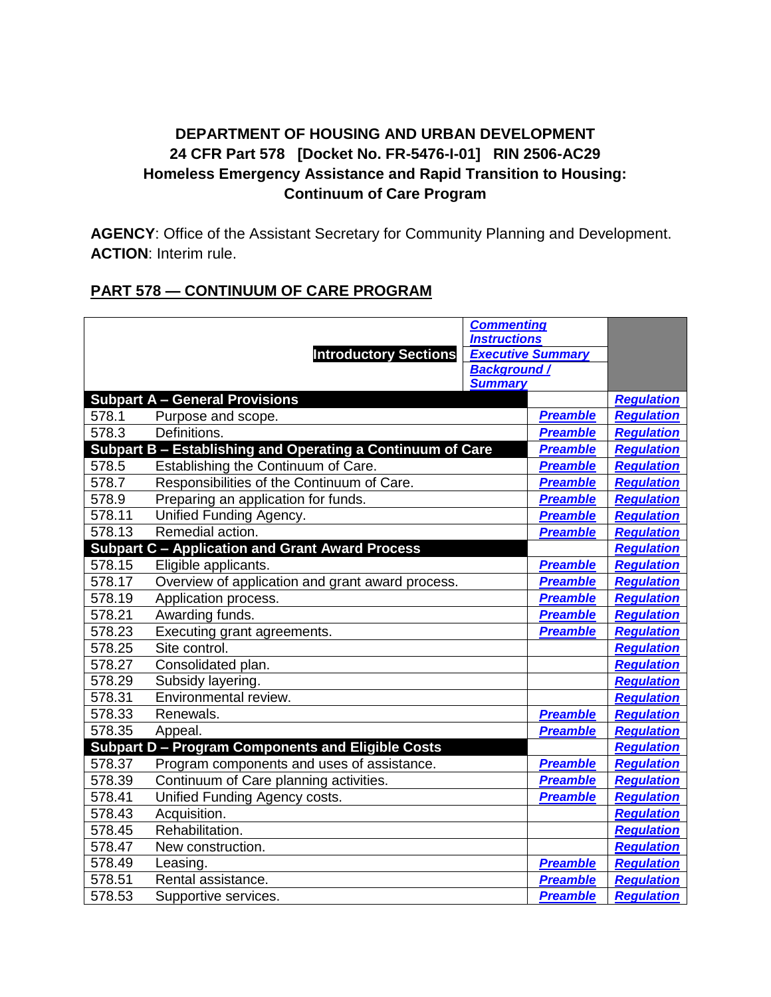# **DEPARTMENT OF HOUSING AND URBAN DEVELOPMENT 24 CFR Part 578 [Docket No. FR-5476-I-01] RIN 2506-AC29 Homeless Emergency Assistance and Rapid Transition to Housing: Continuum of Care Program**

**AGENCY**: Office of the Assistant Secretary for Community Planning and Development. **ACTION**: Interim rule.

# **PART 578 — CONTINUUM OF CARE PROGRAM**

|        |                                                            | <b>Commenting</b>                    |                          |                   |
|--------|------------------------------------------------------------|--------------------------------------|--------------------------|-------------------|
|        |                                                            | <b>Instructions</b>                  |                          |                   |
|        | <b>Introductory Sections</b>                               |                                      | <b>Executive Summary</b> |                   |
|        |                                                            | <b>Background/</b><br><b>Summary</b> |                          |                   |
|        | <b>Subpart A - General Provisions</b>                      |                                      |                          | <b>Regulation</b> |
| 578.1  | Purpose and scope.                                         |                                      | <b>Preamble</b>          | <b>Regulation</b> |
| 578.3  | Definitions.                                               |                                      | <b>Preamble</b>          | <b>Regulation</b> |
|        | Subpart B - Establishing and Operating a Continuum of Care |                                      | <b>Preamble</b>          | <b>Regulation</b> |
| 578.5  | Establishing the Continuum of Care.                        |                                      | <b>Preamble</b>          | Regulation        |
| 578.7  | Responsibilities of the Continuum of Care.                 |                                      | <b>Preamble</b>          | <b>Regulation</b> |
| 578.9  | Preparing an application for funds.                        |                                      | <b>Preamble</b>          | <b>Regulation</b> |
| 578.11 | Unified Funding Agency.                                    |                                      | <b>Preamble</b>          | <b>Regulation</b> |
| 578.13 | Remedial action.                                           |                                      | <b>Preamble</b>          | <b>Regulation</b> |
|        | <b>Subpart C - Application and Grant Award Process</b>     |                                      |                          | <b>Regulation</b> |
| 578.15 | Eligible applicants.                                       |                                      | <b>Preamble</b>          | <b>Regulation</b> |
| 578.17 | Overview of application and grant award process.           |                                      | <b>Preamble</b>          | <b>Regulation</b> |
| 578.19 | Application process.                                       |                                      | <b>Preamble</b>          | <b>Regulation</b> |
| 578.21 | Awarding funds.                                            |                                      | <b>Preamble</b>          | <b>Regulation</b> |
| 578.23 | Executing grant agreements.                                |                                      | <b>Preamble</b>          | <b>Regulation</b> |
| 578.25 | Site control.                                              |                                      |                          | <b>Regulation</b> |
| 578.27 | Consolidated plan.                                         |                                      |                          | <b>Regulation</b> |
| 578.29 | Subsidy layering.                                          |                                      |                          | <b>Regulation</b> |
| 578.31 | Environmental review.                                      |                                      |                          | <b>Regulation</b> |
| 578.33 | Renewals.                                                  |                                      | <b>Preamble</b>          | <b>Regulation</b> |
| 578.35 | Appeal.                                                    |                                      | <b>Preamble</b>          | <b>Regulation</b> |
|        | <b>Subpart D - Program Components and Eligible Costs</b>   |                                      |                          | <b>Regulation</b> |
| 578.37 | Program components and uses of assistance.                 |                                      | <b>Preamble</b>          | <b>Regulation</b> |
| 578.39 | Continuum of Care planning activities.                     |                                      | <b>Preamble</b>          | <b>Regulation</b> |
| 578.41 | Unified Funding Agency costs.                              |                                      | <b>Preamble</b>          | Regulation        |
| 578.43 | Acquisition.                                               |                                      |                          | <b>Regulation</b> |
| 578.45 | Rehabilitation.                                            |                                      |                          | <b>Regulation</b> |
| 578.47 | New construction.                                          |                                      |                          | <b>Regulation</b> |
| 578.49 | Leasing.                                                   |                                      | <b>Preamble</b>          | <b>Regulation</b> |
| 578.51 | Rental assistance.                                         |                                      | <b>Preamble</b>          | <b>Regulation</b> |
| 578.53 | Supportive services.                                       |                                      | <b>Preamble</b>          | <b>Regulation</b> |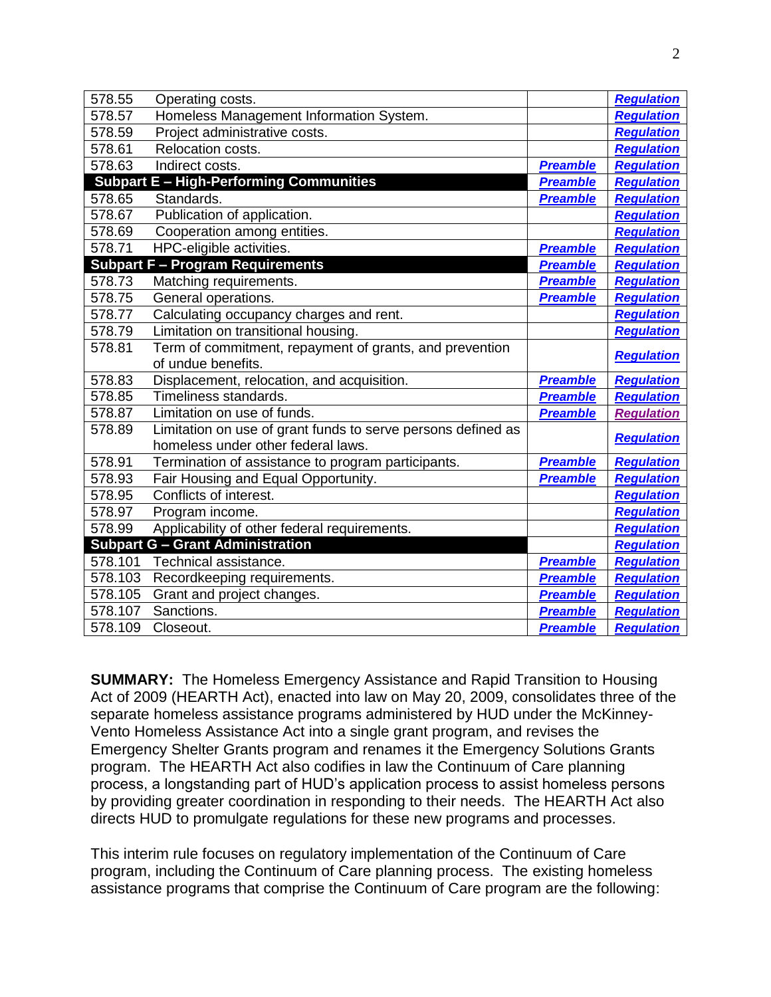| 578.55                                         | Operating costs.                                             |                 | <b>Regulation</b> |
|------------------------------------------------|--------------------------------------------------------------|-----------------|-------------------|
| 578.57                                         | Homeless Management Information System.                      |                 | <b>Regulation</b> |
| 578.59                                         | Project administrative costs.                                |                 | <b>Regulation</b> |
| 578.61                                         | Relocation costs.                                            |                 | <b>Regulation</b> |
| 578.63                                         | Indirect costs.                                              | <b>Preamble</b> | <b>Regulation</b> |
| <b>Subpart E - High-Performing Communities</b> |                                                              | <b>Preamble</b> | <b>Regulation</b> |
| 578.65                                         | Standards.                                                   | <b>Preamble</b> | <b>Regulation</b> |
| 578.67                                         | Publication of application.                                  |                 | <b>Regulation</b> |
| 578.69                                         | Cooperation among entities.                                  |                 | <b>Regulation</b> |
| 578.71                                         | HPC-eligible activities.                                     | <b>Preamble</b> | <b>Regulation</b> |
|                                                | <b>Subpart F - Program Requirements</b>                      | <b>Preamble</b> | <b>Regulation</b> |
| 578.73                                         | Matching requirements.                                       | <b>Preamble</b> | <b>Regulation</b> |
| 578.75                                         | General operations.                                          | <b>Preamble</b> | Regulation        |
| 578.77                                         | Calculating occupancy charges and rent.                      |                 | <b>Regulation</b> |
| 578.79                                         | Limitation on transitional housing.                          |                 | <b>Regulation</b> |
| 578.81                                         | Term of commitment, repayment of grants, and prevention      |                 | <b>Regulation</b> |
|                                                | of undue benefits.                                           |                 |                   |
| 578.83                                         | Displacement, relocation, and acquisition.                   | <b>Preamble</b> | <b>Regulation</b> |
| 578.85                                         | Timeliness standards.                                        | <b>Preamble</b> | <b>Regulation</b> |
| 578.87                                         | Limitation on use of funds.                                  | <b>Preamble</b> | <b>Regulation</b> |
| 578.89                                         | Limitation on use of grant funds to serve persons defined as |                 | <b>Regulation</b> |
|                                                | homeless under other federal laws.                           |                 |                   |
| 578.91                                         | Termination of assistance to program participants.           | <b>Preamble</b> | <b>Regulation</b> |
| 578.93                                         | Fair Housing and Equal Opportunity.                          | <b>Preamble</b> | <b>Regulation</b> |
| 578.95                                         | Conflicts of interest.                                       |                 | Regulation        |
| 578.97                                         | Program income.                                              |                 | <b>Regulation</b> |
| 578.99                                         | Applicability of other federal requirements.                 |                 | <b>Regulation</b> |
| <b>Subpart G - Grant Administration</b>        |                                                              |                 | <b>Regulation</b> |
| 578.101                                        | Technical assistance.                                        | <b>Preamble</b> | <b>Regulation</b> |
| 578.103                                        | Recordkeeping requirements.                                  | <b>Preamble</b> | <b>Regulation</b> |
| 578.105                                        | Grant and project changes.                                   | <b>Preamble</b> | <b>Regulation</b> |
| 578.107                                        | Sanctions.                                                   | <b>Preamble</b> | <b>Regulation</b> |
| 578.109                                        | Closeout.                                                    | <b>Preamble</b> | <b>Regulation</b> |

**SUMMARY:** The Homeless Emergency Assistance and Rapid Transition to Housing Act of 2009 (HEARTH Act), enacted into law on May 20, 2009, consolidates three of the separate homeless assistance programs administered by HUD under the McKinney-Vento Homeless Assistance Act into a single grant program, and revises the Emergency Shelter Grants program and renames it the Emergency Solutions Grants program. The HEARTH Act also codifies in law the Continuum of Care planning process, a longstanding part of HUD's application process to assist homeless persons by providing greater coordination in responding to their needs. The HEARTH Act also directs HUD to promulgate regulations for these new programs and processes.

This interim rule focuses on regulatory implementation of the Continuum of Care program, including the Continuum of Care planning process. The existing homeless assistance programs that comprise the Continuum of Care program are the following: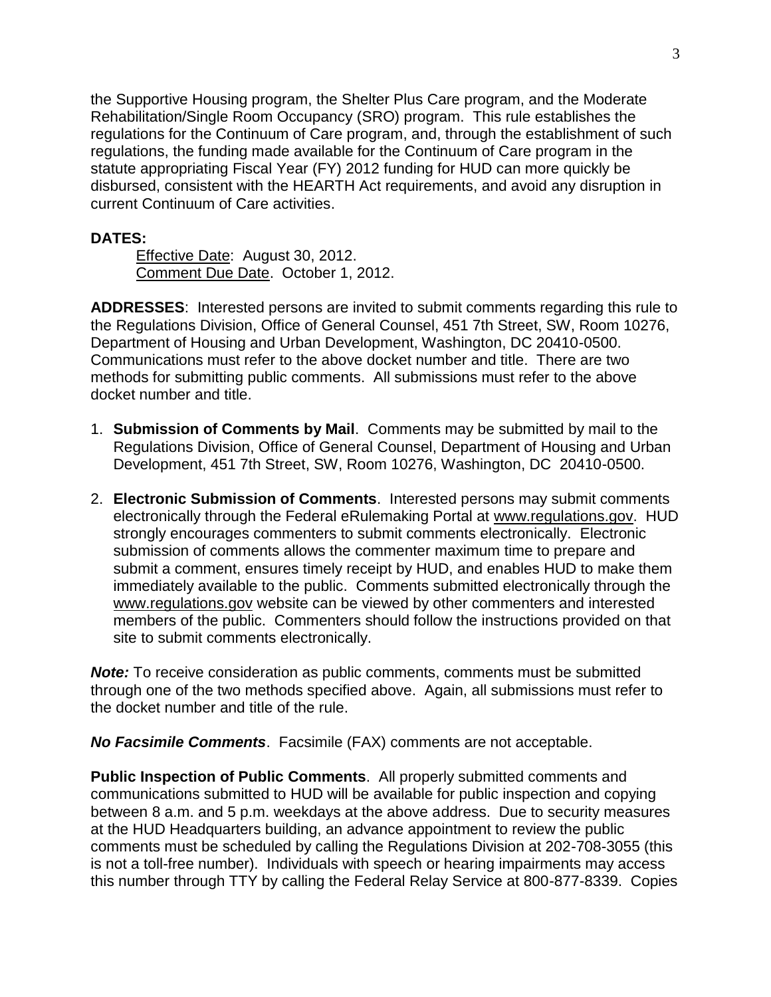the Supportive Housing program, the Shelter Plus Care program, and the Moderate Rehabilitation/Single Room Occupancy (SRO) program. This rule establishes the regulations for the Continuum of Care program, and, through the establishment of such regulations, the funding made available for the Continuum of Care program in the statute appropriating Fiscal Year (FY) 2012 funding for HUD can more quickly be disbursed, consistent with the HEARTH Act requirements, and avoid any disruption in current Continuum of Care activities.

### <span id="page-2-0"></span>**DATES:**

Effective Date: August 30, 2012. Comment Due Date. October 1, 2012.

**ADDRESSES**: Interested persons are invited to submit comments regarding this rule to the Regulations Division, Office of General Counsel, 451 7th Street, SW, Room 10276, Department of Housing and Urban Development, Washington, DC 20410-0500. Communications must refer to the above docket number and title. There are two methods for submitting public comments. All submissions must refer to the above docket number and title.

- 1. **Submission of Comments by Mail**. Comments may be submitted by mail to the Regulations Division, Office of General Counsel, Department of Housing and Urban Development, 451 7th Street, SW, Room 10276, Washington, DC 20410-0500.
- 2. **Electronic Submission of Comments**. Interested persons may submit comments electronically through the Federal eRulemaking Portal at www.regulations.gov. HUD strongly encourages commenters to submit comments electronically. Electronic submission of comments allows the commenter maximum time to prepare and submit a comment, ensures timely receipt by HUD, and enables HUD to make them immediately available to the public. Comments submitted electronically through the www.regulations.gov website can be viewed by other commenters and interested members of the public. Commenters should follow the instructions provided on that site to submit comments electronically.

*Note:* To receive consideration as public comments, comments must be submitted through one of the two methods specified above. Again, all submissions must refer to the docket number and title of the rule.

*No Facsimile Comments*. Facsimile (FAX) comments are not acceptable.

**Public Inspection of Public Comments**. All properly submitted comments and communications submitted to HUD will be available for public inspection and copying between 8 a.m. and 5 p.m. weekdays at the above address. Due to security measures at the HUD Headquarters building, an advance appointment to review the public comments must be scheduled by calling the Regulations Division at 202-708-3055 (this is not a toll-free number). Individuals with speech or hearing impairments may access this number through TTY by calling the Federal Relay Service at 800-877-8339. Copies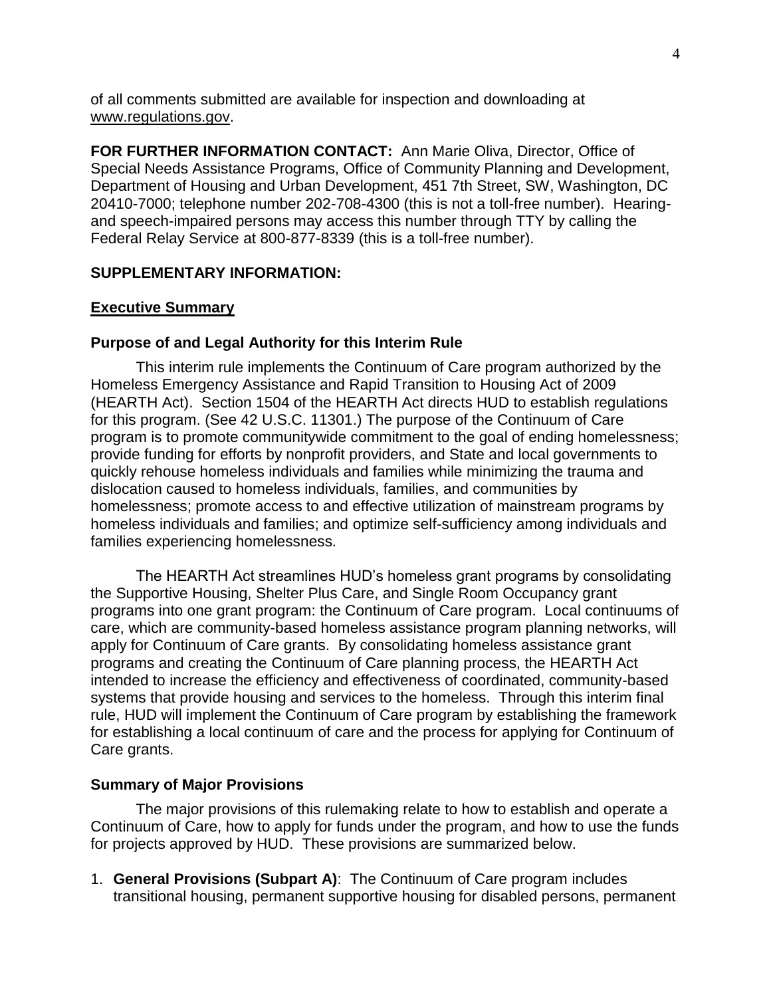of all comments submitted are available for inspection and downloading at www.regulations.gov.

**FOR FURTHER INFORMATION CONTACT:** Ann Marie Oliva, Director, Office of Special Needs Assistance Programs, Office of Community Planning and Development, Department of Housing and Urban Development, 451 7th Street, SW, Washington, DC 20410-7000; telephone number 202-708-4300 (this is not a toll-free number). Hearingand speech-impaired persons may access this number through TTY by calling the Federal Relay Service at 800-877-8339 (this is a toll-free number).

### **SUPPLEMENTARY INFORMATION:**

### <span id="page-3-0"></span>**Executive Summary**

#### **Purpose of and Legal Authority for this Interim Rule**

This interim rule implements the Continuum of Care program authorized by the Homeless Emergency Assistance and Rapid Transition to Housing Act of 2009 (HEARTH Act). Section 1504 of the HEARTH Act directs HUD to establish regulations for this program. (See 42 U.S.C. 11301.) The purpose of the Continuum of Care program is to promote communitywide commitment to the goal of ending homelessness; provide funding for efforts by nonprofit providers, and State and local governments to quickly rehouse homeless individuals and families while minimizing the trauma and dislocation caused to homeless individuals, families, and communities by homelessness; promote access to and effective utilization of mainstream programs by homeless individuals and families; and optimize self-sufficiency among individuals and families experiencing homelessness.

The HEARTH Act streamlines HUD's homeless grant programs by consolidating the Supportive Housing, Shelter Plus Care, and Single Room Occupancy grant programs into one grant program: the Continuum of Care program. Local continuums of care, which are community-based homeless assistance program planning networks, will apply for Continuum of Care grants. By consolidating homeless assistance grant programs and creating the Continuum of Care planning process, the HEARTH Act intended to increase the efficiency and effectiveness of coordinated, community-based systems that provide housing and services to the homeless. Through this interim final rule, HUD will implement the Continuum of Care program by establishing the framework for establishing a local continuum of care and the process for applying for Continuum of Care grants.

### **Summary of Major Provisions**

The major provisions of this rulemaking relate to how to establish and operate a Continuum of Care, how to apply for funds under the program, and how to use the funds for projects approved by HUD. These provisions are summarized below.

1. **General Provisions (Subpart A)**: The Continuum of Care program includes transitional housing, permanent supportive housing for disabled persons, permanent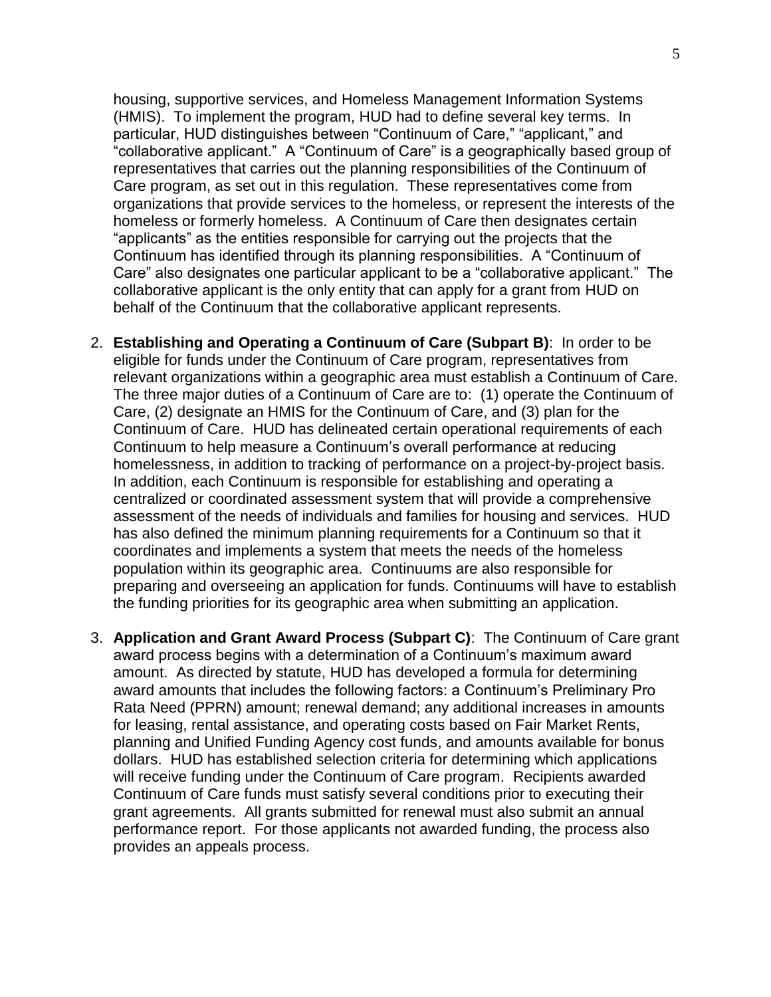housing, supportive services, and Homeless Management Information Systems (HMIS). To implement the program, HUD had to define several key terms. In particular, HUD distinguishes between "Continuum of Care," "applicant," and "collaborative applicant." A "Continuum of Care" is a geographically based group of representatives that carries out the planning responsibilities of the Continuum of Care program, as set out in this regulation. These representatives come from organizations that provide services to the homeless, or represent the interests of the homeless or formerly homeless. A Continuum of Care then designates certain ―applicants‖ as the entities responsible for carrying out the projects that the Continuum has identified through its planning responsibilities. A "Continuum of Care" also designates one particular applicant to be a "collaborative applicant." The collaborative applicant is the only entity that can apply for a grant from HUD on behalf of the Continuum that the collaborative applicant represents.

- 2. **Establishing and Operating a Continuum of Care (Subpart B)**: In order to be eligible for funds under the Continuum of Care program, representatives from relevant organizations within a geographic area must establish a Continuum of Care. The three major duties of a Continuum of Care are to: (1) operate the Continuum of Care, (2) designate an HMIS for the Continuum of Care, and (3) plan for the Continuum of Care. HUD has delineated certain operational requirements of each Continuum to help measure a Continuum's overall performance at reducing homelessness, in addition to tracking of performance on a project-by-project basis. In addition, each Continuum is responsible for establishing and operating a centralized or coordinated assessment system that will provide a comprehensive assessment of the needs of individuals and families for housing and services. HUD has also defined the minimum planning requirements for a Continuum so that it coordinates and implements a system that meets the needs of the homeless population within its geographic area. Continuums are also responsible for preparing and overseeing an application for funds. Continuums will have to establish the funding priorities for its geographic area when submitting an application.
- 3. **Application and Grant Award Process (Subpart C)**: The Continuum of Care grant award process begins with a determination of a Continuum's maximum award amount. As directed by statute, HUD has developed a formula for determining award amounts that includes the following factors: a Continuum's Preliminary Pro Rata Need (PPRN) amount; renewal demand; any additional increases in amounts for leasing, rental assistance, and operating costs based on Fair Market Rents, planning and Unified Funding Agency cost funds, and amounts available for bonus dollars. HUD has established selection criteria for determining which applications will receive funding under the Continuum of Care program. Recipients awarded Continuum of Care funds must satisfy several conditions prior to executing their grant agreements. All grants submitted for renewal must also submit an annual performance report. For those applicants not awarded funding, the process also provides an appeals process.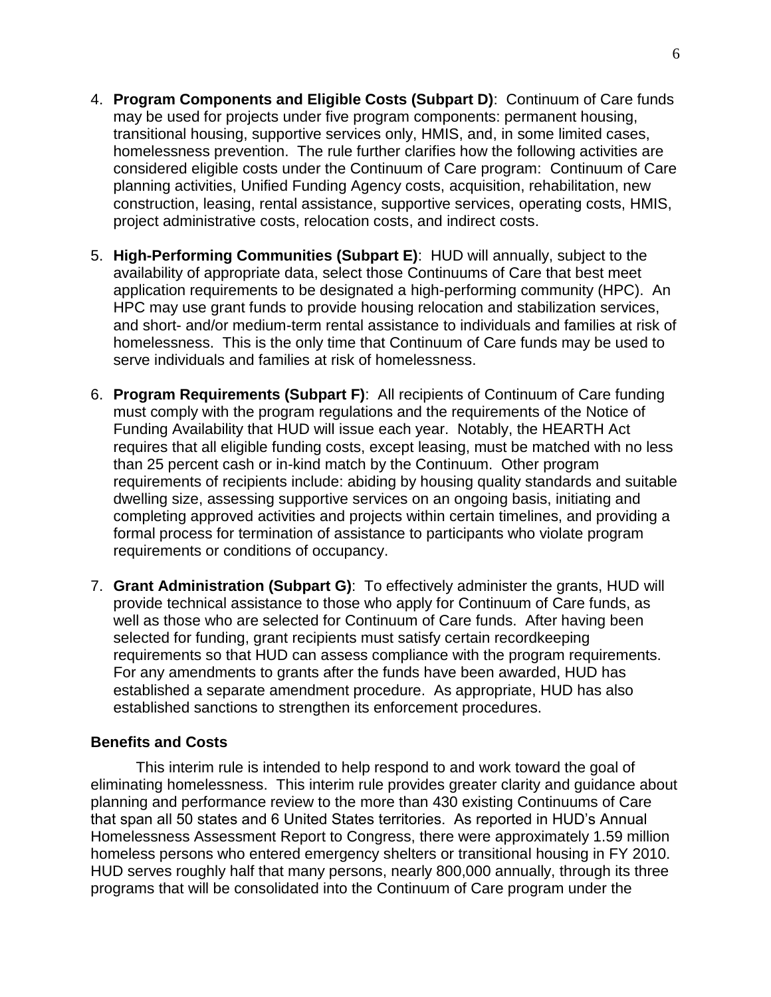- 4. **Program Components and Eligible Costs (Subpart D)**: Continuum of Care funds may be used for projects under five program components: permanent housing, transitional housing, supportive services only, HMIS, and, in some limited cases, homelessness prevention. The rule further clarifies how the following activities are considered eligible costs under the Continuum of Care program: Continuum of Care planning activities, Unified Funding Agency costs, acquisition, rehabilitation, new construction, leasing, rental assistance, supportive services, operating costs, HMIS, project administrative costs, relocation costs, and indirect costs.
- 5. **High-Performing Communities (Subpart E)**: HUD will annually, subject to the availability of appropriate data, select those Continuums of Care that best meet application requirements to be designated a high-performing community (HPC). An HPC may use grant funds to provide housing relocation and stabilization services, and short- and/or medium-term rental assistance to individuals and families at risk of homelessness. This is the only time that Continuum of Care funds may be used to serve individuals and families at risk of homelessness.
- 6. **Program Requirements (Subpart F)**: All recipients of Continuum of Care funding must comply with the program regulations and the requirements of the Notice of Funding Availability that HUD will issue each year. Notably, the HEARTH Act requires that all eligible funding costs, except leasing, must be matched with no less than 25 percent cash or in-kind match by the Continuum. Other program requirements of recipients include: abiding by housing quality standards and suitable dwelling size, assessing supportive services on an ongoing basis, initiating and completing approved activities and projects within certain timelines, and providing a formal process for termination of assistance to participants who violate program requirements or conditions of occupancy.
- 7. **Grant Administration (Subpart G)**:To effectively administer the grants, HUD will provide technical assistance to those who apply for Continuum of Care funds, as well as those who are selected for Continuum of Care funds. After having been selected for funding, grant recipients must satisfy certain recordkeeping requirements so that HUD can assess compliance with the program requirements. For any amendments to grants after the funds have been awarded, HUD has established a separate amendment procedure. As appropriate, HUD has also established sanctions to strengthen its enforcement procedures.

### **Benefits and Costs**

This interim rule is intended to help respond to and work toward the goal of eliminating homelessness. This interim rule provides greater clarity and guidance about planning and performance review to the more than 430 existing Continuums of Care that span all 50 states and 6 United States territories. As reported in HUD's Annual Homelessness Assessment Report to Congress, there were approximately 1.59 million homeless persons who entered emergency shelters or transitional housing in FY 2010. HUD serves roughly half that many persons, nearly 800,000 annually, through its three programs that will be consolidated into the Continuum of Care program under the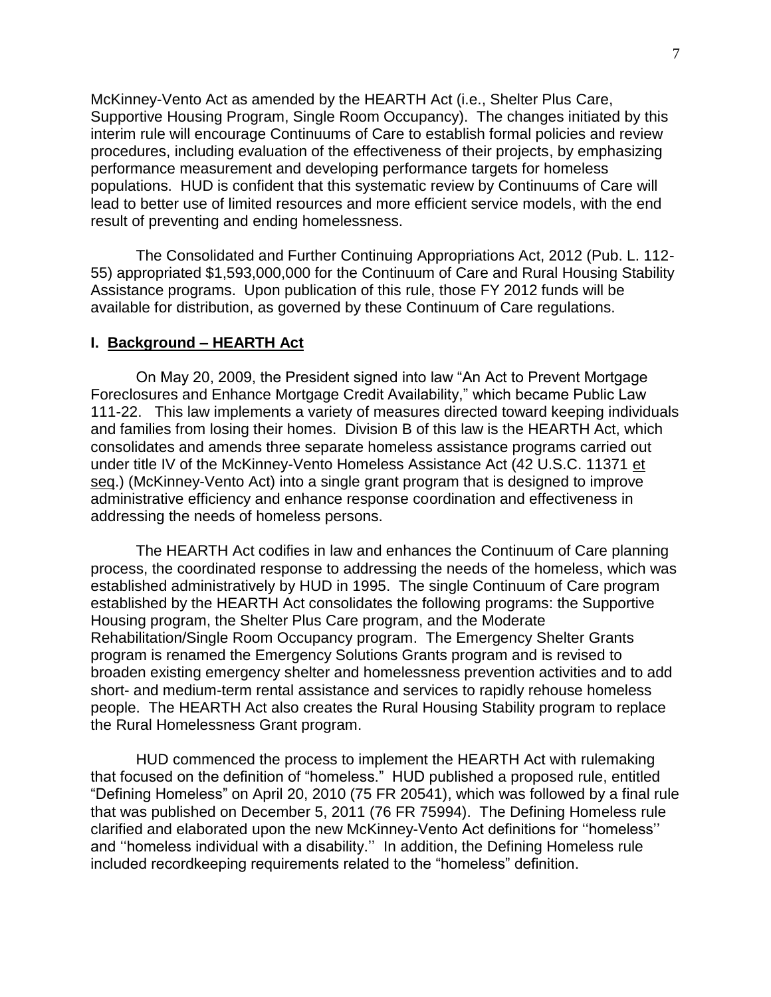McKinney-Vento Act as amended by the HEARTH Act (i.e., Shelter Plus Care, Supportive Housing Program, Single Room Occupancy). The changes initiated by this interim rule will encourage Continuums of Care to establish formal policies and review procedures, including evaluation of the effectiveness of their projects, by emphasizing performance measurement and developing performance targets for homeless populations. HUD is confident that this systematic review by Continuums of Care will lead to better use of limited resources and more efficient service models, with the end result of preventing and ending homelessness.

The Consolidated and Further Continuing Appropriations Act, 2012 (Pub. L. 112- 55) appropriated \$1,593,000,000 for the Continuum of Care and Rural Housing Stability Assistance programs. Upon publication of this rule, those FY 2012 funds will be available for distribution, as governed by these Continuum of Care regulations.

#### <span id="page-6-0"></span>**I. Background – HEARTH Act**

On May 20, 2009, the President signed into law "An Act to Prevent Mortgage Foreclosures and Enhance Mortgage Credit Availability," which became Public Law 111-22. This law implements a variety of measures directed toward keeping individuals and families from losing their homes. Division B of this law is the HEARTH Act, which consolidates and amends three separate homeless assistance programs carried out under title IV of the McKinney-Vento Homeless Assistance Act (42 U.S.C. 11371 et seq.) (McKinney-Vento Act) into a single grant program that is designed to improve administrative efficiency and enhance response coordination and effectiveness in addressing the needs of homeless persons.

The HEARTH Act codifies in law and enhances the Continuum of Care planning process, the coordinated response to addressing the needs of the homeless, which was established administratively by HUD in 1995. The single Continuum of Care program established by the HEARTH Act consolidates the following programs: the Supportive Housing program, the Shelter Plus Care program, and the Moderate Rehabilitation/Single Room Occupancy program. The Emergency Shelter Grants program is renamed the Emergency Solutions Grants program and is revised to broaden existing emergency shelter and homelessness prevention activities and to add short- and medium-term rental assistance and services to rapidly rehouse homeless people. The HEARTH Act also creates the Rural Housing Stability program to replace the Rural Homelessness Grant program.

HUD commenced the process to implement the HEARTH Act with rulemaking that focused on the definition of "homeless." HUD published a proposed rule, entitled "Defining Homeless" on April 20, 2010 (75 FR 20541), which was followed by a final rule that was published on December 5, 2011 (76 FR 75994). The Defining Homeless rule clarified and elaborated upon the new McKinney-Vento Act definitions for "homeless" and "homeless individual with a disability." In addition, the Defining Homeless rule included recordkeeping requirements related to the "homeless" definition.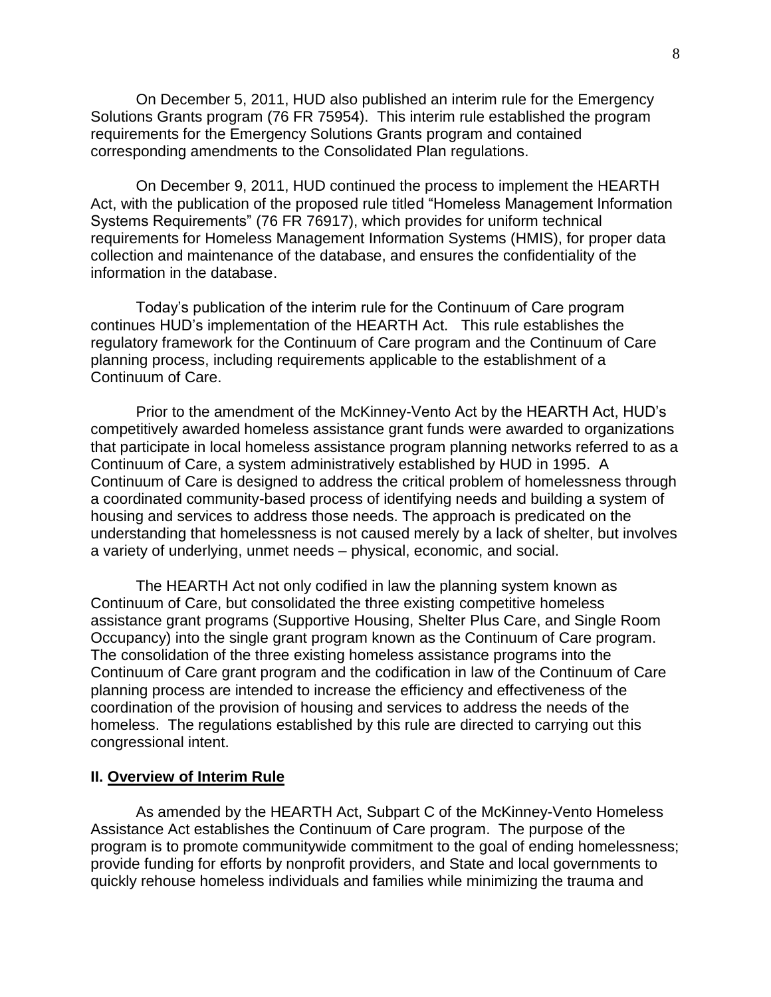On December 5, 2011, HUD also published an interim rule for the Emergency Solutions Grants program (76 FR 75954). This interim rule established the program requirements for the Emergency Solutions Grants program and contained corresponding amendments to the Consolidated Plan regulations.

On December 9, 2011, HUD continued the process to implement the HEARTH Act, with the publication of the proposed rule titled "Homeless Management Information Systems Requirements" (76 FR 76917), which provides for uniform technical requirements for Homeless Management Information Systems (HMIS), for proper data collection and maintenance of the database, and ensures the confidentiality of the information in the database.

Today's publication of the interim rule for the Continuum of Care program continues HUD's implementation of the HEARTH Act. This rule establishes the regulatory framework for the Continuum of Care program and the Continuum of Care planning process, including requirements applicable to the establishment of a Continuum of Care.

Prior to the amendment of the McKinney-Vento Act by the HEARTH Act, HUD's competitively awarded homeless assistance grant funds were awarded to organizations that participate in local homeless assistance program planning networks referred to as a Continuum of Care, a system administratively established by HUD in 1995. A Continuum of Care is designed to address the critical problem of homelessness through a coordinated community-based process of identifying needs and building a system of housing and services to address those needs. The approach is predicated on the understanding that homelessness is not caused merely by a lack of shelter, but involves a variety of underlying, unmet needs – physical, economic, and social.

The HEARTH Act not only codified in law the planning system known as Continuum of Care, but consolidated the three existing competitive homeless assistance grant programs (Supportive Housing, Shelter Plus Care, and Single Room Occupancy) into the single grant program known as the Continuum of Care program. The consolidation of the three existing homeless assistance programs into the Continuum of Care grant program and the codification in law of the Continuum of Care planning process are intended to increase the efficiency and effectiveness of the coordination of the provision of housing and services to address the needs of the homeless. The regulations established by this rule are directed to carrying out this congressional intent.

#### **II. Overview of Interim Rule**

As amended by the HEARTH Act, Subpart C of the McKinney-Vento Homeless Assistance Act establishes the Continuum of Care program. The purpose of the program is to promote communitywide commitment to the goal of ending homelessness; provide funding for efforts by nonprofit providers, and State and local governments to quickly rehouse homeless individuals and families while minimizing the trauma and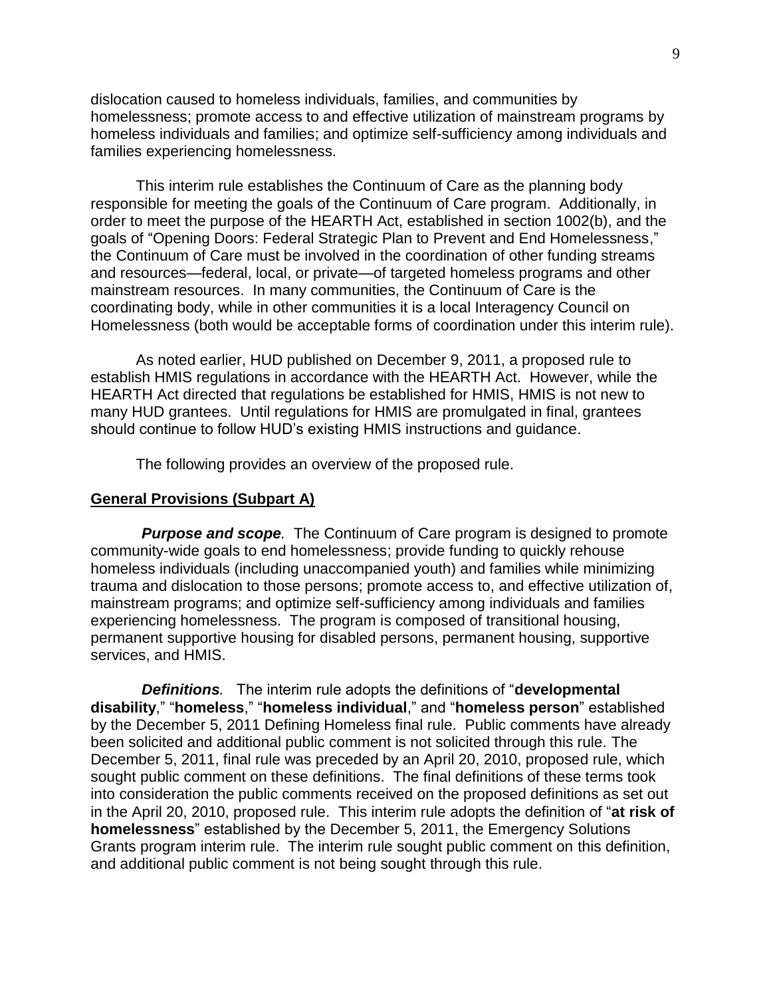dislocation caused to homeless individuals, families, and communities by homelessness; promote access to and effective utilization of mainstream programs by homeless individuals and families; and optimize self-sufficiency among individuals and families experiencing homelessness.

This interim rule establishes the Continuum of Care as the planning body responsible for meeting the goals of the Continuum of Care program. Additionally, in order to meet the purpose of the HEARTH Act, established in section 1002(b), and the goals of "Opening Doors: Federal Strategic Plan to Prevent and End Homelessness," the Continuum of Care must be involved in the coordination of other funding streams and resources—federal, local, or private—of targeted homeless programs and other mainstream resources. In many communities, the Continuum of Care is the coordinating body, while in other communities it is a local Interagency Council on Homelessness (both would be acceptable forms of coordination under this interim rule).

As noted earlier, HUD published on December 9, 2011, a proposed rule to establish HMIS regulations in accordance with the HEARTH Act. However, while the HEARTH Act directed that regulations be established for HMIS, HMIS is not new to many HUD grantees. Until regulations for HMIS are promulgated in final, grantees should continue to follow HUD's existing HMIS instructions and guidance.

The following provides an overview of the proposed rule.

#### **General Provisions (Subpart A)**

<span id="page-8-0"></span>**Purpose and scope.** The Continuum of Care program is designed to promote community-wide goals to end homelessness; provide funding to quickly rehouse homeless individuals (including unaccompanied youth) and families while minimizing trauma and dislocation to those persons; promote access to, and effective utilization of, mainstream programs; and optimize self-sufficiency among individuals and families experiencing homelessness. The program is composed of transitional housing, permanent supportive housing for disabled persons, permanent housing, supportive services, and HMIS.

<span id="page-8-1"></span>*Definitions.* The interim rule adopts the definitions of "developmental **disability**,‖ ―**homeless**,‖ ―**homeless individual**,‖ and ―**homeless person**‖ established by the December 5, 2011 Defining Homeless final rule. Public comments have already been solicited and additional public comment is not solicited through this rule. The December 5, 2011, final rule was preceded by an April 20, 2010, proposed rule, which sought public comment on these definitions. The final definitions of these terms took into consideration the public comments received on the proposed definitions as set out in the April 20, 2010, proposed rule. This interim rule adopts the definition of "at risk of **homelessness**‖ established by the December 5, 2011, the Emergency Solutions Grants program interim rule. The interim rule sought public comment on this definition, and additional public comment is not being sought through this rule.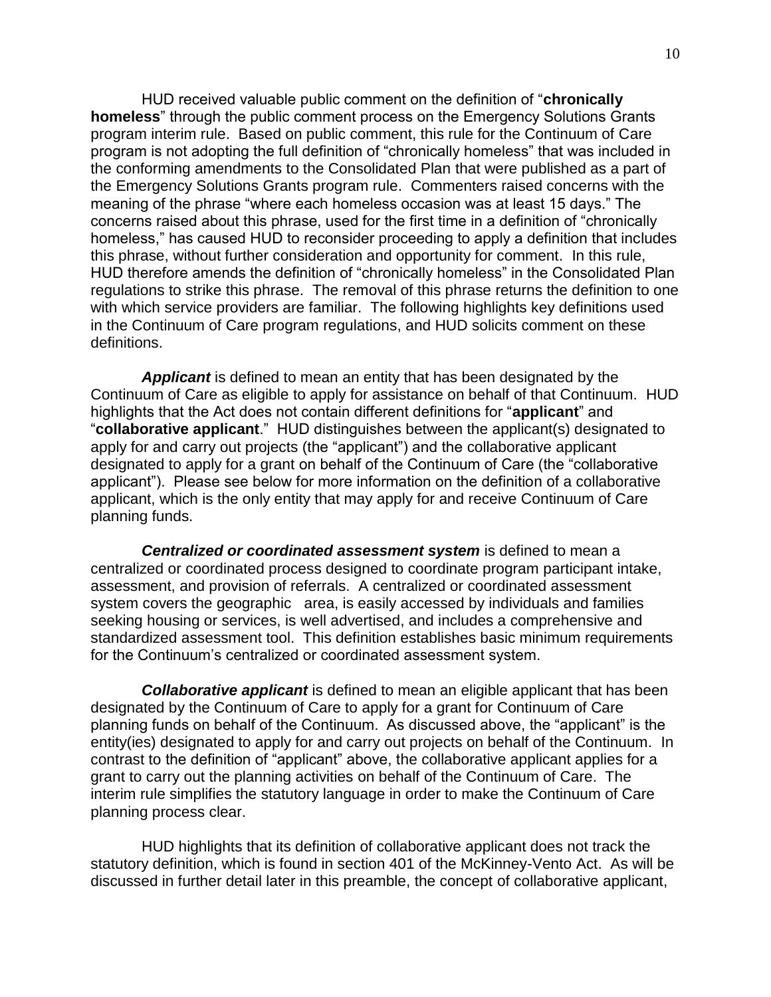HUD received valuable public comment on the definition of "**chronically homeless**" through the public comment process on the Emergency Solutions Grants program interim rule. Based on public comment, this rule for the Continuum of Care program is not adopting the full definition of "chronically homeless" that was included in the conforming amendments to the Consolidated Plan that were published as a part of the Emergency Solutions Grants program rule. Commenters raised concerns with the meaning of the phrase "where each homeless occasion was at least 15 days." The concerns raised about this phrase, used for the first time in a definition of "chronically" homeless," has caused HUD to reconsider proceeding to apply a definition that includes this phrase, without further consideration and opportunity for comment. In this rule, HUD therefore amends the definition of "chronically homeless" in the Consolidated Plan regulations to strike this phrase. The removal of this phrase returns the definition to one with which service providers are familiar. The following highlights key definitions used in the Continuum of Care program regulations, and HUD solicits comment on these definitions.

*Applicant* is defined to mean an entity that has been designated by the Continuum of Care as eligible to apply for assistance on behalf of that Continuum. HUD highlights that the Act does not contain different definitions for "applicant" and ―**collaborative applicant**.‖ HUD distinguishes between the applicant(s) designated to apply for and carry out projects (the "applicant") and the collaborative applicant designated to apply for a grant on behalf of the Continuum of Care (the "collaborative applicant"). Please see below for more information on the definition of a collaborative applicant, which is the only entity that may apply for and receive Continuum of Care planning funds.

*Centralized or coordinated assessment system* is defined to mean a centralized or coordinated process designed to coordinate program participant intake, assessment, and provision of referrals. A centralized or coordinated assessment system covers the geographic area, is easily accessed by individuals and families seeking housing or services, is well advertised, and includes a comprehensive and standardized assessment tool. This definition establishes basic minimum requirements for the Continuum's centralized or coordinated assessment system.

*Collaborative applicant* is defined to mean an eligible applicant that has been designated by the Continuum of Care to apply for a grant for Continuum of Care planning funds on behalf of the Continuum. As discussed above, the "applicant" is the entity(ies) designated to apply for and carry out projects on behalf of the Continuum. In contrast to the definition of "applicant" above, the collaborative applicant applies for a grant to carry out the planning activities on behalf of the Continuum of Care. The interim rule simplifies the statutory language in order to make the Continuum of Care planning process clear.

HUD highlights that its definition of collaborative applicant does not track the statutory definition, which is found in section 401 of the McKinney-Vento Act. As will be discussed in further detail later in this preamble, the concept of collaborative applicant,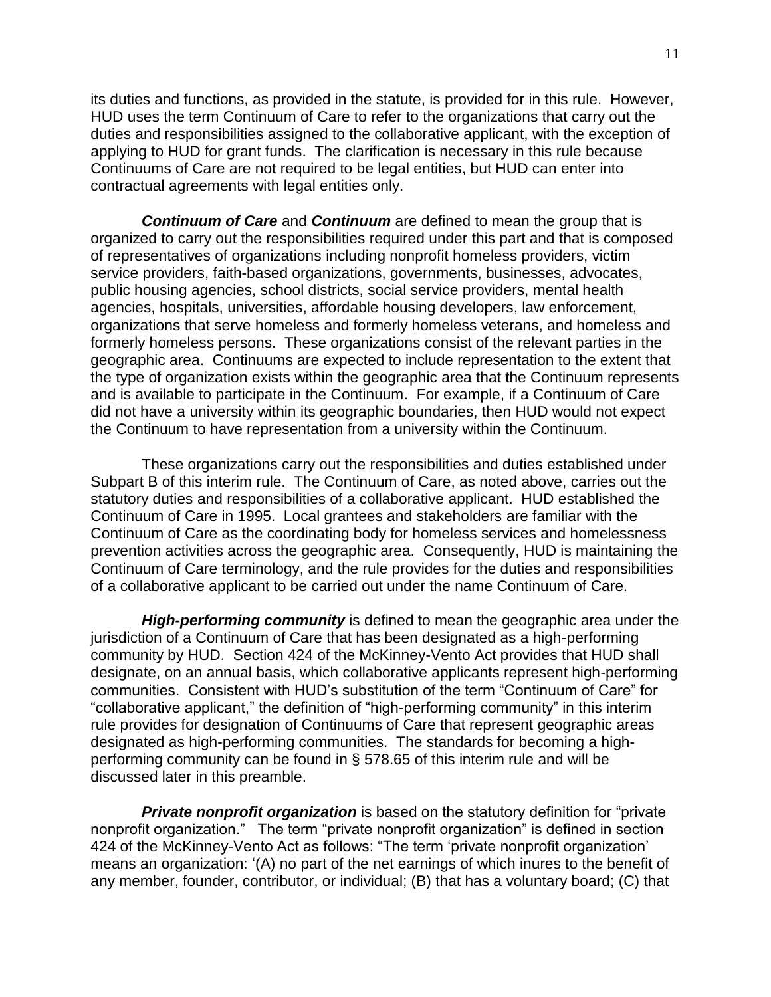its duties and functions, as provided in the statute, is provided for in this rule. However, HUD uses the term Continuum of Care to refer to the organizations that carry out the duties and responsibilities assigned to the collaborative applicant, with the exception of applying to HUD for grant funds. The clarification is necessary in this rule because Continuums of Care are not required to be legal entities, but HUD can enter into contractual agreements with legal entities only.

*Continuum of Care* and *Continuum* are defined to mean the group that is organized to carry out the responsibilities required under this part and that is composed of representatives of organizations including nonprofit homeless providers, victim service providers, faith-based organizations, governments, businesses, advocates, public housing agencies, school districts, social service providers, mental health agencies, hospitals, universities, affordable housing developers, law enforcement, organizations that serve homeless and formerly homeless veterans, and homeless and formerly homeless persons. These organizations consist of the relevant parties in the geographic area. Continuums are expected to include representation to the extent that the type of organization exists within the geographic area that the Continuum represents and is available to participate in the Continuum. For example, if a Continuum of Care did not have a university within its geographic boundaries, then HUD would not expect the Continuum to have representation from a university within the Continuum.

These organizations carry out the responsibilities and duties established under Subpart B of this interim rule. The Continuum of Care, as noted above, carries out the statutory duties and responsibilities of a collaborative applicant. HUD established the Continuum of Care in 1995. Local grantees and stakeholders are familiar with the Continuum of Care as the coordinating body for homeless services and homelessness prevention activities across the geographic area. Consequently, HUD is maintaining the Continuum of Care terminology, and the rule provides for the duties and responsibilities of a collaborative applicant to be carried out under the name Continuum of Care.

*High-performing community* is defined to mean the geographic area under the jurisdiction of a Continuum of Care that has been designated as a high-performing community by HUD. Section 424 of the McKinney-Vento Act provides that HUD shall designate, on an annual basis, which collaborative applicants represent high-performing communities. Consistent with HUD's substitution of the term "Continuum of Care" for "collaborative applicant," the definition of "high-performing community" in this interim rule provides for designation of Continuums of Care that represent geographic areas designated as high-performing communities. The standards for becoming a highperforming community can be found in § 578.65 of this interim rule and will be discussed later in this preamble.

**Private nonprofit organization** is based on the statutory definition for "private" nonprofit organization." The term "private nonprofit organization" is defined in section 424 of the McKinney-Vento Act as follows: "The term 'private nonprofit organization' means an organization: ‗(A) no part of the net earnings of which inures to the benefit of any member, founder, contributor, or individual; (B) that has a voluntary board; (C) that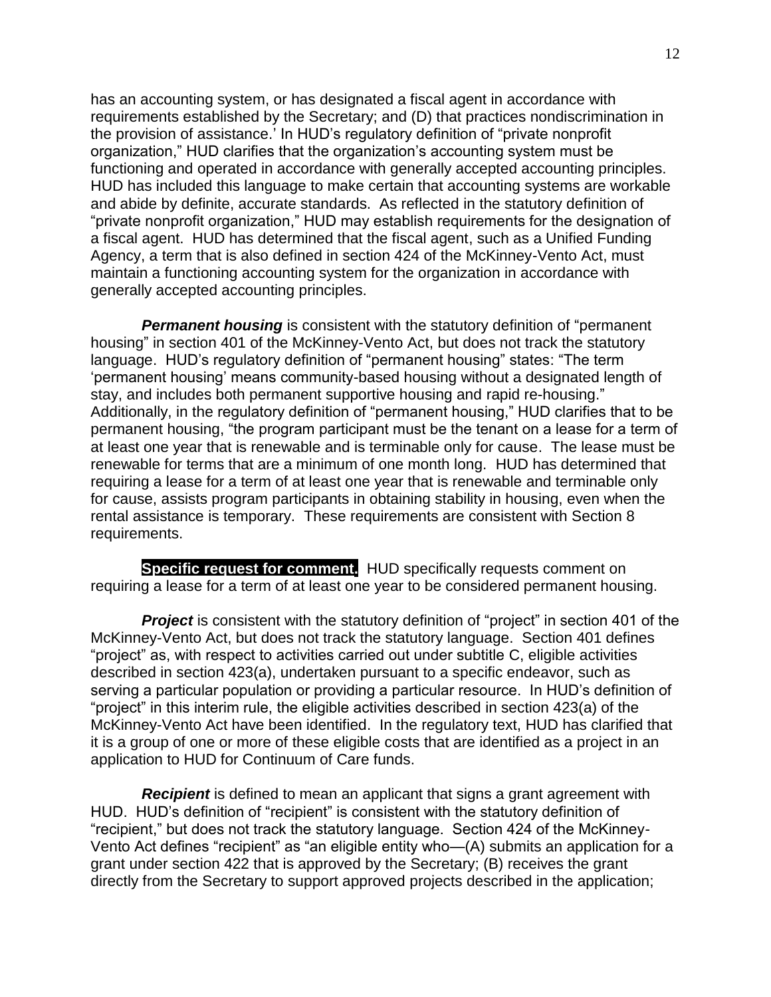has an accounting system, or has designated a fiscal agent in accordance with requirements established by the Secretary; and (D) that practices nondiscrimination in the provision of assistance.' In HUD's regulatory definition of "private nonprofit" organization,‖ HUD clarifies that the organization's accounting system must be functioning and operated in accordance with generally accepted accounting principles. HUD has included this language to make certain that accounting systems are workable and abide by definite, accurate standards. As reflected in the statutory definition of "private nonprofit organization," HUD may establish requirements for the designation of a fiscal agent. HUD has determined that the fiscal agent, such as a Unified Funding Agency, a term that is also defined in section 424 of the McKinney-Vento Act, must maintain a functioning accounting system for the organization in accordance with generally accepted accounting principles.

**Permanent housing** is consistent with the statutory definition of "permanent" housing" in section 401 of the McKinney-Vento Act, but does not track the statutory language. HUD's regulatory definition of "permanent housing" states: "The term ‗permanent housing' means community-based housing without a designated length of stay, and includes both permanent supportive housing and rapid re-housing." Additionally, in the regulatory definition of "permanent housing," HUD clarifies that to be permanent housing, "the program participant must be the tenant on a lease for a term of at least one year that is renewable and is terminable only for cause. The lease must be renewable for terms that are a minimum of one month long. HUD has determined that requiring a lease for a term of at least one year that is renewable and terminable only for cause, assists program participants in obtaining stability in housing, even when the rental assistance is temporary. These requirements are consistent with Section 8 requirements.

**Specific request for comment.** HUD specifically requests comment on requiring a lease for a term of at least one year to be considered permanent housing.

**Project** is consistent with the statutory definition of "project" in section 401 of the McKinney-Vento Act, but does not track the statutory language. Section 401 defines "project" as, with respect to activities carried out under subtitle C, eligible activities described in section 423(a), undertaken pursuant to a specific endeavor, such as serving a particular population or providing a particular resource. In HUD's definition of "project" in this interim rule, the eligible activities described in section 423(a) of the McKinney-Vento Act have been identified. In the regulatory text, HUD has clarified that it is a group of one or more of these eligible costs that are identified as a project in an application to HUD for Continuum of Care funds.

*Recipient* is defined to mean an applicant that signs a grant agreement with HUD. HUD's definition of "recipient" is consistent with the statutory definition of ―recipient,‖ but does not track the statutory language. Section 424 of the McKinney-Vento Act defines "recipient" as "an eligible entity who—(A) submits an application for a grant under section 422 that is approved by the Secretary; (B) receives the grant directly from the Secretary to support approved projects described in the application;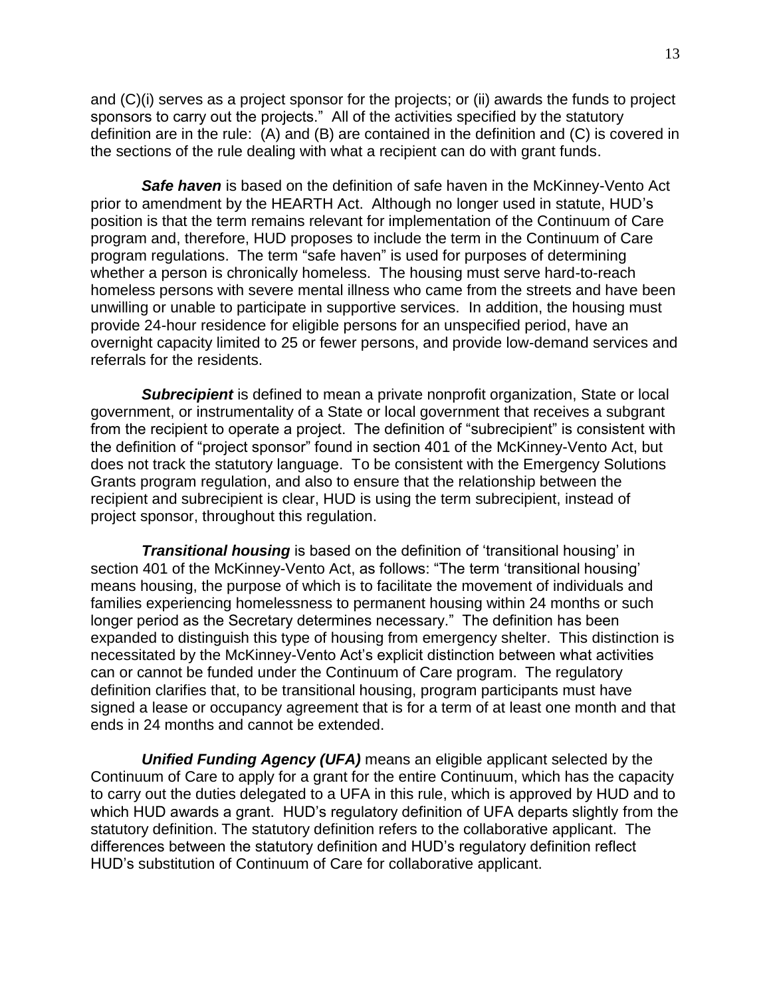and (C)(i) serves as a project sponsor for the projects; or (ii) awards the funds to project sponsors to carry out the projects." All of the activities specified by the statutory definition are in the rule: (A) and (B) are contained in the definition and (C) is covered in the sections of the rule dealing with what a recipient can do with grant funds.

**Safe haven** is based on the definition of safe haven in the McKinney-Vento Act prior to amendment by the HEARTH Act. Although no longer used in statute, HUD's position is that the term remains relevant for implementation of the Continuum of Care program and, therefore, HUD proposes to include the term in the Continuum of Care program regulations. The term "safe haven" is used for purposes of determining whether a person is chronically homeless. The housing must serve hard-to-reach homeless persons with severe mental illness who came from the streets and have been unwilling or unable to participate in supportive services. In addition, the housing must provide 24-hour residence for eligible persons for an unspecified period, have an overnight capacity limited to 25 or fewer persons, and provide low-demand services and referrals for the residents.

*Subrecipient* is defined to mean a private nonprofit organization, State or local government, or instrumentality of a State or local government that receives a subgrant from the recipient to operate a project. The definition of "subrecipient" is consistent with the definition of "project sponsor" found in section 401 of the McKinney-Vento Act, but does not track the statutory language. To be consistent with the Emergency Solutions Grants program regulation, and also to ensure that the relationship between the recipient and subrecipient is clear, HUD is using the term subrecipient, instead of project sponsor, throughout this regulation.

**Transitional housing** is based on the definition of 'transitional housing' in section 401 of the McKinney-Vento Act, as follows: "The term 'transitional housing' means housing, the purpose of which is to facilitate the movement of individuals and families experiencing homelessness to permanent housing within 24 months or such longer period as the Secretary determines necessary." The definition has been expanded to distinguish this type of housing from emergency shelter. This distinction is necessitated by the McKinney-Vento Act's explicit distinction between what activities can or cannot be funded under the Continuum of Care program. The regulatory definition clarifies that, to be transitional housing, program participants must have signed a lease or occupancy agreement that is for a term of at least one month and that ends in 24 months and cannot be extended.

*Unified Funding Agency (UFA)* means an eligible applicant selected by the Continuum of Care to apply for a grant for the entire Continuum, which has the capacity to carry out the duties delegated to a UFA in this rule, which is approved by HUD and to which HUD awards a grant. HUD's regulatory definition of UFA departs slightly from the statutory definition. The statutory definition refers to the collaborative applicant. The differences between the statutory definition and HUD's regulatory definition reflect HUD's substitution of Continuum of Care for collaborative applicant.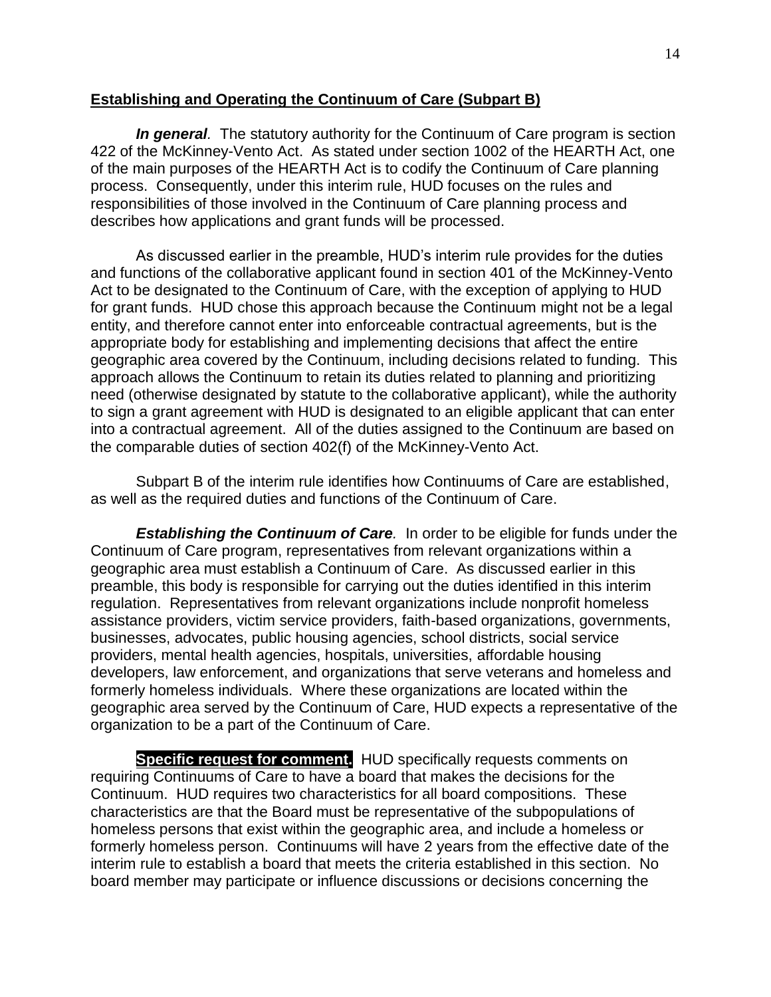## <span id="page-13-0"></span>**Establishing and Operating the Continuum of Care (Subpart B)**

*In general.* The statutory authority for the Continuum of Care program is section 422 of the McKinney-Vento Act. As stated under section 1002 of the HEARTH Act, one of the main purposes of the HEARTH Act is to codify the Continuum of Care planning process. Consequently, under this interim rule, HUD focuses on the rules and responsibilities of those involved in the Continuum of Care planning process and describes how applications and grant funds will be processed.

As discussed earlier in the preamble, HUD's interim rule provides for the duties and functions of the collaborative applicant found in section 401 of the McKinney-Vento Act to be designated to the Continuum of Care, with the exception of applying to HUD for grant funds. HUD chose this approach because the Continuum might not be a legal entity, and therefore cannot enter into enforceable contractual agreements, but is the appropriate body for establishing and implementing decisions that affect the entire geographic area covered by the Continuum, including decisions related to funding. This approach allows the Continuum to retain its duties related to planning and prioritizing need (otherwise designated by statute to the collaborative applicant), while the authority to sign a grant agreement with HUD is designated to an eligible applicant that can enter into a contractual agreement. All of the duties assigned to the Continuum are based on the comparable duties of section 402(f) of the McKinney-Vento Act.

Subpart B of the interim rule identifies how Continuums of Care are established, as well as the required duties and functions of the Continuum of Care.

<span id="page-13-1"></span>*Establishing the Continuum of Care.* In order to be eligible for funds under the Continuum of Care program, representatives from relevant organizations within a geographic area must establish a Continuum of Care. As discussed earlier in this preamble, this body is responsible for carrying out the duties identified in this interim regulation. Representatives from relevant organizations include nonprofit homeless assistance providers, victim service providers, faith-based organizations, governments, businesses, advocates, public housing agencies, school districts, social service providers, mental health agencies, hospitals, universities, affordable housing developers, law enforcement, and organizations that serve veterans and homeless and formerly homeless individuals. Where these organizations are located within the geographic area served by the Continuum of Care, HUD expects a representative of the organization to be a part of the Continuum of Care.

**Specific request for comment.** HUD specifically requests comments on requiring Continuums of Care to have a board that makes the decisions for the Continuum. HUD requires two characteristics for all board compositions. These characteristics are that the Board must be representative of the subpopulations of homeless persons that exist within the geographic area, and include a homeless or formerly homeless person. Continuums will have 2 years from the effective date of the interim rule to establish a board that meets the criteria established in this section. No board member may participate or influence discussions or decisions concerning the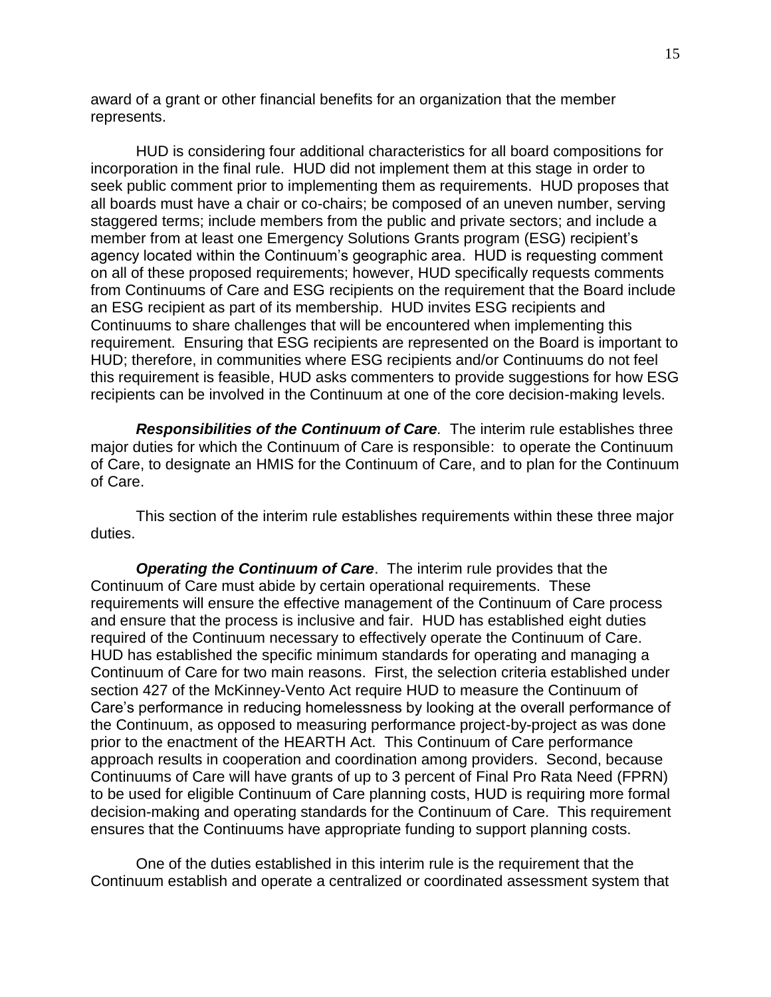award of a grant or other financial benefits for an organization that the member represents.

HUD is considering four additional characteristics for all board compositions for incorporation in the final rule. HUD did not implement them at this stage in order to seek public comment prior to implementing them as requirements. HUD proposes that all boards must have a chair or co-chairs; be composed of an uneven number, serving staggered terms; include members from the public and private sectors; and include a member from at least one Emergency Solutions Grants program (ESG) recipient's agency located within the Continuum's geographic area. HUD is requesting comment on all of these proposed requirements; however, HUD specifically requests comments from Continuums of Care and ESG recipients on the requirement that the Board include an ESG recipient as part of its membership. HUD invites ESG recipients and Continuums to share challenges that will be encountered when implementing this requirement. Ensuring that ESG recipients are represented on the Board is important to HUD; therefore, in communities where ESG recipients and/or Continuums do not feel this requirement is feasible, HUD asks commenters to provide suggestions for how ESG recipients can be involved in the Continuum at one of the core decision-making levels.

<span id="page-14-0"></span>*Responsibilities of the Continuum of Care.* The interim rule establishes three major duties for which the Continuum of Care is responsible: to operate the Continuum of Care, to designate an HMIS for the Continuum of Care, and to plan for the Continuum of Care.

This section of the interim rule establishes requirements within these three major duties.

*Operating the Continuum of Care*. The interim rule provides that the Continuum of Care must abide by certain operational requirements. These requirements will ensure the effective management of the Continuum of Care process and ensure that the process is inclusive and fair. HUD has established eight duties required of the Continuum necessary to effectively operate the Continuum of Care. HUD has established the specific minimum standards for operating and managing a Continuum of Care for two main reasons. First, the selection criteria established under section 427 of the McKinney-Vento Act require HUD to measure the Continuum of Care's performance in reducing homelessness by looking at the overall performance of the Continuum, as opposed to measuring performance project-by-project as was done prior to the enactment of the HEARTH Act. This Continuum of Care performance approach results in cooperation and coordination among providers. Second, because Continuums of Care will have grants of up to 3 percent of Final Pro Rata Need (FPRN) to be used for eligible Continuum of Care planning costs, HUD is requiring more formal decision-making and operating standards for the Continuum of Care. This requirement ensures that the Continuums have appropriate funding to support planning costs.

One of the duties established in this interim rule is the requirement that the Continuum establish and operate a centralized or coordinated assessment system that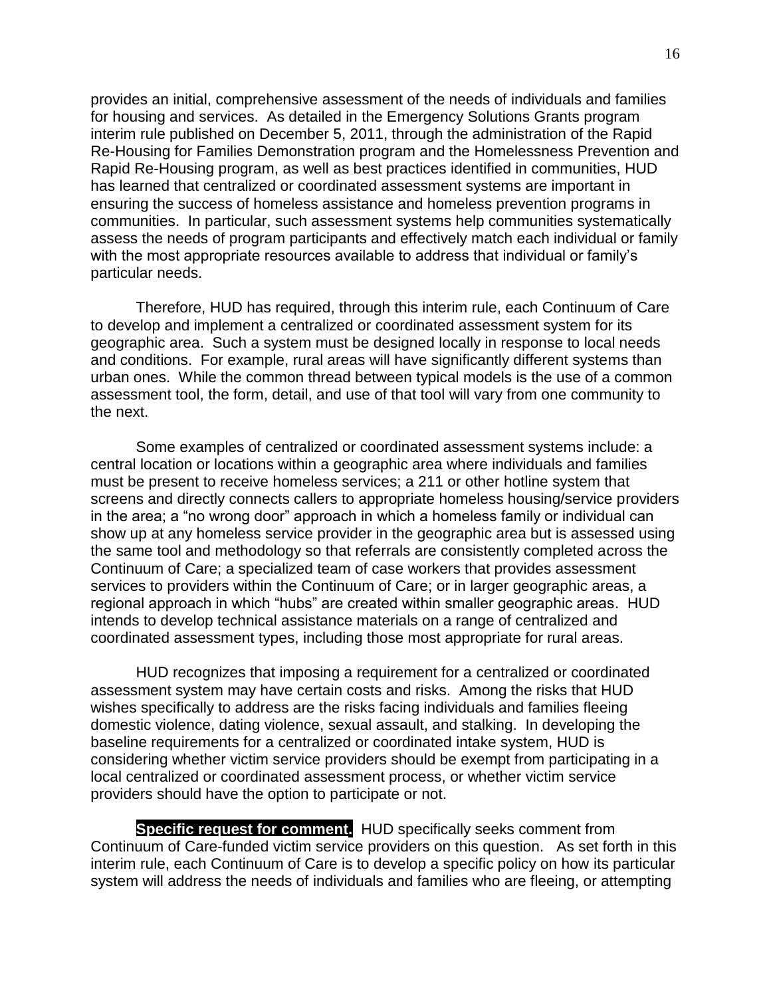provides an initial, comprehensive assessment of the needs of individuals and families for housing and services. As detailed in the Emergency Solutions Grants program interim rule published on December 5, 2011, through the administration of the Rapid Re-Housing for Families Demonstration program and the Homelessness Prevention and Rapid Re-Housing program, as well as best practices identified in communities, HUD has learned that centralized or coordinated assessment systems are important in ensuring the success of homeless assistance and homeless prevention programs in communities. In particular, such assessment systems help communities systematically assess the needs of program participants and effectively match each individual or family with the most appropriate resources available to address that individual or family's particular needs.

Therefore, HUD has required, through this interim rule, each Continuum of Care to develop and implement a centralized or coordinated assessment system for its geographic area. Such a system must be designed locally in response to local needs and conditions. For example, rural areas will have significantly different systems than urban ones. While the common thread between typical models is the use of a common assessment tool, the form, detail, and use of that tool will vary from one community to the next.

Some examples of centralized or coordinated assessment systems include: a central location or locations within a geographic area where individuals and families must be present to receive homeless services; a 211 or other hotline system that screens and directly connects callers to appropriate homeless housing/service providers in the area; a "no wrong door" approach in which a homeless family or individual can show up at any homeless service provider in the geographic area but is assessed using the same tool and methodology so that referrals are consistently completed across the Continuum of Care; a specialized team of case workers that provides assessment services to providers within the Continuum of Care; or in larger geographic areas, a regional approach in which "hubs" are created within smaller geographic areas. HUD intends to develop technical assistance materials on a range of centralized and coordinated assessment types, including those most appropriate for rural areas.

HUD recognizes that imposing a requirement for a centralized or coordinated assessment system may have certain costs and risks. Among the risks that HUD wishes specifically to address are the risks facing individuals and families fleeing domestic violence, dating violence, sexual assault, and stalking. In developing the baseline requirements for a centralized or coordinated intake system, HUD is considering whether victim service providers should be exempt from participating in a local centralized or coordinated assessment process, or whether victim service providers should have the option to participate or not.

**Specific request for comment.** HUD specifically seeks comment from Continuum of Care-funded victim service providers on this question. As set forth in this interim rule, each Continuum of Care is to develop a specific policy on how its particular system will address the needs of individuals and families who are fleeing, or attempting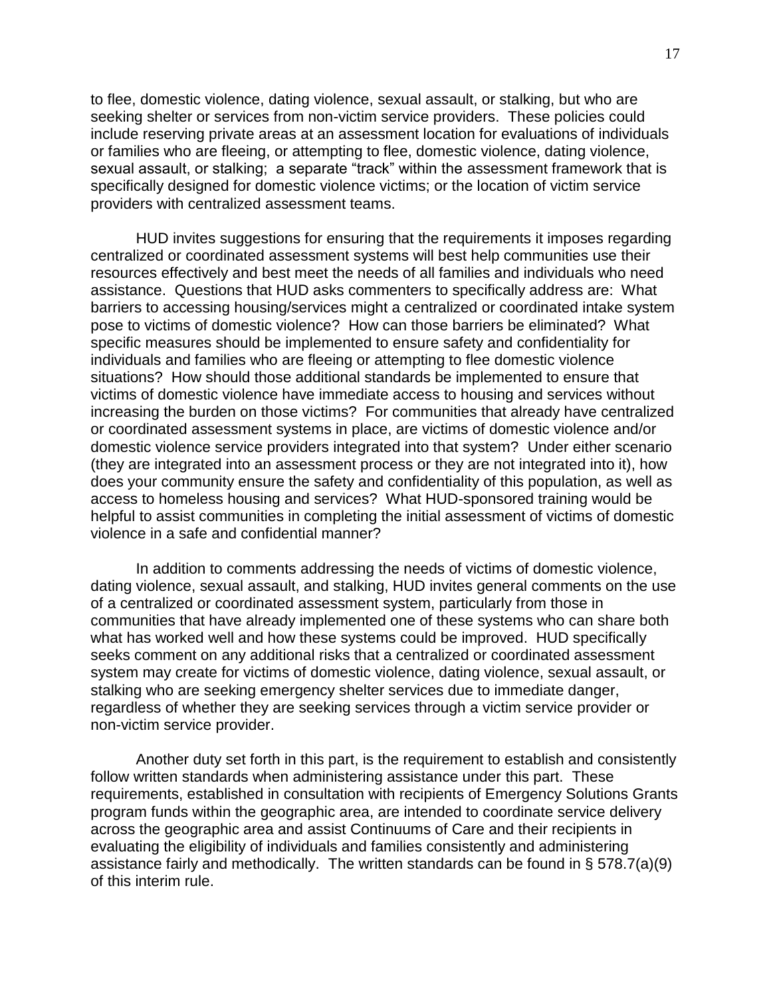to flee, domestic violence, dating violence, sexual assault, or stalking, but who are seeking shelter or services from non-victim service providers. These policies could include reserving private areas at an assessment location for evaluations of individuals or families who are fleeing, or attempting to flee, domestic violence, dating violence, sexual assault, or stalking; a separate "track" within the assessment framework that is specifically designed for domestic violence victims; or the location of victim service providers with centralized assessment teams.

HUD invites suggestions for ensuring that the requirements it imposes regarding centralized or coordinated assessment systems will best help communities use their resources effectively and best meet the needs of all families and individuals who need assistance. Questions that HUD asks commenters to specifically address are: What barriers to accessing housing/services might a centralized or coordinated intake system pose to victims of domestic violence? How can those barriers be eliminated? What specific measures should be implemented to ensure safety and confidentiality for individuals and families who are fleeing or attempting to flee domestic violence situations? How should those additional standards be implemented to ensure that victims of domestic violence have immediate access to housing and services without increasing the burden on those victims? For communities that already have centralized or coordinated assessment systems in place, are victims of domestic violence and/or domestic violence service providers integrated into that system? Under either scenario (they are integrated into an assessment process or they are not integrated into it), how does your community ensure the safety and confidentiality of this population, as well as access to homeless housing and services? What HUD-sponsored training would be helpful to assist communities in completing the initial assessment of victims of domestic violence in a safe and confidential manner?

In addition to comments addressing the needs of victims of domestic violence, dating violence, sexual assault, and stalking, HUD invites general comments on the use of a centralized or coordinated assessment system, particularly from those in communities that have already implemented one of these systems who can share both what has worked well and how these systems could be improved. HUD specifically seeks comment on any additional risks that a centralized or coordinated assessment system may create for victims of domestic violence, dating violence, sexual assault, or stalking who are seeking emergency shelter services due to immediate danger, regardless of whether they are seeking services through a victim service provider or non-victim service provider.

Another duty set forth in this part, is the requirement to establish and consistently follow written standards when administering assistance under this part. These requirements, established in consultation with recipients of Emergency Solutions Grants program funds within the geographic area, are intended to coordinate service delivery across the geographic area and assist Continuums of Care and their recipients in evaluating the eligibility of individuals and families consistently and administering assistance fairly and methodically. The written standards can be found in § 578.7(a)(9) of this interim rule.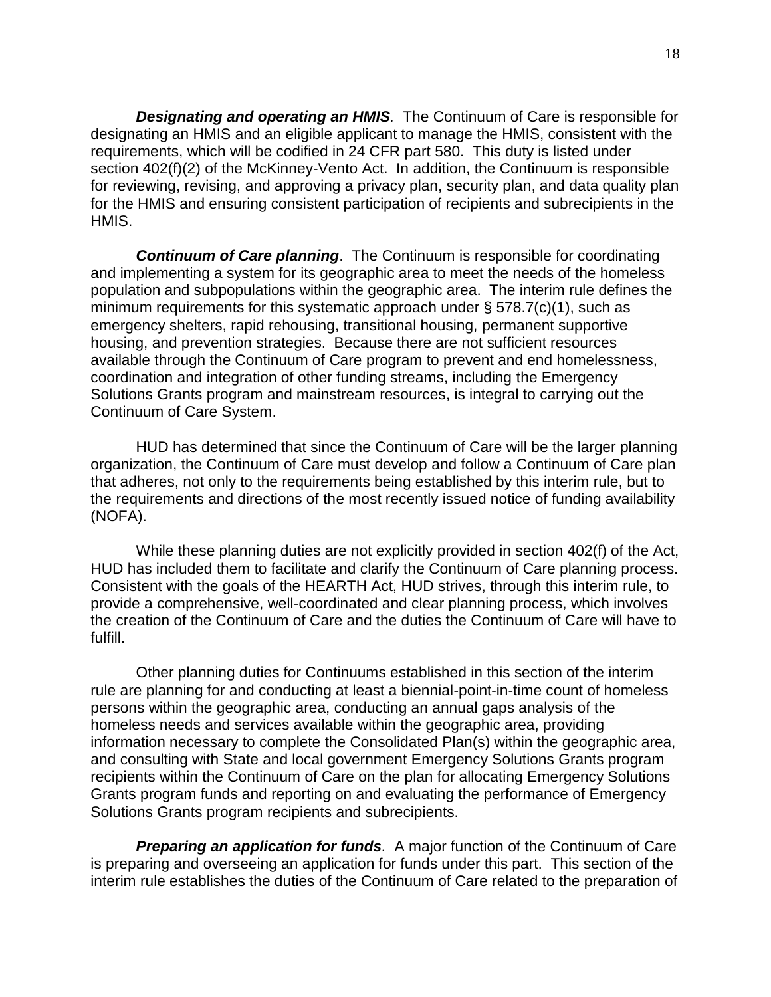*Designating and operating an HMIS.* The Continuum of Care is responsible for designating an HMIS and an eligible applicant to manage the HMIS, consistent with the requirements, which will be codified in 24 CFR part 580. This duty is listed under section 402(f)(2) of the McKinney-Vento Act. In addition, the Continuum is responsible for reviewing, revising, and approving a privacy plan, security plan, and data quality plan for the HMIS and ensuring consistent participation of recipients and subrecipients in the HMIS.

*Continuum of Care planning*. The Continuum is responsible for coordinating and implementing a system for its geographic area to meet the needs of the homeless population and subpopulations within the geographic area. The interim rule defines the minimum requirements for this systematic approach under § 578.7(c)(1), such as emergency shelters, rapid rehousing, transitional housing, permanent supportive housing, and prevention strategies. Because there are not sufficient resources available through the Continuum of Care program to prevent and end homelessness, coordination and integration of other funding streams, including the Emergency Solutions Grants program and mainstream resources, is integral to carrying out the Continuum of Care System.

HUD has determined that since the Continuum of Care will be the larger planning organization, the Continuum of Care must develop and follow a Continuum of Care plan that adheres, not only to the requirements being established by this interim rule, but to the requirements and directions of the most recently issued notice of funding availability (NOFA).

While these planning duties are not explicitly provided in section 402(f) of the Act, HUD has included them to facilitate and clarify the Continuum of Care planning process. Consistent with the goals of the HEARTH Act, HUD strives, through this interim rule, to provide a comprehensive, well-coordinated and clear planning process, which involves the creation of the Continuum of Care and the duties the Continuum of Care will have to fulfill.

Other planning duties for Continuums established in this section of the interim rule are planning for and conducting at least a biennial-point-in-time count of homeless persons within the geographic area, conducting an annual gaps analysis of the homeless needs and services available within the geographic area, providing information necessary to complete the Consolidated Plan(s) within the geographic area, and consulting with State and local government Emergency Solutions Grants program recipients within the Continuum of Care on the plan for allocating Emergency Solutions Grants program funds and reporting on and evaluating the performance of Emergency Solutions Grants program recipients and subrecipients.

<span id="page-17-0"></span>*Preparing an application for funds.* A major function of the Continuum of Care is preparing and overseeing an application for funds under this part. This section of the interim rule establishes the duties of the Continuum of Care related to the preparation of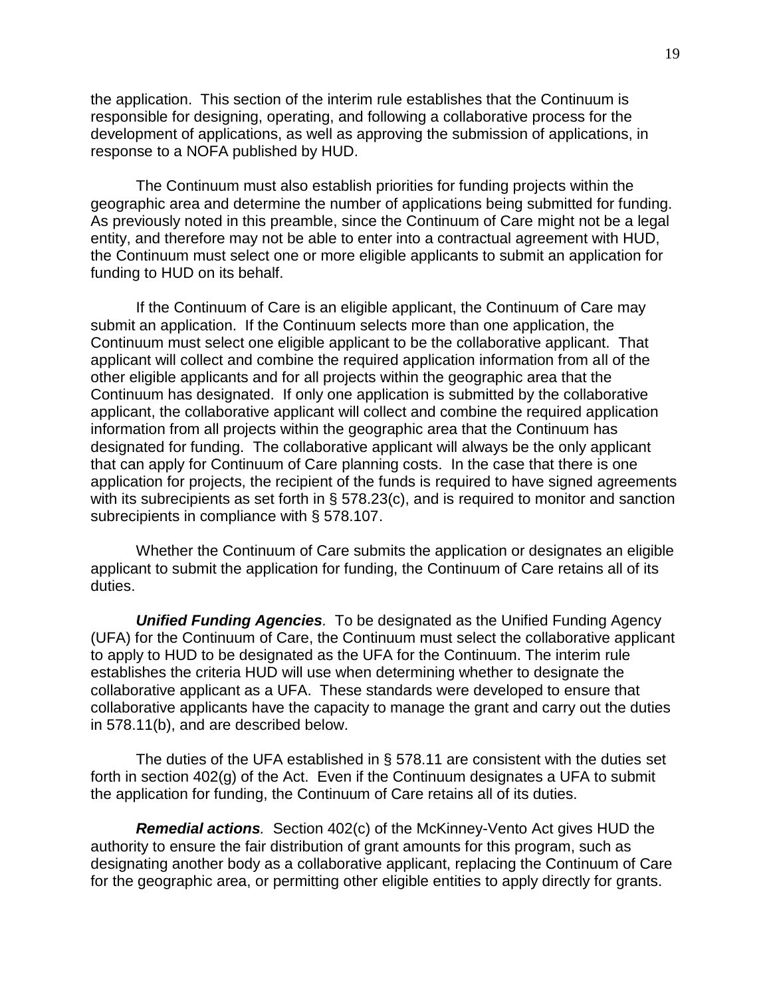the application. This section of the interim rule establishes that the Continuum is responsible for designing, operating, and following a collaborative process for the development of applications, as well as approving the submission of applications, in response to a NOFA published by HUD.

The Continuum must also establish priorities for funding projects within the geographic area and determine the number of applications being submitted for funding. As previously noted in this preamble, since the Continuum of Care might not be a legal entity, and therefore may not be able to enter into a contractual agreement with HUD, the Continuum must select one or more eligible applicants to submit an application for funding to HUD on its behalf.

If the Continuum of Care is an eligible applicant, the Continuum of Care may submit an application. If the Continuum selects more than one application, the Continuum must select one eligible applicant to be the collaborative applicant. That applicant will collect and combine the required application information from all of the other eligible applicants and for all projects within the geographic area that the Continuum has designated. If only one application is submitted by the collaborative applicant, the collaborative applicant will collect and combine the required application information from all projects within the geographic area that the Continuum has designated for funding. The collaborative applicant will always be the only applicant that can apply for Continuum of Care planning costs. In the case that there is one application for projects, the recipient of the funds is required to have signed agreements with its subrecipients as set forth in § 578.23(c), and is required to monitor and sanction subrecipients in compliance with § 578.107.

Whether the Continuum of Care submits the application or designates an eligible applicant to submit the application for funding, the Continuum of Care retains all of its duties.

<span id="page-18-0"></span>*Unified Funding Agencies.* To be designated as the Unified Funding Agency (UFA) for the Continuum of Care, the Continuum must select the collaborative applicant to apply to HUD to be designated as the UFA for the Continuum. The interim rule establishes the criteria HUD will use when determining whether to designate the collaborative applicant as a UFA. These standards were developed to ensure that collaborative applicants have the capacity to manage the grant and carry out the duties in 578.11(b), and are described below.

The duties of the UFA established in § 578.11 are consistent with the duties set forth in section 402(g) of the Act. Even if the Continuum designates a UFA to submit the application for funding, the Continuum of Care retains all of its duties.

<span id="page-18-1"></span>*Remedial actions.* Section 402(c) of the McKinney-Vento Act gives HUD the authority to ensure the fair distribution of grant amounts for this program, such as designating another body as a collaborative applicant, replacing the Continuum of Care for the geographic area, or permitting other eligible entities to apply directly for grants.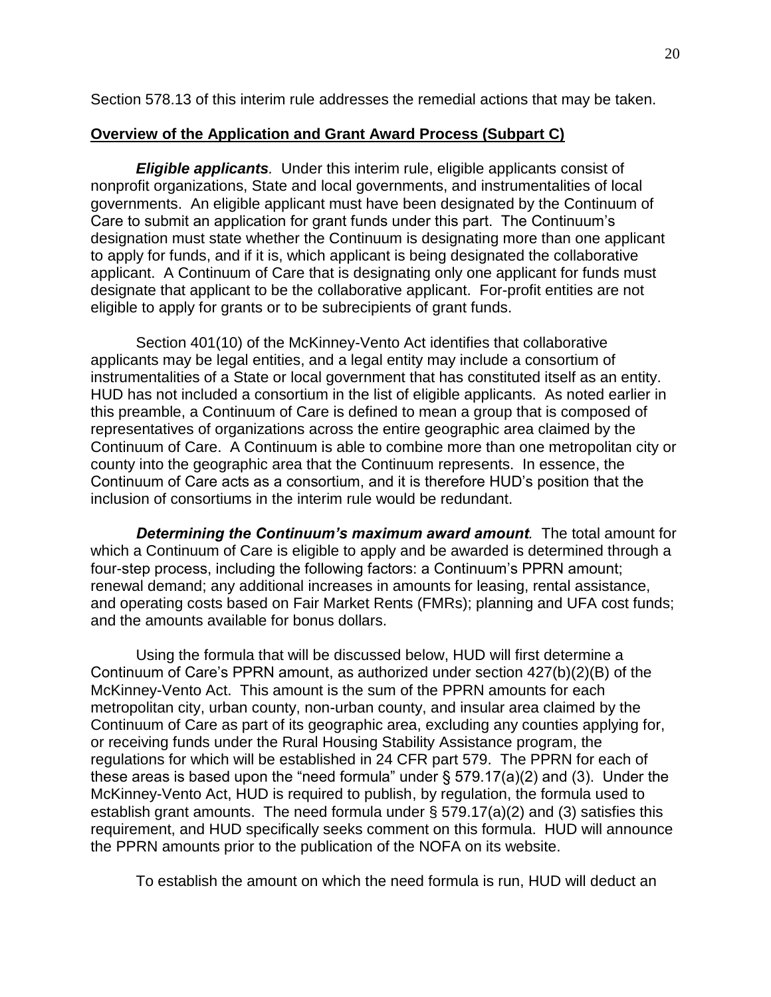Section 578.13 of this interim rule addresses the remedial actions that may be taken.

## **Overview of the Application and Grant Award Process (Subpart C)**

<span id="page-19-0"></span>*Eligible applicants.* Under this interim rule, eligible applicants consist of nonprofit organizations, State and local governments, and instrumentalities of local governments. An eligible applicant must have been designated by the Continuum of Care to submit an application for grant funds under this part. The Continuum's designation must state whether the Continuum is designating more than one applicant to apply for funds, and if it is, which applicant is being designated the collaborative applicant. A Continuum of Care that is designating only one applicant for funds must designate that applicant to be the collaborative applicant. For-profit entities are not eligible to apply for grants or to be subrecipients of grant funds.

Section 401(10) of the McKinney-Vento Act identifies that collaborative applicants may be legal entities, and a legal entity may include a consortium of instrumentalities of a State or local government that has constituted itself as an entity. HUD has not included a consortium in the list of eligible applicants. As noted earlier in this preamble, a Continuum of Care is defined to mean a group that is composed of representatives of organizations across the entire geographic area claimed by the Continuum of Care. A Continuum is able to combine more than one metropolitan city or county into the geographic area that the Continuum represents. In essence, the Continuum of Care acts as a consortium, and it is therefore HUD's position that the inclusion of consortiums in the interim rule would be redundant.

<span id="page-19-1"></span>*Determining the Continuum's maximum award amount.* The total amount for which a Continuum of Care is eligible to apply and be awarded is determined through a four-step process, including the following factors: a Continuum's PPRN amount; renewal demand; any additional increases in amounts for leasing, rental assistance, and operating costs based on Fair Market Rents (FMRs); planning and UFA cost funds; and the amounts available for bonus dollars.

Using the formula that will be discussed below, HUD will first determine a Continuum of Care's PPRN amount, as authorized under section 427(b)(2)(B) of the McKinney-Vento Act. This amount is the sum of the PPRN amounts for each metropolitan city, urban county, non-urban county, and insular area claimed by the Continuum of Care as part of its geographic area, excluding any counties applying for, or receiving funds under the Rural Housing Stability Assistance program, the regulations for which will be established in 24 CFR part 579. The PPRN for each of these areas is based upon the "need formula" under  $\S$  579.17(a)(2) and (3). Under the McKinney-Vento Act, HUD is required to publish, by regulation, the formula used to establish grant amounts. The need formula under § 579.17(a)(2) and (3) satisfies this requirement, and HUD specifically seeks comment on this formula. HUD will announce the PPRN amounts prior to the publication of the NOFA on its website.

To establish the amount on which the need formula is run, HUD will deduct an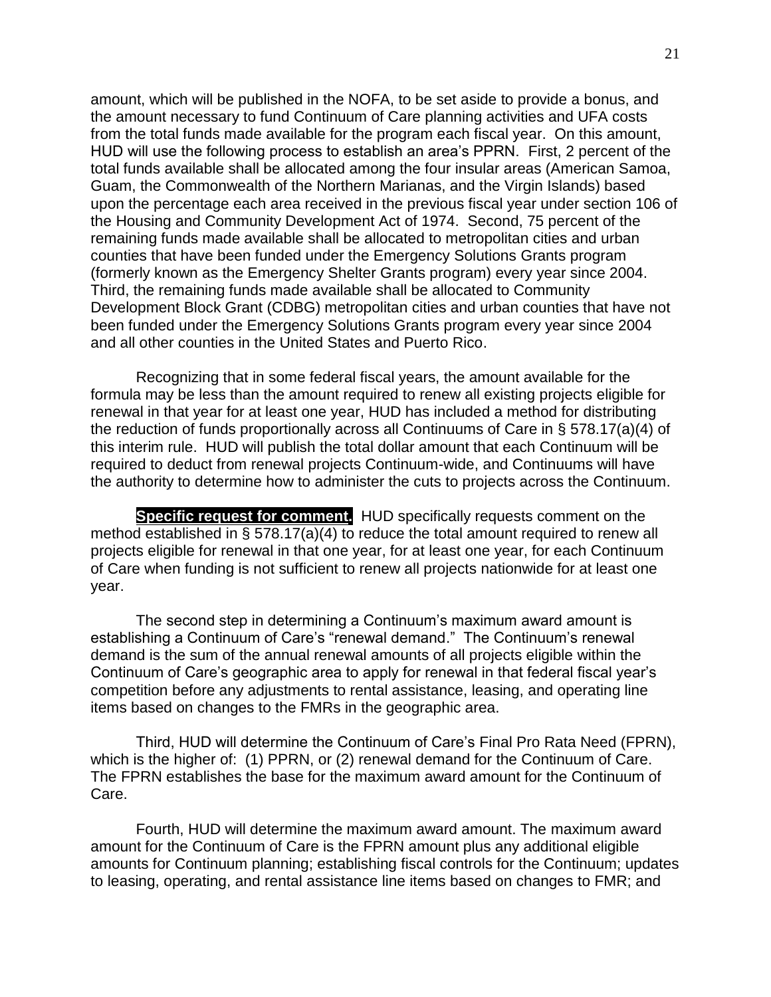amount, which will be published in the NOFA, to be set aside to provide a bonus, and the amount necessary to fund Continuum of Care planning activities and UFA costs from the total funds made available for the program each fiscal year. On this amount, HUD will use the following process to establish an area's PPRN. First, 2 percent of the total funds available shall be allocated among the four insular areas (American Samoa, Guam, the Commonwealth of the Northern Marianas, and the Virgin Islands) based upon the percentage each area received in the previous fiscal year under section 106 of the Housing and Community Development Act of 1974. Second, 75 percent of the remaining funds made available shall be allocated to metropolitan cities and urban counties that have been funded under the Emergency Solutions Grants program (formerly known as the Emergency Shelter Grants program) every year since 2004. Third, the remaining funds made available shall be allocated to Community Development Block Grant (CDBG) metropolitan cities and urban counties that have not been funded under the Emergency Solutions Grants program every year since 2004 and all other counties in the United States and Puerto Rico.

Recognizing that in some federal fiscal years, the amount available for the formula may be less than the amount required to renew all existing projects eligible for renewal in that year for at least one year, HUD has included a method for distributing the reduction of funds proportionally across all Continuums of Care in § 578.17(a)(4) of this interim rule. HUD will publish the total dollar amount that each Continuum will be required to deduct from renewal projects Continuum-wide, and Continuums will have the authority to determine how to administer the cuts to projects across the Continuum.

**Specific request for comment.** HUD specifically requests comment on the method established in § 578.17(a)(4) to reduce the total amount required to renew all projects eligible for renewal in that one year, for at least one year, for each Continuum of Care when funding is not sufficient to renew all projects nationwide for at least one year.

The second step in determining a Continuum's maximum award amount is establishing a Continuum of Care's "renewal demand." The Continuum's renewal demand is the sum of the annual renewal amounts of all projects eligible within the Continuum of Care's geographic area to apply for renewal in that federal fiscal year's competition before any adjustments to rental assistance, leasing, and operating line items based on changes to the FMRs in the geographic area.

Third, HUD will determine the Continuum of Care's Final Pro Rata Need (FPRN), which is the higher of: (1) PPRN, or (2) renewal demand for the Continuum of Care. The FPRN establishes the base for the maximum award amount for the Continuum of Care.

Fourth, HUD will determine the maximum award amount. The maximum award amount for the Continuum of Care is the FPRN amount plus any additional eligible amounts for Continuum planning; establishing fiscal controls for the Continuum; updates to leasing, operating, and rental assistance line items based on changes to FMR; and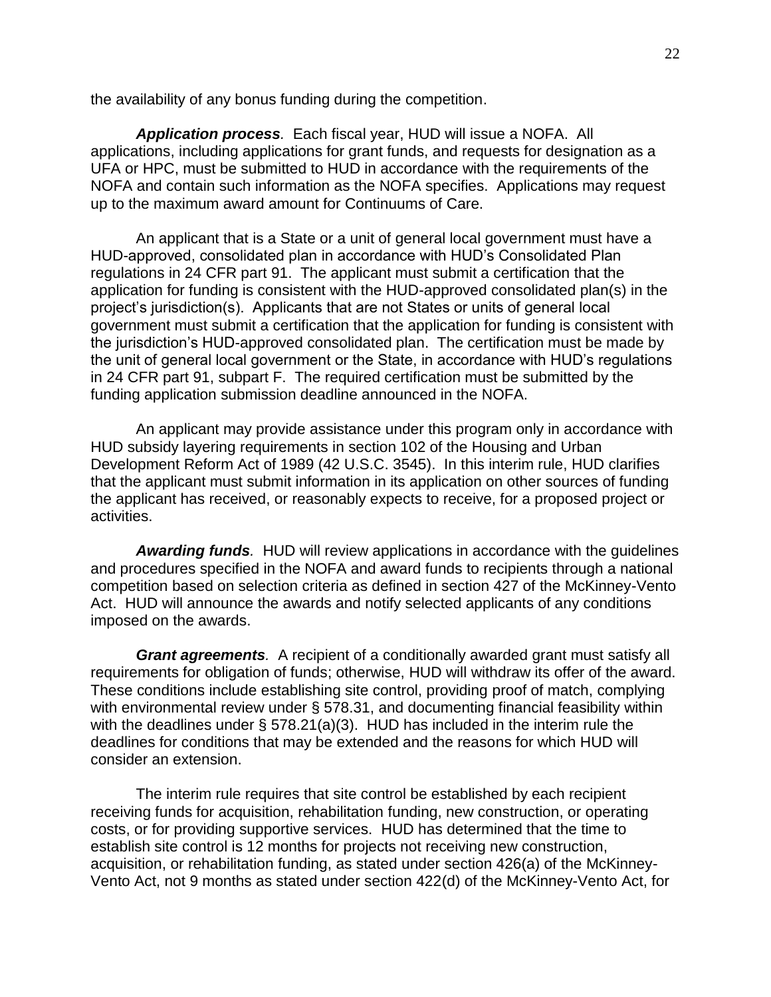the availability of any bonus funding during the competition.

<span id="page-21-0"></span>*Application process.* Each fiscal year, HUD will issue a NOFA. All applications, including applications for grant funds, and requests for designation as a UFA or HPC, must be submitted to HUD in accordance with the requirements of the NOFA and contain such information as the NOFA specifies. Applications may request up to the maximum award amount for Continuums of Care.

An applicant that is a State or a unit of general local government must have a HUD-approved, consolidated plan in accordance with HUD's Consolidated Plan regulations in 24 CFR part 91. The applicant must submit a certification that the application for funding is consistent with the HUD-approved consolidated plan(s) in the project's jurisdiction(s). Applicants that are not States or units of general local government must submit a certification that the application for funding is consistent with the jurisdiction's HUD-approved consolidated plan. The certification must be made by the unit of general local government or the State, in accordance with HUD's regulations in 24 CFR part 91, subpart F. The required certification must be submitted by the funding application submission deadline announced in the NOFA.

An applicant may provide assistance under this program only in accordance with HUD subsidy layering requirements in section 102 of the Housing and Urban Development Reform Act of 1989 (42 U.S.C. 3545). In this interim rule, HUD clarifies that the applicant must submit information in its application on other sources of funding the applicant has received, or reasonably expects to receive, for a proposed project or activities.

<span id="page-21-1"></span>*Awarding funds.* HUD will review applications in accordance with the guidelines and procedures specified in the NOFA and award funds to recipients through a national competition based on selection criteria as defined in section 427 of the McKinney-Vento Act. HUD will announce the awards and notify selected applicants of any conditions imposed on the awards.

<span id="page-21-2"></span>*Grant agreements.* A recipient of a conditionally awarded grant must satisfy all requirements for obligation of funds; otherwise, HUD will withdraw its offer of the award. These conditions include establishing site control, providing proof of match, complying with environmental review under § 578.31, and documenting financial feasibility within with the deadlines under § 578.21(a)(3). HUD has included in the interim rule the deadlines for conditions that may be extended and the reasons for which HUD will consider an extension.

The interim rule requires that site control be established by each recipient receiving funds for acquisition, rehabilitation funding, new construction, or operating costs, or for providing supportive services. HUD has determined that the time to establish site control is 12 months for projects not receiving new construction, acquisition, or rehabilitation funding, as stated under section 426(a) of the McKinney-Vento Act, not 9 months as stated under section 422(d) of the McKinney-Vento Act, for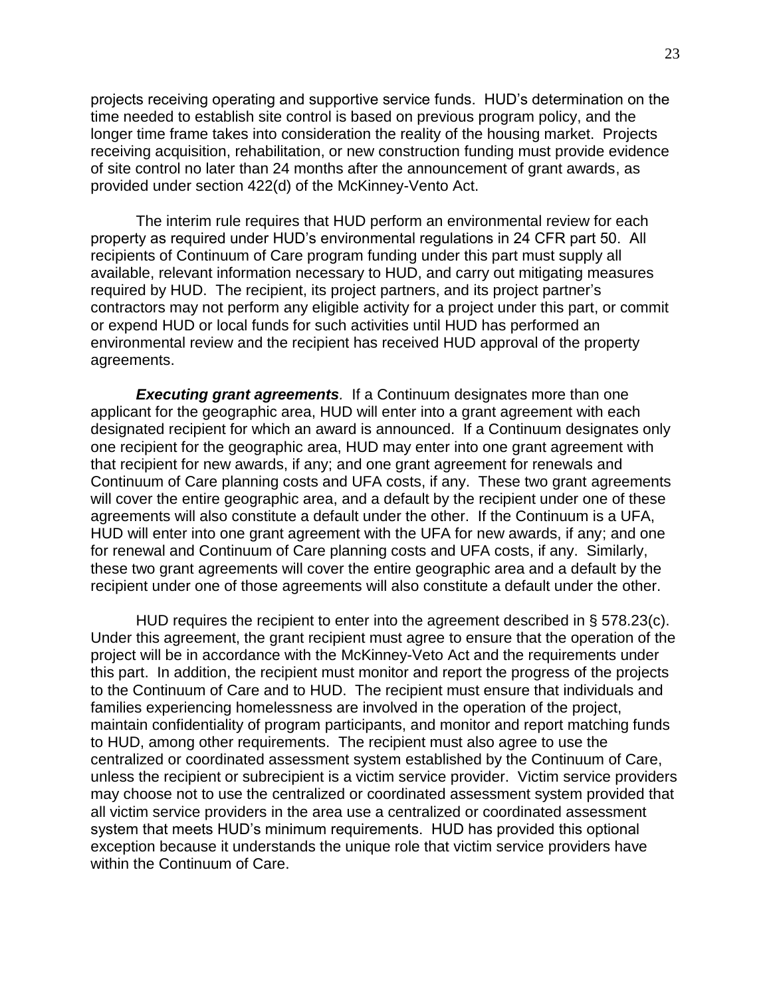projects receiving operating and supportive service funds. HUD's determination on the time needed to establish site control is based on previous program policy, and the longer time frame takes into consideration the reality of the housing market. Projects receiving acquisition, rehabilitation, or new construction funding must provide evidence of site control no later than 24 months after the announcement of grant awards, as provided under section 422(d) of the McKinney-Vento Act.

The interim rule requires that HUD perform an environmental review for each property as required under HUD's environmental regulations in 24 CFR part 50. All recipients of Continuum of Care program funding under this part must supply all available, relevant information necessary to HUD, and carry out mitigating measures required by HUD. The recipient, its project partners, and its project partner's contractors may not perform any eligible activity for a project under this part, or commit or expend HUD or local funds for such activities until HUD has performed an environmental review and the recipient has received HUD approval of the property agreements.

*Executing grant agreements.* If a Continuum designates more than one applicant for the geographic area, HUD will enter into a grant agreement with each designated recipient for which an award is announced. If a Continuum designates only one recipient for the geographic area, HUD may enter into one grant agreement with that recipient for new awards, if any; and one grant agreement for renewals and Continuum of Care planning costs and UFA costs, if any. These two grant agreements will cover the entire geographic area, and a default by the recipient under one of these agreements will also constitute a default under the other. If the Continuum is a UFA, HUD will enter into one grant agreement with the UFA for new awards, if any; and one for renewal and Continuum of Care planning costs and UFA costs, if any. Similarly, these two grant agreements will cover the entire geographic area and a default by the recipient under one of those agreements will also constitute a default under the other.

HUD requires the recipient to enter into the agreement described in § 578.23(c). Under this agreement, the grant recipient must agree to ensure that the operation of the project will be in accordance with the McKinney-Veto Act and the requirements under this part. In addition, the recipient must monitor and report the progress of the projects to the Continuum of Care and to HUD. The recipient must ensure that individuals and families experiencing homelessness are involved in the operation of the project, maintain confidentiality of program participants, and monitor and report matching funds to HUD, among other requirements. The recipient must also agree to use the centralized or coordinated assessment system established by the Continuum of Care, unless the recipient or subrecipient is a victim service provider. Victim service providers may choose not to use the centralized or coordinated assessment system provided that all victim service providers in the area use a centralized or coordinated assessment system that meets HUD's minimum requirements. HUD has provided this optional exception because it understands the unique role that victim service providers have within the Continuum of Care.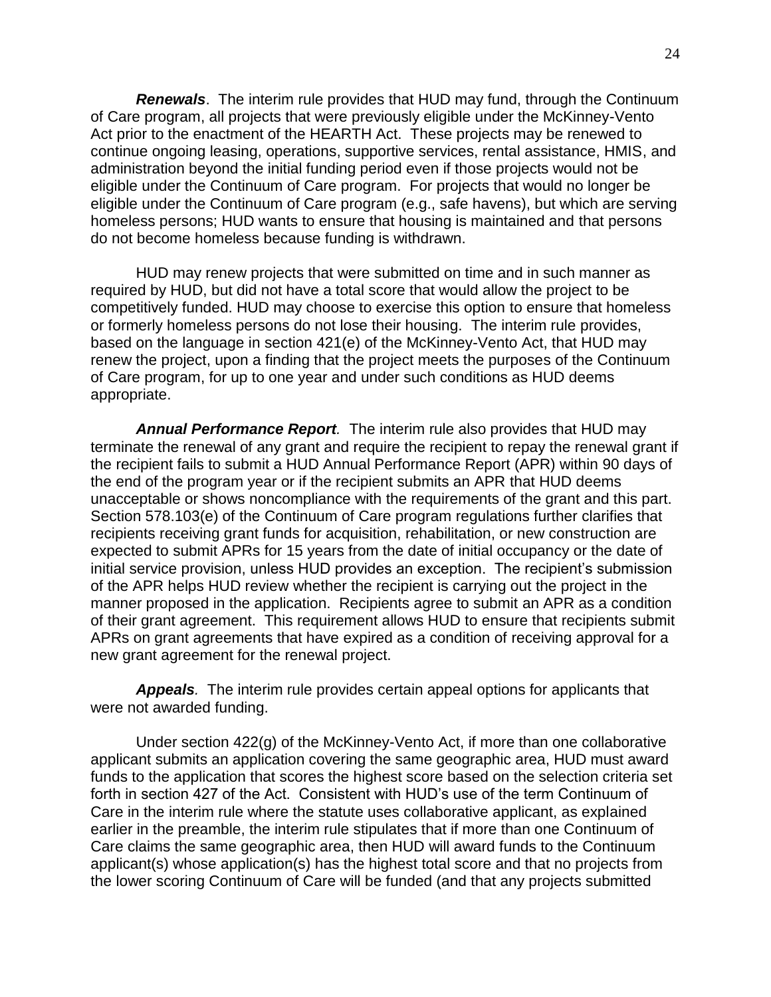<span id="page-23-0"></span>*Renewals*. The interim rule provides that HUD may fund, through the Continuum of Care program, all projects that were previously eligible under the McKinney-Vento Act prior to the enactment of the HEARTH Act. These projects may be renewed to continue ongoing leasing, operations, supportive services, rental assistance, HMIS, and administration beyond the initial funding period even if those projects would not be eligible under the Continuum of Care program. For projects that would no longer be eligible under the Continuum of Care program (e.g., safe havens), but which are serving homeless persons; HUD wants to ensure that housing is maintained and that persons do not become homeless because funding is withdrawn.

HUD may renew projects that were submitted on time and in such manner as required by HUD, but did not have a total score that would allow the project to be competitively funded. HUD may choose to exercise this option to ensure that homeless or formerly homeless persons do not lose their housing. The interim rule provides, based on the language in section 421(e) of the McKinney-Vento Act, that HUD may renew the project, upon a finding that the project meets the purposes of the Continuum of Care program, for up to one year and under such conditions as HUD deems appropriate.

*Annual Performance Report.* The interim rule also provides that HUD may terminate the renewal of any grant and require the recipient to repay the renewal grant if the recipient fails to submit a HUD Annual Performance Report (APR) within 90 days of the end of the program year or if the recipient submits an APR that HUD deems unacceptable or shows noncompliance with the requirements of the grant and this part. Section 578.103(e) of the Continuum of Care program regulations further clarifies that recipients receiving grant funds for acquisition, rehabilitation, or new construction are expected to submit APRs for 15 years from the date of initial occupancy or the date of initial service provision, unless HUD provides an exception. The recipient's submission of the APR helps HUD review whether the recipient is carrying out the project in the manner proposed in the application. Recipients agree to submit an APR as a condition of their grant agreement. This requirement allows HUD to ensure that recipients submit APRs on grant agreements that have expired as a condition of receiving approval for a new grant agreement for the renewal project.

<span id="page-23-1"></span>*Appeals.* The interim rule provides certain appeal options for applicants that were not awarded funding.

Under section 422(g) of the McKinney-Vento Act, if more than one collaborative applicant submits an application covering the same geographic area, HUD must award funds to the application that scores the highest score based on the selection criteria set forth in section 427 of the Act. Consistent with HUD's use of the term Continuum of Care in the interim rule where the statute uses collaborative applicant, as explained earlier in the preamble, the interim rule stipulates that if more than one Continuum of Care claims the same geographic area, then HUD will award funds to the Continuum applicant(s) whose application(s) has the highest total score and that no projects from the lower scoring Continuum of Care will be funded (and that any projects submitted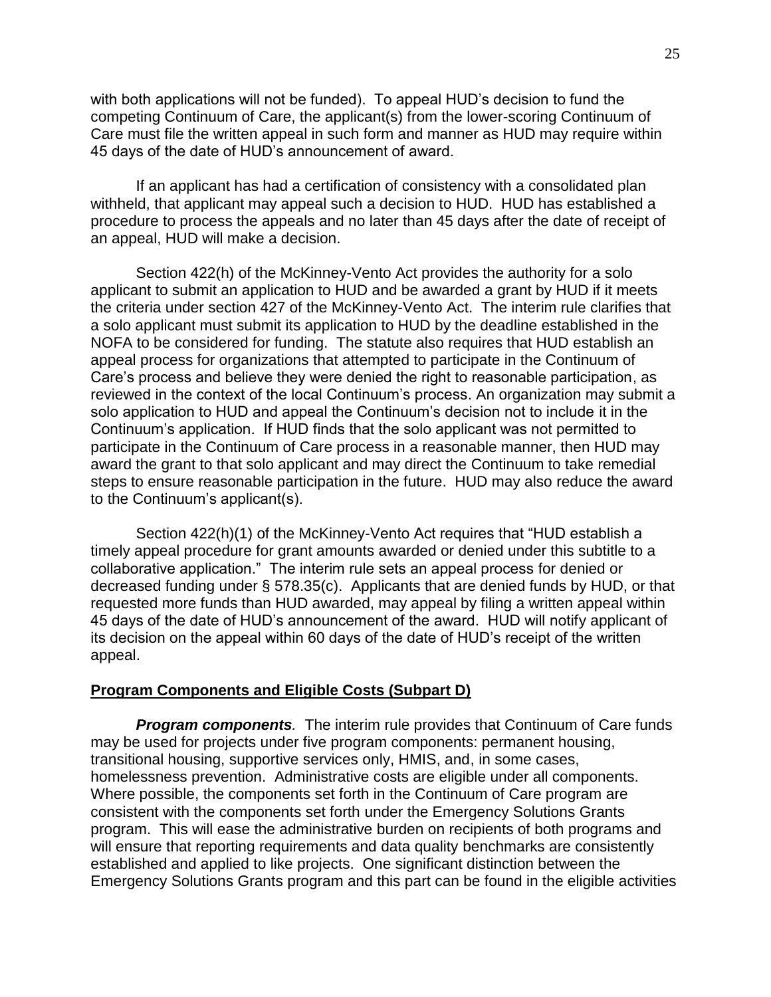with both applications will not be funded). To appeal HUD's decision to fund the competing Continuum of Care, the applicant(s) from the lower-scoring Continuum of Care must file the written appeal in such form and manner as HUD may require within 45 days of the date of HUD's announcement of award.

If an applicant has had a certification of consistency with a consolidated plan withheld, that applicant may appeal such a decision to HUD. HUD has established a procedure to process the appeals and no later than 45 days after the date of receipt of an appeal, HUD will make a decision.

Section 422(h) of the McKinney-Vento Act provides the authority for a solo applicant to submit an application to HUD and be awarded a grant by HUD if it meets the criteria under section 427 of the McKinney-Vento Act. The interim rule clarifies that a solo applicant must submit its application to HUD by the deadline established in the NOFA to be considered for funding. The statute also requires that HUD establish an appeal process for organizations that attempted to participate in the Continuum of Care's process and believe they were denied the right to reasonable participation, as reviewed in the context of the local Continuum's process. An organization may submit a solo application to HUD and appeal the Continuum's decision not to include it in the Continuum's application. If HUD finds that the solo applicant was not permitted to participate in the Continuum of Care process in a reasonable manner, then HUD may award the grant to that solo applicant and may direct the Continuum to take remedial steps to ensure reasonable participation in the future. HUD may also reduce the award to the Continuum's applicant(s).

Section 422(h)(1) of the McKinney-Vento Act requires that "HUD establish a timely appeal procedure for grant amounts awarded or denied under this subtitle to a collaborative application." The interim rule sets an appeal process for denied or decreased funding under § 578.35(c). Applicants that are denied funds by HUD, or that requested more funds than HUD awarded, may appeal by filing a written appeal within 45 days of the date of HUD's announcement of the award. HUD will notify applicant of its decision on the appeal within 60 days of the date of HUD's receipt of the written appeal.

### **Program Components and Eligible Costs (Subpart D)**

<span id="page-24-0"></span>*Program components.* The interim rule provides that Continuum of Care funds may be used for projects under five program components: permanent housing, transitional housing, supportive services only, HMIS, and, in some cases, homelessness prevention. Administrative costs are eligible under all components. Where possible, the components set forth in the Continuum of Care program are consistent with the components set forth under the Emergency Solutions Grants program. This will ease the administrative burden on recipients of both programs and will ensure that reporting requirements and data quality benchmarks are consistently established and applied to like projects. One significant distinction between the Emergency Solutions Grants program and this part can be found in the eligible activities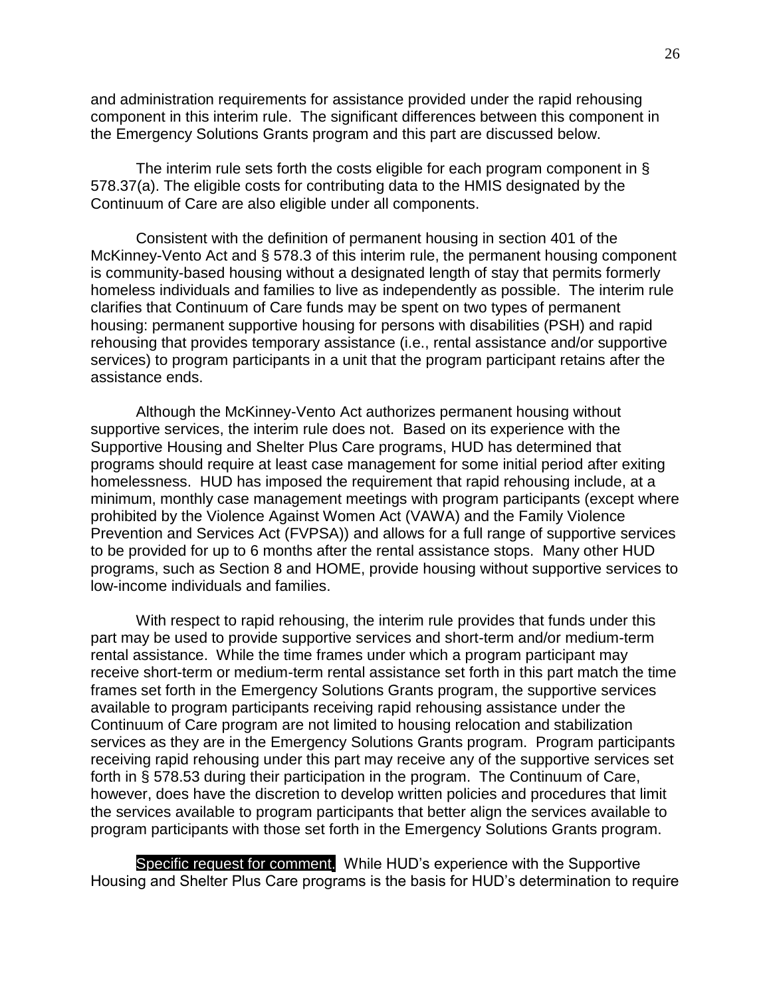and administration requirements for assistance provided under the rapid rehousing component in this interim rule. The significant differences between this component in the Emergency Solutions Grants program and this part are discussed below.

The interim rule sets forth the costs eligible for each program component in § 578.37(a). The eligible costs for contributing data to the HMIS designated by the Continuum of Care are also eligible under all components.

Consistent with the definition of permanent housing in section 401 of the McKinney-Vento Act and § 578.3 of this interim rule, the permanent housing component is community-based housing without a designated length of stay that permits formerly homeless individuals and families to live as independently as possible. The interim rule clarifies that Continuum of Care funds may be spent on two types of permanent housing: permanent supportive housing for persons with disabilities (PSH) and rapid rehousing that provides temporary assistance (i.e., rental assistance and/or supportive services) to program participants in a unit that the program participant retains after the assistance ends.

Although the McKinney-Vento Act authorizes permanent housing without supportive services, the interim rule does not. Based on its experience with the Supportive Housing and Shelter Plus Care programs, HUD has determined that programs should require at least case management for some initial period after exiting homelessness. HUD has imposed the requirement that rapid rehousing include, at a minimum, monthly case management meetings with program participants (except where prohibited by the Violence Against Women Act (VAWA) and the Family Violence Prevention and Services Act (FVPSA)) and allows for a full range of supportive services to be provided for up to 6 months after the rental assistance stops. Many other HUD programs, such as Section 8 and HOME, provide housing without supportive services to low-income individuals and families.

With respect to rapid rehousing, the interim rule provides that funds under this part may be used to provide supportive services and short-term and/or medium-term rental assistance. While the time frames under which a program participant may receive short-term or medium-term rental assistance set forth in this part match the time frames set forth in the Emergency Solutions Grants program, the supportive services available to program participants receiving rapid rehousing assistance under the Continuum of Care program are not limited to housing relocation and stabilization services as they are in the Emergency Solutions Grants program. Program participants receiving rapid rehousing under this part may receive any of the supportive services set forth in § 578.53 during their participation in the program. The Continuum of Care, however, does have the discretion to develop written policies and procedures that limit the services available to program participants that better align the services available to program participants with those set forth in the Emergency Solutions Grants program.

Specific request for comment. While HUD's experience with the Supportive Housing and Shelter Plus Care programs is the basis for HUD's determination to require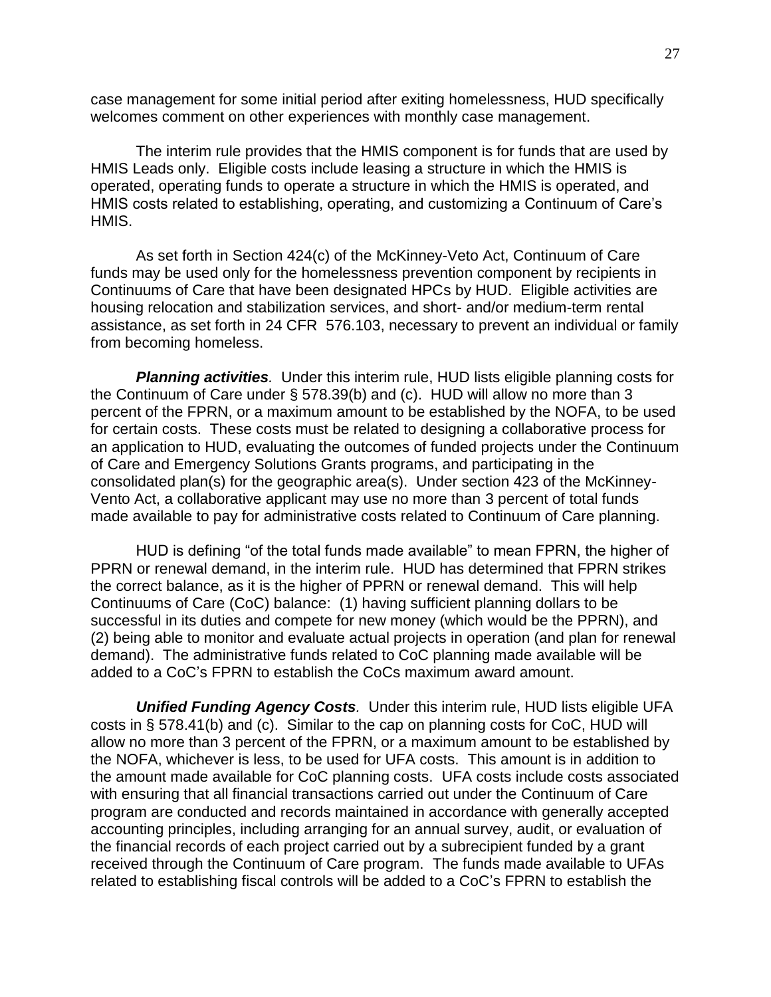case management for some initial period after exiting homelessness, HUD specifically welcomes comment on other experiences with monthly case management.

The interim rule provides that the HMIS component is for funds that are used by HMIS Leads only. Eligible costs include leasing a structure in which the HMIS is operated, operating funds to operate a structure in which the HMIS is operated, and HMIS costs related to establishing, operating, and customizing a Continuum of Care's HMIS.

As set forth in Section 424(c) of the McKinney-Veto Act, Continuum of Care funds may be used only for the homelessness prevention component by recipients in Continuums of Care that have been designated HPCs by HUD. Eligible activities are housing relocation and stabilization services, and short- and/or medium-term rental assistance, as set forth in 24 CFR 576.103, necessary to prevent an individual or family from becoming homeless.

<span id="page-26-0"></span>**Planning activities**. Under this interim rule, HUD lists eligible planning costs for the Continuum of Care under § 578.39(b) and (c). HUD will allow no more than 3 percent of the FPRN, or a maximum amount to be established by the NOFA, to be used for certain costs. These costs must be related to designing a collaborative process for an application to HUD, evaluating the outcomes of funded projects under the Continuum of Care and Emergency Solutions Grants programs, and participating in the consolidated plan(s) for the geographic area(s). Under section 423 of the McKinney-Vento Act, a collaborative applicant may use no more than 3 percent of total funds made available to pay for administrative costs related to Continuum of Care planning.

HUD is defining "of the total funds made available" to mean FPRN, the higher of PPRN or renewal demand, in the interim rule. HUD has determined that FPRN strikes the correct balance, as it is the higher of PPRN or renewal demand. This will help Continuums of Care (CoC) balance: (1) having sufficient planning dollars to be successful in its duties and compete for new money (which would be the PPRN), and (2) being able to monitor and evaluate actual projects in operation (and plan for renewal demand). The administrative funds related to CoC planning made available will be added to a CoC's FPRN to establish the CoCs maximum award amount.

<span id="page-26-1"></span>*Unified Funding Agency Costs.* Under this interim rule, HUD lists eligible UFA costs in § 578.41(b) and (c). Similar to the cap on planning costs for CoC, HUD will allow no more than 3 percent of the FPRN, or a maximum amount to be established by the NOFA, whichever is less, to be used for UFA costs. This amount is in addition to the amount made available for CoC planning costs. UFA costs include costs associated with ensuring that all financial transactions carried out under the Continuum of Care program are conducted and records maintained in accordance with generally accepted accounting principles, including arranging for an annual survey, audit, or evaluation of the financial records of each project carried out by a subrecipient funded by a grant received through the Continuum of Care program. The funds made available to UFAs related to establishing fiscal controls will be added to a CoC's FPRN to establish the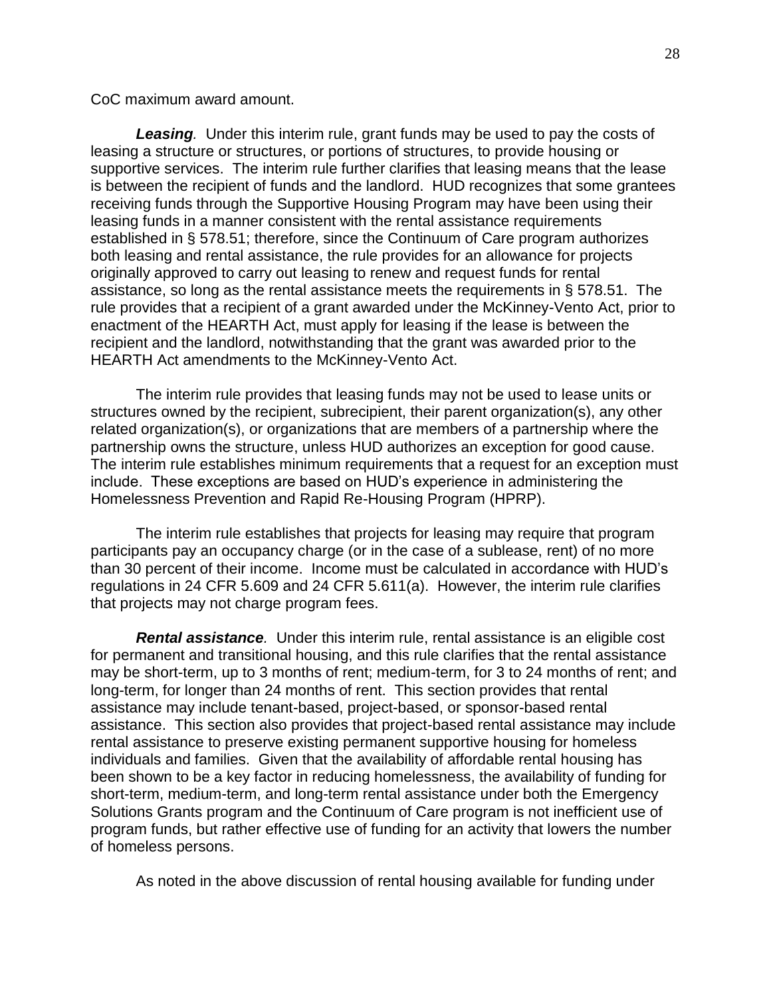CoC maximum award amount.

<span id="page-27-0"></span>**Leasing**. Under this interim rule, grant funds may be used to pay the costs of leasing a structure or structures, or portions of structures, to provide housing or supportive services. The interim rule further clarifies that leasing means that the lease is between the recipient of funds and the landlord. HUD recognizes that some grantees receiving funds through the Supportive Housing Program may have been using their leasing funds in a manner consistent with the rental assistance requirements established in § 578.51; therefore, since the Continuum of Care program authorizes both leasing and rental assistance, the rule provides for an allowance for projects originally approved to carry out leasing to renew and request funds for rental assistance, so long as the rental assistance meets the requirements in § 578.51. The rule provides that a recipient of a grant awarded under the McKinney-Vento Act, prior to enactment of the HEARTH Act, must apply for leasing if the lease is between the recipient and the landlord, notwithstanding that the grant was awarded prior to the HEARTH Act amendments to the McKinney-Vento Act.

The interim rule provides that leasing funds may not be used to lease units or structures owned by the recipient, subrecipient, their parent organization(s), any other related organization(s), or organizations that are members of a partnership where the partnership owns the structure, unless HUD authorizes an exception for good cause. The interim rule establishes minimum requirements that a request for an exception must include. These exceptions are based on HUD's experience in administering the Homelessness Prevention and Rapid Re-Housing Program (HPRP).

The interim rule establishes that projects for leasing may require that program participants pay an occupancy charge (or in the case of a sublease, rent) of no more than 30 percent of their income. Income must be calculated in accordance with HUD's regulations in 24 CFR 5.609 and 24 CFR 5.611(a). However, the interim rule clarifies that projects may not charge program fees.

<span id="page-27-1"></span>*Rental assistance.* Under this interim rule, rental assistance is an eligible cost for permanent and transitional housing, and this rule clarifies that the rental assistance may be short-term, up to 3 months of rent; medium-term, for 3 to 24 months of rent; and long-term, for longer than 24 months of rent. This section provides that rental assistance may include tenant-based, project-based, or sponsor-based rental assistance. This section also provides that project-based rental assistance may include rental assistance to preserve existing permanent supportive housing for homeless individuals and families. Given that the availability of affordable rental housing has been shown to be a key factor in reducing homelessness, the availability of funding for short-term, medium-term, and long-term rental assistance under both the Emergency Solutions Grants program and the Continuum of Care program is not inefficient use of program funds, but rather effective use of funding for an activity that lowers the number of homeless persons.

As noted in the above discussion of rental housing available for funding under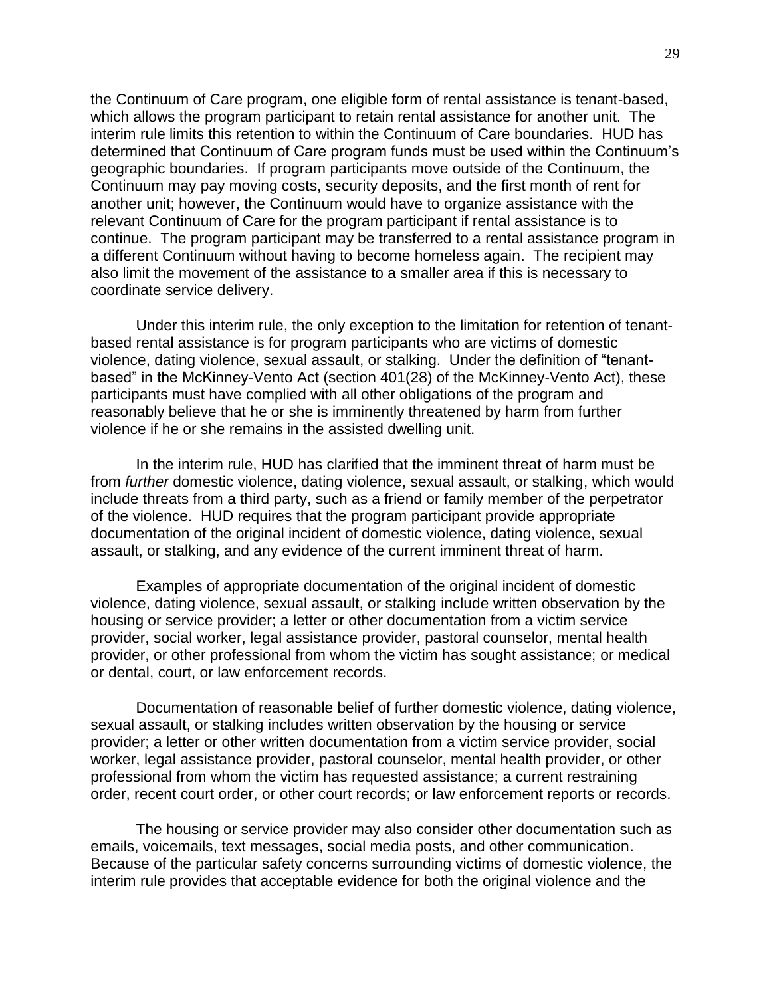the Continuum of Care program, one eligible form of rental assistance is tenant-based, which allows the program participant to retain rental assistance for another unit. The interim rule limits this retention to within the Continuum of Care boundaries. HUD has determined that Continuum of Care program funds must be used within the Continuum's geographic boundaries. If program participants move outside of the Continuum, the Continuum may pay moving costs, security deposits, and the first month of rent for another unit; however, the Continuum would have to organize assistance with the relevant Continuum of Care for the program participant if rental assistance is to continue. The program participant may be transferred to a rental assistance program in a different Continuum without having to become homeless again. The recipient may also limit the movement of the assistance to a smaller area if this is necessary to coordinate service delivery.

Under this interim rule, the only exception to the limitation for retention of tenantbased rental assistance is for program participants who are victims of domestic violence, dating violence, sexual assault, or stalking. Under the definition of "tenantbased" in the McKinney-Vento Act (section 401(28) of the McKinney-Vento Act), these participants must have complied with all other obligations of the program and reasonably believe that he or she is imminently threatened by harm from further violence if he or she remains in the assisted dwelling unit.

In the interim rule, HUD has clarified that the imminent threat of harm must be from *further* domestic violence, dating violence, sexual assault, or stalking, which would include threats from a third party, such as a friend or family member of the perpetrator of the violence. HUD requires that the program participant provide appropriate documentation of the original incident of domestic violence, dating violence, sexual assault, or stalking, and any evidence of the current imminent threat of harm.

Examples of appropriate documentation of the original incident of domestic violence, dating violence, sexual assault, or stalking include written observation by the housing or service provider; a letter or other documentation from a victim service provider, social worker, legal assistance provider, pastoral counselor, mental health provider, or other professional from whom the victim has sought assistance; or medical or dental, court, or law enforcement records.

Documentation of reasonable belief of further domestic violence, dating violence, sexual assault, or stalking includes written observation by the housing or service provider; a letter or other written documentation from a victim service provider, social worker, legal assistance provider, pastoral counselor, mental health provider, or other professional from whom the victim has requested assistance; a current restraining order, recent court order, or other court records; or law enforcement reports or records.

The housing or service provider may also consider other documentation such as emails, voicemails, text messages, social media posts, and other communication. Because of the particular safety concerns surrounding victims of domestic violence, the interim rule provides that acceptable evidence for both the original violence and the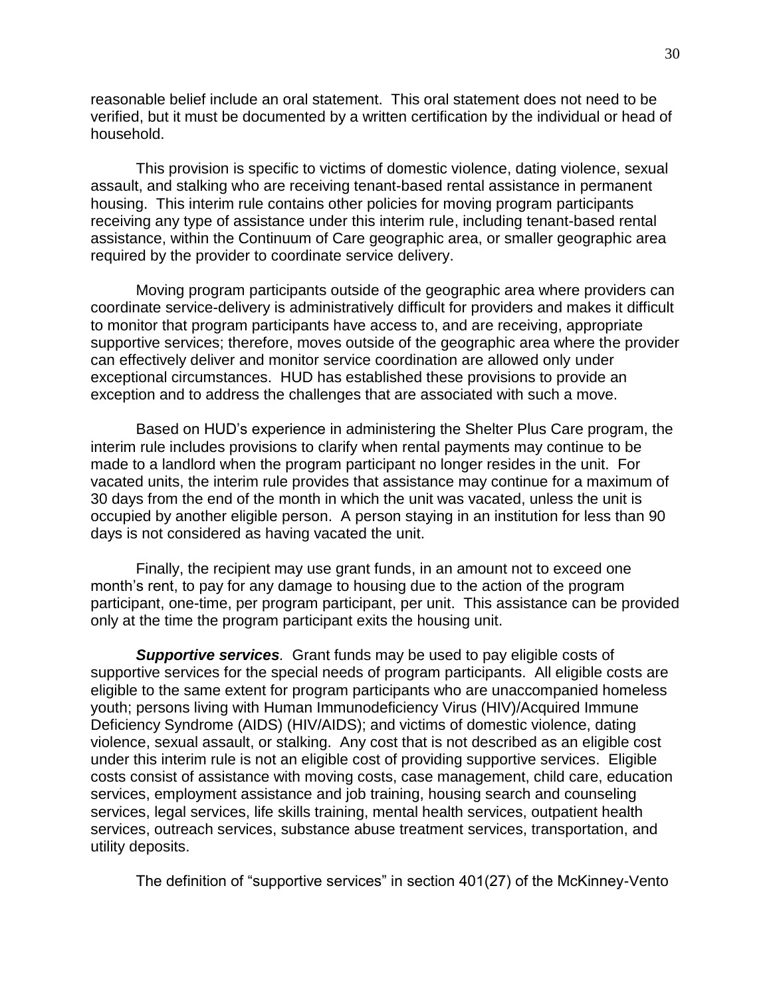reasonable belief include an oral statement. This oral statement does not need to be verified, but it must be documented by a written certification by the individual or head of household.

This provision is specific to victims of domestic violence, dating violence, sexual assault, and stalking who are receiving tenant-based rental assistance in permanent housing. This interim rule contains other policies for moving program participants receiving any type of assistance under this interim rule, including tenant-based rental assistance, within the Continuum of Care geographic area, or smaller geographic area required by the provider to coordinate service delivery.

Moving program participants outside of the geographic area where providers can coordinate service-delivery is administratively difficult for providers and makes it difficult to monitor that program participants have access to, and are receiving, appropriate supportive services; therefore, moves outside of the geographic area where the provider can effectively deliver and monitor service coordination are allowed only under exceptional circumstances. HUD has established these provisions to provide an exception and to address the challenges that are associated with such a move.

Based on HUD's experience in administering the Shelter Plus Care program, the interim rule includes provisions to clarify when rental payments may continue to be made to a landlord when the program participant no longer resides in the unit. For vacated units, the interim rule provides that assistance may continue for a maximum of 30 days from the end of the month in which the unit was vacated, unless the unit is occupied by another eligible person. A person staying in an institution for less than 90 days is not considered as having vacated the unit.

Finally, the recipient may use grant funds, in an amount not to exceed one month's rent, to pay for any damage to housing due to the action of the program participant, one-time, per program participant, per unit. This assistance can be provided only at the time the program participant exits the housing unit.

<span id="page-29-0"></span>*Supportive services.* Grant funds may be used to pay eligible costs of supportive services for the special needs of program participants. All eligible costs are eligible to the same extent for program participants who are unaccompanied homeless youth; persons living with Human Immunodeficiency Virus (HIV)/Acquired Immune Deficiency Syndrome (AIDS) (HIV/AIDS); and victims of domestic violence, dating violence, sexual assault, or stalking. Any cost that is not described as an eligible cost under this interim rule is not an eligible cost of providing supportive services. Eligible costs consist of assistance with moving costs, case management, child care, education services, employment assistance and job training, housing search and counseling services, legal services, life skills training, mental health services, outpatient health services, outreach services, substance abuse treatment services, transportation, and utility deposits.

The definition of "supportive services" in section 401(27) of the McKinney-Vento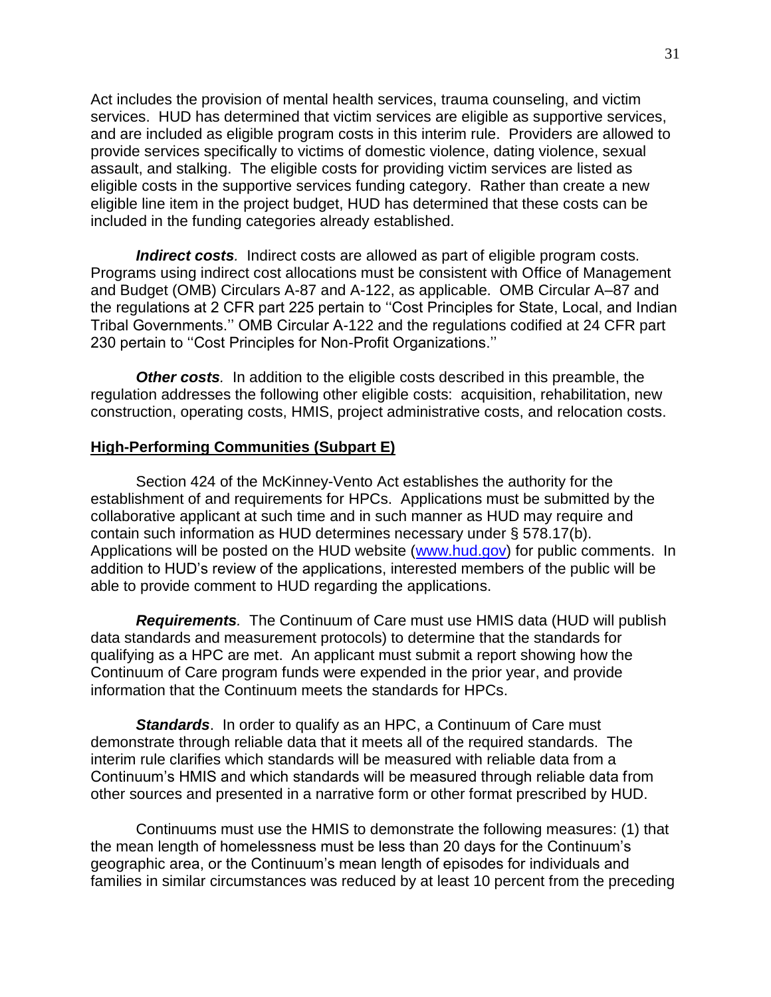Act includes the provision of mental health services, trauma counseling, and victim services. HUD has determined that victim services are eligible as supportive services, and are included as eligible program costs in this interim rule. Providers are allowed to provide services specifically to victims of domestic violence, dating violence, sexual assault, and stalking. The eligible costs for providing victim services are listed as eligible costs in the supportive services funding category. Rather than create a new eligible line item in the project budget, HUD has determined that these costs can be included in the funding categories already established.

<span id="page-30-0"></span>*Indirect costs.* Indirect costs are allowed as part of eligible program costs. Programs using indirect cost allocations must be consistent with Office of Management and Budget (OMB) Circulars A-87 and A-122, as applicable. OMB Circular A–87 and the regulations at 2 CFR part 225 pertain to "Cost Principles for State, Local, and Indian Tribal Governments.'' OMB Circular A-122 and the regulations codified at 24 CFR part 230 pertain to "Cost Principles for Non-Profit Organizations."

*Other costs.* In addition to the eligible costs described in this preamble, the regulation addresses the following other eligible costs: acquisition, rehabilitation, new construction, operating costs, HMIS, project administrative costs, and relocation costs.

### <span id="page-30-1"></span>**High-Performing Communities (Subpart E)**

Section 424 of the McKinney-Vento Act establishes the authority for the establishment of and requirements for HPCs. Applications must be submitted by the collaborative applicant at such time and in such manner as HUD may require and contain such information as HUD determines necessary under § 578.17(b). Applications will be posted on the HUD website [\(www.hud.gov\)](http://www.hud.gov/) for public comments. In addition to HUD's review of the applications, interested members of the public will be able to provide comment to HUD regarding the applications.

*Requirements.* The Continuum of Care must use HMIS data (HUD will publish data standards and measurement protocols) to determine that the standards for qualifying as a HPC are met. An applicant must submit a report showing how the Continuum of Care program funds were expended in the prior year, and provide information that the Continuum meets the standards for HPCs.

<span id="page-30-2"></span>*Standards*. In order to qualify as an HPC, a Continuum of Care must demonstrate through reliable data that it meets all of the required standards. The interim rule clarifies which standards will be measured with reliable data from a Continuum's HMIS and which standards will be measured through reliable data from other sources and presented in a narrative form or other format prescribed by HUD.

Continuums must use the HMIS to demonstrate the following measures: (1) that the mean length of homelessness must be less than 20 days for the Continuum's geographic area, or the Continuum's mean length of episodes for individuals and families in similar circumstances was reduced by at least 10 percent from the preceding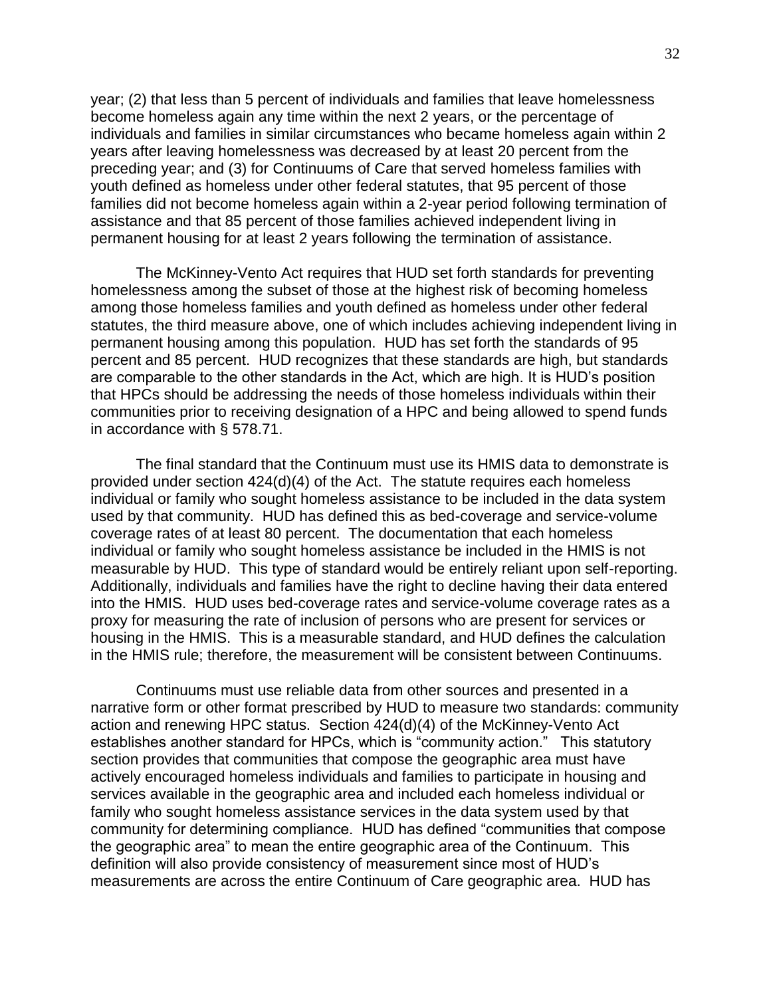year; (2) that less than 5 percent of individuals and families that leave homelessness become homeless again any time within the next 2 years, or the percentage of individuals and families in similar circumstances who became homeless again within 2 years after leaving homelessness was decreased by at least 20 percent from the preceding year; and (3) for Continuums of Care that served homeless families with youth defined as homeless under other federal statutes, that 95 percent of those families did not become homeless again within a 2-year period following termination of assistance and that 85 percent of those families achieved independent living in permanent housing for at least 2 years following the termination of assistance.

The McKinney-Vento Act requires that HUD set forth standards for preventing homelessness among the subset of those at the highest risk of becoming homeless among those homeless families and youth defined as homeless under other federal statutes, the third measure above, one of which includes achieving independent living in permanent housing among this population. HUD has set forth the standards of 95 percent and 85 percent. HUD recognizes that these standards are high, but standards are comparable to the other standards in the Act, which are high. It is HUD's position that HPCs should be addressing the needs of those homeless individuals within their communities prior to receiving designation of a HPC and being allowed to spend funds in accordance with § 578.71.

The final standard that the Continuum must use its HMIS data to demonstrate is provided under section 424(d)(4) of the Act. The statute requires each homeless individual or family who sought homeless assistance to be included in the data system used by that community. HUD has defined this as bed-coverage and service-volume coverage rates of at least 80 percent. The documentation that each homeless individual or family who sought homeless assistance be included in the HMIS is not measurable by HUD. This type of standard would be entirely reliant upon self-reporting. Additionally, individuals and families have the right to decline having their data entered into the HMIS. HUD uses bed-coverage rates and service-volume coverage rates as a proxy for measuring the rate of inclusion of persons who are present for services or housing in the HMIS. This is a measurable standard, and HUD defines the calculation in the HMIS rule; therefore, the measurement will be consistent between Continuums.

Continuums must use reliable data from other sources and presented in a narrative form or other format prescribed by HUD to measure two standards: community action and renewing HPC status. Section 424(d)(4) of the McKinney-Vento Act establishes another standard for HPCs, which is "community action." This statutory section provides that communities that compose the geographic area must have actively encouraged homeless individuals and families to participate in housing and services available in the geographic area and included each homeless individual or family who sought homeless assistance services in the data system used by that community for determining compliance. HUD has defined "communities that compose the geographic area" to mean the entire geographic area of the Continuum. This definition will also provide consistency of measurement since most of HUD's measurements are across the entire Continuum of Care geographic area. HUD has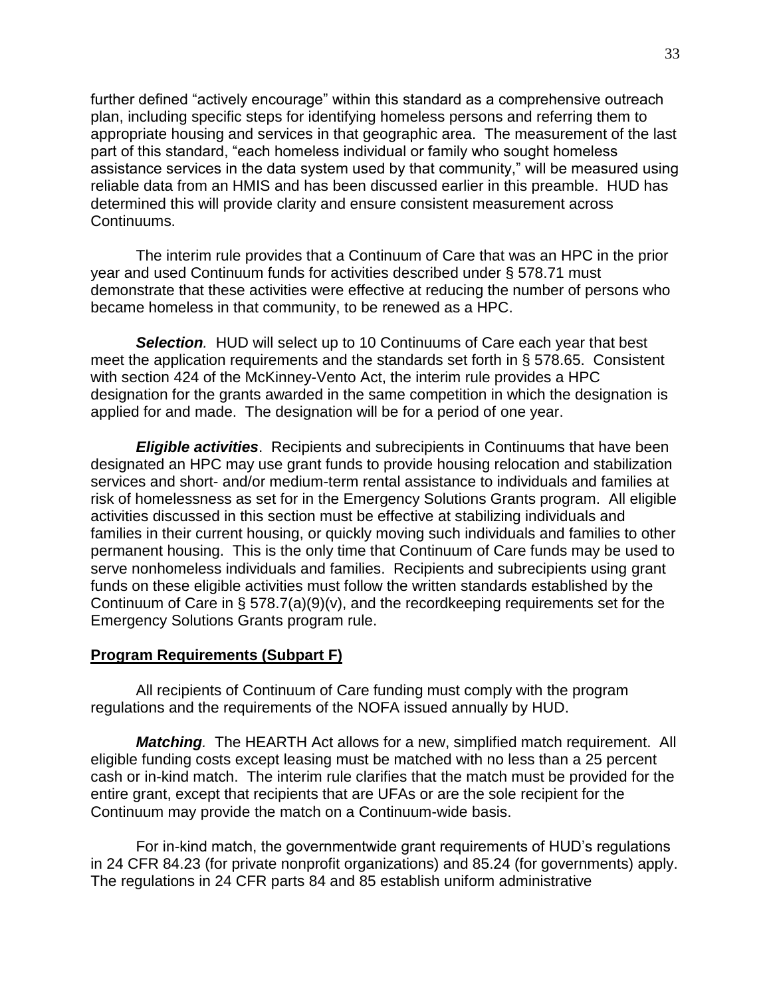further defined "actively encourage" within this standard as a comprehensive outreach plan, including specific steps for identifying homeless persons and referring them to appropriate housing and services in that geographic area. The measurement of the last part of this standard, "each homeless individual or family who sought homeless assistance services in the data system used by that community," will be measured using reliable data from an HMIS and has been discussed earlier in this preamble. HUD has determined this will provide clarity and ensure consistent measurement across Continuums.

The interim rule provides that a Continuum of Care that was an HPC in the prior year and used Continuum funds for activities described under § 578.71 must demonstrate that these activities were effective at reducing the number of persons who became homeless in that community, to be renewed as a HPC.

*Selection.* HUD will select up to 10 Continuums of Care each year that best meet the application requirements and the standards set forth in § 578.65. Consistent with section 424 of the McKinney-Vento Act, the interim rule provides a HPC designation for the grants awarded in the same competition in which the designation is applied for and made. The designation will be for a period of one year.

<span id="page-32-0"></span>*Eligible activities*. Recipients and subrecipients in Continuums that have been designated an HPC may use grant funds to provide housing relocation and stabilization services and short- and/or medium-term rental assistance to individuals and families at risk of homelessness as set for in the Emergency Solutions Grants program. All eligible activities discussed in this section must be effective at stabilizing individuals and families in their current housing, or quickly moving such individuals and families to other permanent housing. This is the only time that Continuum of Care funds may be used to serve nonhomeless individuals and families. Recipients and subrecipients using grant funds on these eligible activities must follow the written standards established by the Continuum of Care in § 578.7(a)(9)(v), and the recordkeeping requirements set for the Emergency Solutions Grants program rule.

### <span id="page-32-1"></span>**Program Requirements (Subpart F)**

All recipients of Continuum of Care funding must comply with the program regulations and the requirements of the NOFA issued annually by HUD.

<span id="page-32-2"></span>*Matching.* The HEARTH Act allows for a new, simplified match requirement. All eligible funding costs except leasing must be matched with no less than a 25 percent cash or in-kind match. The interim rule clarifies that the match must be provided for the entire grant, except that recipients that are UFAs or are the sole recipient for the Continuum may provide the match on a Continuum-wide basis.

For in-kind match, the governmentwide grant requirements of HUD's regulations in 24 CFR 84.23 (for private nonprofit organizations) and 85.24 (for governments) apply. The regulations in 24 CFR parts 84 and 85 establish uniform administrative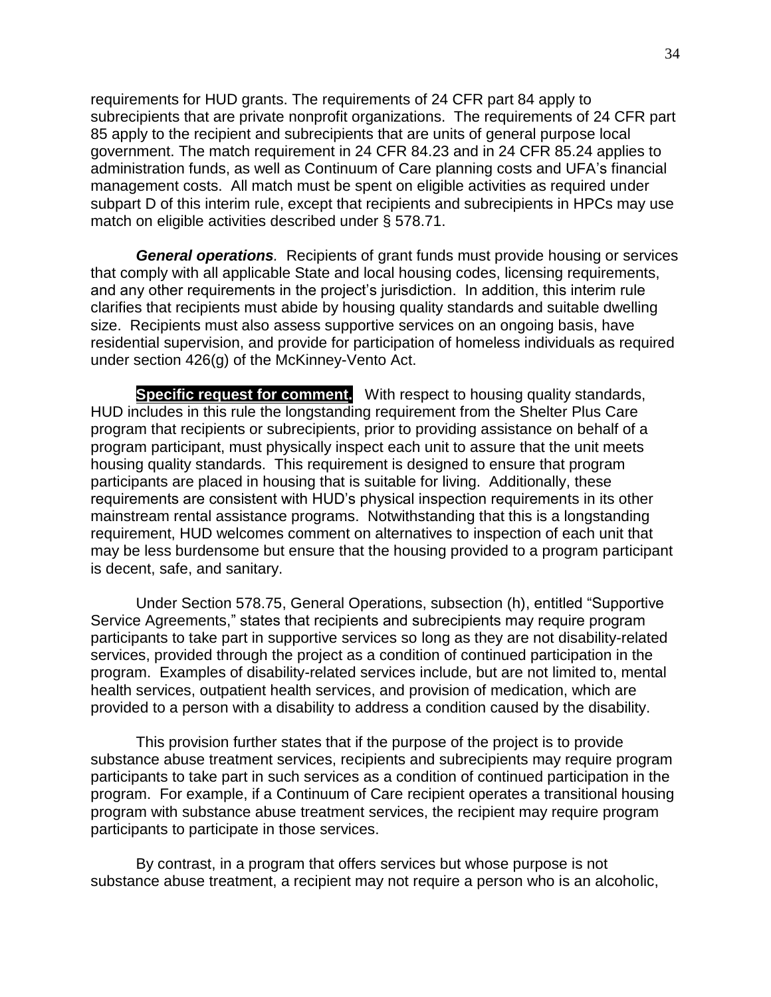requirements for HUD grants. The requirements of 24 CFR part 84 apply to subrecipients that are private nonprofit organizations. The requirements of 24 CFR part 85 apply to the recipient and subrecipients that are units of general purpose local government. The match requirement in 24 CFR 84.23 and in 24 CFR 85.24 applies to administration funds, as well as Continuum of Care planning costs and UFA's financial management costs. All match must be spent on eligible activities as required under subpart D of this interim rule, except that recipients and subrecipients in HPCs may use match on eligible activities described under § 578.71.

<span id="page-33-0"></span>*General operations.* Recipients of grant funds must provide housing or services that comply with all applicable State and local housing codes, licensing requirements, and any other requirements in the project's jurisdiction. In addition, this interim rule clarifies that recipients must abide by housing quality standards and suitable dwelling size. Recipients must also assess supportive services on an ongoing basis, have residential supervision, and provide for participation of homeless individuals as required under section 426(g) of the McKinney-Vento Act.

**Specific request for comment.** With respect to housing quality standards, HUD includes in this rule the longstanding requirement from the Shelter Plus Care program that recipients or subrecipients, prior to providing assistance on behalf of a program participant, must physically inspect each unit to assure that the unit meets housing quality standards. This requirement is designed to ensure that program participants are placed in housing that is suitable for living. Additionally, these requirements are consistent with HUD's physical inspection requirements in its other mainstream rental assistance programs. Notwithstanding that this is a longstanding requirement, HUD welcomes comment on alternatives to inspection of each unit that may be less burdensome but ensure that the housing provided to a program participant is decent, safe, and sanitary.

Under Section 578.75, General Operations, subsection (h), entitled "Supportive Service Agreements," states that recipients and subrecipients may require program participants to take part in supportive services so long as they are not disability-related services, provided through the project as a condition of continued participation in the program. Examples of disability-related services include, but are not limited to, mental health services, outpatient health services, and provision of medication, which are provided to a person with a disability to address a condition caused by the disability.

This provision further states that if the purpose of the project is to provide substance abuse treatment services, recipients and subrecipients may require program participants to take part in such services as a condition of continued participation in the program. For example, if a Continuum of Care recipient operates a transitional housing program with substance abuse treatment services, the recipient may require program participants to participate in those services.

By contrast, in a program that offers services but whose purpose is not substance abuse treatment, a recipient may not require a person who is an alcoholic,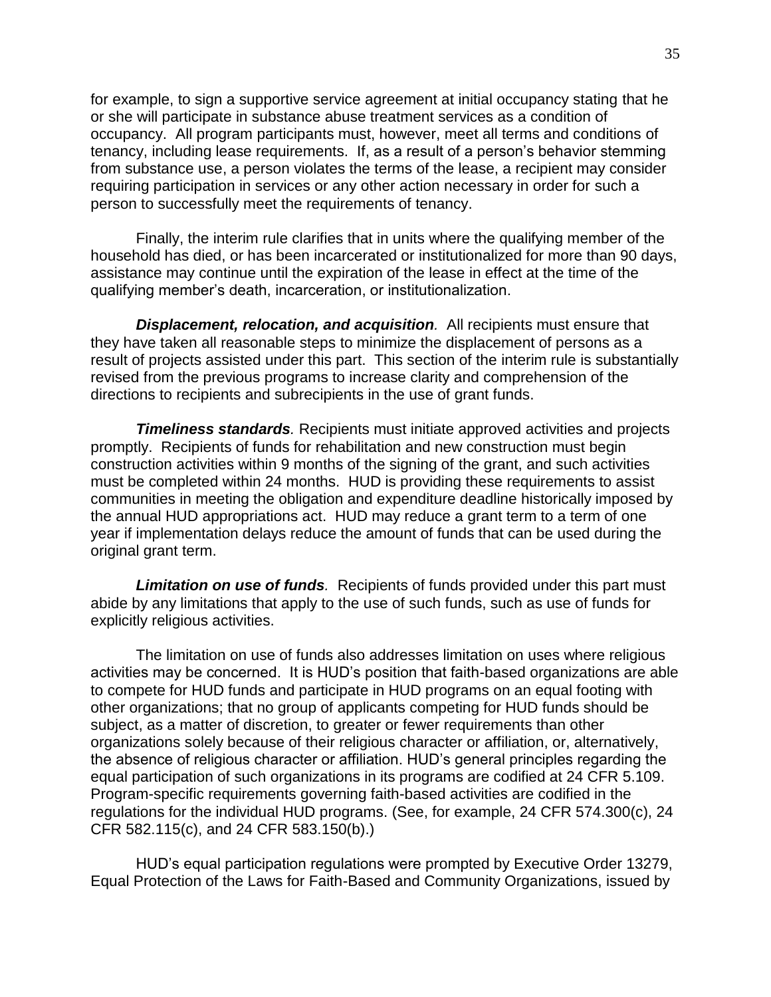for example, to sign a supportive service agreement at initial occupancy stating that he or she will participate in substance abuse treatment services as a condition of occupancy. All program participants must, however, meet all terms and conditions of tenancy, including lease requirements. If, as a result of a person's behavior stemming from substance use, a person violates the terms of the lease, a recipient may consider requiring participation in services or any other action necessary in order for such a person to successfully meet the requirements of tenancy.

Finally, the interim rule clarifies that in units where the qualifying member of the household has died, or has been incarcerated or institutionalized for more than 90 days, assistance may continue until the expiration of the lease in effect at the time of the qualifying member's death, incarceration, or institutionalization.

<span id="page-34-0"></span>*Displacement, relocation, and acquisition.* All recipients must ensure that they have taken all reasonable steps to minimize the displacement of persons as a result of projects assisted under this part. This section of the interim rule is substantially revised from the previous programs to increase clarity and comprehension of the directions to recipients and subrecipients in the use of grant funds.

<span id="page-34-1"></span>*Timeliness standards.* Recipients must initiate approved activities and projects promptly. Recipients of funds for rehabilitation and new construction must begin construction activities within 9 months of the signing of the grant, and such activities must be completed within 24 months. HUD is providing these requirements to assist communities in meeting the obligation and expenditure deadline historically imposed by the annual HUD appropriations act. HUD may reduce a grant term to a term of one year if implementation delays reduce the amount of funds that can be used during the original grant term.

<span id="page-34-2"></span>*Limitation on use of funds.* Recipients of funds provided under this part must abide by any limitations that apply to the use of such funds, such as use of funds for explicitly religious activities.

The limitation on use of funds also addresses limitation on uses where religious activities may be concerned. It is HUD's position that faith-based organizations are able to compete for HUD funds and participate in HUD programs on an equal footing with other organizations; that no group of applicants competing for HUD funds should be subject, as a matter of discretion, to greater or fewer requirements than other organizations solely because of their religious character or affiliation, or, alternatively, the absence of religious character or affiliation. HUD's general principles regarding the equal participation of such organizations in its programs are codified at 24 CFR 5.109. Program-specific requirements governing faith-based activities are codified in the regulations for the individual HUD programs. (See, for example, 24 CFR 574.300(c), 24 CFR 582.115(c), and 24 CFR 583.150(b).)

HUD's equal participation regulations were prompted by Executive Order 13279, Equal Protection of the Laws for Faith-Based and Community Organizations, issued by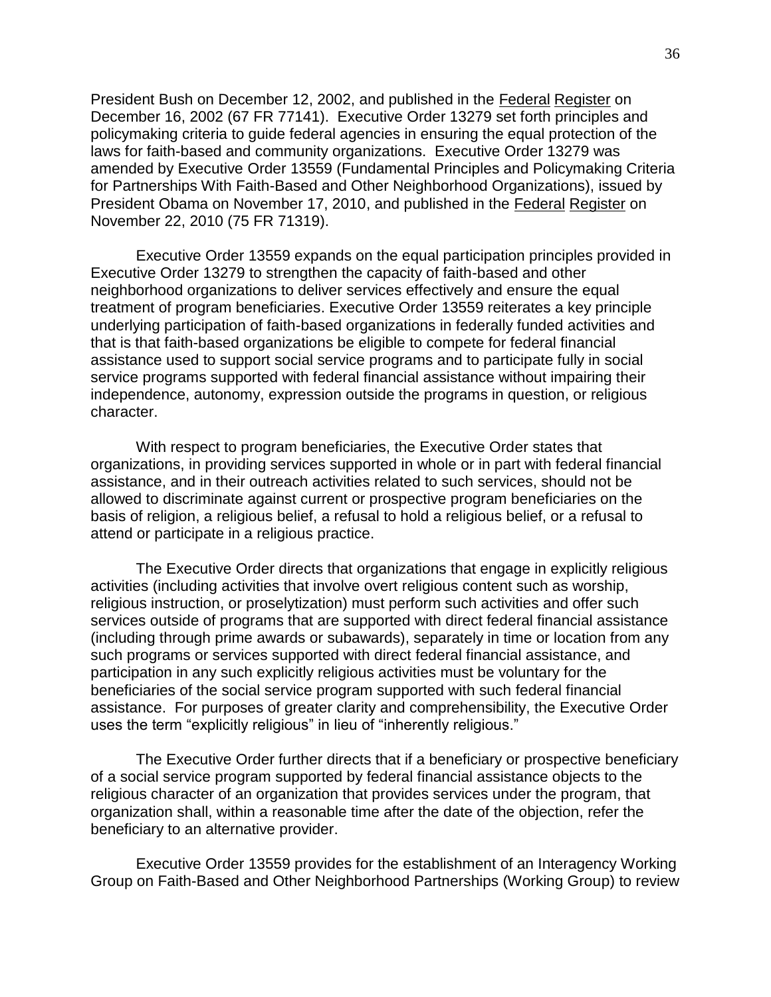President Bush on December 12, 2002, and published in the Federal Register on December 16, 2002 (67 FR 77141). Executive Order 13279 set forth principles and policymaking criteria to guide federal agencies in ensuring the equal protection of the laws for faith-based and community organizations. Executive Order 13279 was amended by Executive Order 13559 (Fundamental Principles and Policymaking Criteria for Partnerships With Faith-Based and Other Neighborhood Organizations), issued by President Obama on November 17, 2010, and published in the Federal Register on November 22, 2010 (75 FR 71319).

Executive Order 13559 expands on the equal participation principles provided in Executive Order 13279 to strengthen the capacity of faith-based and other neighborhood organizations to deliver services effectively and ensure the equal treatment of program beneficiaries. Executive Order 13559 reiterates a key principle underlying participation of faith-based organizations in federally funded activities and that is that faith-based organizations be eligible to compete for federal financial assistance used to support social service programs and to participate fully in social service programs supported with federal financial assistance without impairing their independence, autonomy, expression outside the programs in question, or religious character.

With respect to program beneficiaries, the Executive Order states that organizations, in providing services supported in whole or in part with federal financial assistance, and in their outreach activities related to such services, should not be allowed to discriminate against current or prospective program beneficiaries on the basis of religion, a religious belief, a refusal to hold a religious belief, or a refusal to attend or participate in a religious practice.

The Executive Order directs that organizations that engage in explicitly religious activities (including activities that involve overt religious content such as worship, religious instruction, or proselytization) must perform such activities and offer such services outside of programs that are supported with direct federal financial assistance (including through prime awards or subawards), separately in time or location from any such programs or services supported with direct federal financial assistance, and participation in any such explicitly religious activities must be voluntary for the beneficiaries of the social service program supported with such federal financial assistance. For purposes of greater clarity and comprehensibility, the Executive Order uses the term "explicitly religious" in lieu of "inherently religious."

The Executive Order further directs that if a beneficiary or prospective beneficiary of a social service program supported by federal financial assistance objects to the religious character of an organization that provides services under the program, that organization shall, within a reasonable time after the date of the objection, refer the beneficiary to an alternative provider.

Executive Order 13559 provides for the establishment of an Interagency Working Group on Faith-Based and Other Neighborhood Partnerships (Working Group) to review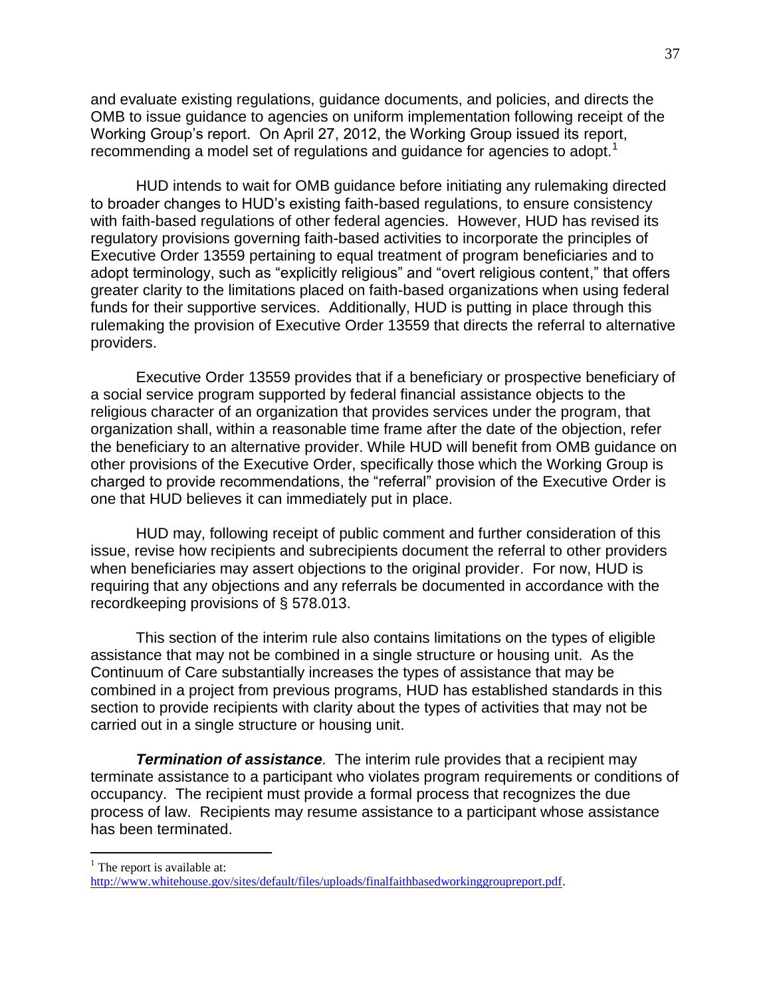and evaluate existing regulations, guidance documents, and policies, and directs the OMB to issue guidance to agencies on uniform implementation following receipt of the Working Group's report. On April 27, 2012, the Working Group issued its report, recommending a model set of regulations and guidance for agencies to adopt.<sup>1</sup>

HUD intends to wait for OMB guidance before initiating any rulemaking directed to broader changes to HUD's existing faith-based regulations, to ensure consistency with faith-based regulations of other federal agencies. However, HUD has revised its regulatory provisions governing faith-based activities to incorporate the principles of Executive Order 13559 pertaining to equal treatment of program beneficiaries and to adopt terminology, such as "explicitly religious" and "overt religious content," that offers greater clarity to the limitations placed on faith-based organizations when using federal funds for their supportive services. Additionally, HUD is putting in place through this rulemaking the provision of Executive Order 13559 that directs the referral to alternative providers.

Executive Order 13559 provides that if a beneficiary or prospective beneficiary of a social service program supported by federal financial assistance objects to the religious character of an organization that provides services under the program, that organization shall, within a reasonable time frame after the date of the objection, refer the beneficiary to an alternative provider. While HUD will benefit from OMB guidance on other provisions of the Executive Order, specifically those which the Working Group is charged to provide recommendations, the "referral" provision of the Executive Order is one that HUD believes it can immediately put in place.

HUD may, following receipt of public comment and further consideration of this issue, revise how recipients and subrecipients document the referral to other providers when beneficiaries may assert objections to the original provider. For now, HUD is requiring that any objections and any referrals be documented in accordance with the recordkeeping provisions of § 578.013.

This section of the interim rule also contains limitations on the types of eligible assistance that may not be combined in a single structure or housing unit. As the Continuum of Care substantially increases the types of assistance that may be combined in a project from previous programs, HUD has established standards in this section to provide recipients with clarity about the types of activities that may not be carried out in a single structure or housing unit.

*Termination of assistance.* The interim rule provides that a recipient may terminate assistance to a participant who violates program requirements or conditions of occupancy. The recipient must provide a formal process that recognizes the due process of law. Recipients may resume assistance to a participant whose assistance has been terminated.

 $\overline{a}$ 

 $<sup>1</sup>$  The report is available at:</sup>

[http://www.whitehouse.gov/sites/default/files/uploads/finalfaithbasedworkinggroupreport.pdf.](http://www.whitehouse.gov/sites/default/files/uploads/finalfaithbasedworkinggroupreport.pdf)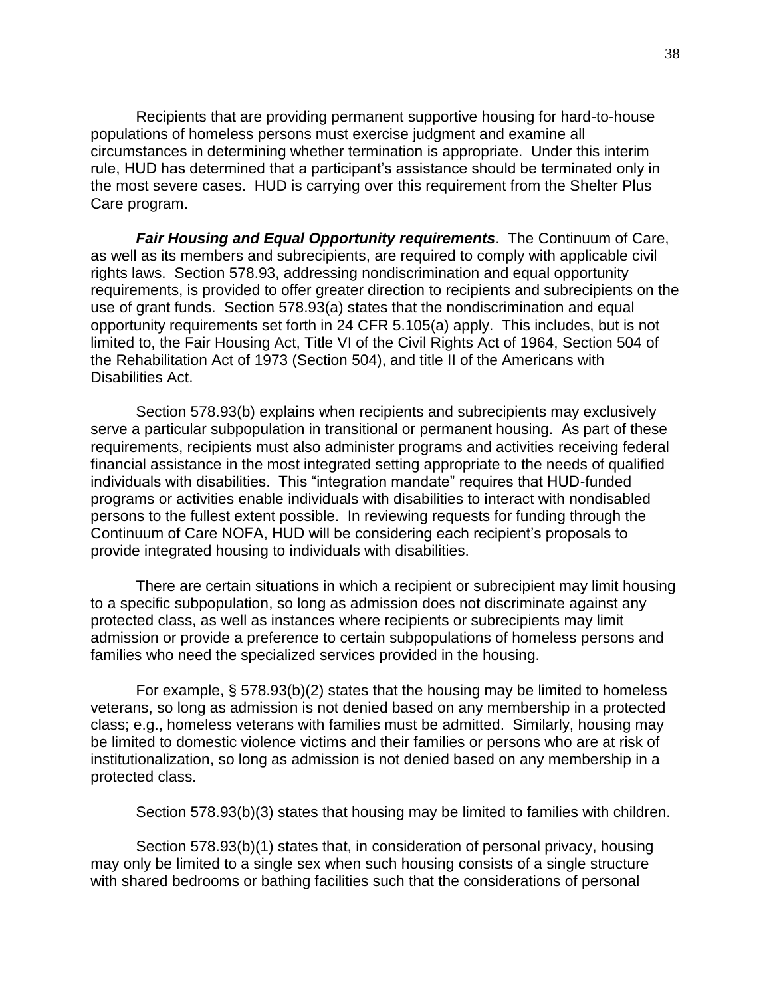Recipients that are providing permanent supportive housing for hard-to-house populations of homeless persons must exercise judgment and examine all circumstances in determining whether termination is appropriate. Under this interim rule, HUD has determined that a participant's assistance should be terminated only in the most severe cases. HUD is carrying over this requirement from the Shelter Plus Care program.

*Fair Housing and Equal Opportunity requirements*. The Continuum of Care, as well as its members and subrecipients, are required to comply with applicable civil rights laws. Section 578.93, addressing nondiscrimination and equal opportunity requirements, is provided to offer greater direction to recipients and subrecipients on the use of grant funds. Section 578.93(a) states that the nondiscrimination and equal opportunity requirements set forth in 24 CFR 5.105(a) apply. This includes, but is not limited to, the Fair Housing Act, Title VI of the Civil Rights Act of 1964, Section 504 of the Rehabilitation Act of 1973 (Section 504), and title II of the Americans with Disabilities Act.

Section 578.93(b) explains when recipients and subrecipients may exclusively serve a particular subpopulation in transitional or permanent housing. As part of these requirements, recipients must also administer programs and activities receiving federal financial assistance in the most integrated setting appropriate to the needs of qualified individuals with disabilities. This "integration mandate" requires that HUD-funded programs or activities enable individuals with disabilities to interact with nondisabled persons to the fullest extent possible. In reviewing requests for funding through the Continuum of Care NOFA, HUD will be considering each recipient's proposals to provide integrated housing to individuals with disabilities.

There are certain situations in which a recipient or subrecipient may limit housing to a specific subpopulation, so long as admission does not discriminate against any protected class, as well as instances where recipients or subrecipients may limit admission or provide a preference to certain subpopulations of homeless persons and families who need the specialized services provided in the housing.

For example, § 578.93(b)(2) states that the housing may be limited to homeless veterans, so long as admission is not denied based on any membership in a protected class; e.g., homeless veterans with families must be admitted. Similarly, housing may be limited to domestic violence victims and their families or persons who are at risk of institutionalization, so long as admission is not denied based on any membership in a protected class.

Section 578.93(b)(3) states that housing may be limited to families with children.

Section 578.93(b)(1) states that, in consideration of personal privacy, housing may only be limited to a single sex when such housing consists of a single structure with shared bedrooms or bathing facilities such that the considerations of personal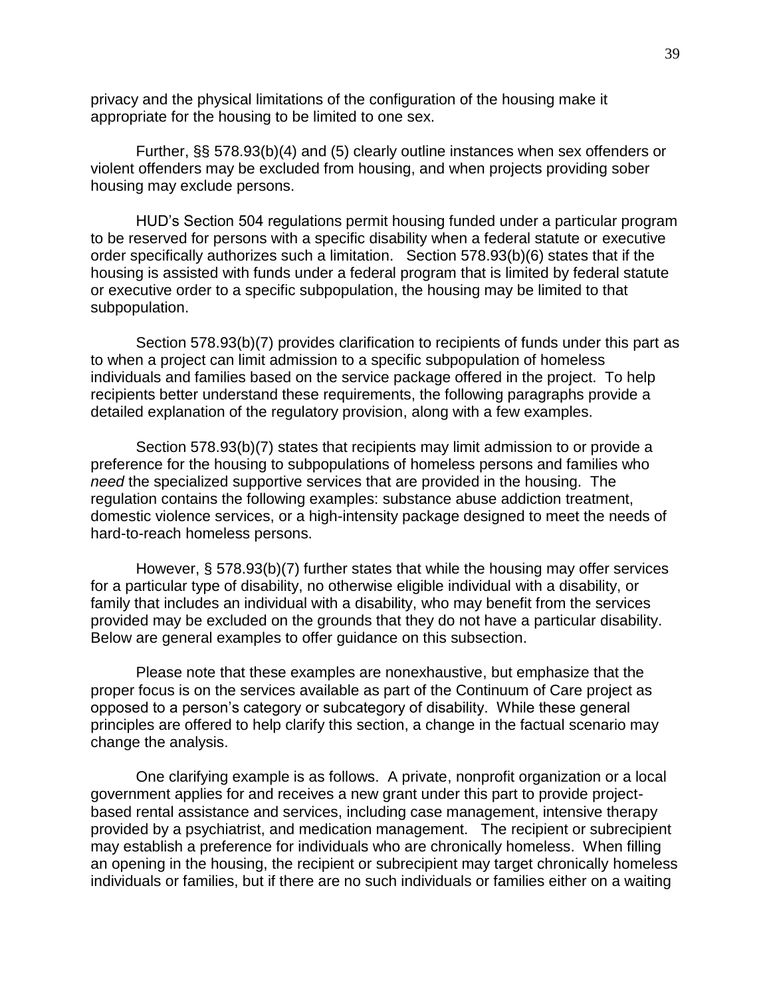privacy and the physical limitations of the configuration of the housing make it appropriate for the housing to be limited to one sex.

Further, §§ 578.93(b)(4) and (5) clearly outline instances when sex offenders or violent offenders may be excluded from housing, and when projects providing sober housing may exclude persons.

HUD's Section 504 regulations permit housing funded under a particular program to be reserved for persons with a specific disability when a federal statute or executive order specifically authorizes such a limitation. Section 578.93(b)(6) states that if the housing is assisted with funds under a federal program that is limited by federal statute or executive order to a specific subpopulation, the housing may be limited to that subpopulation.

Section 578.93(b)(7) provides clarification to recipients of funds under this part as to when a project can limit admission to a specific subpopulation of homeless individuals and families based on the service package offered in the project. To help recipients better understand these requirements, the following paragraphs provide a detailed explanation of the regulatory provision, along with a few examples.

Section 578.93(b)(7) states that recipients may limit admission to or provide a preference for the housing to subpopulations of homeless persons and families who *need* the specialized supportive services that are provided in the housing. The regulation contains the following examples: substance abuse addiction treatment, domestic violence services, or a high-intensity package designed to meet the needs of hard-to-reach homeless persons.

However, § 578.93(b)(7) further states that while the housing may offer services for a particular type of disability, no otherwise eligible individual with a disability, or family that includes an individual with a disability, who may benefit from the services provided may be excluded on the grounds that they do not have a particular disability. Below are general examples to offer guidance on this subsection.

Please note that these examples are nonexhaustive, but emphasize that the proper focus is on the services available as part of the Continuum of Care project as opposed to a person's category or subcategory of disability. While these general principles are offered to help clarify this section, a change in the factual scenario may change the analysis.

One clarifying example is as follows. A private, nonprofit organization or a local government applies for and receives a new grant under this part to provide projectbased rental assistance and services, including case management, intensive therapy provided by a psychiatrist, and medication management. The recipient or subrecipient may establish a preference for individuals who are chronically homeless. When filling an opening in the housing, the recipient or subrecipient may target chronically homeless individuals or families, but if there are no such individuals or families either on a waiting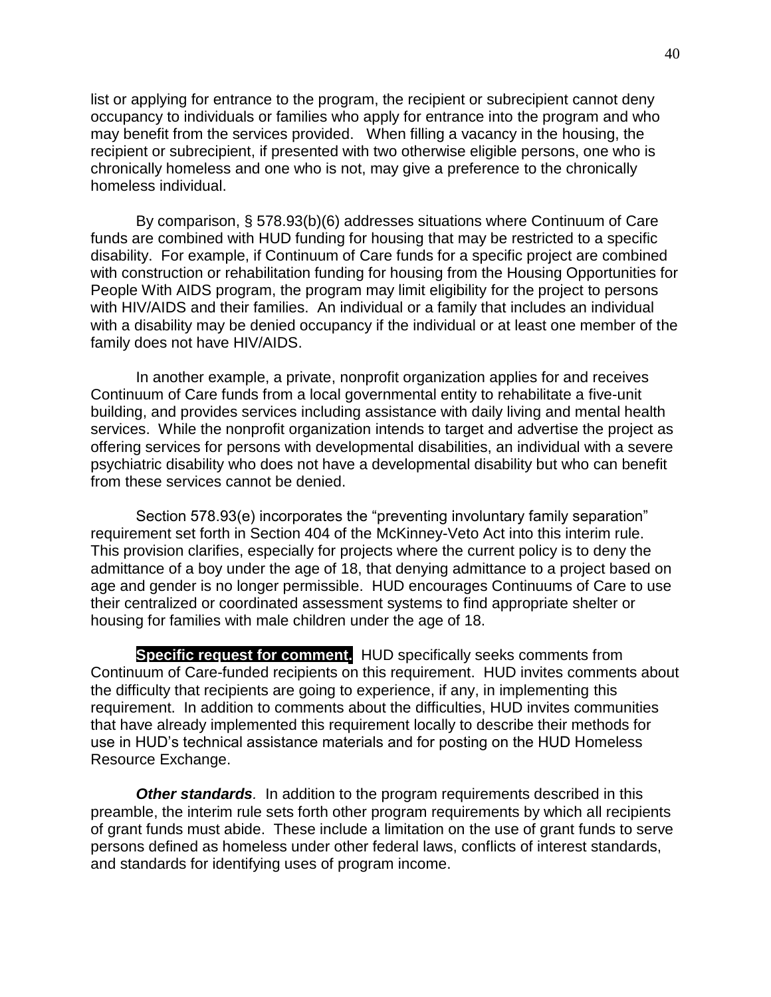list or applying for entrance to the program, the recipient or subrecipient cannot deny occupancy to individuals or families who apply for entrance into the program and who may benefit from the services provided. When filling a vacancy in the housing, the recipient or subrecipient, if presented with two otherwise eligible persons, one who is chronically homeless and one who is not, may give a preference to the chronically homeless individual.

By comparison, § 578.93(b)(6) addresses situations where Continuum of Care funds are combined with HUD funding for housing that may be restricted to a specific disability. For example, if Continuum of Care funds for a specific project are combined with construction or rehabilitation funding for housing from the Housing Opportunities for People With AIDS program, the program may limit eligibility for the project to persons with HIV/AIDS and their families. An individual or a family that includes an individual with a disability may be denied occupancy if the individual or at least one member of the family does not have HIV/AIDS.

In another example, a private, nonprofit organization applies for and receives Continuum of Care funds from a local governmental entity to rehabilitate a five-unit building, and provides services including assistance with daily living and mental health services. While the nonprofit organization intends to target and advertise the project as offering services for persons with developmental disabilities, an individual with a severe psychiatric disability who does not have a developmental disability but who can benefit from these services cannot be denied.

Section 578.93(e) incorporates the "preventing involuntary family separation" requirement set forth in Section 404 of the McKinney-Veto Act into this interim rule. This provision clarifies, especially for projects where the current policy is to deny the admittance of a boy under the age of 18, that denying admittance to a project based on age and gender is no longer permissible. HUD encourages Continuums of Care to use their centralized or coordinated assessment systems to find appropriate shelter or housing for families with male children under the age of 18.

**Specific request for comment.** HUD specifically seeks comments from Continuum of Care-funded recipients on this requirement. HUD invites comments about the difficulty that recipients are going to experience, if any, in implementing this requirement. In addition to comments about the difficulties, HUD invites communities that have already implemented this requirement locally to describe their methods for use in HUD's technical assistance materials and for posting on the HUD Homeless Resource Exchange.

**Other standards**. In addition to the program requirements described in this preamble, the interim rule sets forth other program requirements by which all recipients of grant funds must abide. These include a limitation on the use of grant funds to serve persons defined as homeless under other federal laws, conflicts of interest standards, and standards for identifying uses of program income.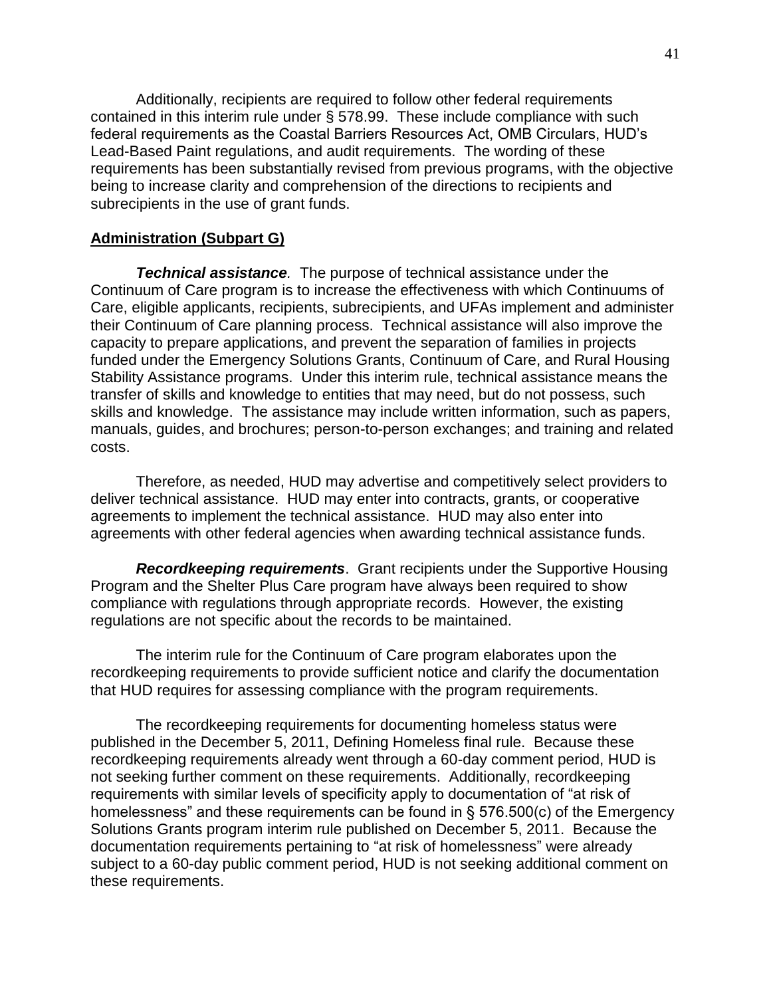Additionally, recipients are required to follow other federal requirements contained in this interim rule under § 578.99. These include compliance with such federal requirements as the Coastal Barriers Resources Act, OMB Circulars, HUD's Lead-Based Paint regulations, and audit requirements. The wording of these requirements has been substantially revised from previous programs, with the objective being to increase clarity and comprehension of the directions to recipients and subrecipients in the use of grant funds.

#### **Administration (Subpart G)**

*Technical assistance.* The purpose of technical assistance under the Continuum of Care program is to increase the effectiveness with which Continuums of Care, eligible applicants, recipients, subrecipients, and UFAs implement and administer their Continuum of Care planning process. Technical assistance will also improve the capacity to prepare applications, and prevent the separation of families in projects funded under the Emergency Solutions Grants, Continuum of Care, and Rural Housing Stability Assistance programs. Under this interim rule, technical assistance means the transfer of skills and knowledge to entities that may need, but do not possess, such skills and knowledge. The assistance may include written information, such as papers, manuals, guides, and brochures; person-to-person exchanges; and training and related costs.

Therefore, as needed, HUD may advertise and competitively select providers to deliver technical assistance. HUD may enter into contracts, grants, or cooperative agreements to implement the technical assistance. HUD may also enter into agreements with other federal agencies when awarding technical assistance funds.

*Recordkeeping requirements*. Grant recipients under the Supportive Housing Program and the Shelter Plus Care program have always been required to show compliance with regulations through appropriate records. However, the existing regulations are not specific about the records to be maintained.

The interim rule for the Continuum of Care program elaborates upon the recordkeeping requirements to provide sufficient notice and clarify the documentation that HUD requires for assessing compliance with the program requirements.

The recordkeeping requirements for documenting homeless status were published in the December 5, 2011, Defining Homeless final rule. Because these recordkeeping requirements already went through a 60-day comment period, HUD is not seeking further comment on these requirements. Additionally, recordkeeping requirements with similar levels of specificity apply to documentation of "at risk of homelessness" and these requirements can be found in  $\S$  576.500(c) of the Emergency Solutions Grants program interim rule published on December 5, 2011. Because the documentation requirements pertaining to "at risk of homelessness" were already subject to a 60-day public comment period, HUD is not seeking additional comment on these requirements.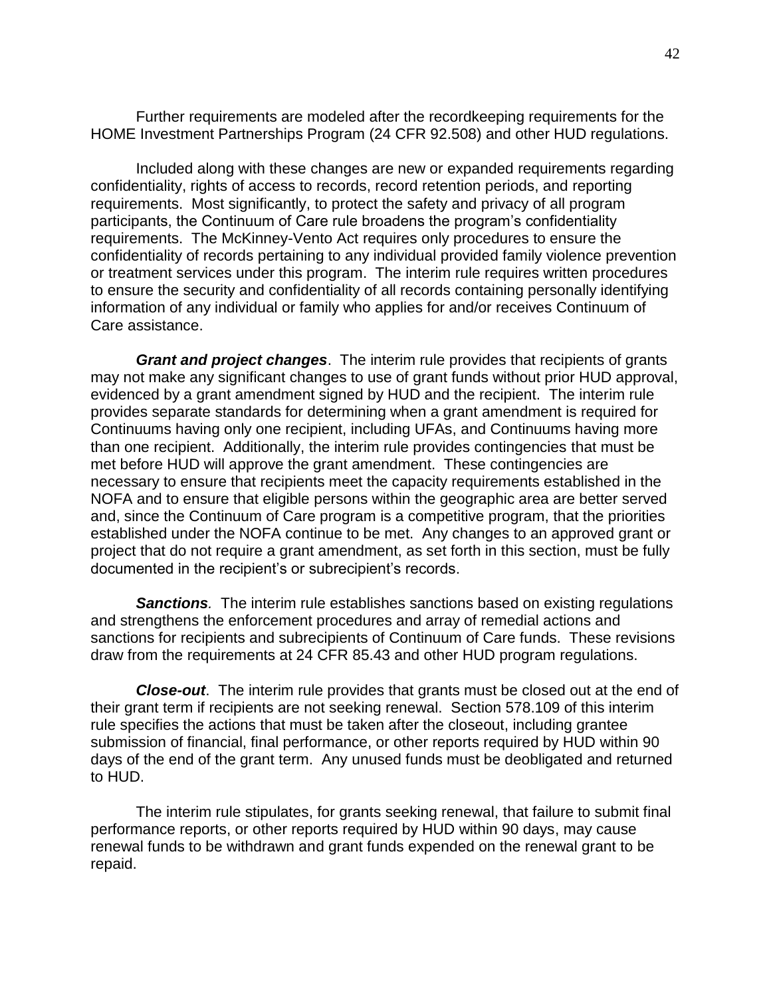Further requirements are modeled after the recordkeeping requirements for the HOME Investment Partnerships Program (24 CFR 92.508) and other HUD regulations.

Included along with these changes are new or expanded requirements regarding confidentiality, rights of access to records, record retention periods, and reporting requirements. Most significantly, to protect the safety and privacy of all program participants, the Continuum of Care rule broadens the program's confidentiality requirements. The McKinney-Vento Act requires only procedures to ensure the confidentiality of records pertaining to any individual provided family violence prevention or treatment services under this program. The interim rule requires written procedures to ensure the security and confidentiality of all records containing personally identifying information of any individual or family who applies for and/or receives Continuum of Care assistance.

*Grant and project changes*. The interim rule provides that recipients of grants may not make any significant changes to use of grant funds without prior HUD approval, evidenced by a grant amendment signed by HUD and the recipient. The interim rule provides separate standards for determining when a grant amendment is required for Continuums having only one recipient, including UFAs, and Continuums having more than one recipient. Additionally, the interim rule provides contingencies that must be met before HUD will approve the grant amendment. These contingencies are necessary to ensure that recipients meet the capacity requirements established in the NOFA and to ensure that eligible persons within the geographic area are better served and, since the Continuum of Care program is a competitive program, that the priorities established under the NOFA continue to be met. Any changes to an approved grant or project that do not require a grant amendment, as set forth in this section, must be fully documented in the recipient's or subrecipient's records.

*Sanctions.* The interim rule establishes sanctions based on existing regulations and strengthens the enforcement procedures and array of remedial actions and sanctions for recipients and subrecipients of Continuum of Care funds. These revisions draw from the requirements at 24 CFR 85.43 and other HUD program regulations.

*Close-out*. The interim rule provides that grants must be closed out at the end of their grant term if recipients are not seeking renewal. Section 578.109 of this interim rule specifies the actions that must be taken after the closeout, including grantee submission of financial, final performance, or other reports required by HUD within 90 days of the end of the grant term. Any unused funds must be deobligated and returned to HUD.

The interim rule stipulates, for grants seeking renewal, that failure to submit final performance reports, or other reports required by HUD within 90 days, may cause renewal funds to be withdrawn and grant funds expended on the renewal grant to be repaid.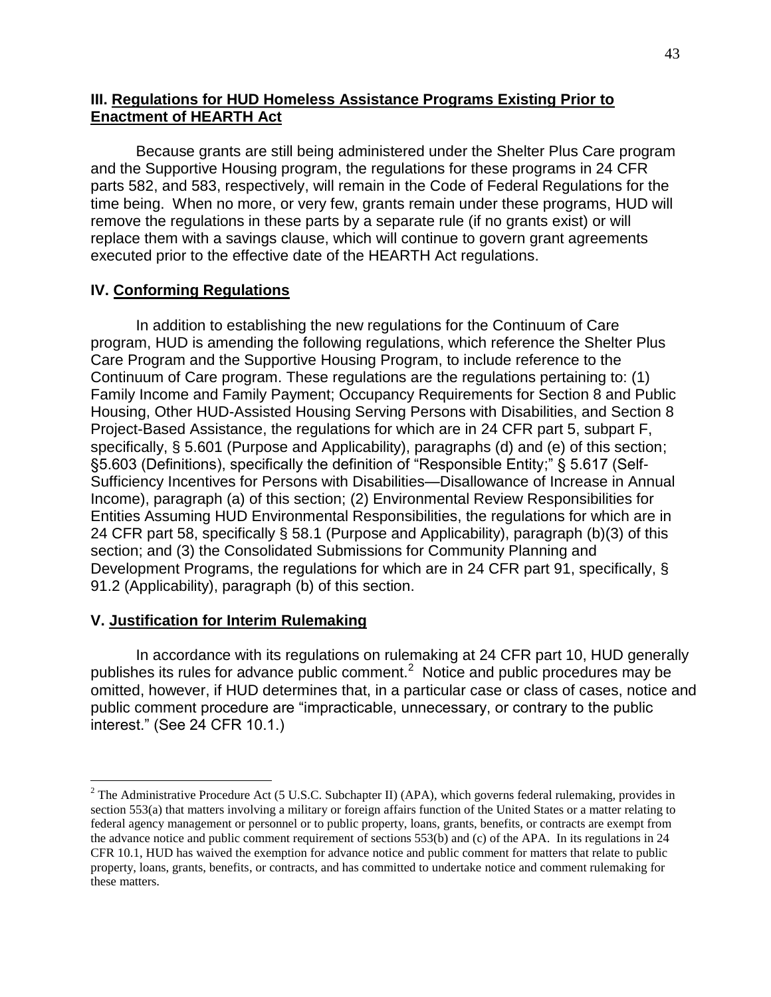## **III. Regulations for HUD Homeless Assistance Programs Existing Prior to Enactment of HEARTH Act**

Because grants are still being administered under the Shelter Plus Care program and the Supportive Housing program, the regulations for these programs in 24 CFR parts 582, and 583, respectively, will remain in the Code of Federal Regulations for the time being. When no more, or very few, grants remain under these programs, HUD will remove the regulations in these parts by a separate rule (if no grants exist) or will replace them with a savings clause, which will continue to govern grant agreements executed prior to the effective date of the HEARTH Act regulations.

## **IV. Conforming Regulations**

In addition to establishing the new regulations for the Continuum of Care program, HUD is amending the following regulations, which reference the Shelter Plus Care Program and the Supportive Housing Program, to include reference to the Continuum of Care program. These regulations are the regulations pertaining to: (1) Family Income and Family Payment; Occupancy Requirements for Section 8 and Public Housing, Other HUD-Assisted Housing Serving Persons with Disabilities, and Section 8 Project-Based Assistance, the regulations for which are in 24 CFR part 5, subpart F, specifically, § 5.601 (Purpose and Applicability), paragraphs (d) and (e) of this section; §5.603 (Definitions), specifically the definition of "Responsible Entity;" § 5.617 (Self-Sufficiency Incentives for Persons with Disabilities—Disallowance of Increase in Annual Income), paragraph (a) of this section; (2) Environmental Review Responsibilities for Entities Assuming HUD Environmental Responsibilities, the regulations for which are in 24 CFR part 58, specifically § 58.1 (Purpose and Applicability), paragraph (b)(3) of this section; and (3) the Consolidated Submissions for Community Planning and Development Programs, the regulations for which are in 24 CFR part 91, specifically, § 91.2 (Applicability), paragraph (b) of this section.

## **V. Justification for Interim Rulemaking**

 $\overline{a}$ 

In accordance with its regulations on rulemaking at 24 CFR part 10, HUD generally publishes its rules for advance public comment.<sup>2</sup> Notice and public procedures may be omitted, however, if HUD determines that, in a particular case or class of cases, notice and public comment procedure are "impracticable, unnecessary, or contrary to the public interest.‖ (See 24 CFR 10.1.)

 $2$  The Administrative Procedure Act (5 U.S.C. Subchapter II) (APA), which governs federal rulemaking, provides in section 553(a) that matters involving a military or foreign affairs function of the United States or a matter relating to federal agency management or personnel or to public property, loans, grants, benefits, or contracts are exempt from the advance notice and public comment requirement of sections 553(b) and (c) of the APA. In its regulations in 24 CFR 10.1, HUD has waived the exemption for advance notice and public comment for matters that relate to public property, loans, grants, benefits, or contracts, and has committed to undertake notice and comment rulemaking for these matters.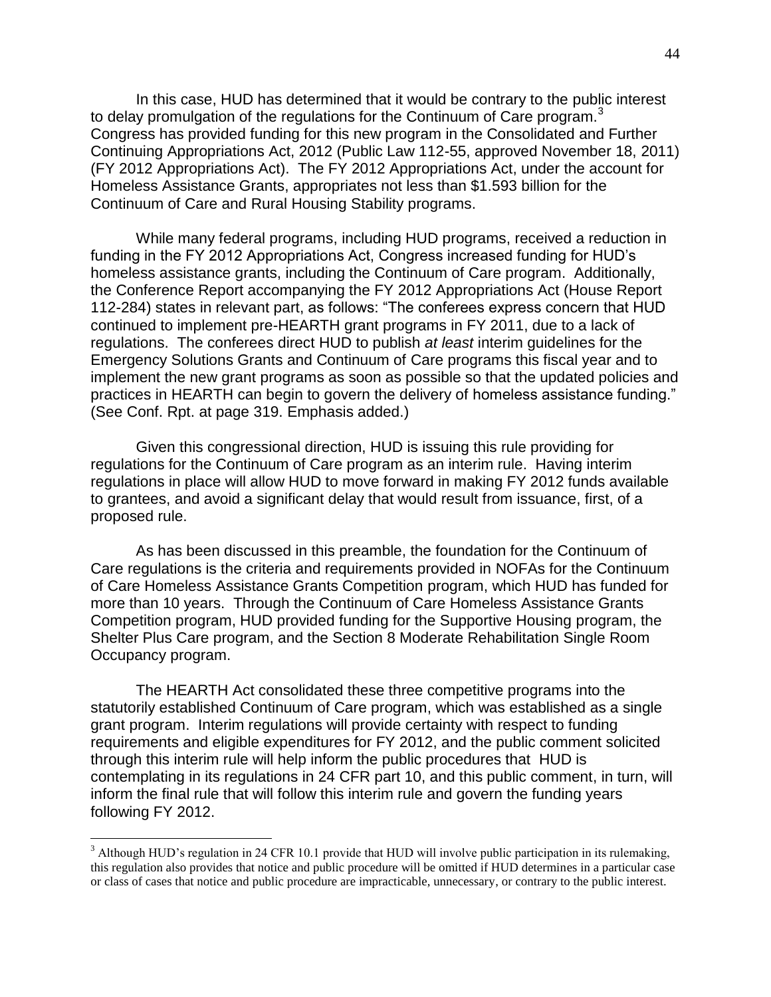In this case, HUD has determined that it would be contrary to the public interest to delay promulgation of the regulations for the Continuum of Care program.<sup>3</sup> Congress has provided funding for this new program in the Consolidated and Further Continuing Appropriations Act, 2012 (Public Law 112-55, approved November 18, 2011) (FY 2012 Appropriations Act). The FY 2012 Appropriations Act, under the account for Homeless Assistance Grants, appropriates not less than \$1.593 billion for the Continuum of Care and Rural Housing Stability programs.

While many federal programs, including HUD programs, received a reduction in funding in the FY 2012 Appropriations Act, Congress increased funding for HUD's homeless assistance grants, including the Continuum of Care program. Additionally, the Conference Report accompanying the FY 2012 Appropriations Act (House Report 112-284) states in relevant part, as follows: "The conferees express concern that HUD continued to implement pre-HEARTH grant programs in FY 2011, due to a lack of regulations. The conferees direct HUD to publish *at least* interim guidelines for the Emergency Solutions Grants and Continuum of Care programs this fiscal year and to implement the new grant programs as soon as possible so that the updated policies and practices in HEARTH can begin to govern the delivery of homeless assistance funding." (See Conf. Rpt. at page 319. Emphasis added.)

Given this congressional direction, HUD is issuing this rule providing for regulations for the Continuum of Care program as an interim rule. Having interim regulations in place will allow HUD to move forward in making FY 2012 funds available to grantees, and avoid a significant delay that would result from issuance, first, of a proposed rule.

As has been discussed in this preamble, the foundation for the Continuum of Care regulations is the criteria and requirements provided in NOFAs for the Continuum of Care Homeless Assistance Grants Competition program, which HUD has funded for more than 10 years. Through the Continuum of Care Homeless Assistance Grants Competition program, HUD provided funding for the Supportive Housing program, the Shelter Plus Care program, and the Section 8 Moderate Rehabilitation Single Room Occupancy program.

The HEARTH Act consolidated these three competitive programs into the statutorily established Continuum of Care program, which was established as a single grant program. Interim regulations will provide certainty with respect to funding requirements and eligible expenditures for FY 2012, and the public comment solicited through this interim rule will help inform the public procedures that HUD is contemplating in its regulations in 24 CFR part 10, and this public comment, in turn, will inform the final rule that will follow this interim rule and govern the funding years following FY 2012.

 $\overline{a}$ 

 $3$  Although HUD's regulation in 24 CFR 10.1 provide that HUD will involve public participation in its rulemaking, this regulation also provides that notice and public procedure will be omitted if HUD determines in a particular case or class of cases that notice and public procedure are impracticable, unnecessary, or contrary to the public interest.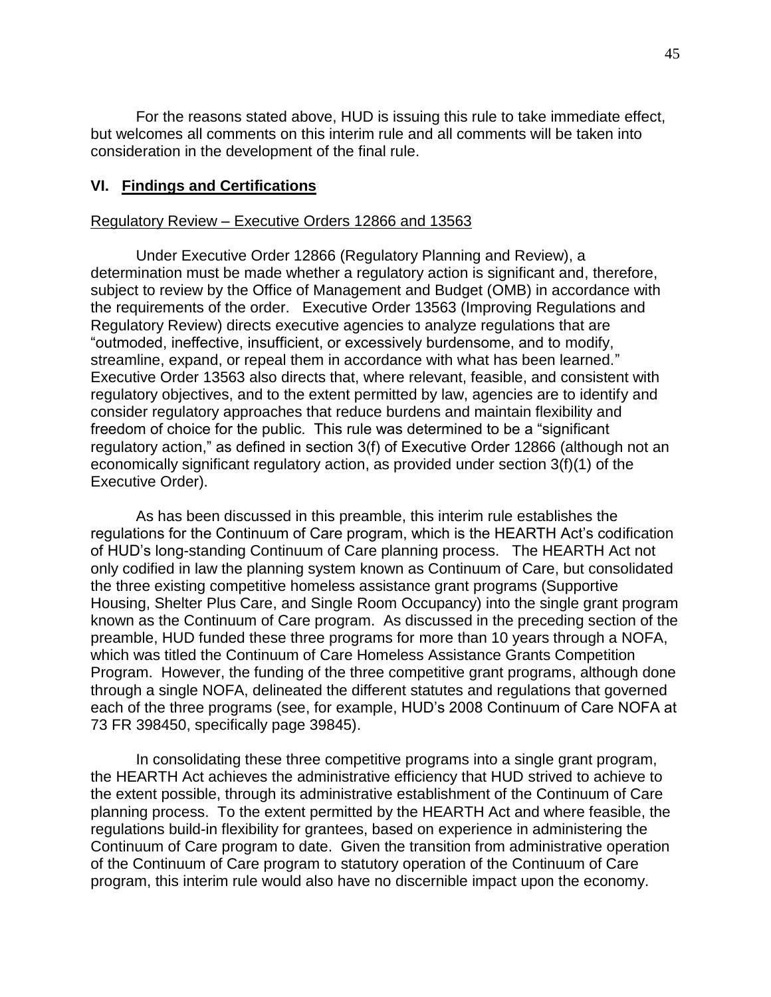For the reasons stated above, HUD is issuing this rule to take immediate effect, but welcomes all comments on this interim rule and all comments will be taken into consideration in the development of the final rule.

#### **VI. Findings and Certifications**

#### Regulatory Review – Executive Orders 12866 and 13563

Under Executive Order 12866 (Regulatory Planning and Review), a determination must be made whether a regulatory action is significant and, therefore, subject to review by the Office of Management and Budget (OMB) in accordance with the requirements of the order. Executive Order 13563 (Improving Regulations and Regulatory Review) directs executive agencies to analyze regulations that are "outmoded, ineffective, insufficient, or excessively burdensome, and to modify, streamline, expand, or repeal them in accordance with what has been learned." Executive Order 13563 also directs that, where relevant, feasible, and consistent with regulatory objectives, and to the extent permitted by law, agencies are to identify and consider regulatory approaches that reduce burdens and maintain flexibility and freedom of choice for the public. This rule was determined to be a "significant" regulatory action," as defined in section 3(f) of Executive Order 12866 (although not an economically significant regulatory action, as provided under section 3(f)(1) of the Executive Order).

As has been discussed in this preamble, this interim rule establishes the regulations for the Continuum of Care program, which is the HEARTH Act's codification of HUD's long-standing Continuum of Care planning process. The HEARTH Act not only codified in law the planning system known as Continuum of Care, but consolidated the three existing competitive homeless assistance grant programs (Supportive Housing, Shelter Plus Care, and Single Room Occupancy) into the single grant program known as the Continuum of Care program. As discussed in the preceding section of the preamble, HUD funded these three programs for more than 10 years through a NOFA, which was titled the Continuum of Care Homeless Assistance Grants Competition Program. However, the funding of the three competitive grant programs, although done through a single NOFA, delineated the different statutes and regulations that governed each of the three programs (see, for example, HUD's 2008 Continuum of Care NOFA at 73 FR 398450, specifically page 39845).

In consolidating these three competitive programs into a single grant program, the HEARTH Act achieves the administrative efficiency that HUD strived to achieve to the extent possible, through its administrative establishment of the Continuum of Care planning process. To the extent permitted by the HEARTH Act and where feasible, the regulations build-in flexibility for grantees, based on experience in administering the Continuum of Care program to date. Given the transition from administrative operation of the Continuum of Care program to statutory operation of the Continuum of Care program, this interim rule would also have no discernible impact upon the economy.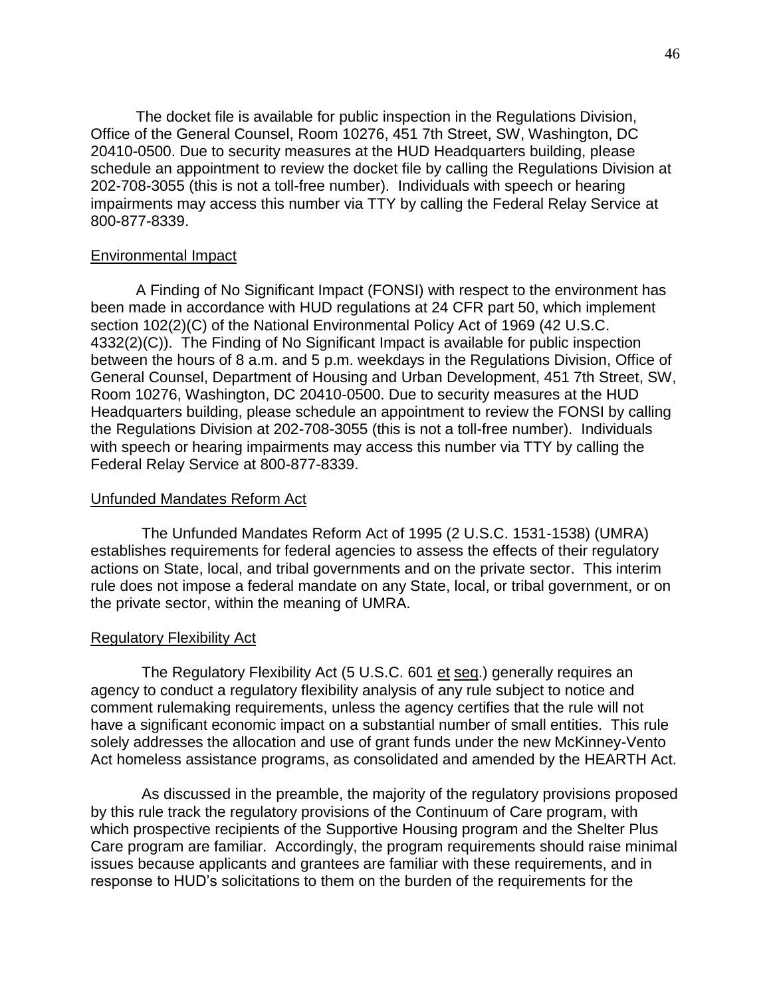The docket file is available for public inspection in the Regulations Division, Office of the General Counsel, Room 10276, 451 7th Street, SW, Washington, DC 20410-0500. Due to security measures at the HUD Headquarters building, please schedule an appointment to review the docket file by calling the Regulations Division at 202-708-3055 (this is not a toll-free number). Individuals with speech or hearing impairments may access this number via TTY by calling the Federal Relay Service at 800-877-8339.

#### Environmental Impact

A Finding of No Significant Impact (FONSI) with respect to the environment has been made in accordance with HUD regulations at 24 CFR part 50, which implement section 102(2)(C) of the National Environmental Policy Act of 1969 (42 U.S.C. 4332(2)(C)). The Finding of No Significant Impact is available for public inspection between the hours of 8 a.m. and 5 p.m. weekdays in the Regulations Division, Office of General Counsel, Department of Housing and Urban Development, 451 7th Street, SW, Room 10276, Washington, DC 20410-0500. Due to security measures at the HUD Headquarters building, please schedule an appointment to review the FONSI by calling the Regulations Division at 202-708-3055 (this is not a toll-free number). Individuals with speech or hearing impairments may access this number via TTY by calling the Federal Relay Service at 800-877-8339.

#### Unfunded Mandates Reform Act

The Unfunded Mandates Reform Act of 1995 (2 U.S.C. 1531-1538) (UMRA) establishes requirements for federal agencies to assess the effects of their regulatory actions on State, local, and tribal governments and on the private sector. This interim rule does not impose a federal mandate on any State, local, or tribal government, or on the private sector, within the meaning of UMRA.

#### Regulatory Flexibility Act

The Regulatory Flexibility Act (5 U.S.C. 601 et seq.) generally requires an agency to conduct a regulatory flexibility analysis of any rule subject to notice and comment rulemaking requirements, unless the agency certifies that the rule will not have a significant economic impact on a substantial number of small entities. This rule solely addresses the allocation and use of grant funds under the new McKinney-Vento Act homeless assistance programs, as consolidated and amended by the HEARTH Act.

As discussed in the preamble, the majority of the regulatory provisions proposed by this rule track the regulatory provisions of the Continuum of Care program, with which prospective recipients of the Supportive Housing program and the Shelter Plus Care program are familiar. Accordingly, the program requirements should raise minimal issues because applicants and grantees are familiar with these requirements, and in response to HUD's solicitations to them on the burden of the requirements for the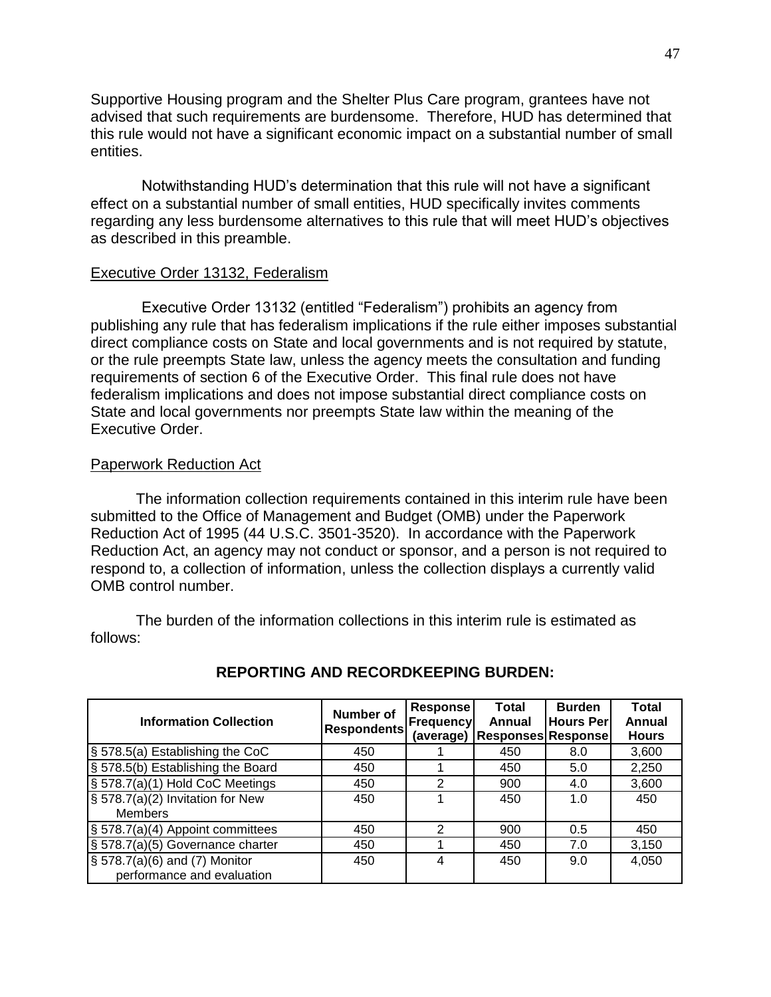Supportive Housing program and the Shelter Plus Care program, grantees have not advised that such requirements are burdensome. Therefore, HUD has determined that this rule would not have a significant economic impact on a substantial number of small entities.

Notwithstanding HUD's determination that this rule will not have a significant effect on a substantial number of small entities, HUD specifically invites comments regarding any less burdensome alternatives to this rule that will meet HUD's objectives as described in this preamble.

#### Executive Order 13132, Federalism

Executive Order 13132 (entitled "Federalism") prohibits an agency from publishing any rule that has federalism implications if the rule either imposes substantial direct compliance costs on State and local governments and is not required by statute, or the rule preempts State law, unless the agency meets the consultation and funding requirements of section 6 of the Executive Order. This final rule does not have federalism implications and does not impose substantial direct compliance costs on State and local governments nor preempts State law within the meaning of the Executive Order.

#### Paperwork Reduction Act

The information collection requirements contained in this interim rule have been submitted to the Office of Management and Budget (OMB) under the Paperwork Reduction Act of 1995 (44 U.S.C. 3501-3520). In accordance with the Paperwork Reduction Act, an agency may not conduct or sponsor, and a person is not required to respond to, a collection of information, unless the collection displays a currently valid OMB control number.

The burden of the information collections in this interim rule is estimated as follows:

| <b>Information Collection</b>                                           | Number of<br><b>Respondents</b> | <b>Response</b><br><b>Frequency</b> | <b>Total</b><br>Annual<br>(average)   Responses   Response | <b>Burden</b><br><b>Hours Perl</b> | <b>Total</b><br>Annual<br><b>Hours</b> |
|-------------------------------------------------------------------------|---------------------------------|-------------------------------------|------------------------------------------------------------|------------------------------------|----------------------------------------|
| § 578.5(a) Establishing the CoC                                         | 450                             |                                     | 450                                                        | 8.0                                | 3,600                                  |
| § 578.5(b) Establishing the Board                                       | 450                             |                                     | 450                                                        | 5.0                                | 2,250                                  |
| § 578.7(a)(1) Hold CoC Meetings                                         | 450                             | 2                                   | 900                                                        | 4.0                                | 3,600                                  |
| § 578.7(a)(2) Invitation for New<br><b>Members</b>                      | 450                             |                                     | 450                                                        | 1.0                                | 450                                    |
| § 578.7(a)(4) Appoint committees                                        | 450                             | 2                                   | 900                                                        | 0.5                                | 450                                    |
| § 578.7(a)(5) Governance charter                                        | 450                             |                                     | 450                                                        | 7.0                                | 3,150                                  |
| $\frac{1}{3}$ 578.7(a)(6) and (7) Monitor<br>performance and evaluation | 450                             | 4                                   | 450                                                        | 9.0                                | 4,050                                  |

#### **REPORTING AND RECORDKEEPING BURDEN:**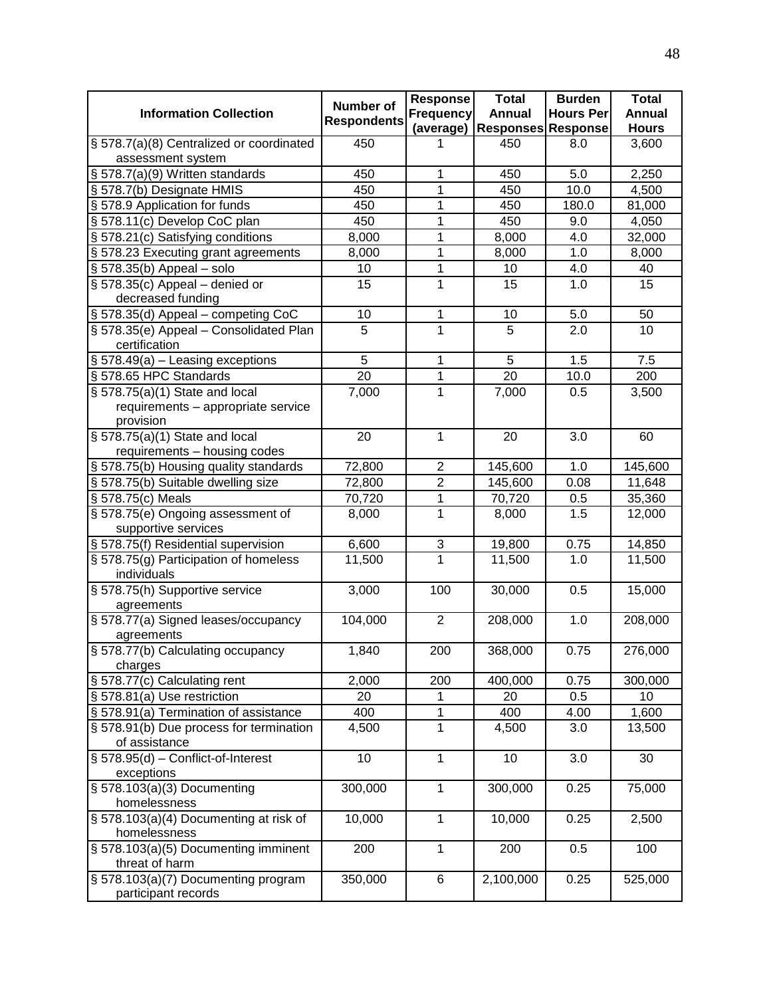| <b>Information Collection</b>                                 | <b>Number of</b>   | <b>Response</b><br><b>Frequency</b>       | <b>Total</b><br><b>Annual</b> | <b>Burden</b><br><b>Hours Per</b> | <b>Total</b><br>Annual |
|---------------------------------------------------------------|--------------------|-------------------------------------------|-------------------------------|-----------------------------------|------------------------|
|                                                               | <b>Respondents</b> | (average)                                 | <b>Responses Response</b>     |                                   | <b>Hours</b>           |
| § 578.7(a)(8) Centralized or coordinated<br>assessment system | 450                | 1                                         | 450                           | 8.0                               | 3,600                  |
| § 578.7(a)(9) Written standards                               | 450                | 1                                         | 450                           | 5.0                               | 2,250                  |
| § 578.7(b) Designate HMIS                                     | 450                | 1                                         | 450                           | 10.0                              | 4,500                  |
| § 578.9 Application for funds                                 | 450                | 1                                         | 450                           | 180.0                             | 81,000                 |
| § 578.11(c) Develop CoC plan                                  | 450                | 1                                         | 450                           | 9.0                               | 4,050                  |
| § 578.21(c) Satisfying conditions                             | 8,000              | 1                                         | 8,000                         | 4.0                               | 32,000                 |
| § 578.23 Executing grant agreements                           | 8,000              | 1                                         | 8,000                         | 1.0                               | 8,000                  |
| $\S$ 578.35(b) Appeal – solo                                  | 10                 | 1                                         | 10                            | 4.0                               | 40                     |
| $\S$ 578.35(c) Appeal – denied or                             | 15                 | 1                                         | 15                            | 1.0                               | 15                     |
| decreased funding                                             |                    |                                           |                               |                                   |                        |
| § 578.35(d) Appeal - competing CoC                            | 10                 | 1                                         | 10                            | 5.0                               | 50                     |
| § 578.35(e) Appeal - Consolidated Plan<br>certification       | 5                  | 1                                         | 5                             | 2.0                               | 10                     |
| $\S$ 578.49(a) – Leasing exceptions                           | 5                  | 1                                         | 5                             | 1.5                               | 7.5                    |
| § 578.65 HPC Standards                                        | 20                 | 1                                         | 20                            | 10.0                              | 200                    |
| § 578.75(a)(1) State and local                                | 7,000              | $\overline{1}$                            | 7,000                         | 0.5                               | 3,500                  |
| requirements - appropriate service                            |                    |                                           |                               |                                   |                        |
| provision                                                     |                    |                                           |                               |                                   |                        |
| § 578.75(a)(1) State and local                                | 20                 | 1                                         | 20                            | 3.0                               | 60                     |
| requirements - housing codes                                  |                    |                                           | 145,600                       | 1.0                               | 145,600                |
| § 578.75(b) Housing quality standards                         | 72,800<br>72,800   | $\overline{\mathbf{c}}$<br>$\overline{2}$ |                               | 0.08                              | 11,648                 |
| § 578.75(b) Suitable dwelling size<br>§ 578.75(c) Meals       | 70,720             | 1                                         | 145,600                       | 0.5                               |                        |
| § 578.75(e) Ongoing assessment of                             | 8,000              | 1                                         | 70,720<br>8,000               | 1.5                               | 35,360<br>12,000       |
| supportive services                                           |                    |                                           |                               |                                   |                        |
| § 578.75(f) Residential supervision                           | 6,600              | $\ensuremath{\mathsf{3}}$                 | 19,800                        | 0.75                              | 14,850                 |
| § 578.75(g) Participation of homeless                         | 11,500             | $\overline{1}$                            | 11,500                        | 1.0                               | 11,500                 |
| individuals                                                   |                    |                                           |                               |                                   |                        |
| § 578.75(h) Supportive service                                | 3,000              | 100                                       | 30,000                        | 0.5                               | 15,000                 |
| agreements                                                    |                    |                                           |                               |                                   |                        |
| § 578.77(a) Signed leases/occupancy                           | 104,000            | $\overline{2}$                            | 208,000                       | 1.0                               | 208,000                |
| agreements                                                    |                    |                                           |                               |                                   |                        |
| § 578.77(b) Calculating occupancy<br>charges                  | 1,840              | 200                                       | 368,000                       | 0.75                              | 276,000                |
| § 578.77(c) Calculating rent                                  | 2,000              | 200                                       | 400,000                       | 0.75                              | 300,000                |
| § 578.81(a) Use restriction                                   | 20                 | 1                                         | 20                            | 0.5                               | 10                     |
| § 578.91(a) Termination of assistance                         | 400                | 1                                         | 400                           | 4.00                              | 1,600                  |
| § 578.91(b) Due process for termination                       | 4,500              | 1                                         | 4,500                         | 3.0                               | 13,500                 |
| of assistance                                                 |                    |                                           |                               |                                   |                        |
| $\S$ 578.95(d) - Conflict-of-Interest                         | 10                 | $\mathbf{1}$                              | 10 <sup>1</sup>               | 3.0                               | 30                     |
| exceptions                                                    |                    |                                           |                               |                                   |                        |
| § 578.103(a)(3) Documenting<br>homelessness                   | 300,000            | $\mathbf{1}$                              | 300,000                       | 0.25                              | 75,000                 |
| § 578.103(a)(4) Documenting at risk of<br>homelessness        | 10,000             | $\mathbf{1}$                              | 10,000                        | 0.25                              | 2,500                  |
| § 578.103(a)(5) Documenting imminent                          | 200                | $\mathbf{1}$                              | 200                           | 0.5                               | 100                    |
| threat of harm                                                |                    |                                           |                               |                                   |                        |
| § 578.103(a)(7) Documenting program<br>participant records    | 350,000            | 6                                         | 2,100,000                     | 0.25                              | 525,000                |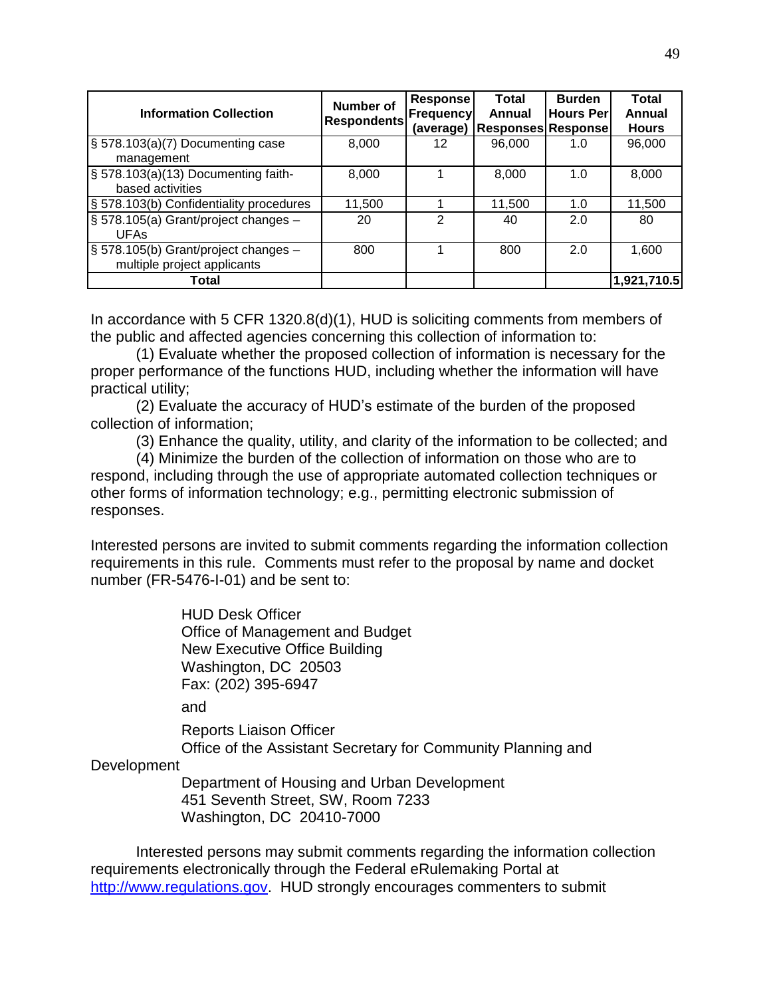| <b>Information Collection</b>                                       | <b>Number of</b><br><b>Respondents</b> | <b>Response</b><br><b>Frequency</b><br>(average) | Total<br>Annual<br><b>Responses Response</b> | <b>Burden</b><br><b>Hours Per</b> | Total<br><b>Annual</b><br><b>Hours</b> |
|---------------------------------------------------------------------|----------------------------------------|--------------------------------------------------|----------------------------------------------|-----------------------------------|----------------------------------------|
| $\frac{1}{3}$ 578.103(a)(7) Documenting case<br>management          | 8,000                                  | 12                                               | 96,000                                       | 1.0                               | 96,000                                 |
| § 578.103(a)(13) Documenting faith-<br>based activities             | 8,000                                  |                                                  | 8,000                                        | 1.0                               | 8,000                                  |
| § 578.103(b) Confidentiality procedures                             | 11,500                                 |                                                  | 11,500                                       | 1.0                               | 11,500                                 |
| § 578.105(a) Grant/project changes -<br><b>UFAs</b>                 | 20                                     | 2                                                | 40                                           | 2.0                               | 80                                     |
| § 578.105(b) Grant/project changes -<br>multiple project applicants | 800                                    |                                                  | 800                                          | 2.0                               | 1,600                                  |
| Total                                                               |                                        |                                                  |                                              |                                   | 1,921,710.5                            |

In accordance with 5 CFR 1320.8(d)(1), HUD is soliciting comments from members of the public and affected agencies concerning this collection of information to:

(1) Evaluate whether the proposed collection of information is necessary for the proper performance of the functions HUD, including whether the information will have practical utility;

(2) Evaluate the accuracy of HUD's estimate of the burden of the proposed collection of information;

(3) Enhance the quality, utility, and clarity of the information to be collected; and

(4) Minimize the burden of the collection of information on those who are to respond, including through the use of appropriate automated collection techniques or other forms of information technology; e.g., permitting electronic submission of responses.

Interested persons are invited to submit comments regarding the information collection requirements in this rule. Comments must refer to the proposal by name and docket number (FR-5476-I-01) and be sent to:

> HUD Desk Officer Office of Management and Budget New Executive Office Building Washington, DC 20503 Fax: (202) 395-6947

and

Reports Liaison Officer Office of the Assistant Secretary for Community Planning and

**Development** 

Department of Housing and Urban Development 451 Seventh Street, SW, Room 7233 Washington, DC 20410-7000

Interested persons may submit comments regarding the information collection requirements electronically through the Federal eRulemaking Portal at [http://www.regulations.gov.](http://www.regulations.gov/) HUD strongly encourages commenters to submit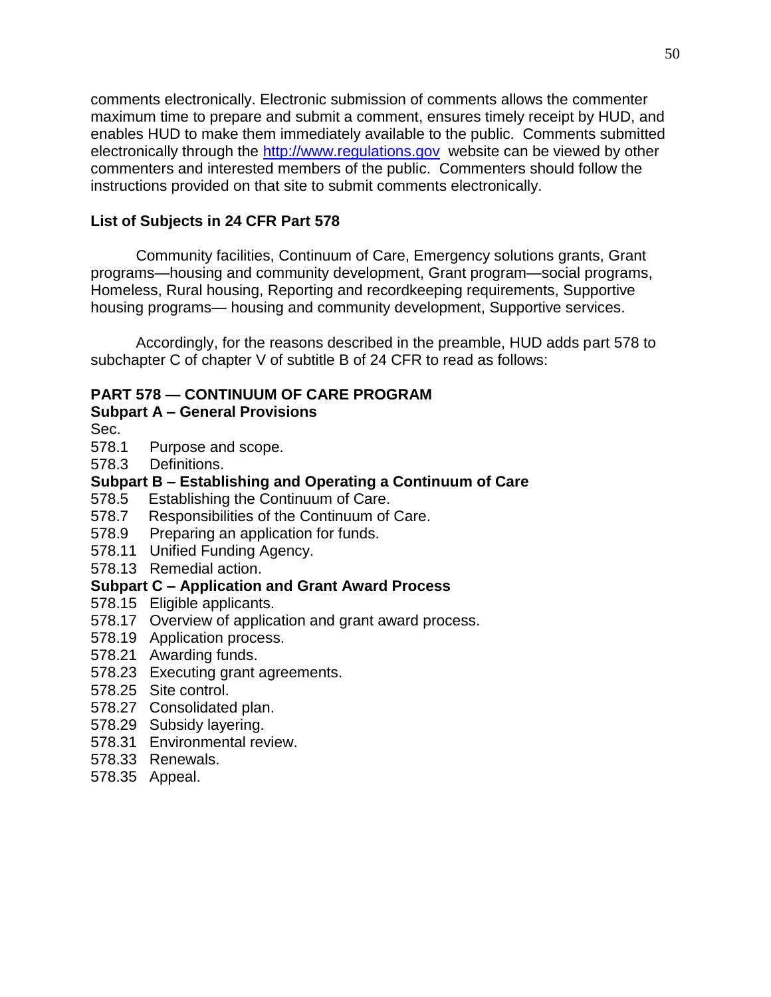comments electronically. Electronic submission of comments allows the commenter maximum time to prepare and submit a comment, ensures timely receipt by HUD, and enables HUD to make them immediately available to the public. Comments submitted electronically through the [http://www.regulations.gov](http://www.regulations.gov/) website can be viewed by other commenters and interested members of the public. Commenters should follow the instructions provided on that site to submit comments electronically.

# **List of Subjects in 24 CFR Part 578**

Community facilities, Continuum of Care, Emergency solutions grants, Grant programs—housing and community development, Grant program—social programs, Homeless, Rural housing, Reporting and recordkeeping requirements, Supportive housing programs— housing and community development, Supportive services.

Accordingly, for the reasons described in the preamble, HUD adds part 578 to subchapter C of chapter V of subtitle B of 24 CFR to read as follows:

# **PART 578 — CONTINUUM OF CARE PROGRAM**

## **Subpart A – General Provisions**

Sec.

- 578.1 Purpose and scope.
- 578.3 Definitions.

# **Subpart B – Establishing and Operating a Continuum of Care**

- 578.5 Establishing the Continuum of Care.
- 578.7 Responsibilities of the Continuum of Care.
- 578.9 Preparing an application for funds.
- 578.11 Unified Funding Agency.
- 578.13 Remedial action.

## **Subpart C – Application and Grant Award Process**

- 578.15 Eligible applicants.
- 578.17 Overview of application and grant award process.
- 578.19 Application process.
- 578.21 Awarding funds.
- 578.23 Executing grant agreements.
- 578.25 Site control.
- 578.27 Consolidated plan.
- 578.29 Subsidy layering.
- 578.31 Environmental review.
- 578.33 Renewals.
- 578.35 Appeal.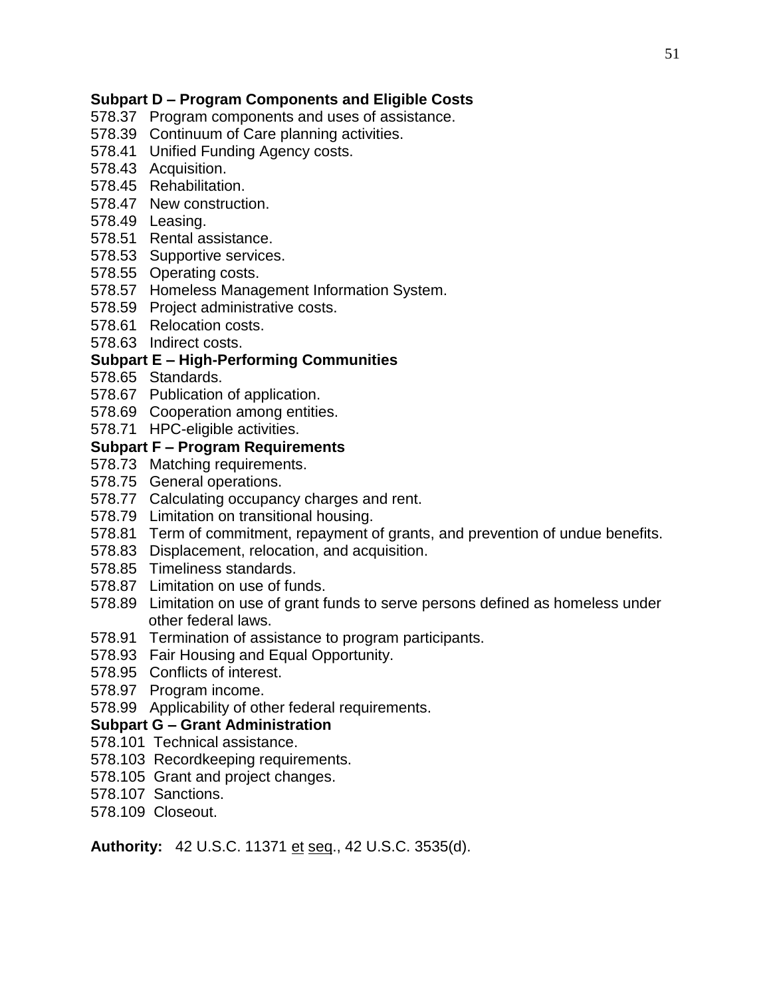## **Subpart D – Program Components and Eligible Costs**

- 578.37 Program components and uses of assistance.
- 578.39 Continuum of Care planning activities.
- 578.41 Unified Funding Agency costs.
- 578.43 Acquisition.
- 578.45 Rehabilitation.
- 578.47 New construction.
- 578.49 Leasing.
- 578.51 Rental assistance.
- 578.53 Supportive services.
- 578.55 Operating costs.
- 578.57 Homeless Management Information System.
- 578.59 Project administrative costs.
- 578.61 Relocation costs.
- 578.63 Indirect costs.

## **Subpart E – High-Performing Communities**

- 578.65 Standards.
- 578.67 Publication of application.
- 578.69 Cooperation among entities.
- 578.71 HPC-eligible activities.

### **Subpart F – Program Requirements**

- 578.73 Matching requirements.
- 578.75 General operations.
- 578.77 Calculating occupancy charges and rent.
- 578.79 Limitation on transitional housing.
- 578.81 Term of commitment, repayment of grants, and prevention of undue benefits.
- 578.83 Displacement, relocation, and acquisition.
- 578.85 Timeliness standards.
- 578.87 Limitation on use of funds.
- 578.89 Limitation on use of grant funds to serve persons defined as homeless under other federal laws.
- 578.91 Termination of assistance to program participants.
- 578.93 Fair Housing and Equal Opportunity.
- 578.95 Conflicts of interest.
- 578.97 Program income.
- 578.99 Applicability of other federal requirements.

#### **Subpart G – Grant Administration**

- 578.101 Technical assistance.
- 578.103 Recordkeeping requirements.
- 578.105 Grant and project changes.
- 578.107 Sanctions.
- 578.109 Closeout.

**Authority:** 42 U.S.C. 11371 et seq., 42 U.S.C. 3535(d).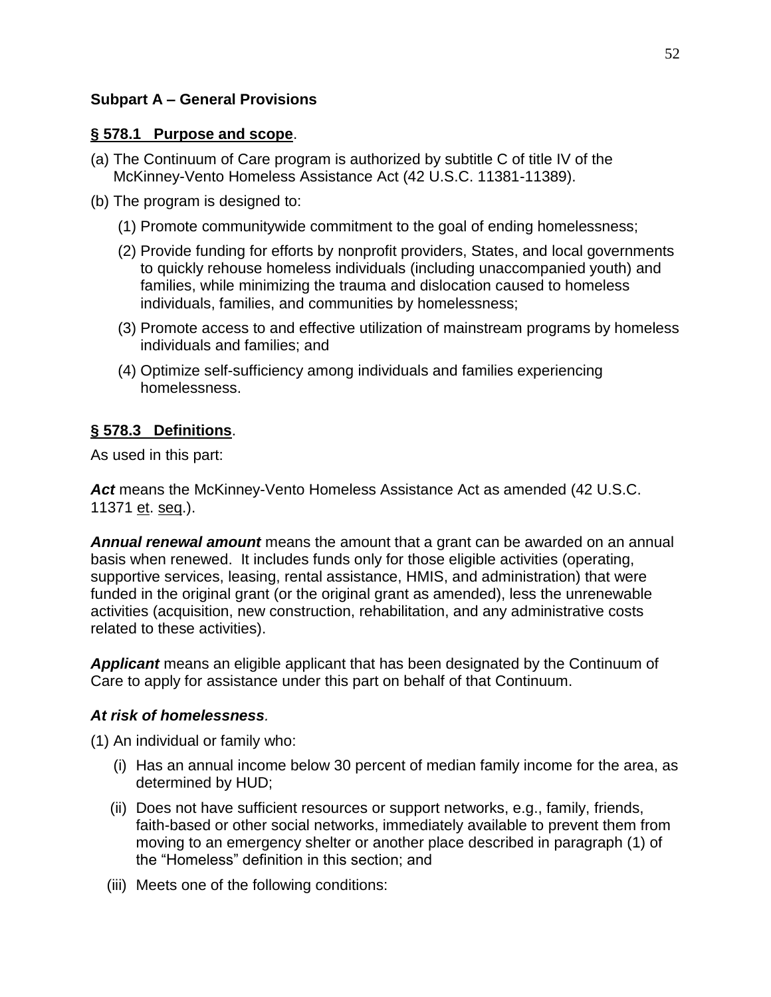## **Subpart A – General Provisions**

## **§ 578.1 Purpose and scope**.

- (a) The Continuum of Care program is authorized by subtitle C of title IV of the McKinney-Vento Homeless Assistance Act (42 U.S.C. 11381-11389).
- (b) The program is designed to:
	- (1) Promote communitywide commitment to the goal of ending homelessness;
	- (2) Provide funding for efforts by nonprofit providers, States, and local governments to quickly rehouse homeless individuals (including unaccompanied youth) and families, while minimizing the trauma and dislocation caused to homeless individuals, families, and communities by homelessness;
	- (3) Promote access to and effective utilization of mainstream programs by homeless individuals and families; and
	- (4) Optimize self-sufficiency among individuals and families experiencing homelessness.

# **§ 578.3 Definitions**.

As used in this part:

*Act* means the McKinney-Vento Homeless Assistance Act as amended (42 U.S.C. 11371 et. seq.).

*Annual renewal amount* means the amount that a grant can be awarded on an annual basis when renewed. It includes funds only for those eligible activities (operating, supportive services, leasing, rental assistance, HMIS, and administration) that were funded in the original grant (or the original grant as amended), less the unrenewable activities (acquisition, new construction, rehabilitation, and any administrative costs related to these activities).

*Applicant* means an eligible applicant that has been designated by the Continuum of Care to apply for assistance under this part on behalf of that Continuum.

# *At risk of homelessness.*

(1) An individual or family who:

- (i) Has an annual income below 30 percent of median family income for the area, as determined by HUD;
- (ii) Does not have sufficient resources or support networks, e.g., family, friends, faith-based or other social networks, immediately available to prevent them from moving to an emergency shelter or another place described in paragraph (1) of the "Homeless" definition in this section; and
- (iii) Meets one of the following conditions: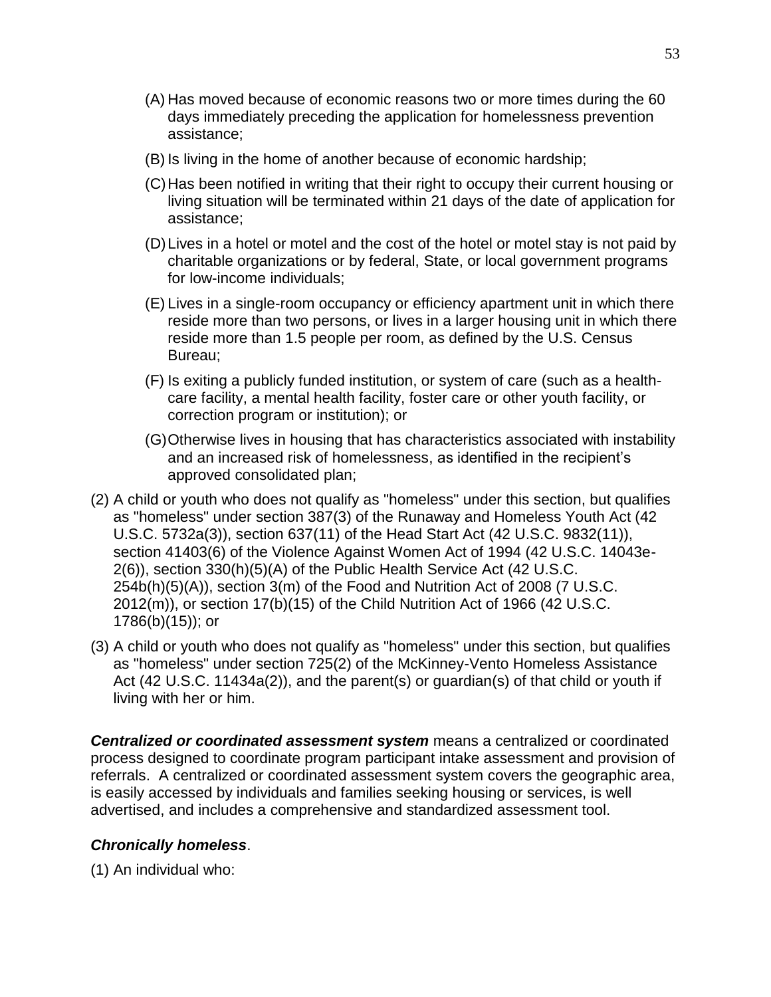- (A) Has moved because of economic reasons two or more times during the 60 days immediately preceding the application for homelessness prevention assistance;
- (B) Is living in the home of another because of economic hardship;
- (C)Has been notified in writing that their right to occupy their current housing or living situation will be terminated within 21 days of the date of application for assistance;
- (D)Lives in a hotel or motel and the cost of the hotel or motel stay is not paid by charitable organizations or by federal, State, or local government programs for low-income individuals;
- (E) Lives in a single-room occupancy or efficiency apartment unit in which there reside more than two persons, or lives in a larger housing unit in which there reside more than 1.5 people per room, as defined by the U.S. Census Bureau;
- (F) Is exiting a publicly funded institution, or system of care (such as a healthcare facility, a mental health facility, foster care or other youth facility, or correction program or institution); or
- (G)Otherwise lives in housing that has characteristics associated with instability and an increased risk of homelessness, as identified in the recipient's approved consolidated plan;
- (2) A child or youth who does not qualify as "homeless" under this section, but qualifies as "homeless" under section 387(3) of the Runaway and Homeless Youth Act (42 U.S.C. 5732a(3)), section 637(11) of the Head Start Act (42 U.S.C. 9832(11)), section 41403(6) of the Violence Against Women Act of 1994 (42 U.S.C. 14043e-2(6)), section 330(h)(5)(A) of the Public Health Service Act (42 U.S.C. 254b(h)(5)(A)), section 3(m) of the Food and Nutrition Act of 2008 (7 U.S.C. 2012(m)), or section 17(b)(15) of the Child Nutrition Act of 1966 (42 U.S.C. 1786(b)(15)); or
- (3) A child or youth who does not qualify as "homeless" under this section, but qualifies as "homeless" under section 725(2) of the McKinney-Vento Homeless Assistance Act (42 U.S.C. 11434a(2)), and the parent(s) or guardian(s) of that child or youth if living with her or him.

*Centralized or coordinated assessment system* means a centralized or coordinated process designed to coordinate program participant intake assessment and provision of referrals. A centralized or coordinated assessment system covers the geographic area, is easily accessed by individuals and families seeking housing or services, is well advertised, and includes a comprehensive and standardized assessment tool.

## *Chronically homeless*.

(1) An individual who: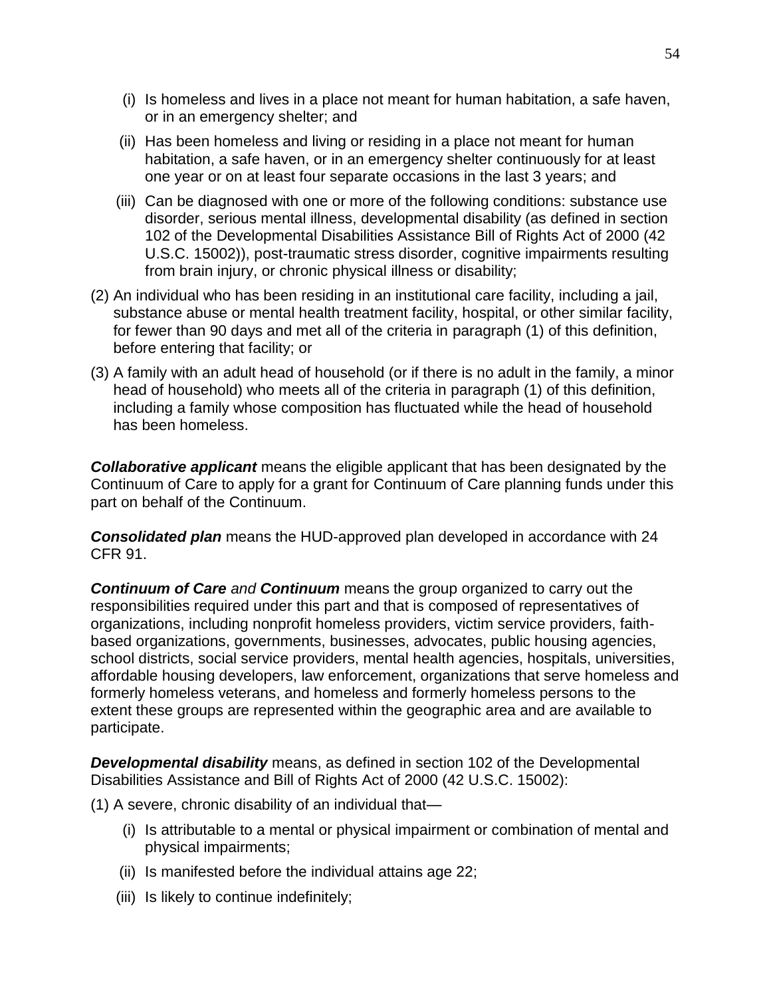- (i) Is homeless and lives in a place not meant for human habitation, a safe haven, or in an emergency shelter; and
- (ii) Has been homeless and living or residing in a place not meant for human habitation, a safe haven, or in an emergency shelter continuously for at least one year or on at least four separate occasions in the last 3 years; and
- (iii) Can be diagnosed with one or more of the following conditions: substance use disorder, serious mental illness, developmental disability (as defined in section 102 of the Developmental Disabilities Assistance Bill of Rights Act of 2000 (42 U.S.C. 15002)), post-traumatic stress disorder, cognitive impairments resulting from brain injury, or chronic physical illness or disability;
- (2) An individual who has been residing in an institutional care facility, including a jail, substance abuse or mental health treatment facility, hospital, or other similar facility, for fewer than 90 days and met all of the criteria in paragraph (1) of this definition, before entering that facility; or
- (3) A family with an adult head of household (or if there is no adult in the family, a minor head of household) who meets all of the criteria in paragraph (1) of this definition, including a family whose composition has fluctuated while the head of household has been homeless.

*Collaborative applicant* means the eligible applicant that has been designated by the Continuum of Care to apply for a grant for Continuum of Care planning funds under this part on behalf of the Continuum.

*Consolidated plan* means the HUD-approved plan developed in accordance with 24 CFR 91.

*Continuum of Care and Continuum* means the group organized to carry out the responsibilities required under this part and that is composed of representatives of organizations, including nonprofit homeless providers, victim service providers, faithbased organizations, governments, businesses, advocates, public housing agencies, school districts, social service providers, mental health agencies, hospitals, universities, affordable housing developers, law enforcement, organizations that serve homeless and formerly homeless veterans, and homeless and formerly homeless persons to the extent these groups are represented within the geographic area and are available to participate.

*Developmental disability* means, as defined in section 102 of the Developmental Disabilities Assistance and Bill of Rights Act of 2000 (42 U.S.C. 15002):

(1) A severe, chronic disability of an individual that—

- (i) Is attributable to a mental or physical impairment or combination of mental and physical impairments;
- (ii) Is manifested before the individual attains age 22;
- (iii) Is likely to continue indefinitely;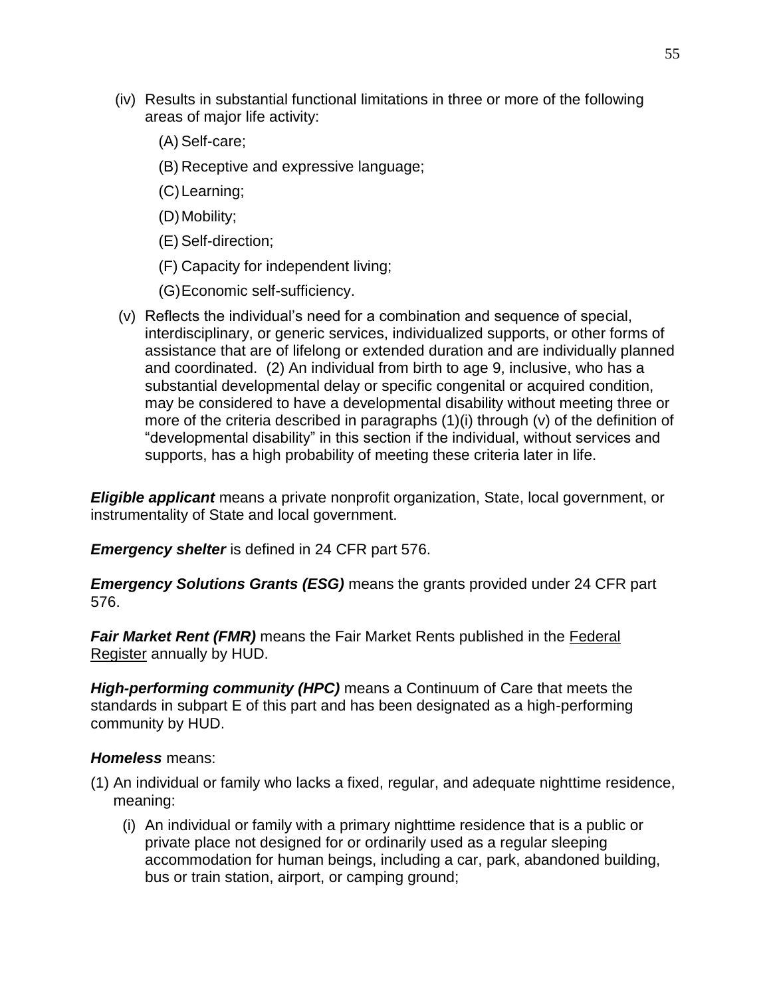- (iv) Results in substantial functional limitations in three or more of the following areas of major life activity:
	- (A) Self-care;
	- (B) Receptive and expressive language;
	- (C)Learning;
	- (D) Mobility;
	- (E) Self-direction;
	- (F) Capacity for independent living;
	- (G)Economic self-sufficiency.
- (v) Reflects the individual's need for a combination and sequence of special, interdisciplinary, or generic services, individualized supports, or other forms of assistance that are of lifelong or extended duration and are individually planned and coordinated. (2) An individual from birth to age 9, inclusive, who has a substantial developmental delay or specific congenital or acquired condition, may be considered to have a developmental disability without meeting three or more of the criteria described in paragraphs (1)(i) through (v) of the definition of "developmental disability" in this section if the individual, without services and supports, has a high probability of meeting these criteria later in life.

*Eligible applicant* means a private nonprofit organization, State, local government, or instrumentality of State and local government.

*Emergency shelter* is defined in 24 CFR part 576.

*Emergency Solutions Grants (ESG)* means the grants provided under 24 CFR part 576.

**Fair Market Rent (FMR)** means the Fair Market Rents published in the **Federal** Register annually by HUD.

*High-performing community (HPC)* means a Continuum of Care that meets the standards in subpart E of this part and has been designated as a high-performing community by HUD.

#### *Homeless* means:

- (1) An individual or family who lacks a fixed, regular, and adequate nighttime residence, meaning:
	- (i) An individual or family with a primary nighttime residence that is a public or private place not designed for or ordinarily used as a regular sleeping accommodation for human beings, including a car, park, abandoned building, bus or train station, airport, or camping ground;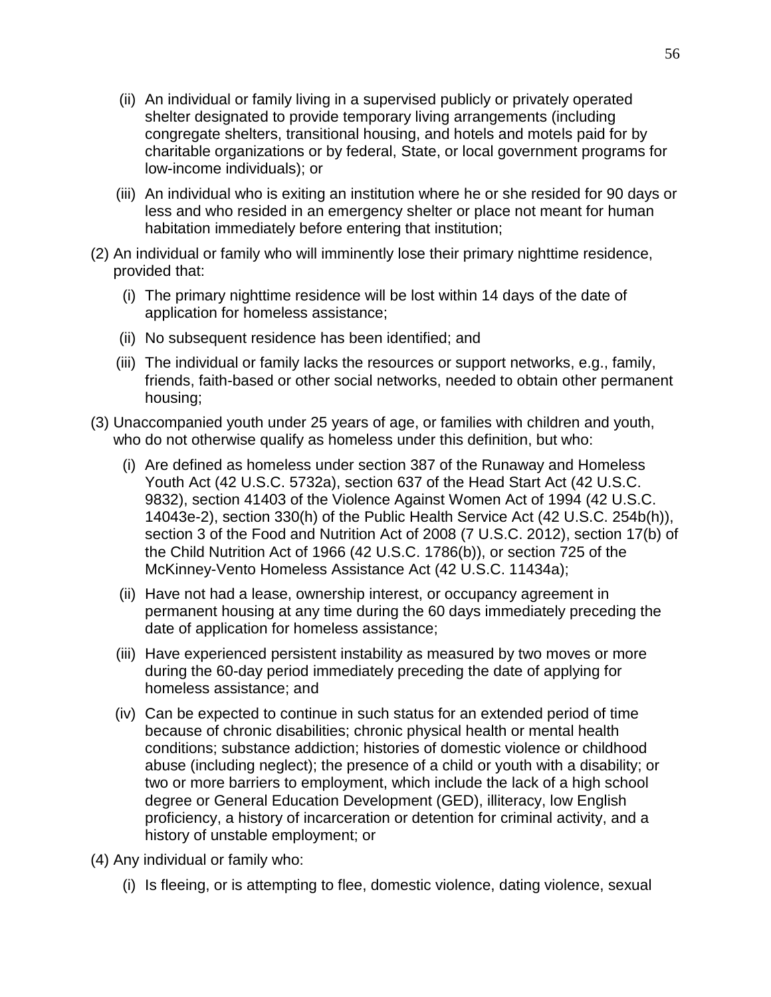- (ii) An individual or family living in a supervised publicly or privately operated shelter designated to provide temporary living arrangements (including congregate shelters, transitional housing, and hotels and motels paid for by charitable organizations or by federal, State, or local government programs for low-income individuals); or
- (iii) An individual who is exiting an institution where he or she resided for 90 days or less and who resided in an emergency shelter or place not meant for human habitation immediately before entering that institution;
- (2) An individual or family who will imminently lose their primary nighttime residence, provided that:
	- (i) The primary nighttime residence will be lost within 14 days of the date of application for homeless assistance;
	- (ii) No subsequent residence has been identified; and
	- (iii) The individual or family lacks the resources or support networks, e.g., family, friends, faith-based or other social networks, needed to obtain other permanent housing;
- (3) Unaccompanied youth under 25 years of age, or families with children and youth, who do not otherwise qualify as homeless under this definition, but who:
	- (i) Are defined as homeless under section 387 of the Runaway and Homeless Youth Act (42 U.S.C. 5732a), section 637 of the Head Start Act (42 U.S.C. 9832), section 41403 of the Violence Against Women Act of 1994 (42 U.S.C. 14043e-2), section 330(h) of the Public Health Service Act (42 U.S.C. 254b(h)), section 3 of the Food and Nutrition Act of 2008 (7 U.S.C. 2012), section 17(b) of the Child Nutrition Act of 1966 (42 U.S.C. 1786(b)), or section 725 of the McKinney-Vento Homeless Assistance Act (42 U.S.C. 11434a);
	- (ii) Have not had a lease, ownership interest, or occupancy agreement in permanent housing at any time during the 60 days immediately preceding the date of application for homeless assistance;
	- (iii) Have experienced persistent instability as measured by two moves or more during the 60-day period immediately preceding the date of applying for homeless assistance; and
	- (iv) Can be expected to continue in such status for an extended period of time because of chronic disabilities; chronic physical health or mental health conditions; substance addiction; histories of domestic violence or childhood abuse (including neglect); the presence of a child or youth with a disability; or two or more barriers to employment, which include the lack of a high school degree or General Education Development (GED), illiteracy, low English proficiency, a history of incarceration or detention for criminal activity, and a history of unstable employment; or
- (4) Any individual or family who:
	- (i) Is fleeing, or is attempting to flee, domestic violence, dating violence, sexual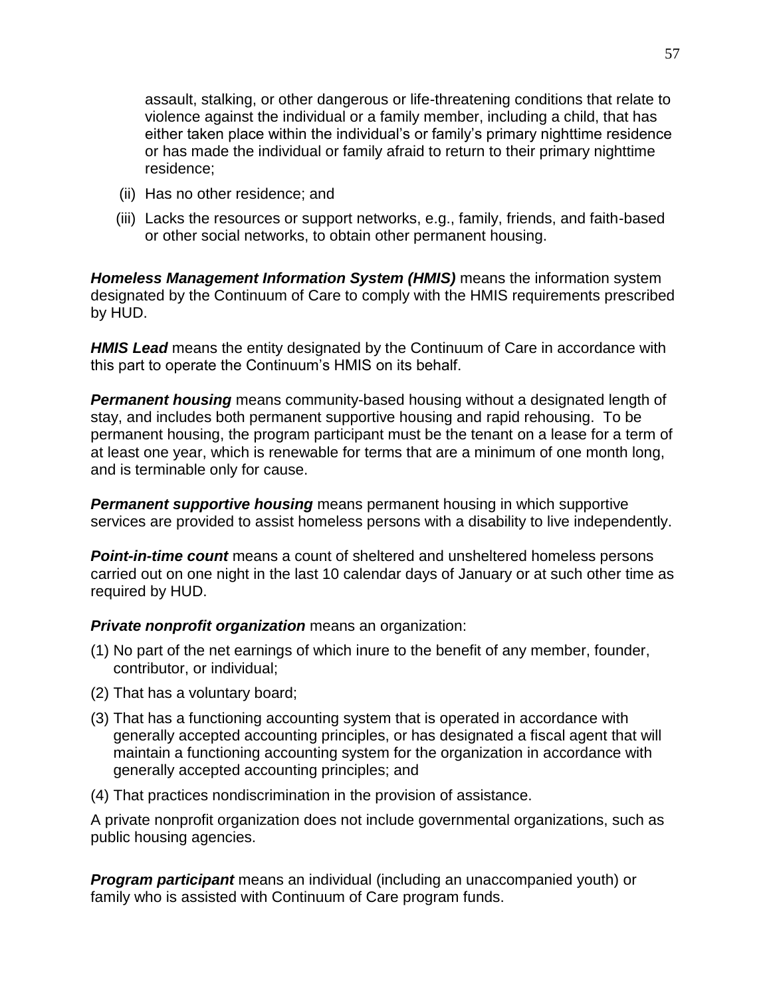assault, stalking, or other dangerous or life-threatening conditions that relate to violence against the individual or a family member, including a child, that has either taken place within the individual's or family's primary nighttime residence or has made the individual or family afraid to return to their primary nighttime residence;

- (ii) Has no other residence; and
- (iii) Lacks the resources or support networks, e.g., family, friends, and faith-based or other social networks, to obtain other permanent housing.

*Homeless Management Information System (HMIS)* means the information system designated by the Continuum of Care to comply with the HMIS requirements prescribed by HUD.

*HMIS Lead* means the entity designated by the Continuum of Care in accordance with this part to operate the Continuum's HMIS on its behalf.

*Permanent housing* means community-based housing without a designated length of stay, and includes both permanent supportive housing and rapid rehousing. To be permanent housing, the program participant must be the tenant on a lease for a term of at least one year, which is renewable for terms that are a minimum of one month long, and is terminable only for cause.

*Permanent supportive housing* means permanent housing in which supportive services are provided to assist homeless persons with a disability to live independently.

*Point-in-time count* means a count of sheltered and unsheltered homeless persons carried out on one night in the last 10 calendar days of January or at such other time as required by HUD.

## *Private nonprofit organization* means an organization:

- (1) No part of the net earnings of which inure to the benefit of any member, founder, contributor, or individual;
- (2) That has a voluntary board;
- (3) That has a functioning accounting system that is operated in accordance with generally accepted accounting principles, or has designated a fiscal agent that will maintain a functioning accounting system for the organization in accordance with generally accepted accounting principles; and
- (4) That practices nondiscrimination in the provision of assistance.

A private nonprofit organization does not include governmental organizations, such as public housing agencies.

*Program participant* means an individual (including an unaccompanied youth) or family who is assisted with Continuum of Care program funds.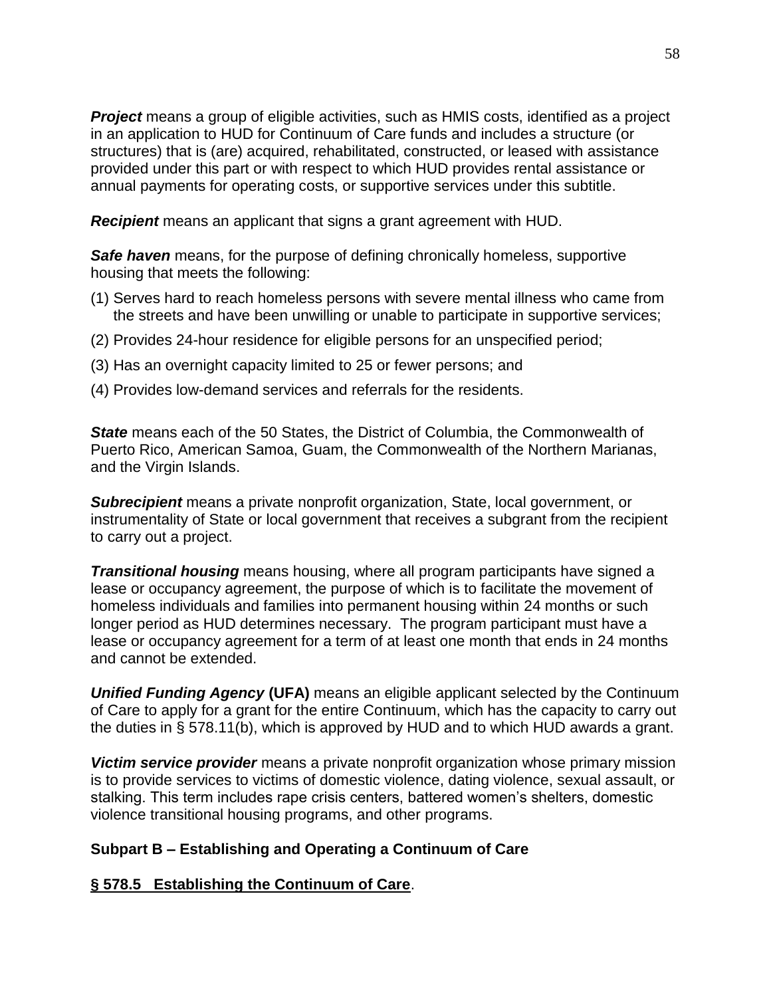**Project** means a group of eligible activities, such as HMIS costs, identified as a project in an application to HUD for Continuum of Care funds and includes a structure (or structures) that is (are) acquired, rehabilitated, constructed, or leased with assistance provided under this part or with respect to which HUD provides rental assistance or annual payments for operating costs, or supportive services under this subtitle.

*Recipient* means an applicant that signs a grant agreement with HUD.

**Safe haven** means, for the purpose of defining chronically homeless, supportive housing that meets the following:

- (1) Serves hard to reach homeless persons with severe mental illness who came from the streets and have been unwilling or unable to participate in supportive services;
- (2) Provides 24-hour residence for eligible persons for an unspecified period;
- (3) Has an overnight capacity limited to 25 or fewer persons; and
- (4) Provides low-demand services and referrals for the residents.

*State* means each of the 50 States, the District of Columbia, the Commonwealth of Puerto Rico, American Samoa, Guam, the Commonwealth of the Northern Marianas, and the Virgin Islands.

*Subrecipient* means a private nonprofit organization, State, local government, or instrumentality of State or local government that receives a subgrant from the recipient to carry out a project.

*Transitional housing* means housing, where all program participants have signed a lease or occupancy agreement, the purpose of which is to facilitate the movement of homeless individuals and families into permanent housing within 24 months or such longer period as HUD determines necessary. The program participant must have a lease or occupancy agreement for a term of at least one month that ends in 24 months and cannot be extended.

*Unified Funding Agency* **(UFA)** means an eligible applicant selected by the Continuum of Care to apply for a grant for the entire Continuum, which has the capacity to carry out the duties in § 578.11(b), which is approved by HUD and to which HUD awards a grant.

*Victim service provider* means a private nonprofit organization whose primary mission is to provide services to victims of domestic violence, dating violence, sexual assault, or stalking. This term includes rape crisis centers, battered women's shelters, domestic violence transitional housing programs, and other programs.

## **Subpart B – Establishing and Operating a Continuum of Care**

#### **§ 578.5 Establishing the Continuum of Care**.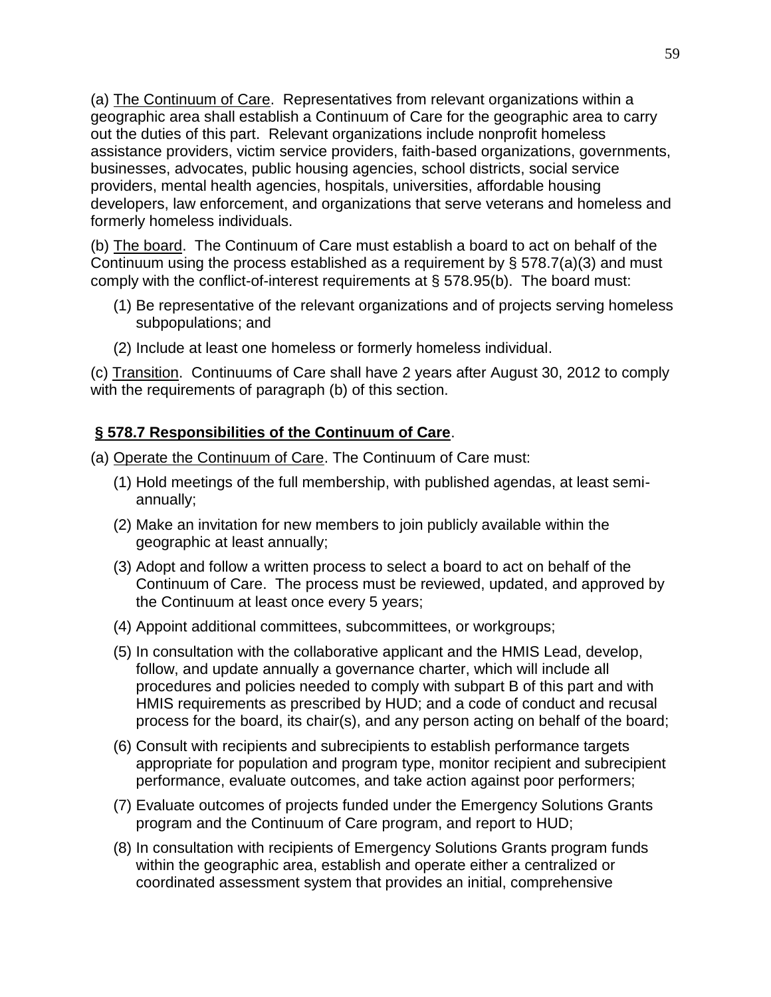(a) The Continuum of Care. Representatives from relevant organizations within a geographic area shall establish a Continuum of Care for the geographic area to carry out the duties of this part. Relevant organizations include nonprofit homeless assistance providers, victim service providers, faith-based organizations, governments, businesses, advocates, public housing agencies, school districts, social service providers, mental health agencies, hospitals, universities, affordable housing developers, law enforcement, and organizations that serve veterans and homeless and formerly homeless individuals.

(b) The board. The Continuum of Care must establish a board to act on behalf of the Continuum using the process established as a requirement by § 578.7(a)(3) and must comply with the conflict-of-interest requirements at § 578.95(b). The board must:

- (1) Be representative of the relevant organizations and of projects serving homeless subpopulations; and
- (2) Include at least one homeless or formerly homeless individual.

(c) Transition. Continuums of Care shall have 2 years after August 30, 2012 to comply with the requirements of paragraph (b) of this section.

# **§ 578.7 Responsibilities of the Continuum of Care**.

- (a) Operate the Continuum of Care. The Continuum of Care must:
	- (1) Hold meetings of the full membership, with published agendas, at least semiannually;
	- (2) Make an invitation for new members to join publicly available within the geographic at least annually;
	- (3) Adopt and follow a written process to select a board to act on behalf of the Continuum of Care. The process must be reviewed, updated, and approved by the Continuum at least once every 5 years;
	- (4) Appoint additional committees, subcommittees, or workgroups;
	- (5) In consultation with the collaborative applicant and the HMIS Lead, develop, follow, and update annually a governance charter, which will include all procedures and policies needed to comply with subpart B of this part and with HMIS requirements as prescribed by HUD; and a code of conduct and recusal process for the board, its chair(s), and any person acting on behalf of the board;
	- (6) Consult with recipients and subrecipients to establish performance targets appropriate for population and program type, monitor recipient and subrecipient performance, evaluate outcomes, and take action against poor performers;
	- (7) Evaluate outcomes of projects funded under the Emergency Solutions Grants program and the Continuum of Care program, and report to HUD;
	- (8) In consultation with recipients of Emergency Solutions Grants program funds within the geographic area, establish and operate either a centralized or coordinated assessment system that provides an initial, comprehensive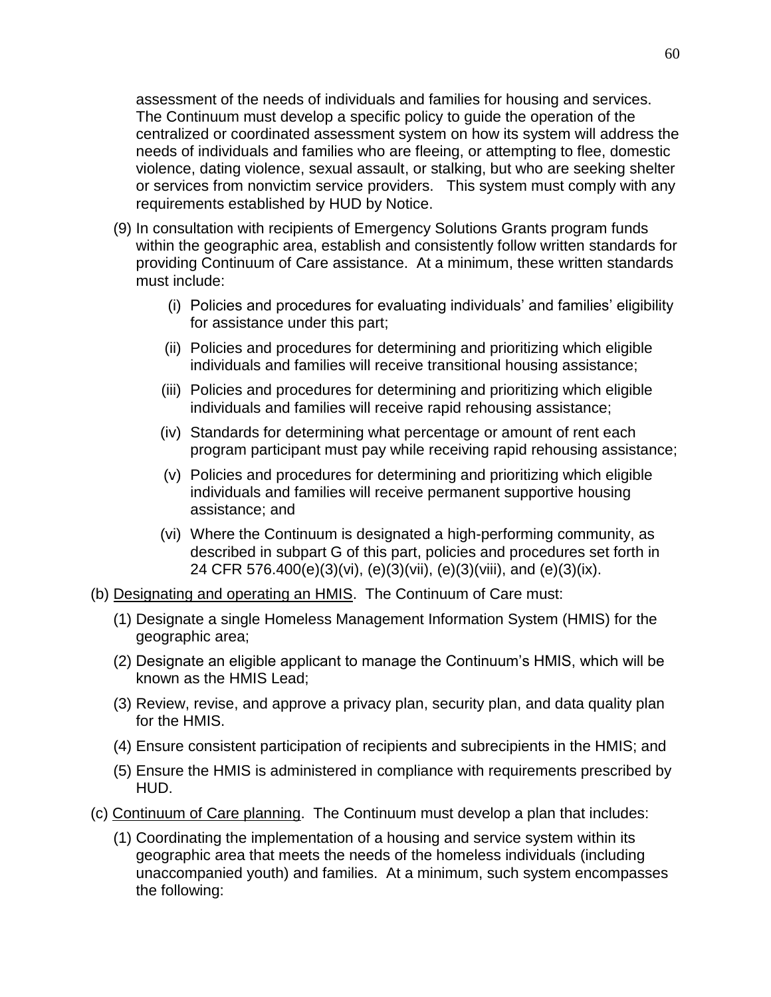assessment of the needs of individuals and families for housing and services. The Continuum must develop a specific policy to guide the operation of the centralized or coordinated assessment system on how its system will address the needs of individuals and families who are fleeing, or attempting to flee, domestic violence, dating violence, sexual assault, or stalking, but who are seeking shelter or services from nonvictim service providers. This system must comply with any requirements established by HUD by Notice.

- (9) In consultation with recipients of Emergency Solutions Grants program funds within the geographic area, establish and consistently follow written standards for providing Continuum of Care assistance. At a minimum, these written standards must include:
	- (i) Policies and procedures for evaluating individuals' and families' eligibility for assistance under this part;
	- (ii) Policies and procedures for determining and prioritizing which eligible individuals and families will receive transitional housing assistance;
	- (iii) Policies and procedures for determining and prioritizing which eligible individuals and families will receive rapid rehousing assistance;
	- (iv) Standards for determining what percentage or amount of rent each program participant must pay while receiving rapid rehousing assistance;
	- (v) Policies and procedures for determining and prioritizing which eligible individuals and families will receive permanent supportive housing assistance; and
	- (vi) Where the Continuum is designated a high-performing community, as described in subpart G of this part, policies and procedures set forth in 24 CFR 576.400(e)(3)(vi), (e)(3)(vii), (e)(3)(viii), and (e)(3)(ix).
- (b) Designating and operating an HMIS. The Continuum of Care must:
	- (1) Designate a single Homeless Management Information System (HMIS) for the geographic area;
	- (2) Designate an eligible applicant to manage the Continuum's HMIS, which will be known as the HMIS Lead;
	- (3) Review, revise, and approve a privacy plan, security plan, and data quality plan for the HMIS.
	- (4) Ensure consistent participation of recipients and subrecipients in the HMIS; and
	- (5) Ensure the HMIS is administered in compliance with requirements prescribed by HUD.
- (c) Continuum of Care planning. The Continuum must develop a plan that includes:
	- (1) Coordinating the implementation of a housing and service system within its geographic area that meets the needs of the homeless individuals (including unaccompanied youth) and families. At a minimum, such system encompasses the following: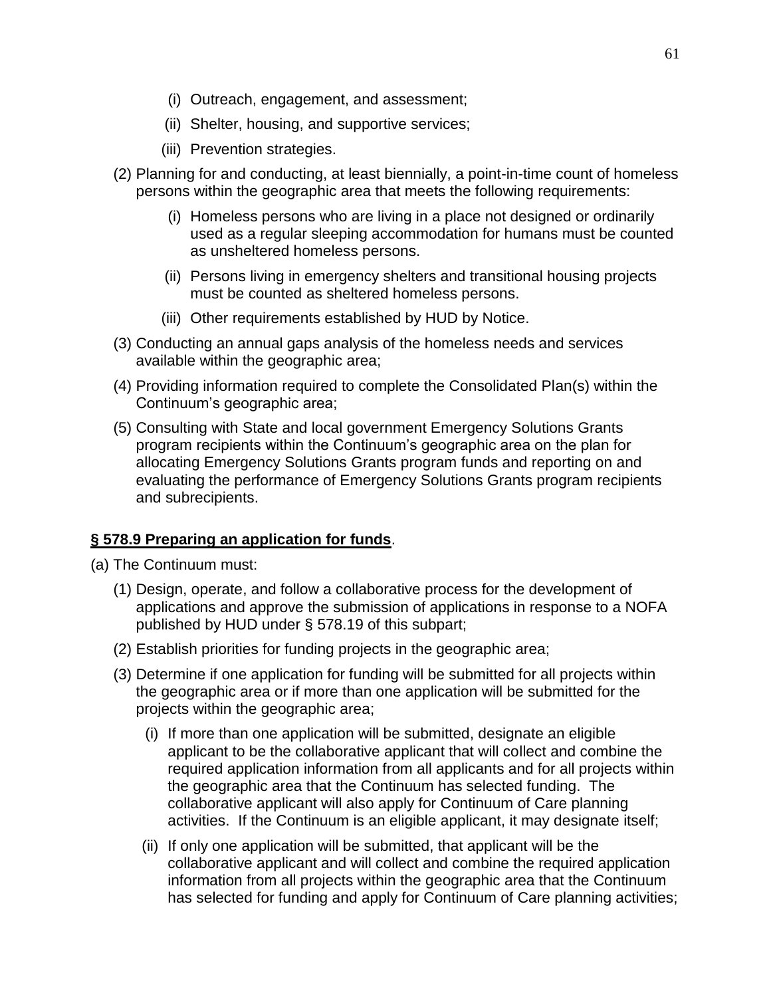- (i) Outreach, engagement, and assessment;
- (ii) Shelter, housing, and supportive services;
- (iii) Prevention strategies.
- (2) Planning for and conducting, at least biennially, a point-in-time count of homeless persons within the geographic area that meets the following requirements:
	- (i) Homeless persons who are living in a place not designed or ordinarily used as a regular sleeping accommodation for humans must be counted as unsheltered homeless persons.
	- (ii) Persons living in emergency shelters and transitional housing projects must be counted as sheltered homeless persons.
	- (iii) Other requirements established by HUD by Notice.
- (3) Conducting an annual gaps analysis of the homeless needs and services available within the geographic area;
- (4) Providing information required to complete the Consolidated Plan(s) within the Continuum's geographic area;
- (5) Consulting with State and local government Emergency Solutions Grants program recipients within the Continuum's geographic area on the plan for allocating Emergency Solutions Grants program funds and reporting on and evaluating the performance of Emergency Solutions Grants program recipients and subrecipients.

## **§ 578.9 Preparing an application for funds**.

- (a) The Continuum must:
	- (1) Design, operate, and follow a collaborative process for the development of applications and approve the submission of applications in response to a NOFA published by HUD under § 578.19 of this subpart;
	- (2) Establish priorities for funding projects in the geographic area;
	- (3) Determine if one application for funding will be submitted for all projects within the geographic area or if more than one application will be submitted for the projects within the geographic area;
		- (i) If more than one application will be submitted, designate an eligible applicant to be the collaborative applicant that will collect and combine the required application information from all applicants and for all projects within the geographic area that the Continuum has selected funding. The collaborative applicant will also apply for Continuum of Care planning activities. If the Continuum is an eligible applicant, it may designate itself;
		- (ii) If only one application will be submitted, that applicant will be the collaborative applicant and will collect and combine the required application information from all projects within the geographic area that the Continuum has selected for funding and apply for Continuum of Care planning activities;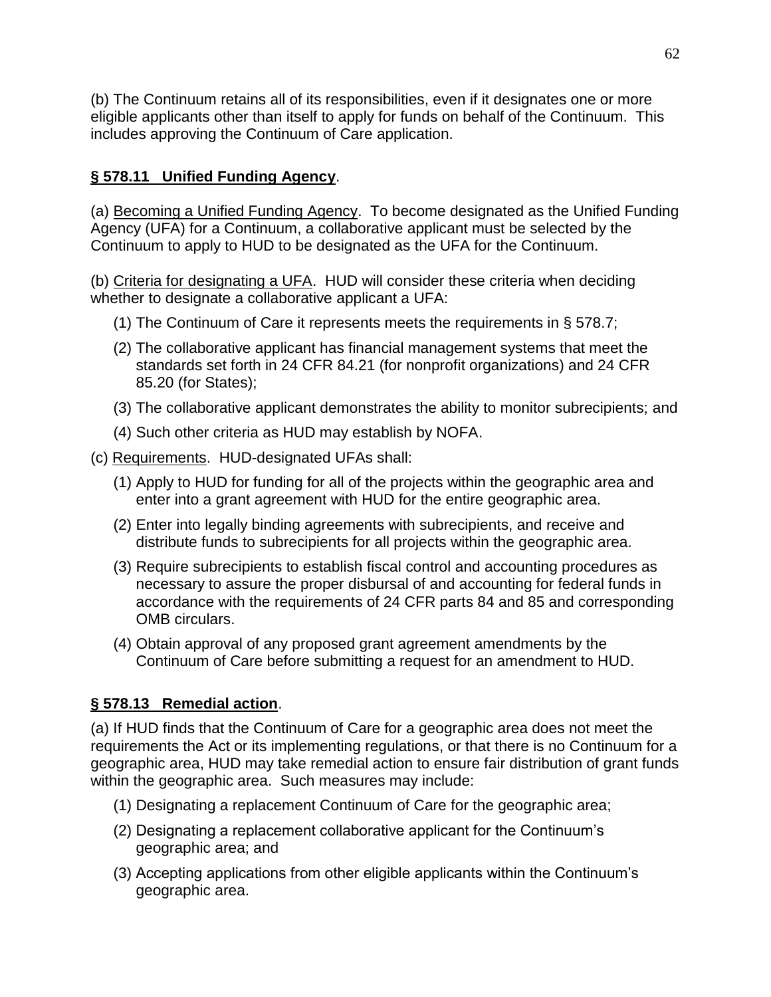(b) The Continuum retains all of its responsibilities, even if it designates one or more eligible applicants other than itself to apply for funds on behalf of the Continuum. This includes approving the Continuum of Care application.

# **§ 578.11 Unified Funding Agency**.

(a) Becoming a Unified Funding Agency. To become designated as the Unified Funding Agency (UFA) for a Continuum, a collaborative applicant must be selected by the Continuum to apply to HUD to be designated as the UFA for the Continuum.

(b) Criteria for designating a UFA. HUD will consider these criteria when deciding whether to designate a collaborative applicant a UFA:

- (1) The Continuum of Care it represents meets the requirements in § 578.7;
- (2) The collaborative applicant has financial management systems that meet the standards set forth in 24 CFR 84.21 (for nonprofit organizations) and 24 CFR 85.20 (for States);
- (3) The collaborative applicant demonstrates the ability to monitor subrecipients; and
- (4) Such other criteria as HUD may establish by NOFA.
- (c) Requirements. HUD-designated UFAs shall:
	- (1) Apply to HUD for funding for all of the projects within the geographic area and enter into a grant agreement with HUD for the entire geographic area.
	- (2) Enter into legally binding agreements with subrecipients, and receive and distribute funds to subrecipients for all projects within the geographic area.
	- (3) Require subrecipients to establish fiscal control and accounting procedures as necessary to assure the proper disbursal of and accounting for federal funds in accordance with the requirements of 24 CFR parts 84 and 85 and corresponding OMB circulars.
	- (4) Obtain approval of any proposed grant agreement amendments by the Continuum of Care before submitting a request for an amendment to HUD.

# **§ 578.13 Remedial action**.

(a) If HUD finds that the Continuum of Care for a geographic area does not meet the requirements the Act or its implementing regulations, or that there is no Continuum for a geographic area, HUD may take remedial action to ensure fair distribution of grant funds within the geographic area. Such measures may include:

- (1) Designating a replacement Continuum of Care for the geographic area;
- (2) Designating a replacement collaborative applicant for the Continuum's geographic area; and
- (3) Accepting applications from other eligible applicants within the Continuum's geographic area.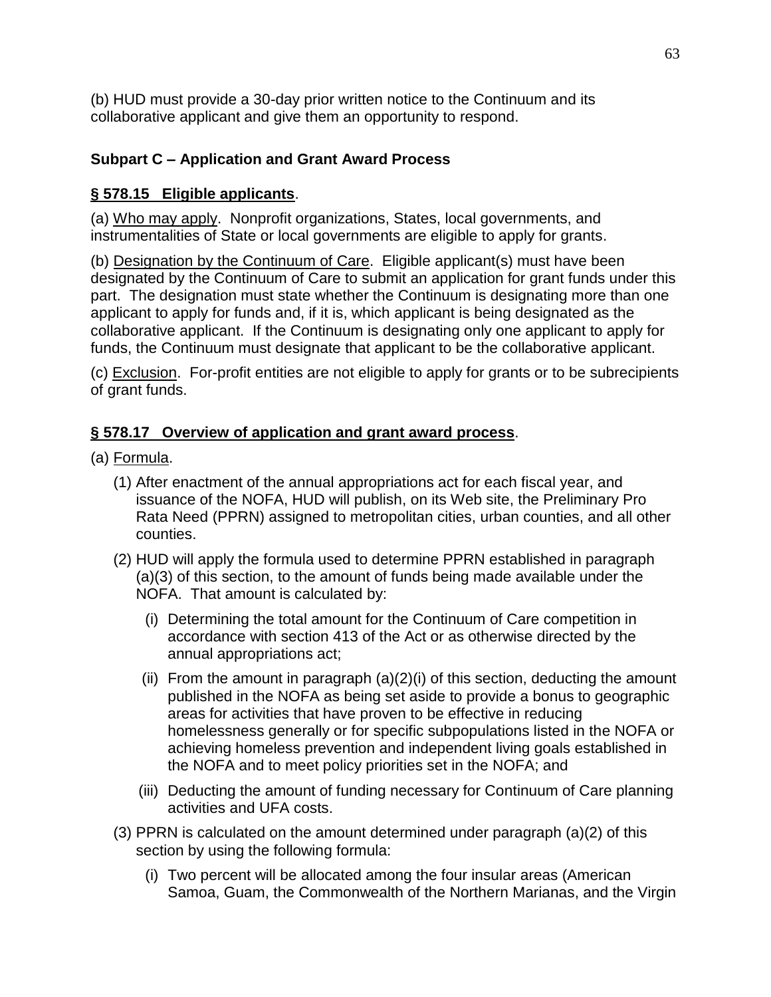(b) HUD must provide a 30-day prior written notice to the Continuum and its collaborative applicant and give them an opportunity to respond.

# **Subpart C – Application and Grant Award Process**

# **§ 578.15 Eligible applicants**.

(a) Who may apply. Nonprofit organizations, States, local governments, and instrumentalities of State or local governments are eligible to apply for grants.

(b) Designation by the Continuum of Care. Eligible applicant(s) must have been designated by the Continuum of Care to submit an application for grant funds under this part. The designation must state whether the Continuum is designating more than one applicant to apply for funds and, if it is, which applicant is being designated as the collaborative applicant. If the Continuum is designating only one applicant to apply for funds, the Continuum must designate that applicant to be the collaborative applicant.

(c) Exclusion. For-profit entities are not eligible to apply for grants or to be subrecipients of grant funds.

# **§ 578.17 Overview of application and grant award process**.

- (a) Formula.
	- (1) After enactment of the annual appropriations act for each fiscal year, and issuance of the NOFA, HUD will publish, [on](file:///C:/Documents%20and%20Settings/h09992/Local%20Settings/Temporary%20Internet%20Files/Content.Outlook/GZVYMDIG/%20on) its Web site, the Preliminary Pro Rata Need (PPRN) assigned to metropolitan cities, urban counties, and all other counties.
	- (2) HUD will apply the formula used to determine PPRN established in paragraph (a)(3) of this section, to the amount of funds being made available under the NOFA. That amount is calculated by:
		- (i) Determining the total amount for the Continuum of Care competition in accordance with section 413 of the Act or as otherwise directed by the annual appropriations act;
		- (ii) From the amount in paragraph  $(a)(2)(i)$  of this section, deducting the amount published in the NOFA as being set aside to provide a bonus to geographic areas for activities that have proven to be effective in reducing homelessness generally or for specific subpopulations listed in the NOFA or achieving homeless prevention and independent living goals established in the NOFA and to meet policy priorities set in the NOFA; and
		- (iii) Deducting the amount of funding necessary for Continuum of Care planning activities and UFA costs.
	- (3) PPRN is calculated on the amount determined under paragraph (a)(2) of this section by using the following formula:
		- (i) Two percent will be allocated among the four insular areas (American Samoa, Guam, the Commonwealth of the Northern Marianas, and the Virgin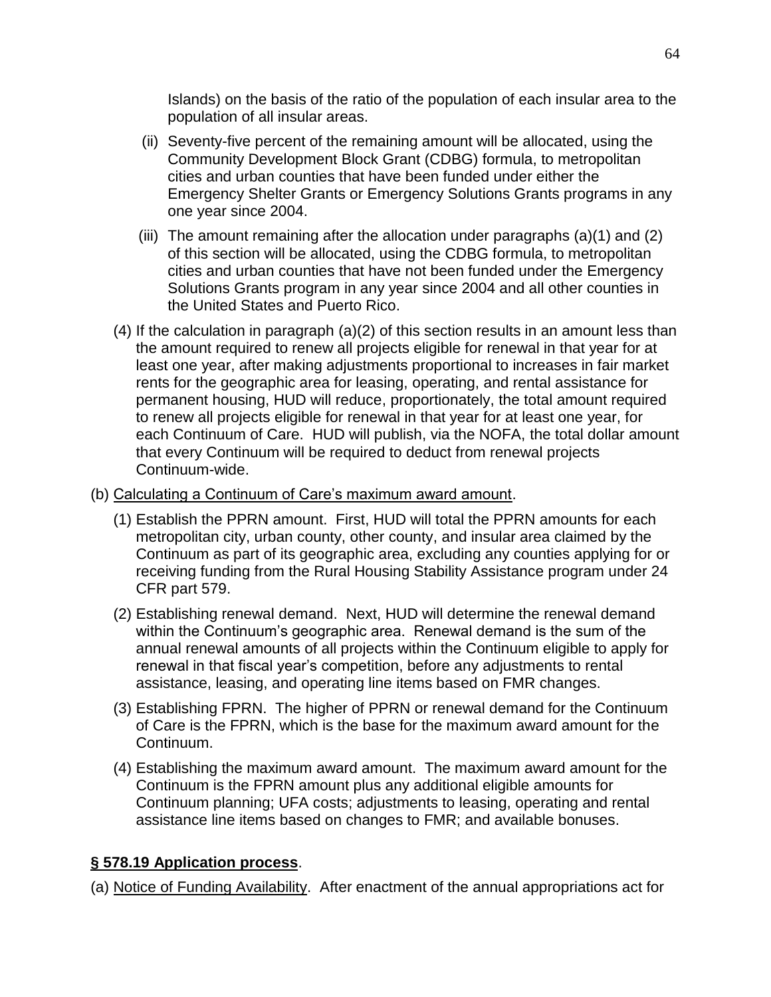Islands) on the basis of the ratio of the population of each insular area to the population of all insular areas.

- (ii) Seventy-five percent of the remaining amount will be allocated, using the Community Development Block Grant (CDBG) formula, to metropolitan cities and urban counties that have been funded under either the Emergency Shelter Grants or Emergency Solutions Grants programs in any one year since 2004.
- (iii) The amount remaining after the allocation under paragraphs (a)(1) and (2) of this section will be allocated, using the CDBG formula, to metropolitan cities and urban counties that have not been funded under the Emergency Solutions Grants program in any year since 2004 and all other counties in the United States and Puerto Rico.
- (4) If the calculation in paragraph (a)(2) of this section results in an amount less than the amount required to renew all projects eligible for renewal in that year for at least one year, after making adjustments proportional to increases in fair market rents for the geographic area for leasing, operating, and rental assistance for permanent housing, HUD will reduce, proportionately, the total amount required to renew all projects eligible for renewal in that year for at least one year, for each Continuum of Care. HUD will publish, via the NOFA, the total dollar amount that every Continuum will be required to deduct from renewal projects Continuum-wide.
- (b) Calculating a Continuum of Care's maximum award amount.
	- (1) Establish the PPRN amount. First, HUD will total the PPRN amounts for each metropolitan city, urban county, other county, and insular area claimed by the Continuum as part of its geographic area, excluding any counties applying for or receiving funding from the Rural Housing Stability Assistance program under 24 CFR part 579.
	- (2) Establishing renewal demand. Next, HUD will determine the renewal demand within the Continuum's geographic area. Renewal demand is the sum of the annual renewal amounts of all projects within the Continuum eligible to apply for renewal in that fiscal year's competition, before any adjustments to rental assistance, leasing, and operating line items based on FMR changes.
	- (3) Establishing FPRN. The higher of PPRN or renewal demand for the Continuum of Care is the FPRN, which is the base for the maximum award amount for the Continuum.
	- (4) Establishing the maximum award amount. The maximum award amount for the Continuum is the FPRN amount plus any additional eligible amounts for Continuum planning; UFA costs; adjustments to leasing, operating and rental assistance line items based on changes to FMR; and available bonuses.

# **§ 578.19 Application process**.

(a) Notice of Funding Availability. After enactment of the annual appropriations act for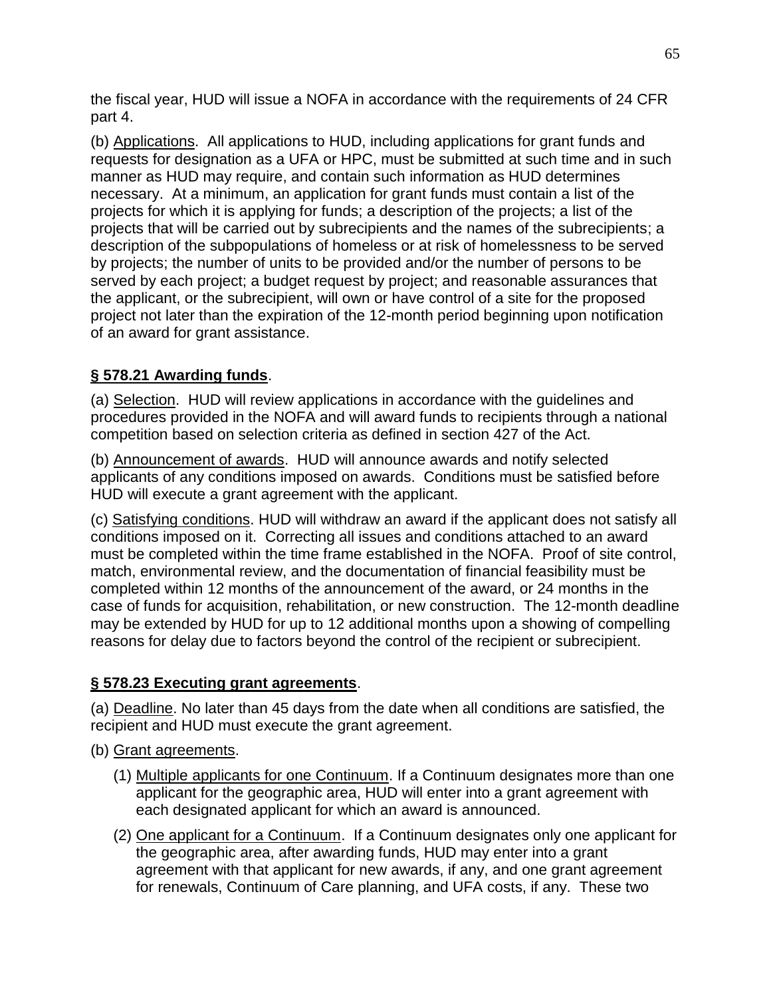the fiscal year, HUD will issue a NOFA in accordance with the requirements of 24 CFR part 4.

(b) Applications. All applications to HUD, including applications for grant funds and requests for designation as a UFA or HPC, must be submitted at such time and in such manner as HUD may require, and contain such information as HUD determines necessary. At a minimum, an application for grant funds must contain a list of the projects for which it is applying for funds; a description of the projects; a list of the projects that will be carried out by subrecipients and the names of the subrecipients; a description of the subpopulations of homeless or at risk of homelessness to be served by projects; the number of units to be provided and/or the number of persons to be served by each project; a budget request by project; and reasonable assurances that the applicant, or the subrecipient, will own or have control of a site for the proposed project not later than the expiration of the 12-month period beginning upon notification of an award for grant assistance.

# **§ 578.21 Awarding funds**.

(a) Selection. HUD will review applications in accordance with the guidelines and procedures provided in the NOFA and will award funds to recipients through a national competition based on selection criteria as defined in section 427 of the Act.

(b) Announcement of awards. HUD will announce awards and notify selected applicants of any conditions imposed on awards. Conditions must be satisfied before HUD will execute a grant agreement with the applicant.

(c) Satisfying conditions. HUD will withdraw an award if the applicant does not satisfy all conditions imposed on it. Correcting all issues and conditions attached to an award must be completed within the time frame established in the NOFA. Proof of site control, match, environmental review, and the documentation of financial feasibility must be completed within 12 months of the announcement of the award, or 24 months in the case of funds for acquisition, rehabilitation, or new construction. The 12-month deadline may be extended by HUD for up to 12 additional months upon a showing of compelling reasons for delay due to factors beyond the control of the recipient or subrecipient.

# **§ 578.23 Executing grant agreements**.

(a) Deadline. No later than 45 days from the date when all conditions are satisfied, the recipient and HUD must execute the grant agreement.

- (b) Grant agreements.
	- (1) Multiple applicants for one Continuum. If a Continuum designates more than one applicant for the geographic area, HUD will enter into a grant agreement with each designated applicant for which an award is announced.
	- (2) One applicant for a Continuum. If a Continuum designates only one applicant for the geographic area, after awarding funds, HUD may enter into a grant agreement with that applicant for new awards, if any, and one grant agreement for renewals, Continuum of Care planning, and UFA costs, if any. These two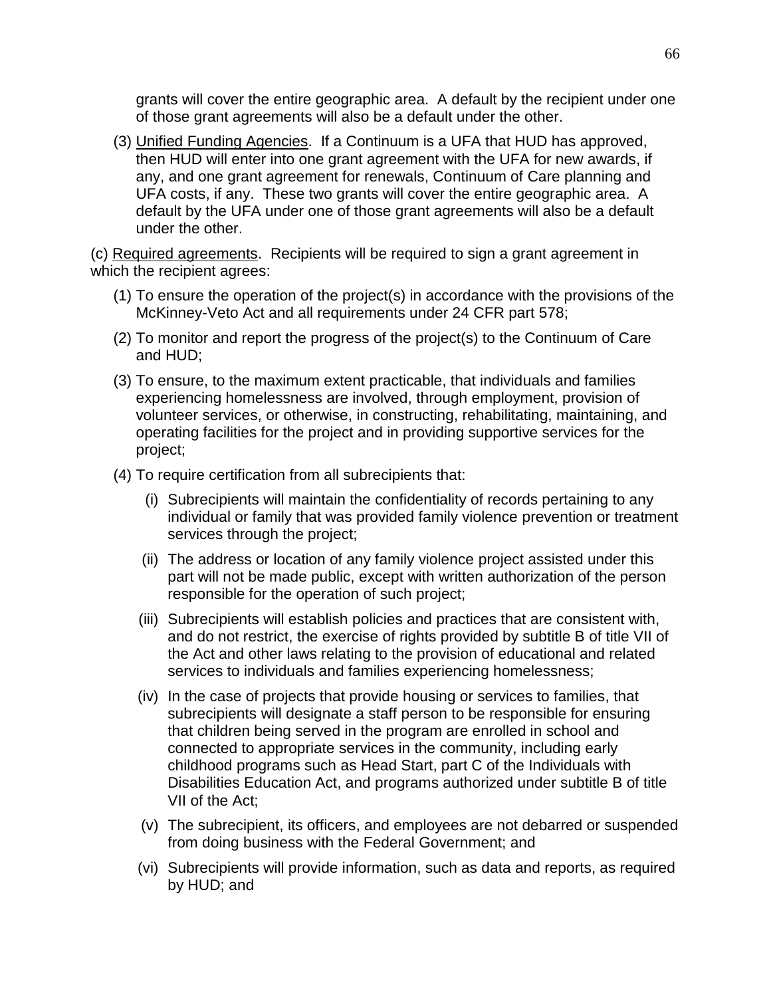grants will cover the entire geographic area. A default by the recipient under one of those grant agreements will also be a default under the other.

(3) Unified Funding Agencies. If a Continuum is a UFA that HUD has approved, then HUD will enter into one grant agreement with the UFA for new awards, if any, and one grant agreement for renewals, Continuum of Care planning and UFA costs, if any. These two grants will cover the entire geographic area. A default by the UFA under one of those grant agreements will also be a default under the other.

(c) Required agreements. Recipients will be required to sign a grant agreement in which the recipient agrees:

- (1) To ensure the operation of the project(s) in accordance with the provisions of the McKinney-Veto Act and all requirements under 24 CFR part 578;
- (2) To monitor and report the progress of the project(s) to the Continuum of Care and HUD;
- (3) To ensure, to the maximum extent practicable, that individuals and families experiencing homelessness are involved, through employment, provision of volunteer services, or otherwise, in constructing, rehabilitating, maintaining, and operating facilities for the project and in providing supportive services for the project;
- (4) To require certification from all subrecipients that:
	- (i) Subrecipients will maintain the confidentiality of records pertaining to any individual or family that was provided family violence prevention or treatment services through the project;
	- (ii) The address or location of any family violence project assisted under this part will not be made public, except with written authorization of the person responsible for the operation of such project;
	- (iii) Subrecipients will establish policies and practices that are consistent with, and do not restrict, the exercise of rights provided by subtitle B of title VII of the Act and other laws relating to the provision of educational and related services to individuals and families experiencing homelessness;
	- (iv) In the case of projects that provide housing or services to families, that subrecipients will designate a staff person to be responsible for ensuring that children being served in the program are enrolled in school and connected to appropriate services in the community, including early childhood programs such as Head Start, part C of the Individuals with Disabilities Education Act, and programs authorized under subtitle B of title VII of the Act;
	- (v) The subrecipient, its officers, and employees are not debarred or suspended from doing business with the Federal Government; and
	- (vi) Subrecipients will provide information, such as data and reports, as required by HUD; and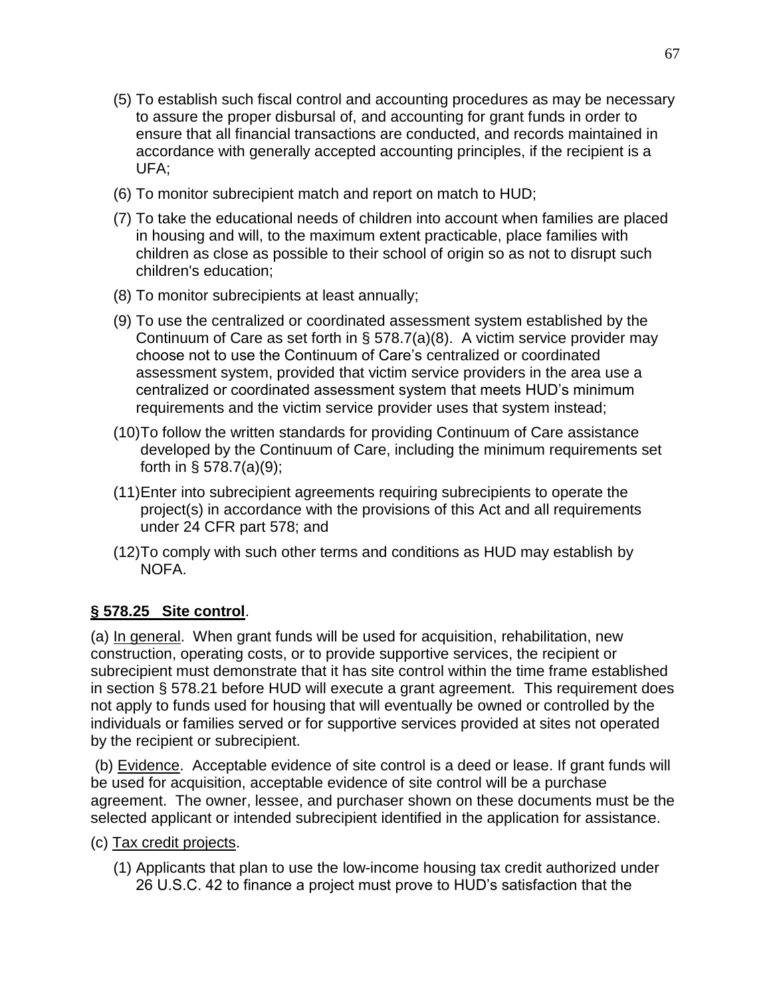- (5) To establish such fiscal control and accounting procedures as may be necessary to assure the proper disbursal of, and accounting for grant funds in order to ensure that all financial transactions are conducted, and records maintained in accordance with generally accepted accounting principles, if the recipient is a UFA;
- (6) To monitor subrecipient match and report on match to HUD;
- (7) To take the educational needs of children into account when families are placed in housing and will, to the maximum extent practicable, place families with children as close as possible to their school of origin so as not to disrupt such children's education;
- (8) To monitor subrecipients at least annually;
- (9) To use the centralized or coordinated assessment system established by the Continuum of Care as set forth in § 578.7(a)(8). A victim service provider may choose not to use the Continuum of Care's centralized or coordinated assessment system, provided that victim service providers in the area use a centralized or coordinated assessment system that meets HUD's minimum requirements and the victim service provider uses that system instead;
- (10)To follow the written standards for providing Continuum of Care assistance developed by the Continuum of Care, including the minimum requirements set forth in § 578.7(a)(9);
- (11)Enter into subrecipient agreements requiring subrecipients to operate the project(s) in accordance with the provisions of this Act and all requirements under 24 CFR part 578; and
- (12)To comply with such other terms and conditions as HUD may establish by NOFA.

# **§ 578.25 Site control**.

(a) In general. When grant funds will be used for acquisition, rehabilitation, new construction, operating costs, or to provide supportive services, the recipient or subrecipient must demonstrate that it has site control within the time frame established in section § 578.21 before HUD will execute a grant agreement. This requirement does not apply to funds used for housing that will eventually be owned or controlled by the individuals or families served or for supportive services provided at sites not operated by the recipient or subrecipient.

(b) Evidence. Acceptable evidence of site control is a deed or lease. If grant funds will be used for acquisition, acceptable evidence of site control will be a purchase agreement. The owner, lessee, and purchaser shown on these documents must be the selected applicant or intended subrecipient identified in the application for assistance.

- (c) Tax credit projects.
	- (1) Applicants that plan to use the low-income housing tax credit authorized under 26 U.S.C. 42 to finance a project must prove to HUD's satisfaction that the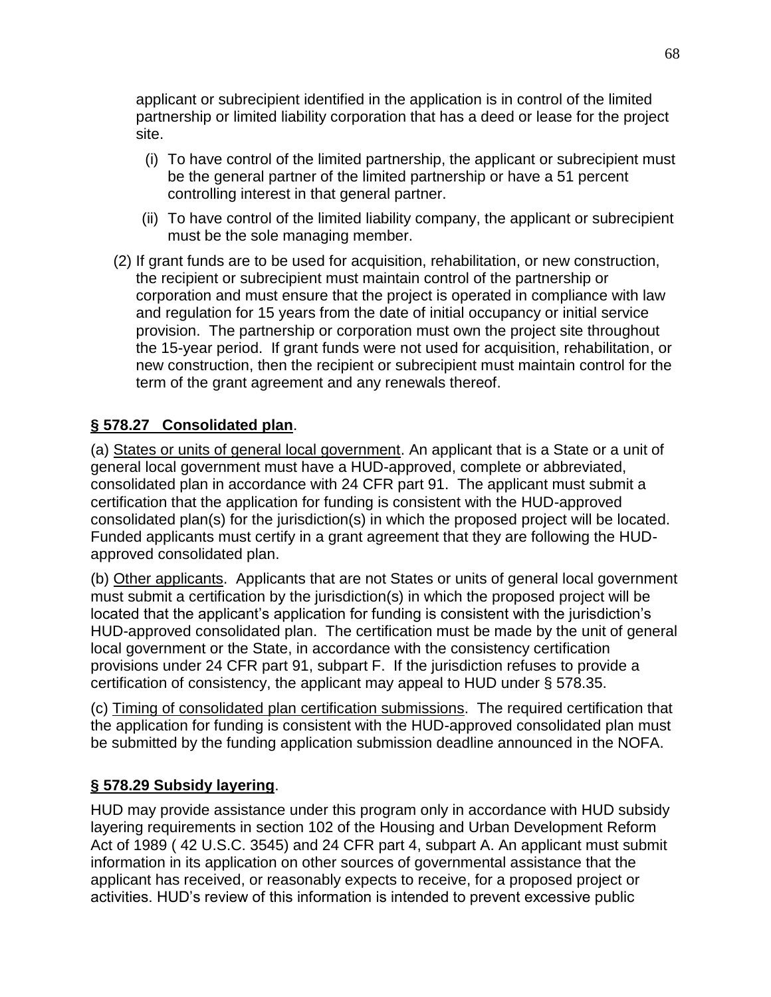applicant or subrecipient identified in the application is in control of the limited partnership or limited liability corporation that has a deed or lease for the project site.

- (i) To have control of the limited partnership, the applicant or subrecipient must be the general partner of the limited partnership or have a 51 percent controlling interest in that general partner.
- (ii) To have control of the limited liability company, the applicant or subrecipient must be the sole managing member.
- (2) If grant funds are to be used for acquisition, rehabilitation, or new construction, the recipient or subrecipient must maintain control of the partnership or corporation and must ensure that the project is operated in compliance with law and regulation for 15 years from the date of initial occupancy or initial service provision. The partnership or corporation must own the project site throughout the 15-year period. If grant funds were not used for acquisition, rehabilitation, or new construction, then the recipient or subrecipient must maintain control for the term of the grant agreement and any renewals thereof.

# **§ 578.27 Consolidated plan**.

(a) States or units of general local government. An applicant that is a State or a unit of general local government must have a HUD-approved, complete or abbreviated, consolidated plan in accordance with 24 CFR part 91. The applicant must submit a certification that the application for funding is consistent with the HUD-approved consolidated plan(s) for the jurisdiction(s) in which the proposed project will be located. Funded applicants must certify in a grant agreement that they are following the HUDapproved consolidated plan.

(b) Other applicants. Applicants that are not States or units of general local government must submit a certification by the jurisdiction(s) in which the proposed project will be located that the applicant's application for funding is consistent with the jurisdiction's HUD-approved consolidated plan. The certification must be made by the unit of general local government or the State, in accordance with the consistency certification provisions under 24 CFR part 91, subpart F. If the jurisdiction refuses to provide a certification of consistency, the applicant may appeal to HUD under § 578.35.

(c) Timing of consolidated plan certification submissions. The required certification that the application for funding is consistent with the HUD-approved consolidated plan must be submitted by the funding application submission deadline announced in the NOFA.

# **§ 578.29 Subsidy layering**.

HUD may provide assistance under this program only in accordance with HUD subsidy layering requirements in section 102 of the Housing and Urban Development Reform Act of 1989 ( 42 U.S.C. 3545) and 24 CFR part 4, subpart A. An applicant must submit information in its application on other sources of governmental assistance that the applicant has received, or reasonably expects to receive, for a proposed project or activities. HUD's review of this information is intended to prevent excessive public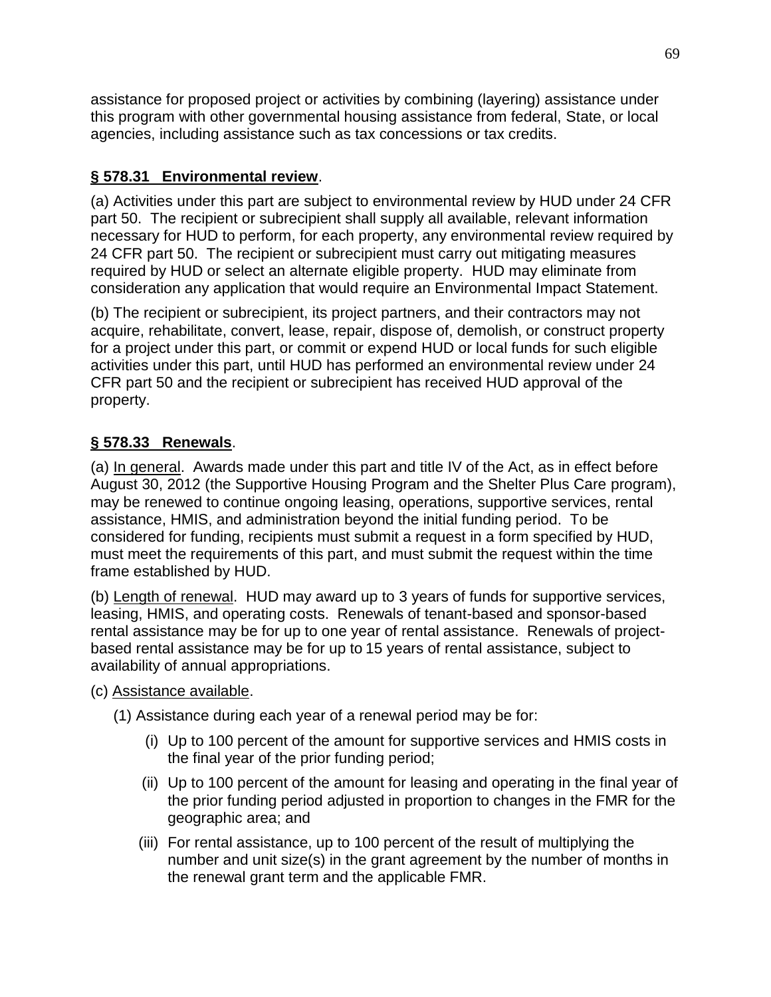assistance for proposed project or activities by combining (layering) assistance under this program with other governmental housing assistance from federal, State, or local agencies, including assistance such as tax concessions or tax credits.

# **§ 578.31 Environmental review**.

(a) Activities under this part are subject to environmental review by HUD under 24 CFR part 50. The recipient or subrecipient shall supply all available, relevant information necessary for HUD to perform, for each property, any environmental review required by 24 CFR part 50. The recipient or subrecipient must carry out mitigating measures required by HUD or select an alternate eligible property. HUD may eliminate from consideration any application that would require an Environmental Impact Statement.

(b) The recipient or subrecipient, its project partners, and their contractors may not acquire, rehabilitate, convert, lease, repair, dispose of, demolish, or construct property for a project under this part, or commit or expend HUD or local funds for such eligible activities under this part, until HUD has performed an environmental review under 24 CFR part 50 and the recipient or subrecipient has received HUD approval of the property.

# **§ 578.33 Renewals**.

(a) In general. Awards made under this part and title IV of the Act, as in effect before August 30, 2012 (the Supportive Housing Program and the Shelter Plus Care program), may be renewed to continue ongoing leasing, operations, supportive services, rental assistance, HMIS, and administration beyond the initial funding period. To be considered for funding, recipients must submit a request in a form specified by HUD, must meet the requirements of this part, and must submit the request within the time frame established by HUD.

(b) Length of renewal. HUD may award up to 3 years of funds for supportive services, leasing, HMIS, and operating costs. Renewals of tenant-based and sponsor-based rental assistance may be for up to one year of rental assistance. Renewals of projectbased rental assistance may be for up to 15 years of rental assistance, subject to availability of annual appropriations.

(c) Assistance available.

- (1) Assistance during each year of a renewal period may be for:
	- (i) Up to 100 percent of the amount for supportive services and HMIS costs in the final year of the prior funding period;
	- (ii) Up to 100 percent of the amount for leasing and operating in the final year of the prior funding period adjusted in proportion to changes in the FMR for the geographic area; and
	- (iii) For rental assistance, up to 100 percent of the result of multiplying the number and unit size(s) in the grant agreement by the number of months in the renewal grant term and the applicable FMR.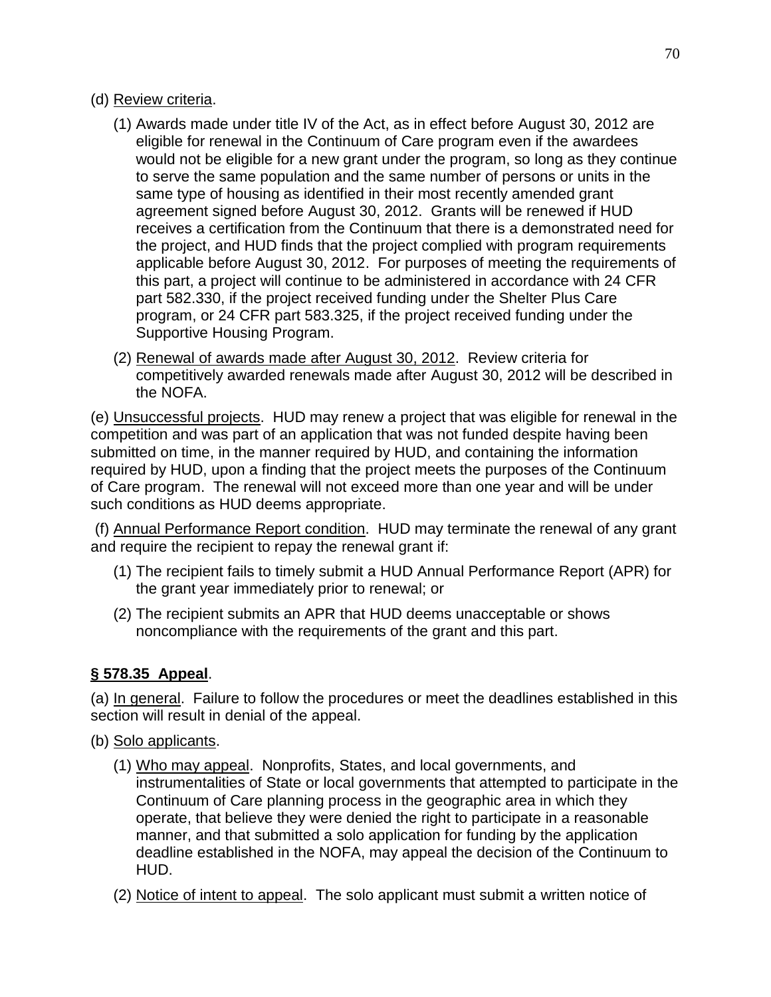- (d) Review criteria.
	- (1) Awards made under title IV of the Act, as in effect before August 30, 2012 are eligible for renewal in the Continuum of Care program even if the awardees would not be eligible for a new grant under the program, so long as they continue to serve the same population and the same number of persons or units in the same type of housing as identified in their most recently amended grant agreement signed before August 30, 2012. Grants will be renewed if HUD receives a certification from the Continuum that there is a demonstrated need for the project, and HUD finds that the project complied with program requirements applicable before August 30, 2012. For purposes of meeting the requirements of this part, a project will continue to be administered in accordance with 24 CFR part 582.330, if the project received funding under the Shelter Plus Care program, or 24 CFR part 583.325, if the project received funding under the Supportive Housing Program.
	- (2) Renewal of awards made after August 30, 2012. Review criteria for competitively awarded renewals made after August 30, 2012 will be described in the NOFA.

(e) Unsuccessful projects. HUD may renew a project that was eligible for renewal in the competition and was part of an application that was not funded despite having been submitted on time, in the manner required by HUD, and containing the information required by HUD, upon a finding that the project meets the purposes of the Continuum of Care program. The renewal will not exceed more than one year and will be under such conditions as HUD deems appropriate.

(f) Annual Performance Report condition. HUD may terminate the renewal of any grant and require the recipient to repay the renewal grant if:

- (1) The recipient fails to timely submit a HUD Annual Performance Report (APR) for the grant year immediately prior to renewal; or
- (2) The recipient submits an APR that HUD deems unacceptable or shows noncompliance with the requirements of the grant and this part.

# **§ 578.35 Appeal**.

(a) In general. Failure to follow the procedures or meet the deadlines established in this section will result in denial of the appeal.

- (b) Solo applicants.
	- (1) Who may appeal. Nonprofits, States, and local governments, and instrumentalities of State or local governments that attempted to participate in the Continuum of Care planning process in the geographic area in which they operate, that believe they were denied the right to participate in a reasonable manner, and that submitted a solo application for funding by the application deadline established in the NOFA, may appeal the decision of the Continuum to HUD.
	- (2) Notice of intent to appeal. The solo applicant must submit a written notice of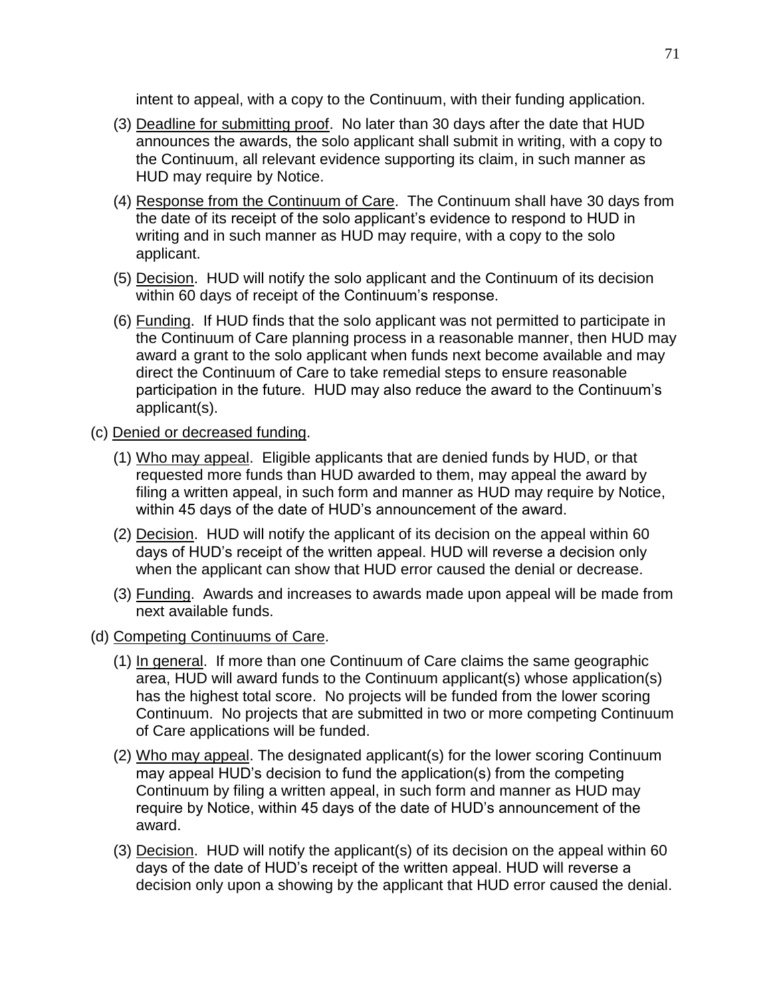intent to appeal, with a copy to the Continuum, with their funding application.

- (3) Deadline for submitting proof. No later than 30 days after the date that HUD announces the awards, the solo applicant shall submit in writing, with a copy to the Continuum, all relevant evidence supporting its claim, in such manner as HUD may require by Notice.
- (4) Response from the Continuum of Care. The Continuum shall have 30 days from the date of its receipt of the solo applicant's evidence to respond to HUD in writing and in such manner as HUD may require, with a copy to the solo applicant.
- (5) Decision. HUD will notify the solo applicant and the Continuum of its decision within 60 days of receipt of the Continuum's response.
- (6) Funding. If HUD finds that the solo applicant was not permitted to participate in the Continuum of Care planning process in a reasonable manner, then HUD may award a grant to the solo applicant when funds next become available and may direct the Continuum of Care to take remedial steps to ensure reasonable participation in the future. HUD may also reduce the award to the Continuum's applicant(s).
- (c) Denied or decreased funding.
	- (1) Who may appeal. Eligible applicants that are denied funds by HUD, or that requested more funds than HUD awarded to them, may appeal the award by filing a written appeal, in such form and manner as HUD may require by Notice, within 45 days of the date of HUD's announcement of the award.
	- (2) Decision. HUD will notify the applicant of its decision on the appeal within 60 days of HUD's receipt of the written appeal. HUD will reverse a decision only when the applicant can show that HUD error caused the denial or decrease.
	- (3) Funding. Awards and increases to awards made upon appeal will be made from next available funds.
- (d) Competing Continuums of Care.
	- (1) In general. If more than one Continuum of Care claims the same geographic area, HUD will award funds to the Continuum applicant(s) whose application(s) has the highest total score. No projects will be funded from the lower scoring Continuum. No projects that are submitted in two or more competing Continuum of Care applications will be funded.
	- (2) Who may appeal. The designated applicant(s) for the lower scoring Continuum may appeal HUD's decision to fund the application(s) from the competing Continuum by filing a written appeal, in such form and manner as HUD may require by Notice, within 45 days of the date of HUD's announcement of the award.
	- (3) Decision. HUD will notify the applicant(s) of its decision on the appeal within 60 days of the date of HUD's receipt of the written appeal. HUD will reverse a decision only upon a showing by the applicant that HUD error caused the denial.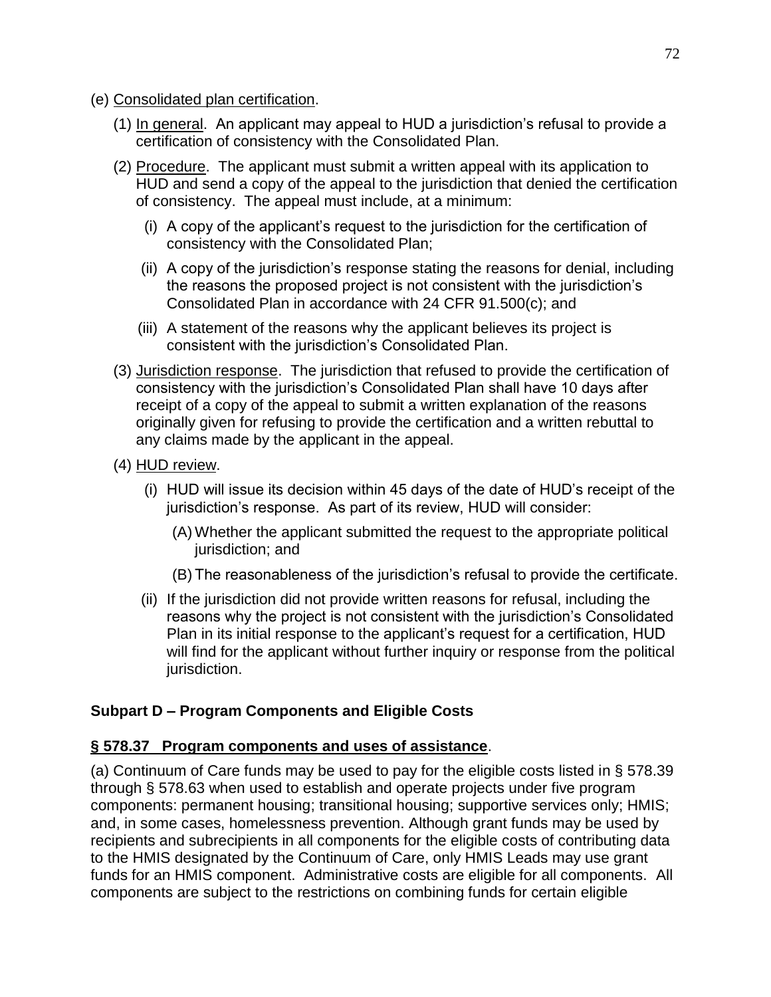- (e) Consolidated plan certification.
	- (1) In general. An applicant may appeal to HUD a jurisdiction's refusal to provide a certification of consistency with the Consolidated Plan.
	- (2) Procedure. The applicant must submit a written appeal with its application to HUD and send a copy of the appeal to the jurisdiction that denied the certification of consistency. The appeal must include, at a minimum:
		- (i) A copy of the applicant's request to the jurisdiction for the certification of consistency with the Consolidated Plan;
		- (ii) A copy of the jurisdiction's response stating the reasons for denial, including the reasons the proposed project is not consistent with the jurisdiction's Consolidated Plan in accordance with 24 CFR 91.500(c); and
		- (iii) A statement of the reasons why the applicant believes its project is consistent with the jurisdiction's Consolidated Plan.
	- (3) Jurisdiction response. The jurisdiction that refused to provide the certification of consistency with the jurisdiction's Consolidated Plan shall have 10 days after receipt of a copy of the appeal to submit a written explanation of the reasons originally given for refusing to provide the certification and a written rebuttal to any claims made by the applicant in the appeal.
	- (4) HUD review.
		- (i) HUD will issue its decision within 45 days of the date of HUD's receipt of the jurisdiction's response. As part of its review, HUD will consider:
			- (A) Whether the applicant submitted the request to the appropriate political jurisdiction; and
			- (B) The reasonableness of the jurisdiction's refusal to provide the certificate.
		- (ii) If the jurisdiction did not provide written reasons for refusal, including the reasons why the project is not consistent with the jurisdiction's Consolidated Plan in its initial response to the applicant's request for a certification, HUD will find for the applicant without further inquiry or response from the political jurisdiction.

# **Subpart D – Program Components and Eligible Costs**

## **§ 578.37 Program components and uses of assistance**.

(a) Continuum of Care funds may be used to pay for the eligible costs listed in § 578.39 through § 578.63 when used to establish and operate projects under five program components: permanent housing; transitional housing; supportive services only; HMIS; and, in some cases, homelessness prevention. Although grant funds may be used by recipients and subrecipients in all components for the eligible costs of contributing data to the HMIS designated by the Continuum of Care, only HMIS Leads may use grant funds for an HMIS component. Administrative costs are eligible for all components. All components are subject to the restrictions on combining funds for certain eligible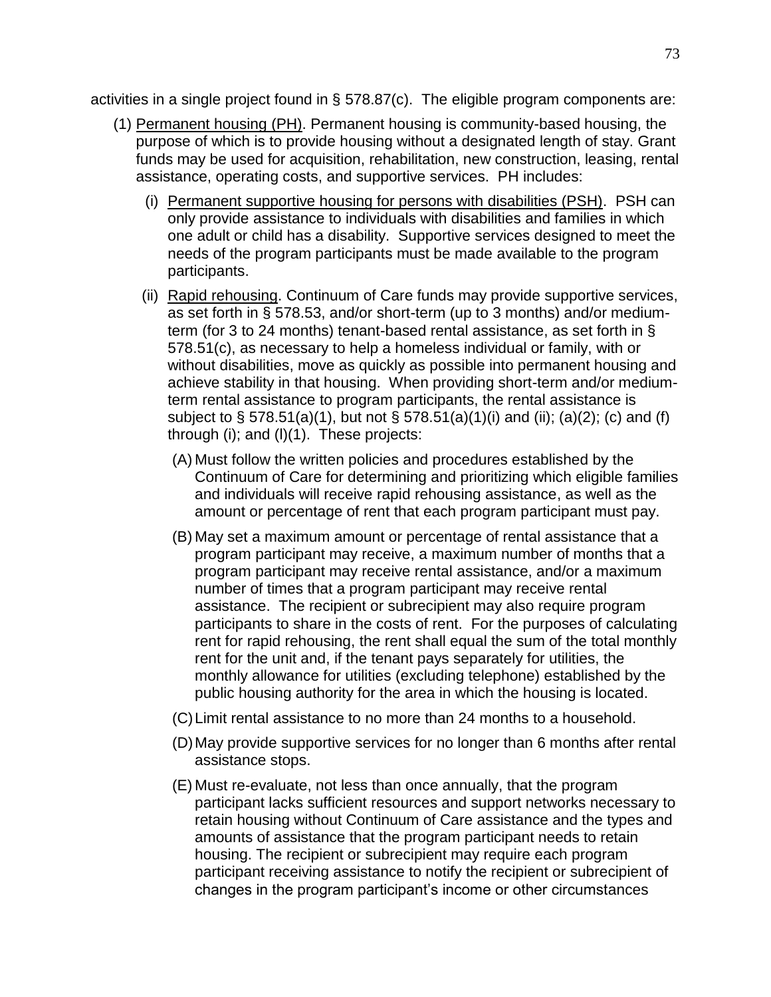activities in a single project found in § 578.87(c). The eligible program components are:

- (1) Permanent housing (PH). Permanent housing is community-based housing, the purpose of which is to provide housing without a designated length of stay. Grant funds may be used for acquisition, rehabilitation, new construction, leasing, rental assistance, operating costs, and supportive services. PH includes:
	- (i) Permanent supportive housing for persons with disabilities (PSH). PSH can only provide assistance to individuals with disabilities and families in which one adult or child has a disability. Supportive services designed to meet the needs of the program participants must be made available to the program participants.
	- (ii) Rapid rehousing. Continuum of Care funds may provide supportive services, as set forth in § 578.53, and/or short-term (up to 3 months) and/or mediumterm (for 3 to 24 months) tenant-based rental assistance, as set forth in § 578.51(c), as necessary to help a homeless individual or family, with or without disabilities, move as quickly as possible into permanent housing and achieve stability in that housing. When providing short-term and/or mediumterm rental assistance to program participants, the rental assistance is subject to § 578.51(a)(1), but not § 578.51(a)(1)(i) and (ii); (a)(2); (c) and (f) through (i); and (l)(1). These projects:
		- (A) Must follow the written policies and procedures established by the Continuum of Care for determining and prioritizing which eligible families and individuals will receive rapid rehousing assistance, as well as the amount or percentage of rent that each program participant must pay.
		- (B) May set a maximum amount or percentage of rental assistance that a program participant may receive, a maximum number of months that a program participant may receive rental assistance, and/or a maximum number of times that a program participant may receive rental assistance. The recipient or subrecipient may also require program participants to share in the costs of rent. For the purposes of calculating rent for rapid rehousing, the rent shall equal the sum of the total monthly rent for the unit and, if the tenant pays separately for utilities, the monthly allowance for utilities (excluding telephone) established by the public housing authority for the area in which the housing is located.
		- (C)Limit rental assistance to no more than 24 months to a household.
		- (D)May provide supportive services for no longer than 6 months after rental assistance stops.
		- (E) Must re-evaluate, not less than once annually, that the program participant lacks sufficient resources and support networks necessary to retain housing without Continuum of Care assistance and the types and amounts of assistance that the program participant needs to retain housing. The recipient or subrecipient may require each program participant receiving assistance to notify the recipient or subrecipient of changes in the program participant's income or other circumstances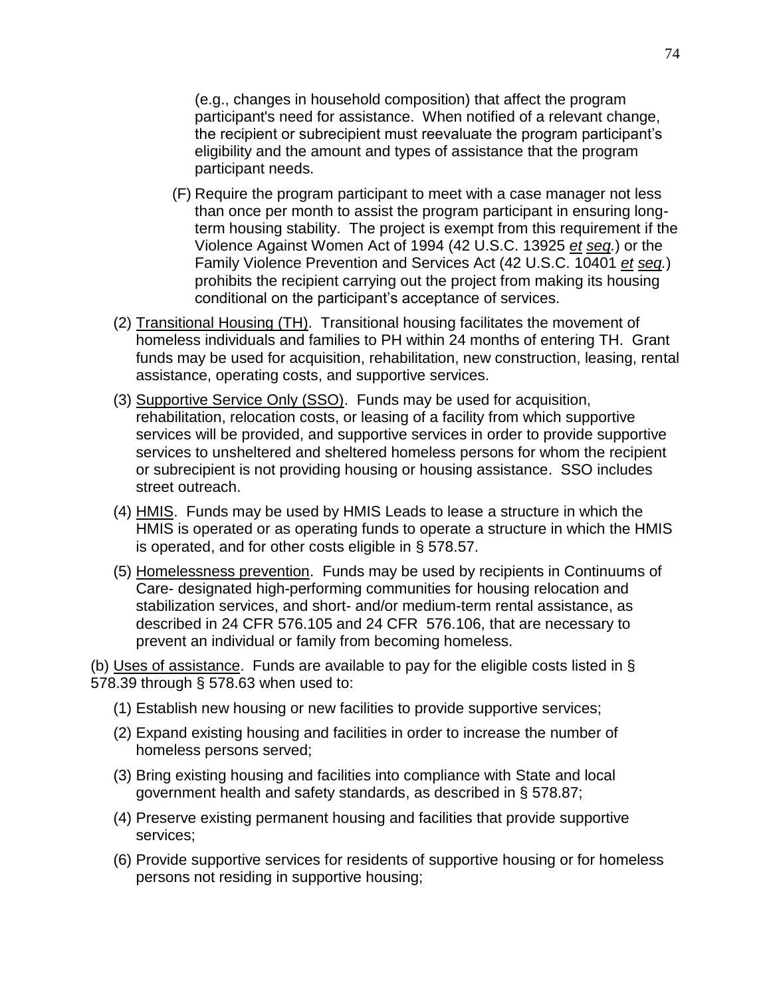(e.g., changes in household composition) that affect the program participant's need for assistance. When notified of a relevant change, the recipient or subrecipient must reevaluate the program participant's eligibility and the amount and types of assistance that the program participant needs.

- (F) Require the program participant to meet with a case manager not less than once per month to assist the program participant in ensuring longterm housing stability. The project is exempt from this requirement if the Violence Against Women Act of 1994 (42 U.S.C. 13925 *et seq.*) or the Family Violence Prevention and Services Act (42 U.S.C. 10401 *et seq.*) prohibits the recipient carrying out the project from making its housing conditional on the participant's acceptance of services.
- (2) Transitional Housing (TH). Transitional housing facilitates the movement of homeless individuals and families to PH within 24 months of entering TH. Grant funds may be used for acquisition, rehabilitation, new construction, leasing, rental assistance, operating costs, and supportive services.
- (3) Supportive Service Only (SSO). Funds may be used for acquisition, rehabilitation, relocation costs, or leasing of a facility from which supportive services will be provided, and supportive services in order to provide supportive services to unsheltered and sheltered homeless persons for whom the recipient or subrecipient is not providing housing or housing assistance. SSO includes street outreach.
- (4) HMIS. Funds may be used by HMIS Leads to lease a structure in which the HMIS is operated or as operating funds to operate a structure in which the HMIS is operated, and for other costs eligible in § 578.57.
- (5) Homelessness prevention. Funds may be used by recipients in Continuums of Care- designated high-performing communities for housing relocation and stabilization services, and short- and/or medium-term rental assistance, as described in 24 CFR 576.105 and 24 CFR 576.106, that are necessary to prevent an individual or family from becoming homeless.

(b) Uses of assistance. Funds are available to pay for the eligible costs listed in § 578.39 through § 578.63 when used to:

- (1) Establish new housing or new facilities to provide supportive services;
- (2) Expand existing housing and facilities in order to increase the number of homeless persons served;
- (3) Bring existing housing and facilities into compliance with State and local government health and safety standards, as described in § 578.87;
- (4) Preserve existing permanent housing and facilities that provide supportive services;
- (6) Provide supportive services for residents of supportive housing or for homeless persons not residing in supportive housing;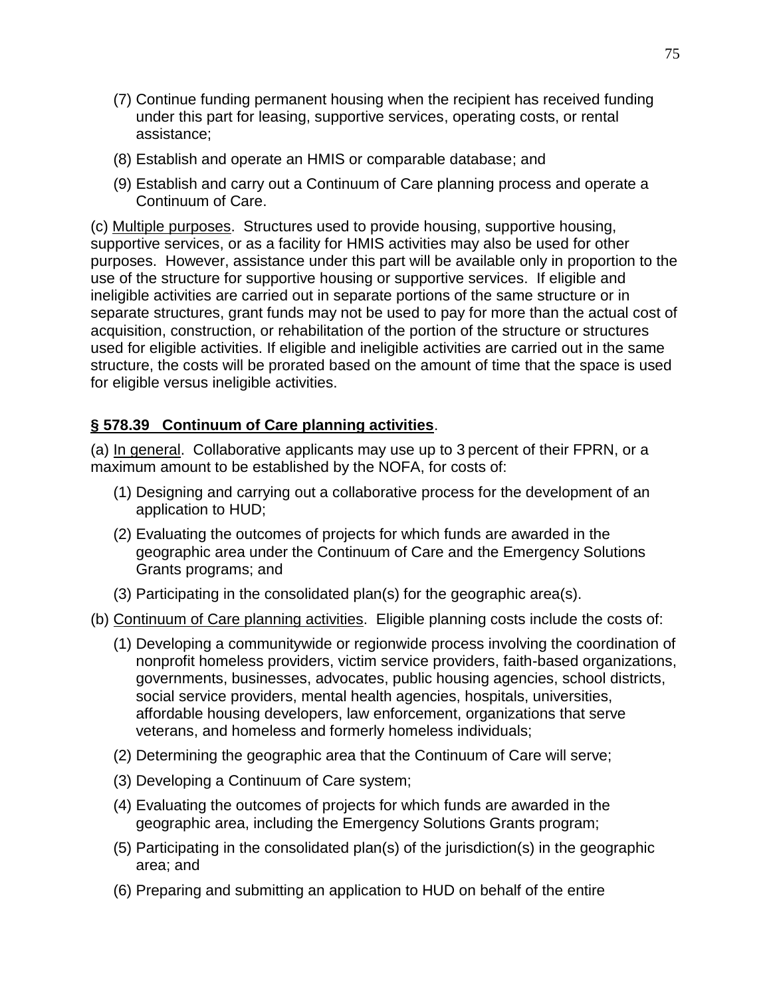- (7) Continue funding permanent housing when the recipient has received funding under this part for leasing, supportive services, operating costs, or rental assistance;
- (8) Establish and operate an HMIS or comparable database; and
- (9) Establish and carry out a Continuum of Care planning process and operate a Continuum of Care.

(c) Multiple purposes. Structures used to provide housing, supportive housing, supportive services, or as a facility for HMIS activities may also be used for other purposes. However, assistance under this part will be available only in proportion to the use of the structure for supportive housing or supportive services. If eligible and ineligible activities are carried out in separate portions of the same structure or in separate structures, grant funds may not be used to pay for more than the actual cost of acquisition, construction, or rehabilitation of the portion of the structure or structures used for eligible activities. If eligible and ineligible activities are carried out in the same structure, the costs will be prorated based on the amount of time that the space is used for eligible versus ineligible activities.

### **§ 578.39 Continuum of Care planning activities**.

(a) In general. Collaborative applicants may use up to 3 percent of their FPRN, or a maximum amount to be established by the NOFA, for costs of:

- (1) Designing and carrying out a collaborative process for the development of an application to HUD;
- (2) Evaluating the outcomes of projects for which funds are awarded in the geographic area under the Continuum of Care and the Emergency Solutions Grants programs; and
- (3) Participating in the consolidated plan(s) for the geographic area(s).
- (b) Continuum of Care planning activities. Eligible planning costs include the costs of:
	- (1) Developing a communitywide or regionwide process involving the coordination of nonprofit homeless providers, victim service providers, faith-based organizations, governments, businesses, advocates, public housing agencies, school districts, social service providers, mental health agencies, hospitals, universities, affordable housing developers, law enforcement, organizations that serve veterans, and homeless and formerly homeless individuals;
	- (2) Determining the geographic area that the Continuum of Care will serve;
	- (3) Developing a Continuum of Care system;
	- (4) Evaluating the outcomes of projects for which funds are awarded in the geographic area, including the Emergency Solutions Grants program;
	- (5) Participating in the consolidated plan(s) of the jurisdiction(s) in the geographic area; and
	- (6) Preparing and submitting an application to HUD on behalf of the entire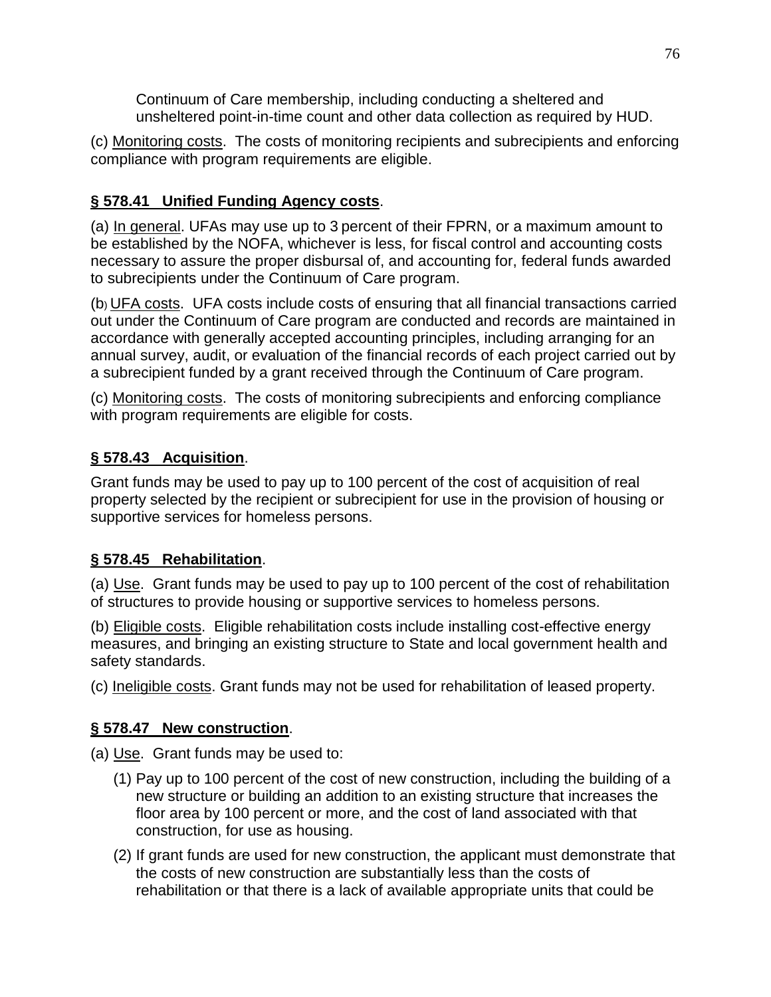Continuum of Care membership, including conducting a sheltered and unsheltered point-in-time count and other data collection as required by HUD.

(c) Monitoring costs. The costs of monitoring recipients and subrecipients and enforcing compliance with program requirements are eligible.

# **§ 578.41 Unified Funding Agency costs**.

(a) In general. UFAs may use up to 3 percent of their FPRN, or a maximum amount to be established by the NOFA, whichever is less, for fiscal control and accounting costs necessary to assure the proper disbursal of, and accounting for, federal funds awarded to subrecipients under the Continuum of Care program.

(b) UFA costs. UFA costs include costs of ensuring that all financial transactions carried out under the Continuum of Care program are conducted and records are maintained in accordance with generally accepted accounting principles, including arranging for an annual survey, audit, or evaluation of the financial records of each project carried out by a subrecipient funded by a grant received through the Continuum of Care program.

(c) Monitoring costs. The costs of monitoring subrecipients and enforcing compliance with program requirements are eligible for costs.

# **§ 578.43 Acquisition**.

Grant funds may be used to pay up to 100 percent of the cost of acquisition of real property selected by the recipient or subrecipient for use in the provision of housing or supportive services for homeless persons.

## **§ 578.45 Rehabilitation**.

(a) Use. Grant funds may be used to pay up to 100 percent of the cost of rehabilitation of structures to provide housing or supportive services to homeless persons.

(b) Eligible costs. Eligible rehabilitation costs include installing cost-effective energy measures, and bringing an existing structure to State and local government health and safety standards.

(c) Ineligible costs. Grant funds may not be used for rehabilitation of leased property.

## **§ 578.47 New construction**.

(a) Use. Grant funds may be used to:

- (1) Pay up to 100 percent of the cost of new construction, including the building of a new structure or building an addition to an existing structure that increases the floor area by 100 percent or more, and the cost of land associated with that construction, for use as housing.
- (2) If grant funds are used for new construction, the applicant must demonstrate that the costs of new construction are substantially less than the costs of rehabilitation or that there is a lack of available appropriate units that could be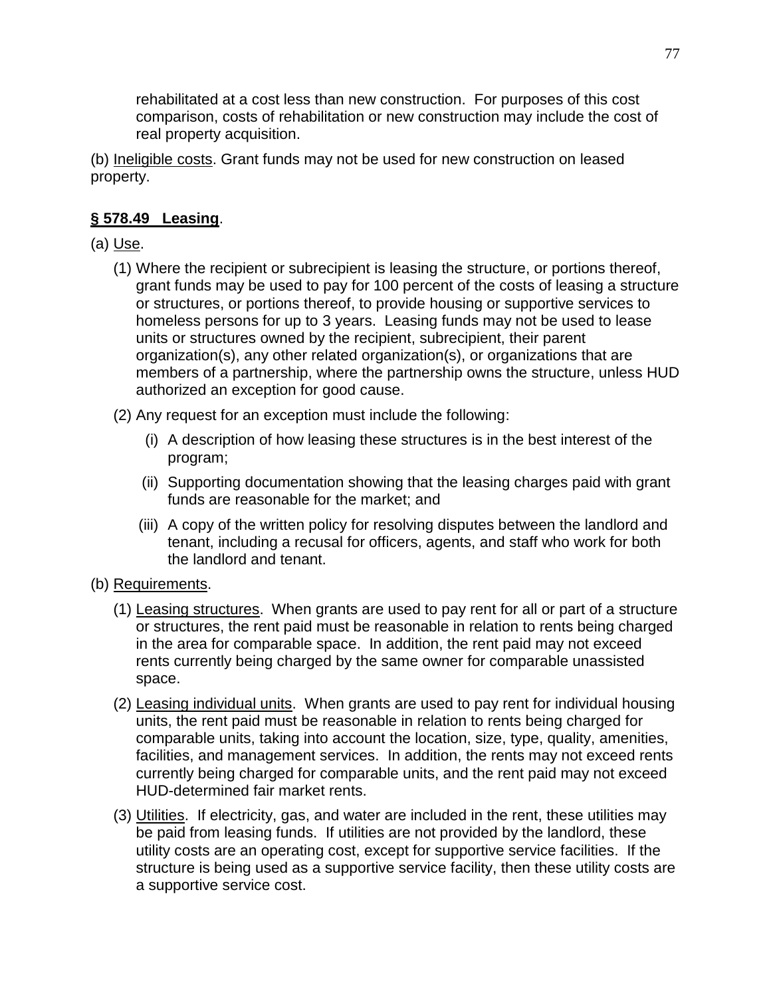rehabilitated at a cost less than new construction. For purposes of this cost comparison, costs of rehabilitation or new construction may include the cost of real property acquisition.

(b) Ineligible costs. Grant funds may not be used for new construction on leased property.

## **§ 578.49 Leasing**.

(a) Use.

- (1) Where the recipient or subrecipient is leasing the structure, or portions thereof, grant funds may be used to pay for 100 percent of the costs of leasing a structure or structures, or portions thereof, to provide housing or supportive services to homeless persons for up to 3 years. Leasing funds may not be used to lease units or structures owned by the recipient, subrecipient, their parent organization(s), any other related organization(s), or organizations that are members of a partnership, where the partnership owns the structure, unless HUD authorized an exception for good cause.
- (2) Any request for an exception must include the following:
	- (i) A description of how leasing these structures is in the best interest of the program;
	- (ii) Supporting documentation showing that the leasing charges paid with grant funds are reasonable for the market; and
	- (iii) A copy of the written policy for resolving disputes between the landlord and tenant, including a recusal for officers, agents, and staff who work for both the landlord and tenant.
- (b) Requirements.
	- (1) Leasing structures. When grants are used to pay rent for all or part of a structure or structures, the rent paid must be reasonable in relation to rents being charged in the area for comparable space. In addition, the rent paid may not exceed rents currently being charged by the same owner for comparable unassisted space.
	- (2) Leasing individual units. When grants are used to pay rent for individual housing units, the rent paid must be reasonable in relation to rents being charged for comparable units, taking into account the location, size, type, quality, amenities, facilities, and management services. In addition, the rents may not exceed rents currently being charged for comparable units, and the rent paid may not exceed HUD-determined fair market rents.
	- (3) Utilities. If electricity, gas, and water are included in the rent, these utilities may be paid from leasing funds. If utilities are not provided by the landlord, these utility costs are an operating cost, except for supportive service facilities. If the structure is being used as a supportive service facility, then these utility costs are a supportive service cost.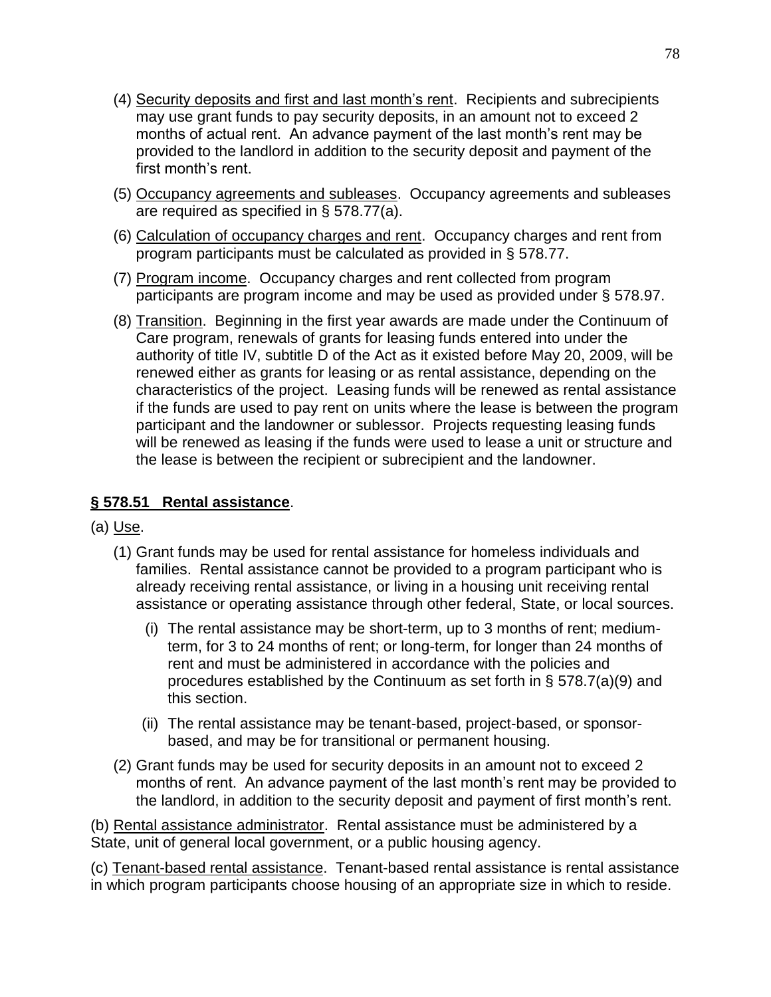- (4) Security deposits and first and last month's rent. Recipients and subrecipients may use grant funds to pay security deposits, in an amount not to exceed 2 months of actual rent. An advance payment of the last month's rent may be provided to the landlord in addition to the security deposit and payment of the first month's rent.
- (5) Occupancy agreements and subleases. Occupancy agreements and subleases are required as specified in § 578.77(a).
- (6) Calculation of occupancy charges and rent. Occupancy charges and rent from program participants must be calculated as provided in § 578.77.
- (7) Program income. Occupancy charges and rent collected from program participants are program income and may be used as provided under § 578.97.
- (8) Transition. Beginning in the first year awards are made under the Continuum of Care program, renewals of grants for leasing funds entered into under the authority of title IV, subtitle D of the Act as it existed before May 20, 2009, will be renewed either as grants for leasing or as rental assistance, depending on the characteristics of the project. Leasing funds will be renewed as rental assistance if the funds are used to pay rent on units where the lease is between the program participant and the landowner or sublessor. Projects requesting leasing funds will be renewed as leasing if the funds were used to lease a unit or structure and the lease is between the recipient or subrecipient and the landowner.

## **§ 578.51 Rental assistance**.

- (a) Use.
	- (1) Grant funds may be used for rental assistance for homeless individuals and families. Rental assistance cannot be provided to a program participant who is already receiving rental assistance, or living in a housing unit receiving rental assistance or operating assistance through other federal, State, or local sources.
		- (i) The rental assistance may be short-term, up to 3 months of rent; mediumterm, for 3 to 24 months of rent; or long-term, for longer than 24 months of rent and must be administered in accordance with the policies and procedures established by the Continuum as set forth in § 578.7(a)(9) and this section.
		- (ii) The rental assistance may be tenant-based, project-based, or sponsorbased, and may be for transitional or permanent housing.
	- (2) Grant funds may be used for security deposits in an amount not to exceed 2 months of rent. An advance payment of the last month's rent may be provided to the landlord, in addition to the security deposit and payment of first month's rent.

(b) Rental assistance administrator. Rental assistance must be administered by a State, unit of general local government, or a public housing agency.

(c) Tenant-based rental assistance. Tenant-based rental assistance is rental assistance in which program participants choose housing of an appropriate size in which to reside.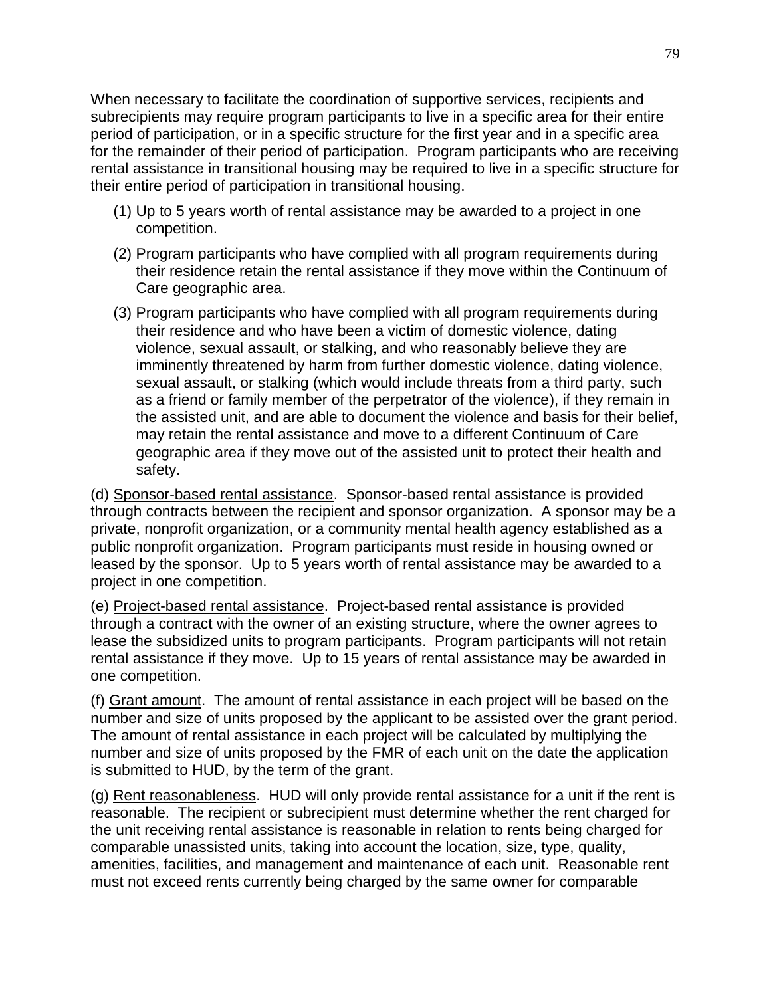When necessary to facilitate the coordination of supportive services, recipients and subrecipients may require program participants to live in a specific area for their entire period of participation, or in a specific structure for the first year and in a specific area for the remainder of their period of participation. Program participants who are receiving rental assistance in transitional housing may be required to live in a specific structure for their entire period of participation in transitional housing.

- (1) Up to 5 years worth of rental assistance may be awarded to a project in one competition.
- (2) Program participants who have complied with all program requirements during their residence retain the rental assistance if they move within the Continuum of Care geographic area.
- (3) Program participants who have complied with all program requirements during their residence and who have been a victim of domestic violence, dating violence, sexual assault, or stalking, and who reasonably believe they are imminently threatened by harm from further domestic violence, dating violence, sexual assault, or stalking (which would include threats from a third party, such as a friend or family member of the perpetrator of the violence), if they remain in the assisted unit, and are able to document the violence and basis for their belief, may retain the rental assistance and move to a different Continuum of Care geographic area if they move out of the assisted unit to protect their health and safety.

(d) Sponsor-based rental assistance. Sponsor-based rental assistance is provided through contracts between the recipient and sponsor organization. A sponsor may be a private, nonprofit organization, or a community mental health agency established as a public nonprofit organization. Program participants must reside in housing owned or leased by the sponsor. Up to 5 years worth of rental assistance may be awarded to a project in one competition.

(e) Project-based rental assistance. Project-based rental assistance is provided through a contract with the owner of an existing structure, where the owner agrees to lease the subsidized units to program participants. Program participants will not retain rental assistance if they move. Up to 15 years of rental assistance may be awarded in one competition.

(f) Grant amount. The amount of rental assistance in each project will be based on the number and size of units proposed by the applicant to be assisted over the grant period. The amount of rental assistance in each project will be calculated by multiplying the number and size of units proposed by the FMR of each unit on the date the application is submitted to HUD, by the term of the grant.

(g) Rent reasonableness. HUD will only provide rental assistance for a unit if the rent is reasonable. The recipient or subrecipient must determine whether the rent charged for the unit receiving rental assistance is reasonable in relation to rents being charged for comparable unassisted units, taking into account the location, size, type, quality, amenities, facilities, and management and maintenance of each unit. Reasonable rent must not exceed rents currently being charged by the same owner for comparable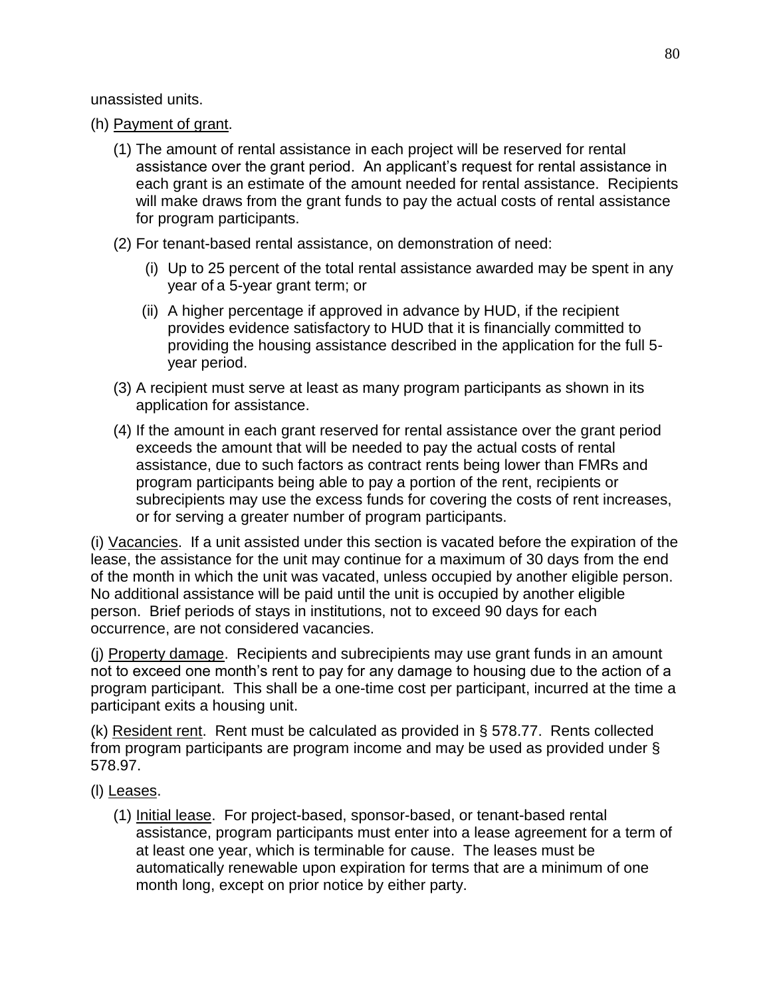unassisted units.

- (h) Payment of grant.
	- (1) The amount of rental assistance in each project will be reserved for rental assistance over the grant period. An applicant's request for rental assistance in each grant is an estimate of the amount needed for rental assistance. Recipients will make draws from the grant funds to pay the actual costs of rental assistance for program participants.
	- (2) For tenant-based rental assistance, on demonstration of need:
		- (i) Up to 25 percent of the total rental assistance awarded may be spent in any year of a 5-year grant term; or
		- (ii) A higher percentage if approved in advance by HUD, if the recipient provides evidence satisfactory to HUD that it is financially committed to providing the housing assistance described in the application for the full 5 year period.
	- (3) A recipient must serve at least as many program participants as shown in its application for assistance.
	- (4) If the amount in each grant reserved for rental assistance over the grant period exceeds the amount that will be needed to pay the actual costs of rental assistance, due to such factors as contract rents being lower than FMRs and program participants being able to pay a portion of the rent, recipients or subrecipients may use the excess funds for covering the costs of rent increases, or for serving a greater number of program participants.

(i) Vacancies. If a unit assisted under this section is vacated before the expiration of the lease, the assistance for the unit may continue for a maximum of 30 days from the end of the month in which the unit was vacated, unless occupied by another eligible person. No additional assistance will be paid until the unit is occupied by another eligible person. Brief periods of stays in institutions, not to exceed 90 days for each occurrence, are not considered vacancies.

(j) Property damage. Recipients and subrecipients may use grant funds in an amount not to exceed one month's rent to pay for any damage to housing due to the action of a program participant. This shall be a one-time cost per participant, incurred at the time a participant exits a housing unit.

(k) Resident rent. Rent must be calculated as provided in § 578.77. Rents collected from program participants are program income and may be used as provided under § 578.97.

- (l) Leases.
	- (1) Initial lease. For project-based, sponsor-based, or tenant-based rental assistance, program participants must enter into a lease agreement for a term of at least one year, which is terminable for cause. The leases must be automatically renewable upon expiration for terms that are a minimum of one month long, except on prior notice by either party.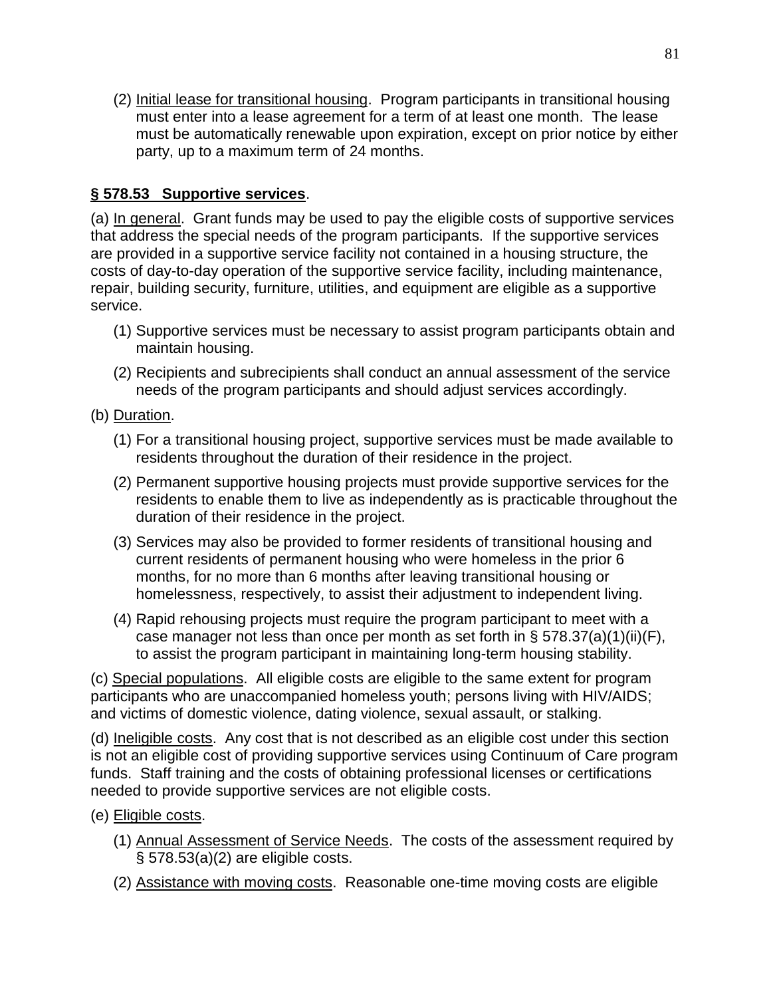(2) Initial lease for transitional housing. Program participants in transitional housing must enter into a lease agreement for a term of at least one month. The lease must be automatically renewable upon expiration, except on prior notice by either party, up to a maximum term of 24 months.

## **§ 578.53 Supportive services**.

(a) In general. Grant funds may be used to pay the eligible costs of supportive services that address the special needs of the program participants. If the supportive services are provided in a supportive service facility not contained in a housing structure, the costs of day-to-day operation of the supportive service facility, including maintenance, repair, building security, furniture, utilities, and equipment are eligible as a supportive service.

- (1) Supportive services must be necessary to assist program participants obtain and maintain housing.
- (2) Recipients and subrecipients shall conduct an annual assessment of the service needs of the program participants and should adjust services accordingly.
- (b) Duration.
	- (1) For a transitional housing project, supportive services must be made available to residents throughout the duration of their residence in the project.
	- (2) Permanent supportive housing projects must provide supportive services for the residents to enable them to live as independently as is practicable throughout the duration of their residence in the project.
	- (3) Services may also be provided to former residents of transitional housing and current residents of permanent housing who were homeless in the prior 6 months, for no more than 6 months after leaving transitional housing or homelessness, respectively, to assist their adjustment to independent living.
	- (4) Rapid rehousing projects must require the program participant to meet with a case manager not less than once per month as set forth in  $\S$  578.37(a)(1)(ii)(F), to assist the program participant in maintaining long-term housing stability.

(c) Special populations. All eligible costs are eligible to the same extent for program participants who are unaccompanied homeless youth; persons living with HIV/AIDS; and victims of domestic violence, dating violence, sexual assault, or stalking.

(d) Ineligible costs. Any cost that is not described as an eligible cost under this section is not an eligible cost of providing supportive services using Continuum of Care program funds. Staff training and the costs of obtaining professional licenses or certifications needed to provide supportive services are not eligible costs.

- (e) Eligible costs.
	- (1) Annual Assessment of Service Needs. The costs of the assessment required by § 578.53(a)(2) are eligible costs.
	- (2) Assistance with moving costs. Reasonable one-time moving costs are eligible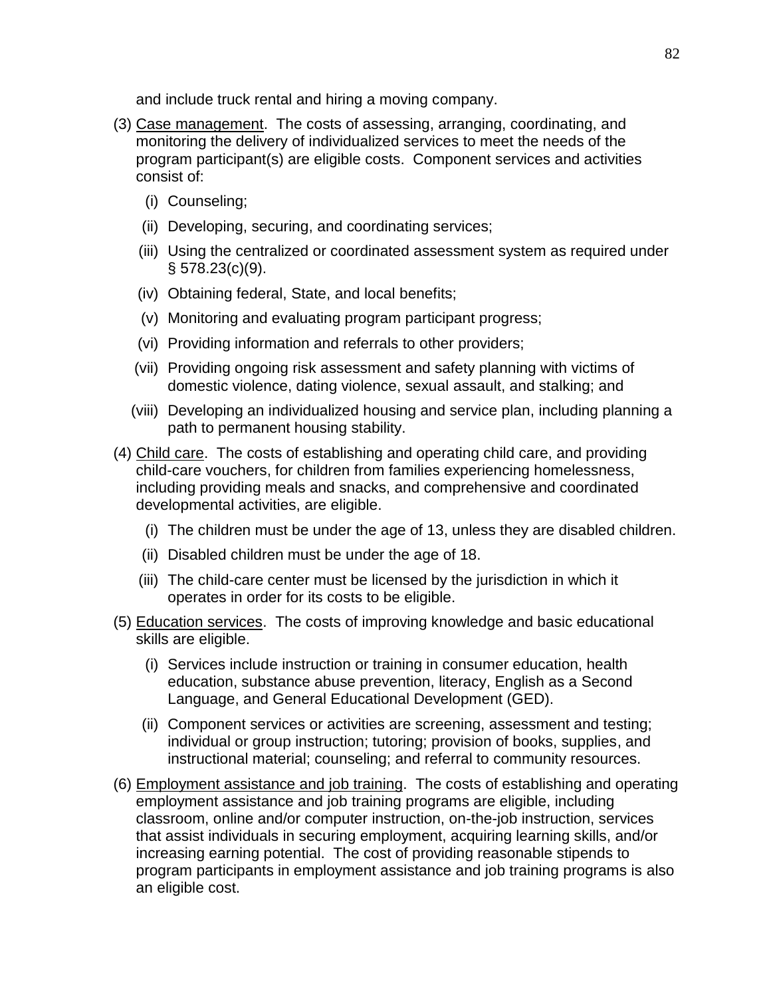and include truck rental and hiring a moving company.

- (3) Case management. The costs of assessing, arranging, coordinating, and monitoring the delivery of individualized services to meet the needs of the program participant(s) are eligible costs. Component services and activities consist of:
	- (i) Counseling;
	- (ii) Developing, securing, and coordinating services;
	- (iii) Using the centralized or coordinated assessment system as required under § 578.23(c)(9).
	- (iv) Obtaining federal, State, and local benefits;
	- (v) Monitoring and evaluating program participant progress;
	- (vi) Providing information and referrals to other providers;
	- (vii) Providing ongoing risk assessment and safety planning with victims of domestic violence, dating violence, sexual assault, and stalking; and
	- (viii) Developing an individualized housing and service plan, including planning a path to permanent housing stability.
- (4) Child care. The costs of establishing and operating child care, and providing child-care vouchers, for children from families experiencing homelessness, including providing meals and snacks, and comprehensive and coordinated developmental activities, are eligible.
	- (i) The children must be under the age of 13, unless they are disabled children.
	- (ii) Disabled children must be under the age of 18.
	- (iii) The child-care center must be licensed by the jurisdiction in which it operates in order for its costs to be eligible.
- (5) Education services. The costs of improving knowledge and basic educational skills are eligible.
	- (i) Services include instruction or training in consumer education, health education, substance abuse prevention, literacy, English as a Second Language, and General Educational Development (GED).
	- (ii) Component services or activities are screening, assessment and testing; individual or group instruction; tutoring; provision of books, supplies, and instructional material; counseling; and referral to community resources.
- (6) Employment assistance and job training. The costs of establishing and operating employment assistance and job training programs are eligible, including classroom, online and/or computer instruction, on-the-job instruction, services that assist individuals in securing employment, acquiring learning skills, and/or increasing earning potential. The cost of providing reasonable stipends to program participants in employment assistance and job training programs is also an eligible cost.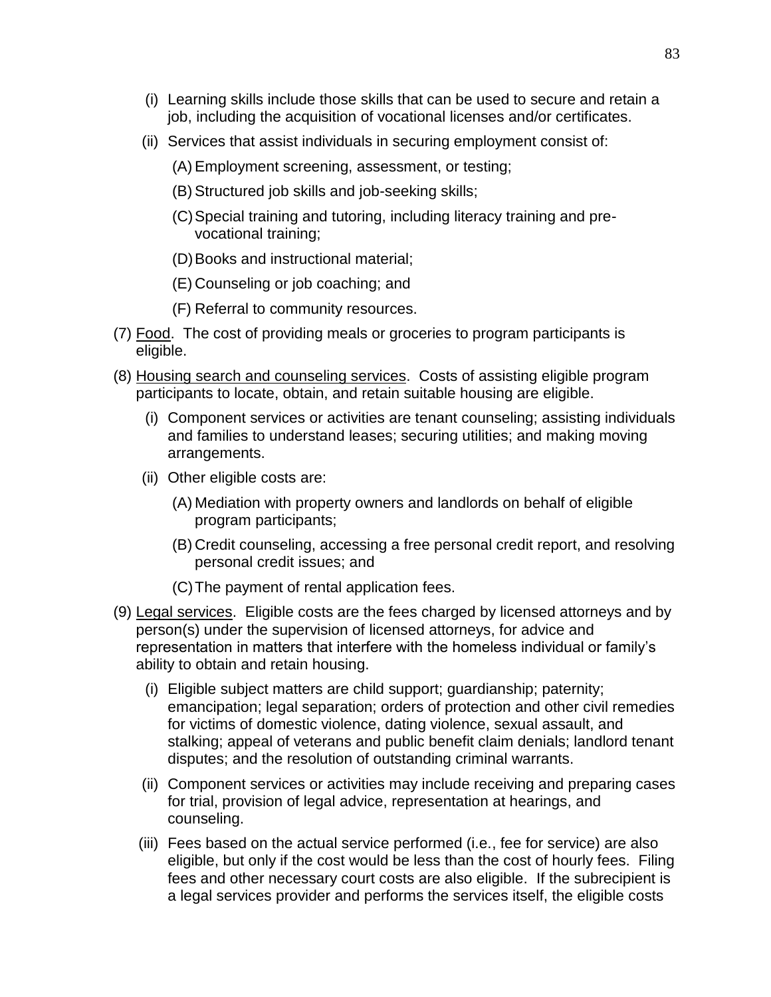- (i) Learning skills include those skills that can be used to secure and retain a job, including the acquisition of vocational licenses and/or certificates.
- (ii) Services that assist individuals in securing employment consist of:
	- (A) Employment screening, assessment, or testing;
	- (B) Structured job skills and job-seeking skills;
	- (C)Special training and tutoring, including literacy training and prevocational training;
	- (D)Books and instructional material;
	- (E) Counseling or job coaching; and
	- (F) Referral to community resources.
- (7) Food. The cost of providing meals or groceries to program participants is eligible.
- (8) Housing search and counseling services. Costs of assisting eligible program participants to locate, obtain, and retain suitable housing are eligible.
	- (i) Component services or activities are tenant counseling; assisting individuals and families to understand leases; securing utilities; and making moving arrangements.
	- (ii) Other eligible costs are:
		- (A) Mediation with property owners and landlords on behalf of eligible program participants;
		- (B) Credit counseling, accessing a free personal credit report, and resolving personal credit issues; and
		- (C)The payment of rental application fees.
- (9) Legal services. Eligible costs are the fees charged by licensed attorneys and by person(s) under the supervision of licensed attorneys, for advice and representation in matters that interfere with the homeless individual or family's ability to obtain and retain housing.
	- (i) Eligible subject matters are child support; guardianship; paternity; emancipation; legal separation; orders of protection and other civil remedies for victims of domestic violence, dating violence, sexual assault, and stalking; appeal of veterans and public benefit claim denials; landlord tenant disputes; and the resolution of outstanding criminal warrants.
	- (ii) Component services or activities may include receiving and preparing cases for trial, provision of legal advice, representation at hearings, and counseling.
	- (iii) Fees based on the actual service performed (i.e., fee for service) are also eligible, but only if the cost would be less than the cost of hourly fees. Filing fees and other necessary court costs are also eligible. If the subrecipient is a legal services provider and performs the services itself, the eligible costs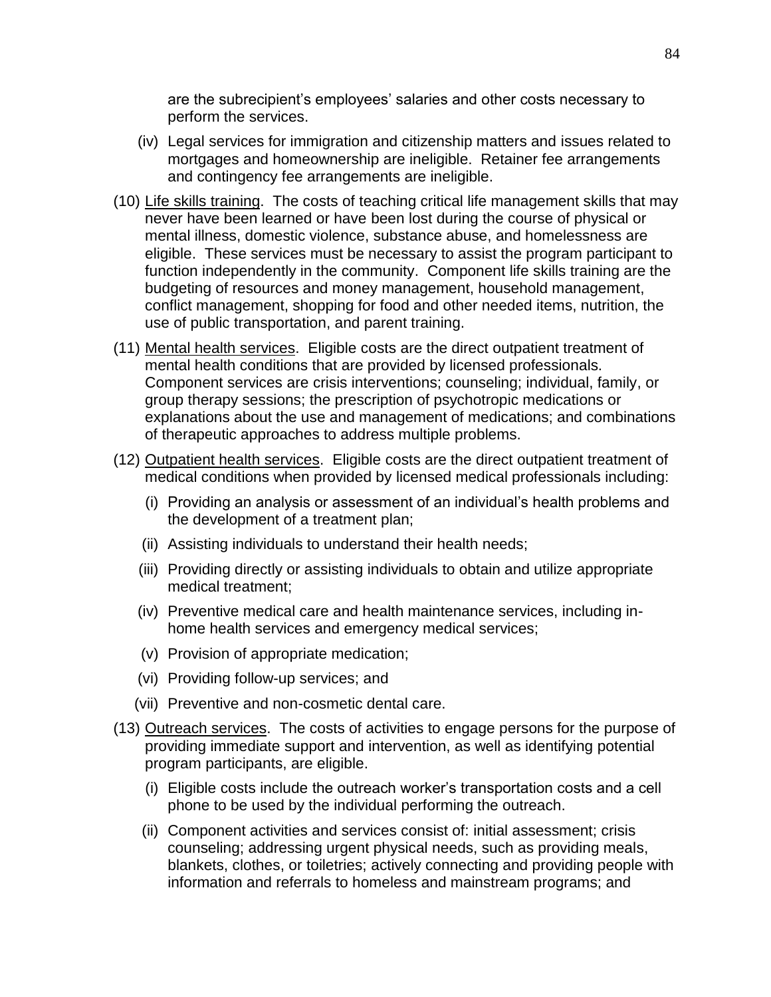are the subrecipient's employees' salaries and other costs necessary to perform the services.

- (iv) Legal services for immigration and citizenship matters and issues related to mortgages and homeownership are ineligible. Retainer fee arrangements and contingency fee arrangements are ineligible.
- (10) Life skills training. The costs of teaching critical life management skills that may never have been learned or have been lost during the course of physical or mental illness, domestic violence, substance abuse, and homelessness are eligible. These services must be necessary to assist the program participant to function independently in the community. Component life skills training are the budgeting of resources and money management, household management, conflict management, shopping for food and other needed items, nutrition, the use of public transportation, and parent training.
- (11) Mental health services. Eligible costs are the direct outpatient treatment of mental health conditions that are provided by licensed professionals. Component services are crisis interventions; counseling; individual, family, or group therapy sessions; the prescription of psychotropic medications or explanations about the use and management of medications; and combinations of therapeutic approaches to address multiple problems.
- (12) Outpatient health services. Eligible costs are the direct outpatient treatment of medical conditions when provided by licensed medical professionals including:
	- (i) Providing an analysis or assessment of an individual's health problems and the development of a treatment plan;
	- (ii) Assisting individuals to understand their health needs;
	- (iii) Providing directly or assisting individuals to obtain and utilize appropriate medical treatment;
	- (iv) Preventive medical care and health maintenance services, including inhome health services and emergency medical services;
	- (v) Provision of appropriate medication;
	- (vi) Providing follow-up services; and
	- (vii) Preventive and non-cosmetic dental care.
- (13) Outreach services. The costs of activities to engage persons for the purpose of providing immediate support and intervention, as well as identifying potential program participants, are eligible.
	- (i) Eligible costs include the outreach worker's transportation costs and a cell phone to be used by the individual performing the outreach.
	- (ii) Component activities and services consist of: initial assessment; crisis counseling; addressing urgent physical needs, such as providing meals, blankets, clothes, or toiletries; actively connecting and providing people with information and referrals to homeless and mainstream programs; and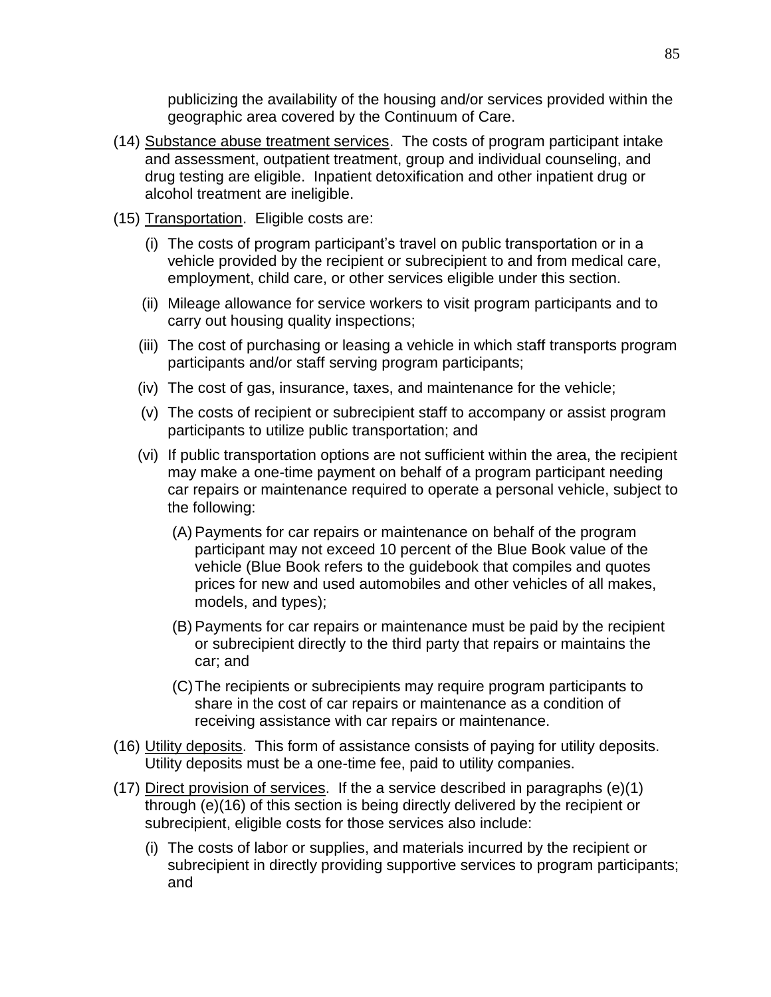publicizing the availability of the housing and/or services provided within the geographic area covered by the Continuum of Care.

- (14) Substance abuse treatment services. The costs of program participant intake and assessment, outpatient treatment, group and individual counseling, and drug testing are eligible. Inpatient detoxification and other inpatient drug or alcohol treatment are ineligible.
- (15) Transportation. Eligible costs are:
	- (i) The costs of program participant's travel on public transportation or in a vehicle provided by the recipient or subrecipient to and from medical care, employment, child care, or other services eligible under this section.
	- (ii) Mileage allowance for service workers to visit program participants and to carry out housing quality inspections;
	- (iii) The cost of purchasing or leasing a vehicle in which staff transports program participants and/or staff serving program participants;
	- (iv) The cost of gas, insurance, taxes, and maintenance for the vehicle;
	- (v) The costs of recipient or subrecipient staff to accompany or assist program participants to utilize public transportation; and
	- (vi) If public transportation options are not sufficient within the area, the recipient may make a one-time payment on behalf of a program participant needing car repairs or maintenance required to operate a personal vehicle, subject to the following:
		- (A) Payments for car repairs or maintenance on behalf of the program participant may not exceed 10 percent of the Blue Book value of the vehicle (Blue Book refers to the guidebook that compiles and quotes prices for new and used automobiles and other vehicles of all makes, models, and types);
		- (B) Payments for car repairs or maintenance must be paid by the recipient or subrecipient directly to the third party that repairs or maintains the car; and
		- (C)The recipients or subrecipients may require program participants to share in the cost of car repairs or maintenance as a condition of receiving assistance with car repairs or maintenance.
- (16) Utility deposits. This form of assistance consists of paying for utility deposits. Utility deposits must be a one-time fee, paid to utility companies.
- (17) Direct provision of services. If the a service described in paragraphs (e)(1) through (e)(16) of this section is being directly delivered by the recipient or subrecipient, eligible costs for those services also include:
	- (i) The costs of labor or supplies, and materials incurred by the recipient or subrecipient in directly providing supportive services to program participants; and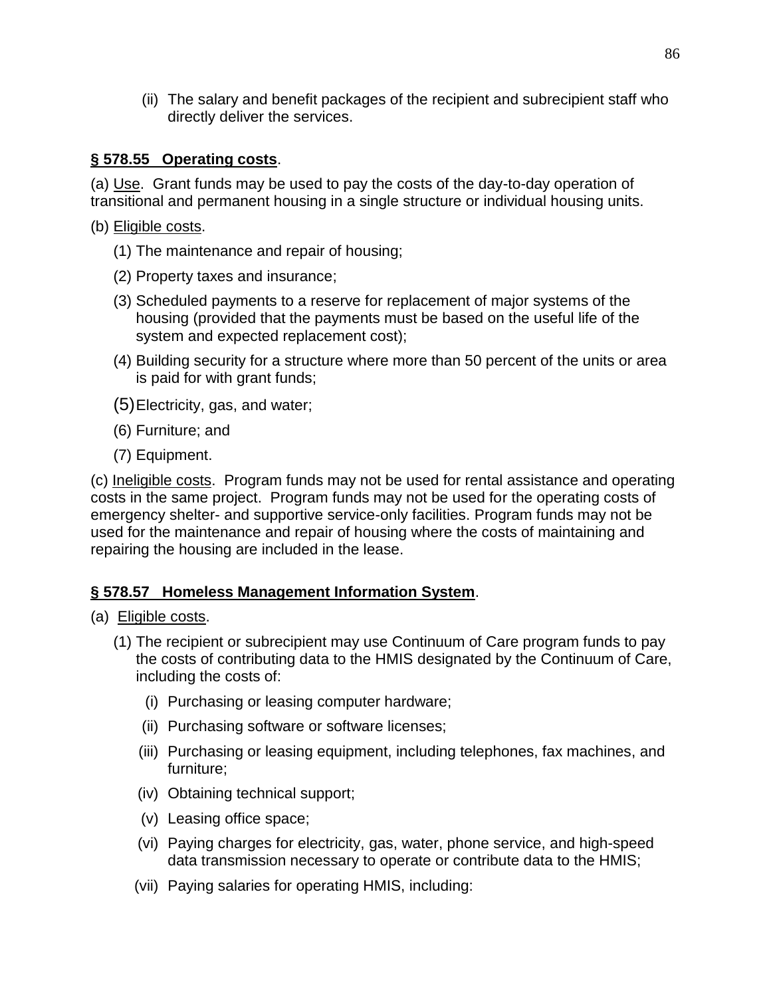(ii) The salary and benefit packages of the recipient and subrecipient staff who directly deliver the services.

## **§ 578.55 Operating costs**.

(a) Use. Grant funds may be used to pay the costs of the day-to-day operation of transitional and permanent housing in a single structure or individual housing units.

- (b) Eligible costs.
	- (1) The maintenance and repair of housing;
	- (2) Property taxes and insurance;
	- (3) Scheduled payments to a reserve for replacement of major systems of the housing (provided that the payments must be based on the useful life of the system and expected replacement cost);
	- (4) Building security for a structure where more than 50 percent of the units or area is paid for with grant funds;
	- (5)Electricity, gas, and water;
	- (6) Furniture; and
	- (7) Equipment.

(c) Ineligible costs. Program funds may not be used for rental assistance and operating costs in the same project. Program funds may not be used for the operating costs of emergency shelter- and supportive service-only facilities. Program funds may not be used for the maintenance and repair of housing where the costs of maintaining and repairing the housing are included in the lease.

### **§ 578.57 Homeless Management Information System**.

#### (a) Eligible costs.

- (1) The recipient or subrecipient may use Continuum of Care program funds to pay the costs of contributing data to the HMIS designated by the Continuum of Care, including the costs of:
	- (i) Purchasing or leasing computer hardware;
	- (ii) Purchasing software or software licenses;
	- (iii) Purchasing or leasing equipment, including telephones, fax machines, and furniture;
	- (iv) Obtaining technical support;
	- (v) Leasing office space;
	- (vi) Paying charges for electricity, gas, water, phone service, and high-speed data transmission necessary to operate or contribute data to the HMIS;
	- (vii) Paying salaries for operating HMIS, including: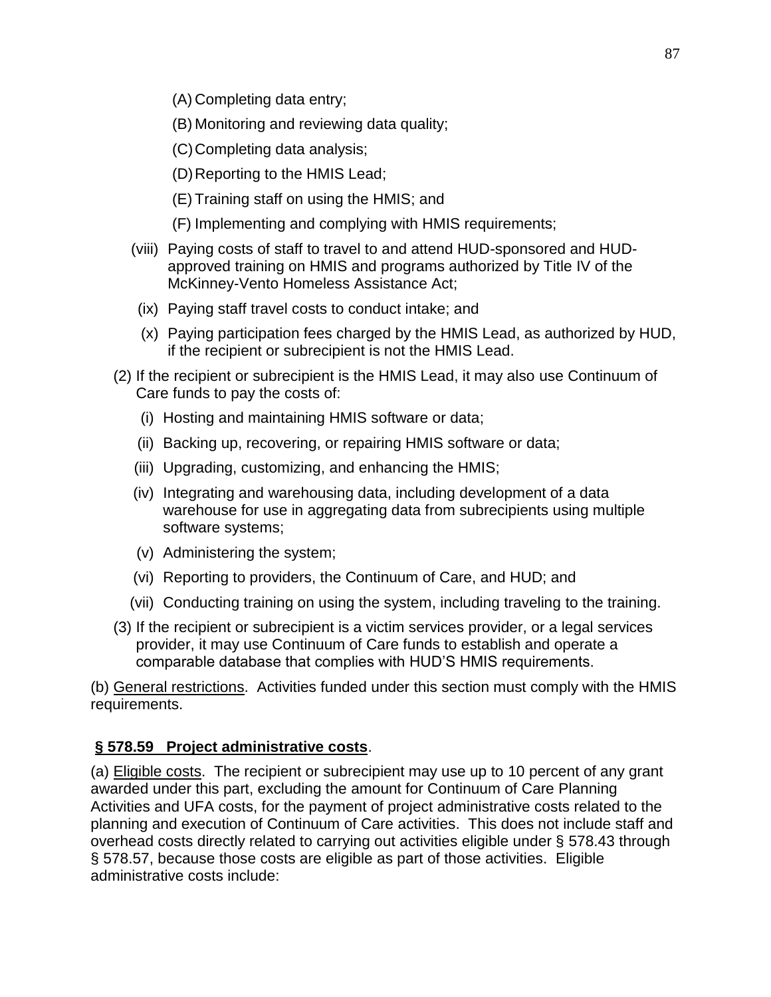- (A) Completing data entry;
- (B) Monitoring and reviewing data quality;
- (C)Completing data analysis;
- (D)Reporting to the HMIS Lead;
- (E) Training staff on using the HMIS; and
- (F) Implementing and complying with HMIS requirements;
- (viii) Paying costs of staff to travel to and attend HUD-sponsored and HUDapproved training on HMIS and programs authorized by Title IV of the McKinney-Vento Homeless Assistance Act;
- (ix) Paying staff travel costs to conduct intake; and
- (x) Paying participation fees charged by the HMIS Lead, as authorized by HUD, if the recipient or subrecipient is not the HMIS Lead.
- (2) If the recipient or subrecipient is the HMIS Lead, it may also use Continuum of Care funds to pay the costs of:
	- (i) Hosting and maintaining HMIS software or data;
	- (ii) Backing up, recovering, or repairing HMIS software or data;
	- (iii) Upgrading, customizing, and enhancing the HMIS;
	- (iv) Integrating and warehousing data, including development of a data warehouse for use in aggregating data from subrecipients using multiple software systems;
	- (v) Administering the system;
	- (vi) Reporting to providers, the Continuum of Care, and HUD; and
	- (vii) Conducting training on using the system, including traveling to the training.
- (3) If the recipient or subrecipient is a victim services provider, or a legal services provider, it may use Continuum of Care funds to establish and operate a comparable database that complies with HUD'S HMIS requirements.

(b) General restrictions. Activities funded under this section must comply with the HMIS requirements.

## **§ 578.59 Project administrative costs**.

(a) **Eligible costs**. The recipient or subrecipient may use up to 10 percent of any grant awarded under this part, excluding the amount for Continuum of Care Planning Activities and UFA costs, for the payment of project administrative costs related to the planning and execution of Continuum of Care activities. This does not include staff and overhead costs directly related to carrying out activities eligible under § 578.43 through § 578.57, because those costs are eligible as part of those activities. Eligible administrative costs include: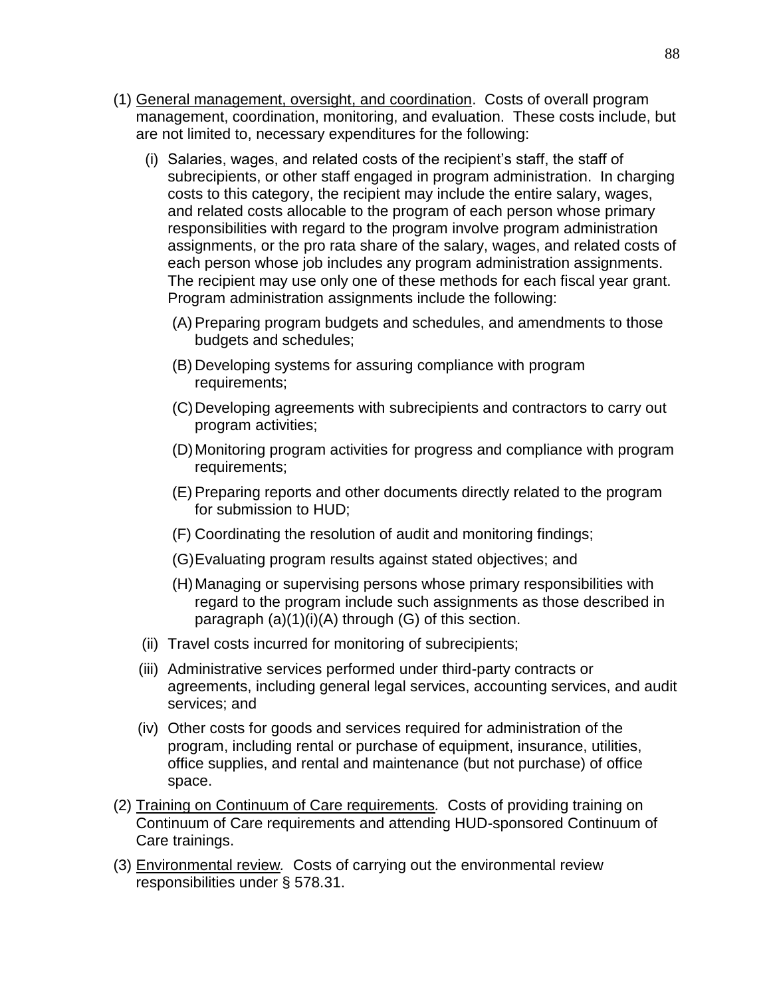- (1) General management, oversight, and coordination. Costs of overall program management, coordination, monitoring, and evaluation. These costs include, but are not limited to, necessary expenditures for the following:
	- (i) Salaries, wages, and related costs of the recipient's staff, the staff of subrecipients, or other staff engaged in program administration. In charging costs to this category, the recipient may include the entire salary, wages, and related costs allocable to the program of each person whose primary responsibilities with regard to the program involve program administration assignments, or the pro rata share of the salary, wages, and related costs of each person whose job includes any program administration assignments. The recipient may use only one of these methods for each fiscal year grant. Program administration assignments include the following:
		- (A) Preparing program budgets and schedules, and amendments to those budgets and schedules;
		- (B) Developing systems for assuring compliance with program requirements;
		- (C)Developing agreements with subrecipients and contractors to carry out program activities;
		- (D)Monitoring program activities for progress and compliance with program requirements;
		- (E) Preparing reports and other documents directly related to the program for submission to HUD;
		- (F) Coordinating the resolution of audit and monitoring findings;
		- (G)Evaluating program results against stated objectives; and
		- (H)Managing or supervising persons whose primary responsibilities with regard to the program include such assignments as those described in paragraph  $(a)(1)(i)(A)$  through  $(G)$  of this section.
	- (ii) Travel costs incurred for monitoring of subrecipients;
	- (iii) Administrative services performed under third-party contracts or agreements, including general legal services, accounting services, and audit services; and
	- (iv) Other costs for goods and services required for administration of the program, including rental or purchase of equipment, insurance, utilities, office supplies, and rental and maintenance (but not purchase) of office space.
- (2) Training on Continuum of Care requirements*.* Costs of providing training on Continuum of Care requirements and attending HUD-sponsored Continuum of Care trainings.
- (3) Environmental review*.* Costs of carrying out the environmental review responsibilities under § 578.31.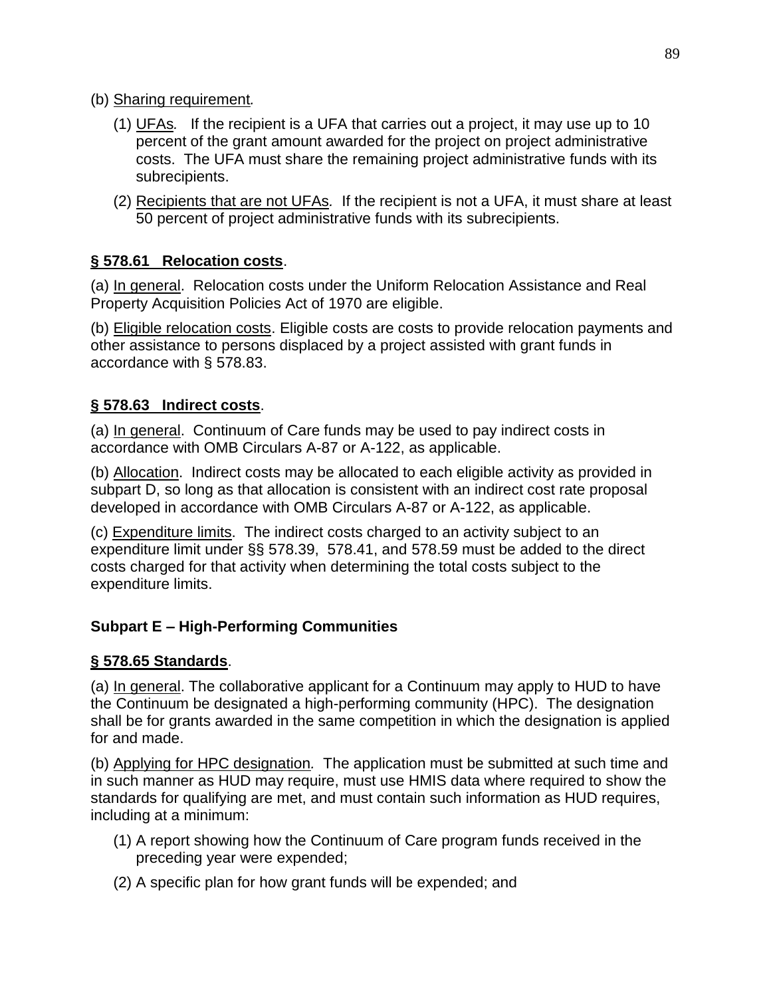- (b) Sharing requirement*.*
	- (1) UFAs*.* If the recipient is a UFA that carries out a project, it may use up to 10 percent of the grant amount awarded for the project on project administrative costs. The UFA must share the remaining project administrative funds with its subrecipients.
	- (2) Recipients that are not UFAs*.* If the recipient is not a UFA, it must share at least 50 percent of project administrative funds with its subrecipients.

## **§ 578.61 Relocation costs**.

(a) In general. Relocation costs under the Uniform Relocation Assistance and Real Property Acquisition Policies Act of 1970 are eligible.

(b) Eligible relocation costs. Eligible costs are costs to provide relocation payments and other assistance to persons displaced by a project assisted with grant funds in accordance with § 578.83.

### **§ 578.63 Indirect costs**.

(a) In general. Continuum of Care funds may be used to pay indirect costs in accordance with OMB Circulars A-87 or A-122, as applicable.

(b) Allocation. Indirect costs may be allocated to each eligible activity as provided in subpart D, so long as that allocation is consistent with an indirect cost rate proposal developed in accordance with OMB Circulars A-87 or A-122, as applicable.

(c) Expenditure limits. The indirect costs charged to an activity subject to an expenditure limit under §§ 578.39, 578.41, and 578.59 must be added to the direct costs charged for that activity when determining the total costs subject to the expenditure limits.

### **Subpart E – High-Performing Communities**

### **§ 578.65 Standards**.

(a) In general. The collaborative applicant for a Continuum may apply to HUD to have the Continuum be designated a high-performing community (HPC). The designation shall be for grants awarded in the same competition in which the designation is applied for and made.

(b) Applying for HPC designation*.* The application must be submitted at such time and in such manner as HUD may require, must use HMIS data where required to show the standards for qualifying are met, and must contain such information as HUD requires, including at a minimum:

- (1) A report showing how the Continuum of Care program funds received in the preceding year were expended;
- (2) A specific plan for how grant funds will be expended; and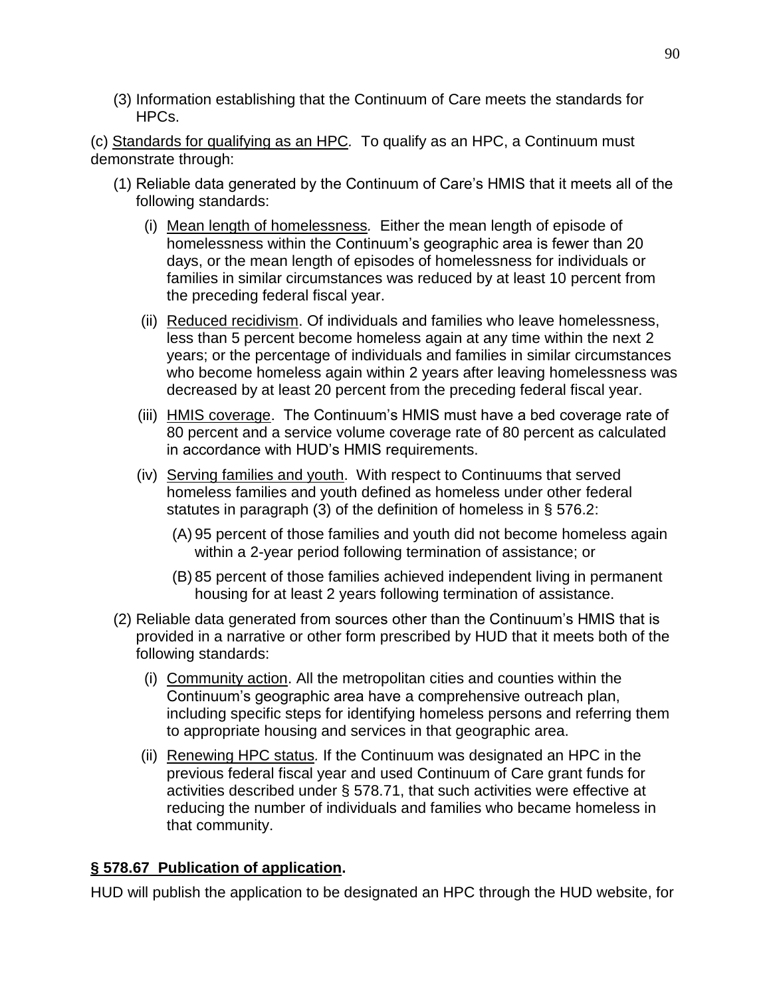(3) Information establishing that the Continuum of Care meets the standards for HPCs.

(c) Standards for qualifying as an HPC*.* To qualify as an HPC, a Continuum must demonstrate through:

- (1) Reliable data generated by the Continuum of Care's HMIS that it meets all of the following standards:
	- (i) Mean length of homelessness*.* Either the mean length of episode of homelessness within the Continuum's geographic area is fewer than 20 days, or the mean length of episodes of homelessness for individuals or families in similar circumstances was reduced by at least 10 percent from the preceding federal fiscal year.
	- (ii) Reduced recidivism. Of individuals and families who leave homelessness, less than 5 percent become homeless again at any time within the next 2 years; or the percentage of individuals and families in similar circumstances who become homeless again within 2 years after leaving homelessness was decreased by at least 20 percent from the preceding federal fiscal year.
	- (iii) HMIS coverage. The Continuum's HMIS must have a bed coverage rate of 80 percent and a service volume coverage rate of 80 percent as calculated in accordance with HUD's HMIS requirements.
	- (iv) Serving families and youth. With respect to Continuums that served homeless families and youth defined as homeless under other federal statutes in paragraph (3) of the definition of homeless in § 576.2:
		- (A) 95 percent of those families and youth did not become homeless again within a 2-year period following termination of assistance; or
		- (B) 85 percent of those families achieved independent living in permanent housing for at least 2 years following termination of assistance.
- (2) Reliable data generated from sources other than the Continuum's HMIS that is provided in a narrative or other form prescribed by HUD that it meets both of the following standards:
	- (i) Community action. All the metropolitan cities and counties within the Continuum's geographic area have a comprehensive outreach plan, including specific steps for identifying homeless persons and referring them to appropriate housing and services in that geographic area.
	- (ii) Renewing HPC status*.* If the Continuum was designated an HPC in the previous federal fiscal year and used Continuum of Care grant funds for activities described under § 578.71, that such activities were effective at reducing the number of individuals and families who became homeless in that community.

### **§ 578.67 Publication of application.**

HUD will publish the application to be designated an HPC through the HUD website, for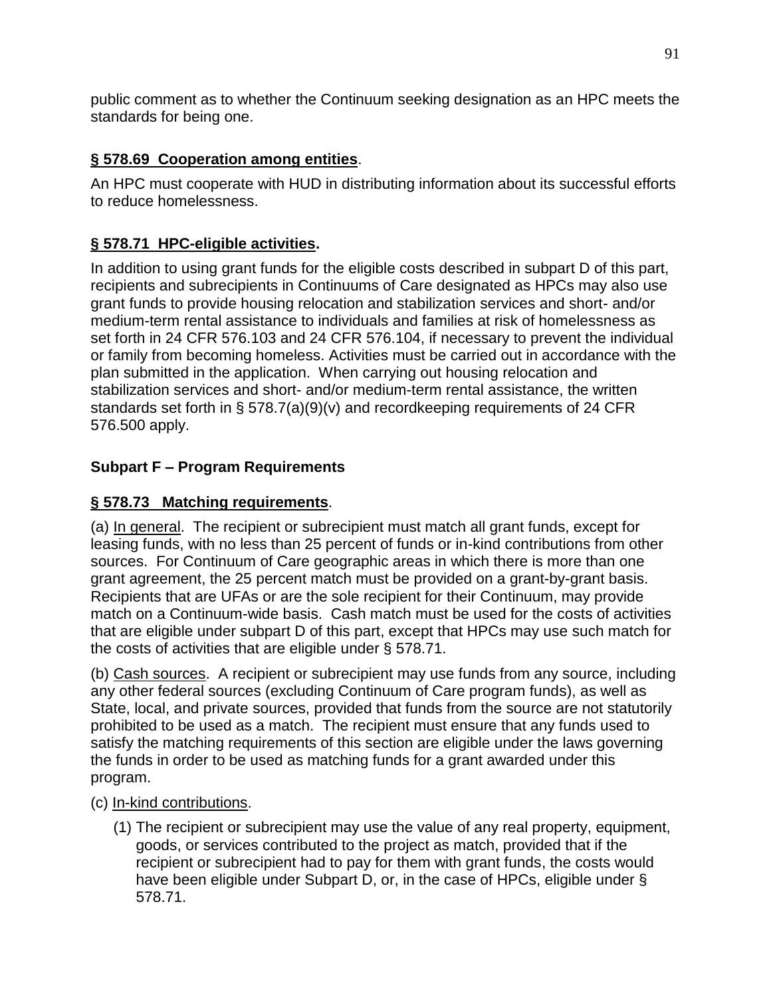public comment as to whether the Continuum seeking designation as an HPC meets the standards for being one.

## **§ 578.69 Cooperation among entities**.

An HPC must cooperate with HUD in distributing information about its successful efforts to reduce homelessness.

# **§ 578.71 HPC-eligible activities.**

In addition to using grant funds for the eligible costs described in subpart D of this part, recipients and subrecipients in Continuums of Care designated as HPCs may also use grant funds to provide housing relocation and stabilization services and short- and/or medium-term rental assistance to individuals and families at risk of homelessness as set forth in 24 CFR 576.103 and 24 CFR 576.104, if necessary to prevent the individual or family from becoming homeless. Activities must be carried out in accordance with the plan submitted in the application. When carrying out housing relocation and stabilization services and short- and/or medium-term rental assistance, the written standards set forth in § 578.7(a)(9)(v) and recordkeeping requirements of 24 CFR 576.500 apply.

# **Subpart F – Program Requirements**

## **§ 578.73 Matching requirements**.

(a) In general. The recipient or subrecipient must match all grant funds, except for leasing funds, with no less than 25 percent of funds or in-kind contributions from other sources. For Continuum of Care geographic areas in which there is more than one grant agreement, the 25 percent match must be provided on a grant-by-grant basis. Recipients that are UFAs or are the sole recipient for their Continuum, may provide match on a Continuum-wide basis. Cash match must be used for the costs of activities that are eligible under subpart D of this part, except that HPCs may use such match for the costs of activities that are eligible under § 578.71.

(b) Cash sources. A recipient or subrecipient may use funds from any source, including any other federal sources (excluding Continuum of Care program funds), as well as State, local, and private sources, provided that funds from the source are not statutorily prohibited to be used as a match. The recipient must ensure that any funds used to satisfy the matching requirements of this section are eligible under the laws governing the funds in order to be used as matching funds for a grant awarded under this program.

(c) In-kind contributions.

(1) The recipient or subrecipient may use the value of any real property, equipment, goods, or services contributed to the project as match, provided that if the recipient or subrecipient had to pay for them with grant funds, the costs would have been eligible under Subpart D, or, in the case of HPCs, eligible under § 578.71.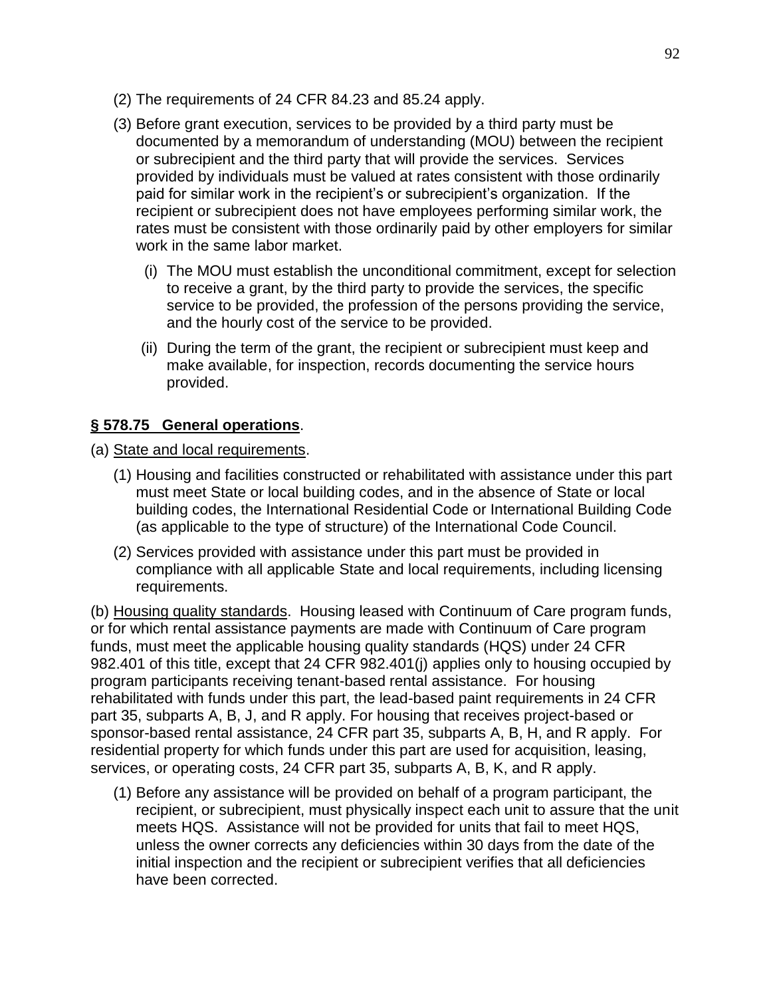- (2) The requirements of 24 CFR 84.23 and 85.24 apply.
- (3) Before grant execution, services to be provided by a third party must be documented by a memorandum of understanding (MOU) between the recipient or subrecipient and the third party that will provide the services. Services provided by individuals must be valued at rates consistent with those ordinarily paid for similar work in the recipient's or subrecipient's organization. If the recipient or subrecipient does not have employees performing similar work, the rates must be consistent with those ordinarily paid by other employers for similar work in the same labor market.
	- (i) The MOU must establish the unconditional commitment, except for selection to receive a grant, by the third party to provide the services, the specific service to be provided, the profession of the persons providing the service, and the hourly cost of the service to be provided.
	- (ii) During the term of the grant, the recipient or subrecipient must keep and make available, for inspection, records documenting the service hours provided.

### **§ 578.75 General operations**.

- (a) State and local requirements.
	- (1) Housing and facilities constructed or rehabilitated with assistance under this part must meet State or local building codes, and in the absence of State or local building codes, the International Residential Code or International Building Code (as applicable to the type of structure) of the International Code Council.
	- (2) Services provided with assistance under this part must be provided in compliance with all applicable State and local requirements, including licensing requirements.

(b) Housing quality standards. Housing leased with Continuum of Care program funds, or for which rental assistance payments are made with Continuum of Care program funds, must meet the applicable housing quality standards (HQS) under 24 CFR 982.401 of this title, except that 24 CFR 982.401(j) applies only to housing occupied by program participants receiving tenant-based rental assistance. For housing rehabilitated with funds under this part, the lead-based paint requirements in 24 CFR part 35, subparts A, B, J, and R apply. For housing that receives project-based or sponsor-based rental assistance, 24 CFR part 35, subparts A, B, H, and R apply. For residential property for which funds under this part are used for acquisition, leasing, services, or operating costs, 24 CFR part 35, subparts A, B, K, and R apply.

(1) Before any assistance will be provided on behalf of a program participant, the recipient, or subrecipient, must physically inspect each unit to assure that the unit meets HQS. Assistance will not be provided for units that fail to meet HQS, unless the owner corrects any deficiencies within 30 days from the date of the initial inspection and the recipient or subrecipient verifies that all deficiencies have been corrected.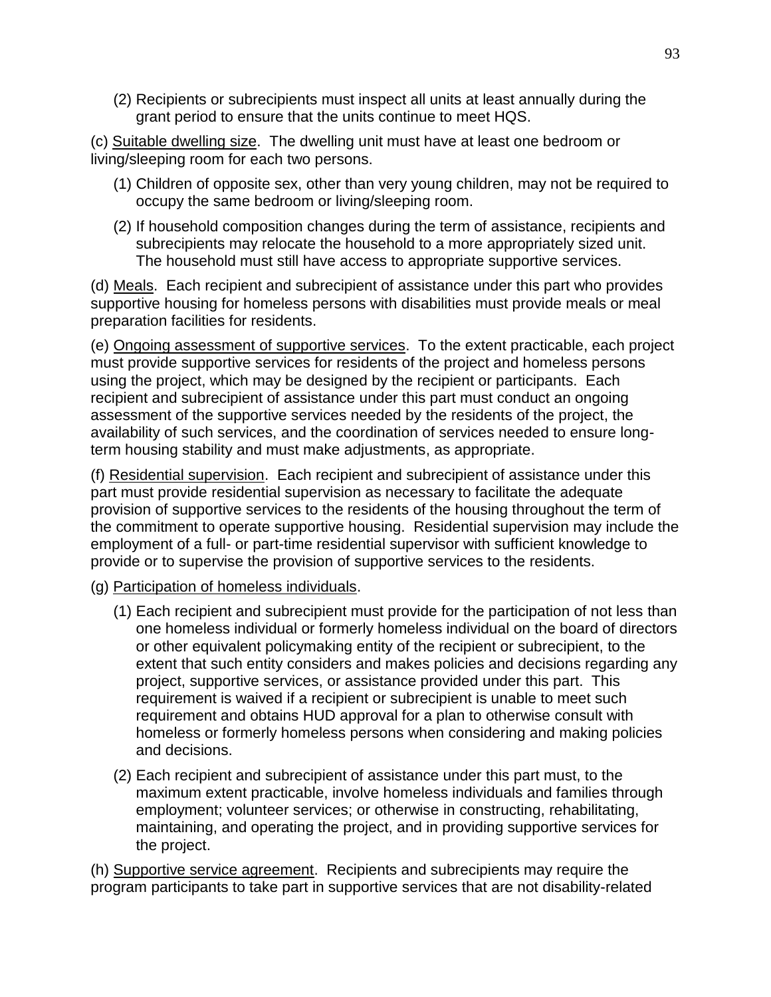(2) Recipients or subrecipients must inspect all units at least annually during the grant period to ensure that the units continue to meet HQS.

(c) Suitable dwelling size. The dwelling unit must have at least one bedroom or living/sleeping room for each two persons.

- (1) Children of opposite sex, other than very young children, may not be required to occupy the same bedroom or living/sleeping room.
- (2) If household composition changes during the term of assistance, recipients and subrecipients may relocate the household to a more appropriately sized unit. The household must still have access to appropriate supportive services.

(d) Meals. Each recipient and subrecipient of assistance under this part who provides supportive housing for homeless persons with disabilities must provide meals or meal preparation facilities for residents.

(e) Ongoing assessment of supportive services. To the extent practicable, each project must provide supportive services for residents of the project and homeless persons using the project, which may be designed by the recipient or participants. Each recipient and subrecipient of assistance under this part must conduct an ongoing assessment of the supportive services needed by the residents of the project, the availability of such services, and the coordination of services needed to ensure longterm housing stability and must make adjustments, as appropriate.

(f) Residential supervision. Each recipient and subrecipient of assistance under this part must provide residential supervision as necessary to facilitate the adequate provision of supportive services to the residents of the housing throughout the term of the commitment to operate supportive housing. Residential supervision may include the employment of a full- or part-time residential supervisor with sufficient knowledge to provide or to supervise the provision of supportive services to the residents.

- (g) Participation of homeless individuals.
	- (1) Each recipient and subrecipient must provide for the participation of not less than one homeless individual or formerly homeless individual on the board of directors or other equivalent policymaking entity of the recipient or subrecipient, to the extent that such entity considers and makes policies and decisions regarding any project, supportive services, or assistance provided under this part. This requirement is waived if a recipient or subrecipient is unable to meet such requirement and obtains HUD approval for a plan to otherwise consult with homeless or formerly homeless persons when considering and making policies and decisions.
	- (2) Each recipient and subrecipient of assistance under this part must, to the maximum extent practicable, involve homeless individuals and families through employment; volunteer services; or otherwise in constructing, rehabilitating, maintaining, and operating the project, and in providing supportive services for the project.

(h) Supportive service agreement. Recipients and subrecipients may require the program participants to take part in supportive services that are not disability-related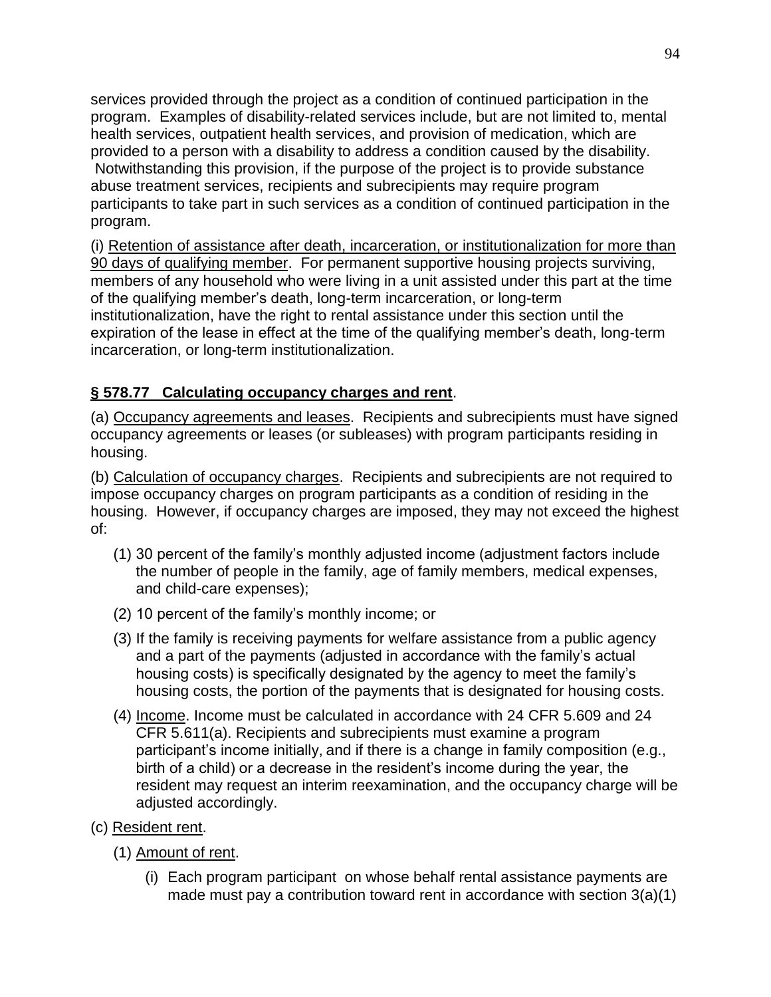services provided through the project as a condition of continued participation in the program. Examples of disability-related services include, but are not limited to, mental health services, outpatient health services, and provision of medication, which are provided to a person with a disability to address a condition caused by the disability. Notwithstanding this provision, if the purpose of the project is to provide substance abuse treatment services, recipients and subrecipients may require program participants to take part in such services as a condition of continued participation in the program.

(i) Retention of assistance after death, incarceration, or institutionalization for more than 90 days of qualifying member. For permanent supportive housing projects surviving, members of any household who were living in a unit assisted under this part at the time of the qualifying member's death, long-term incarceration, or long-term institutionalization, have the right to rental assistance under this section until the expiration of the lease in effect at the time of the qualifying member's death, long-term incarceration, or long-term institutionalization.

### **§ 578.77 Calculating occupancy charges and rent**.

(a) Occupancy agreements and leases. Recipients and subrecipients must have signed occupancy agreements or leases (or subleases) with program participants residing in housing.

(b) Calculation of occupancy charges. Recipients and subrecipients are not required to impose occupancy charges on program participants as a condition of residing in the housing. However, if occupancy charges are imposed, they may not exceed the highest of:

- (1) 30 percent of the family's monthly adjusted income (adjustment factors include the number of people in the family, age of family members, medical expenses, and child-care expenses);
- (2) 10 percent of the family's monthly income; or
- (3) If the family is receiving payments for welfare assistance from a public agency and a part of the payments (adjusted in accordance with the family's actual housing costs) is specifically designated by the agency to meet the family's housing costs, the portion of the payments that is designated for housing costs.
- (4) Income. Income must be calculated in accordance with 24 CFR 5.609 and 24 CFR 5.611(a). Recipients and subrecipients must examine a program participant's income initially, and if there is a change in family composition (e.g., birth of a child) or a decrease in the resident's income during the year, the resident may request an interim reexamination, and the occupancy charge will be adjusted accordingly.
- (c) Resident rent.
	- (1) Amount of rent.
		- (i) Each program participant on whose behalf rental assistance payments are made must pay a contribution toward rent in accordance with section 3(a)(1)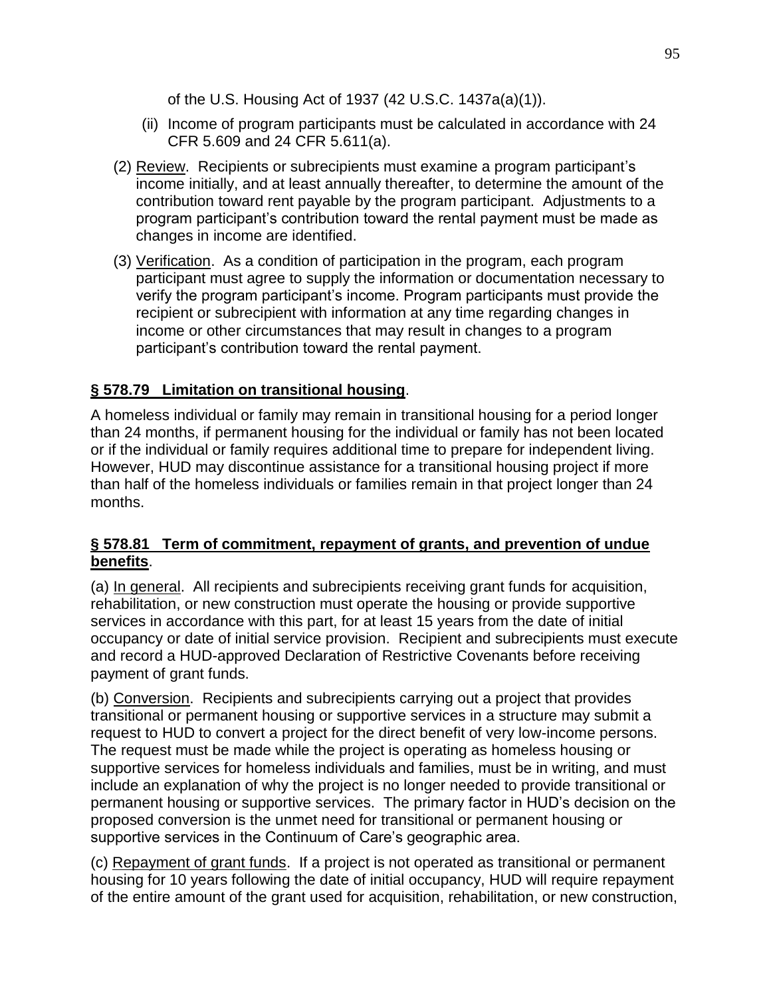of the U.S. Housing Act of 1937 (42 U.S.C. 1437a(a)(1)).

- (ii) Income of program participants must be calculated in accordance with 24 CFR 5.609 and 24 CFR 5.611(a).
- (2) Review. Recipients or subrecipients must examine a program participant's income initially, and at least annually thereafter, to determine the amount of the contribution toward rent payable by the program participant. Adjustments to a program participant's contribution toward the rental payment must be made as changes in income are identified.
- (3) Verification. As a condition of participation in the program, each program participant must agree to supply the information or documentation necessary to verify the program participant's income. Program participants must provide the recipient or subrecipient with information at any time regarding changes in income or other circumstances that may result in changes to a program participant's contribution toward the rental payment.

## **§ 578.79 Limitation on transitional housing**.

A homeless individual or family may remain in transitional housing for a period longer than 24 months, if permanent housing for the individual or family has not been located or if the individual or family requires additional time to prepare for independent living. However, HUD may discontinue assistance for a transitional housing project if more than half of the homeless individuals or families remain in that project longer than 24 months.

#### **§ 578.81 Term of commitment, repayment of grants, and prevention of undue benefits**.

(a) In general. All recipients and subrecipients receiving grant funds for acquisition, rehabilitation, or new construction must operate the housing or provide supportive services in accordance with this part, for at least 15 years from the date of initial occupancy or date of initial service provision. Recipient and subrecipients must execute and record a HUD-approved Declaration of Restrictive Covenants before receiving payment of grant funds.

(b) Conversion. Recipients and subrecipients carrying out a project that provides transitional or permanent housing or supportive services in a structure may submit a request to HUD to convert a project for the direct benefit of very low-income persons. The request must be made while the project is operating as homeless housing or supportive services for homeless individuals and families, must be in writing, and must include an explanation of why the project is no longer needed to provide transitional or permanent housing or supportive services. The primary factor in HUD's decision on the proposed conversion is the unmet need for transitional or permanent housing or supportive services in the Continuum of Care's geographic area.

(c) Repayment of grant funds. If a project is not operated as transitional or permanent housing for 10 years following the date of initial occupancy, HUD will require repayment of the entire amount of the grant used for acquisition, rehabilitation, or new construction,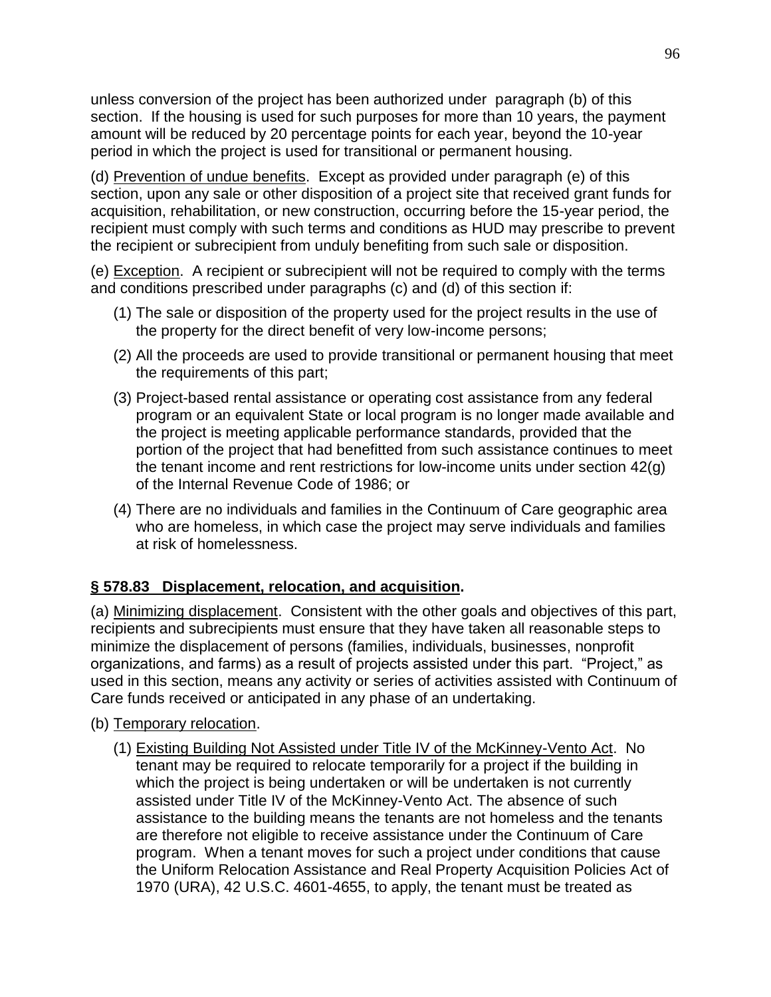unless conversion of the project has been authorized under paragraph (b) of this section. If the housing is used for such purposes for more than 10 years, the payment amount will be reduced by 20 percentage points for each year, beyond the 10-year period in which the project is used for transitional or permanent housing.

(d) Prevention of undue benefits. Except as provided under paragraph (e) of this section, upon any sale or other disposition of a project site that received grant funds for acquisition, rehabilitation, or new construction, occurring before the 15-year period, the recipient must comply with such terms and conditions as HUD may prescribe to prevent the recipient or subrecipient from unduly benefiting from such sale or disposition.

(e) Exception. A recipient or subrecipient will not be required to comply with the terms and conditions prescribed under paragraphs (c) and (d) of this section if:

- (1) The sale or disposition of the property used for the project results in the use of the property for the direct benefit of very low-income persons;
- (2) All the proceeds are used to provide transitional or permanent housing that meet the requirements of this part;
- (3) Project-based rental assistance or operating cost assistance from any federal program or an equivalent State or local program is no longer made available and the project is meeting applicable performance standards, provided that the portion of the project that had benefitted from such assistance continues to meet the tenant income and rent restrictions for low-income units under section 42(g) of the Internal Revenue Code of 1986; or
- (4) There are no individuals and families in the Continuum of Care geographic area who are homeless, in which case the project may serve individuals and families at risk of homelessness.

## **§ 578.83 Displacement, relocation, and acquisition.**

(a) Minimizing displacement. Consistent with the other goals and objectives of this part, recipients and subrecipients must ensure that they have taken all reasonable steps to minimize the displacement of persons (families, individuals, businesses, nonprofit organizations, and farms) as a result of projects assisted under this part. "Project," as used in this section, means any activity or series of activities assisted with Continuum of Care funds received or anticipated in any phase of an undertaking.

- (b) Temporary relocation.
	- (1) Existing Building Not Assisted under Title IV of the McKinney-Vento Act. No tenant may be required to relocate temporarily for a project if the building in which the project is being undertaken or will be undertaken is not currently assisted under Title IV of the McKinney-Vento Act. The absence of such assistance to the building means the tenants are not homeless and the tenants are therefore not eligible to receive assistance under the Continuum of Care program. When a tenant moves for such a project under conditions that cause the Uniform Relocation Assistance and Real Property Acquisition Policies Act of 1970 (URA), 42 U.S.C. 4601-4655, to apply, the tenant must be treated as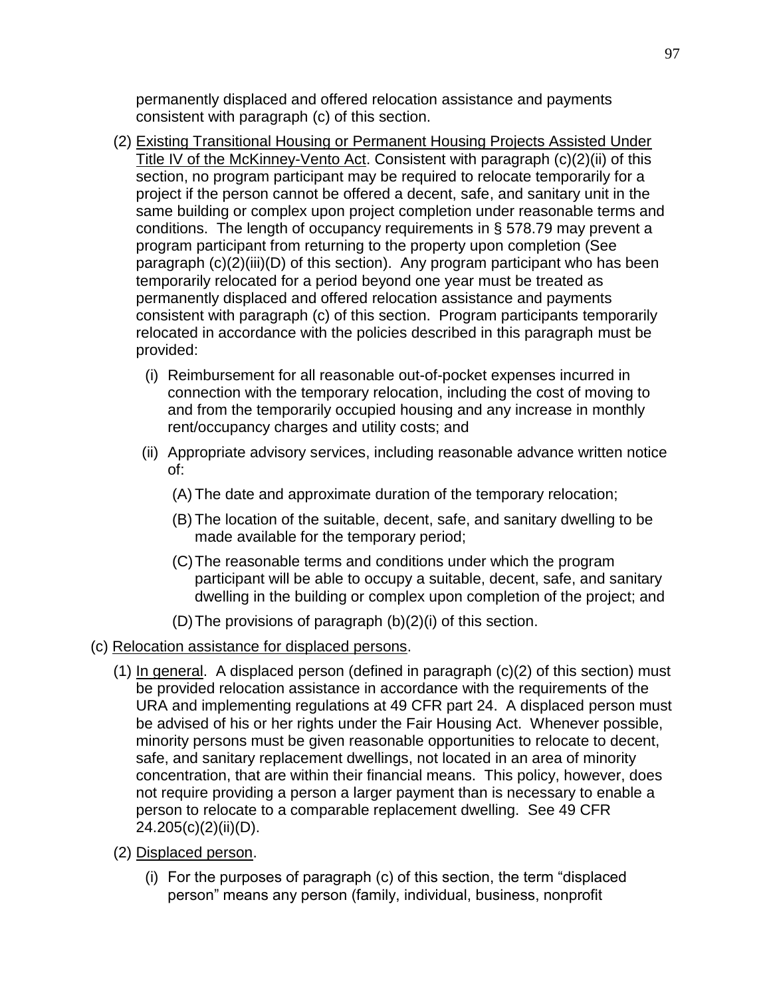permanently displaced and offered relocation assistance and payments consistent with paragraph (c) of this section.

- (2) Existing Transitional Housing or Permanent Housing Projects Assisted Under Title IV of the McKinney-Vento Act. Consistent with paragraph (c)(2)(ii) of this section, no program participant may be required to relocate temporarily for a project if the person cannot be offered a decent, safe, and sanitary unit in the same building or complex upon project completion under reasonable terms and conditions. The length of occupancy requirements in § 578.79 may prevent a program participant from returning to the property upon completion (See paragraph (c)(2)(iii)(D) of this section). Any program participant who has been temporarily relocated for a period beyond one year must be treated as permanently displaced and offered relocation assistance and payments consistent with paragraph (c) of this section. Program participants temporarily relocated in accordance with the policies described in this paragraph must be provided:
	- (i) Reimbursement for all reasonable out-of-pocket expenses incurred in connection with the temporary relocation, including the cost of moving to and from the temporarily occupied housing and any increase in monthly rent/occupancy charges and utility costs; and
	- (ii) Appropriate advisory services, including reasonable advance written notice of:
		- (A) The date and approximate duration of the temporary relocation;
		- (B) The location of the suitable, decent, safe, and sanitary dwelling to be made available for the temporary period;
		- (C)The reasonable terms and conditions under which the program participant will be able to occupy a suitable, decent, safe, and sanitary dwelling in the building or complex upon completion of the project; and
		- (D)The provisions of paragraph (b)(2)(i) of this section.
- (c) Relocation assistance for displaced persons.
	- (1) In general. A displaced person (defined in paragraph (c)(2) of this section) must be provided relocation assistance in accordance with the requirements of the URA and implementing regulations at 49 CFR part 24. A displaced person must be advised of his or her rights under the Fair Housing Act. Whenever possible, minority persons must be given reasonable opportunities to relocate to decent, safe, and sanitary replacement dwellings, not located in an area of minority concentration, that are within their financial means. This policy, however, does not require providing a person a larger payment than is necessary to enable a person to relocate to a comparable replacement dwelling. See 49 CFR 24.205(c)(2)(ii)(D).
	- (2) Displaced person.
		- $(i)$  For the purposes of paragraph  $(c)$  of this section, the term "displaced" person" means any person (family, individual, business, nonprofit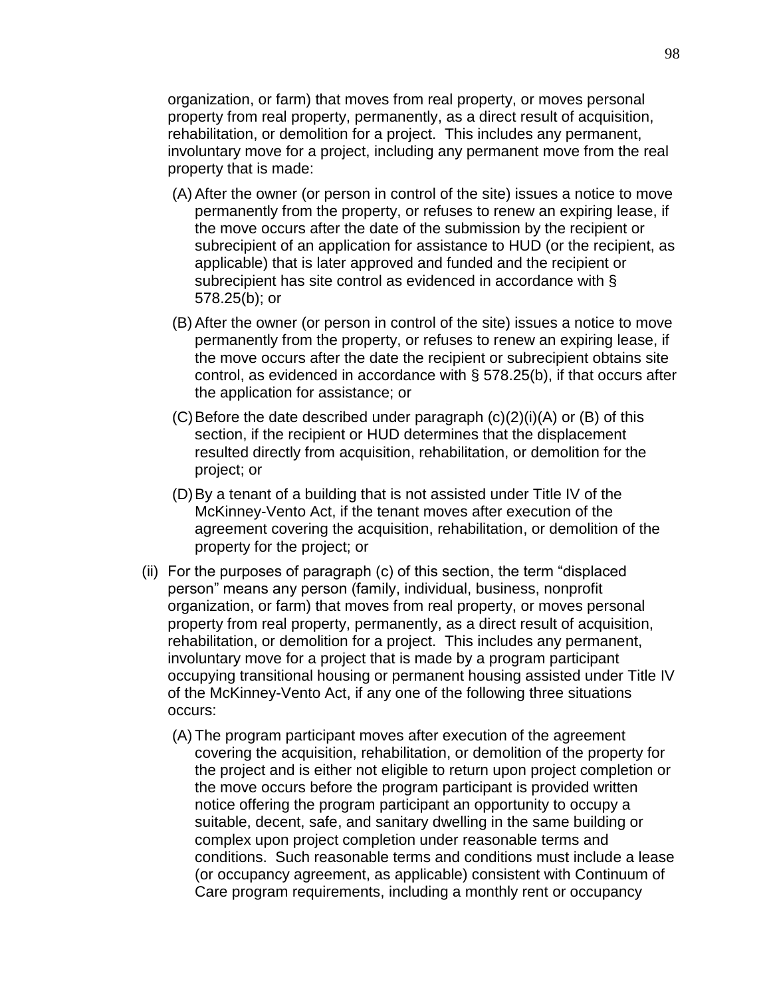organization, or farm) that moves from real property, or moves personal property from real property, permanently, as a direct result of acquisition, rehabilitation, or demolition for a project. This includes any permanent, involuntary move for a project, including any permanent move from the real property that is made:

- (A) After the owner (or person in control of the site) issues a notice to move permanently from the property, or refuses to renew an expiring lease, if the move occurs after the date of the submission by the recipient or subrecipient of an application for assistance to HUD (or the recipient, as applicable) that is later approved and funded and the recipient or subrecipient has site control as evidenced in accordance with § 578.25(b); or
- (B) After the owner (or person in control of the site) issues a notice to move permanently from the property, or refuses to renew an expiring lease, if the move occurs after the date the recipient or subrecipient obtains site control, as evidenced in accordance with § 578.25(b), if that occurs after the application for assistance; or
- $(C)$  Before the date described under paragraph  $(c)(2)(i)(A)$  or  $(B)$  of this section, if the recipient or HUD determines that the displacement resulted directly from acquisition, rehabilitation, or demolition for the project; or
- (D)By a tenant of a building that is not assisted under Title IV of the McKinney-Vento Act, if the tenant moves after execution of the agreement covering the acquisition, rehabilitation, or demolition of the property for the project; or
- (ii) For the purposes of paragraph (c) of this section, the term "displaced person" means any person (family, individual, business, nonprofit organization, or farm) that moves from real property, or moves personal property from real property, permanently, as a direct result of acquisition, rehabilitation, or demolition for a project. This includes any permanent, involuntary move for a project that is made by a program participant occupying transitional housing or permanent housing assisted under Title IV of the McKinney-Vento Act, if any one of the following three situations occurs:
	- (A) The program participant moves after execution of the agreement covering the acquisition, rehabilitation, or demolition of the property for the project and is either not eligible to return upon project completion or the move occurs before the program participant is provided written notice offering the program participant an opportunity to occupy a suitable, decent, safe, and sanitary dwelling in the same building or complex upon project completion under reasonable terms and conditions. Such reasonable terms and conditions must include a lease (or occupancy agreement, as applicable) consistent with Continuum of Care program requirements, including a monthly rent or occupancy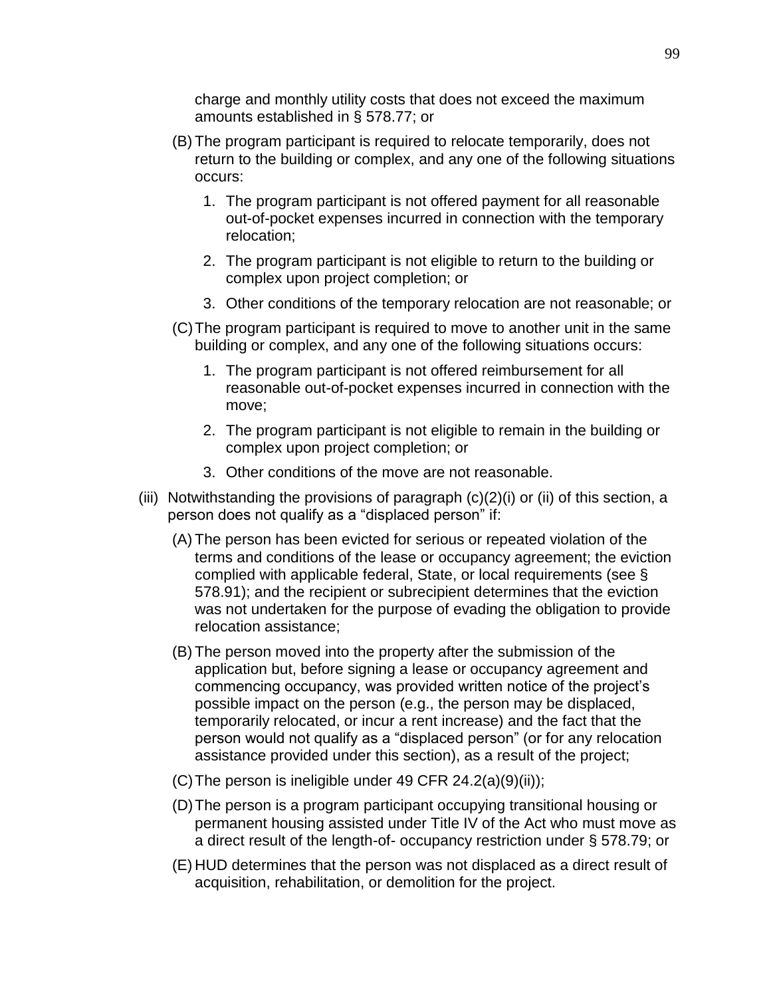charge and monthly utility costs that does not exceed the maximum amounts established in § 578.77; or

- (B) The program participant is required to relocate temporarily, does not return to the building or complex, and any one of the following situations occurs:
	- 1. The program participant is not offered payment for all reasonable out-of-pocket expenses incurred in connection with the temporary relocation;
	- 2. The program participant is not eligible to return to the building or complex upon project completion; or
	- 3. Other conditions of the temporary relocation are not reasonable; or
- (C)The program participant is required to move to another unit in the same building or complex, and any one of the following situations occurs:
	- 1. The program participant is not offered reimbursement for all reasonable out-of-pocket expenses incurred in connection with the move;
	- 2. The program participant is not eligible to remain in the building or complex upon project completion; or
	- 3. Other conditions of the move are not reasonable.
- (iii) Notwithstanding the provisions of paragraph  $(c)(2)(i)$  or (ii) of this section, a person does not qualify as a "displaced person" if:
	- (A) The person has been evicted for serious or repeated violation of the terms and conditions of the lease or occupancy agreement; the eviction complied with applicable federal, State, or local requirements (see § 578.91); and the recipient or subrecipient determines that the eviction was not undertaken for the purpose of evading the obligation to provide relocation assistance;
	- (B) The person moved into the property after the submission of the application but, before signing a lease or occupancy agreement and commencing occupancy, was provided written notice of the project's possible impact on the person (e.g., the person may be displaced, temporarily relocated, or incur a rent increase) and the fact that the person would not qualify as a "displaced person" (or for any relocation assistance provided under this section), as a result of the project;
	- (C) The person is ineligible under 49 CFR  $24.2(a)(9)(ii)$ ;
	- (D)The person is a program participant occupying transitional housing or permanent housing assisted under Title IV of the Act who must move as a direct result of the length-of- occupancy restriction under § 578.79; or
	- (E) HUD determines that the person was not displaced as a direct result of acquisition, rehabilitation, or demolition for the project.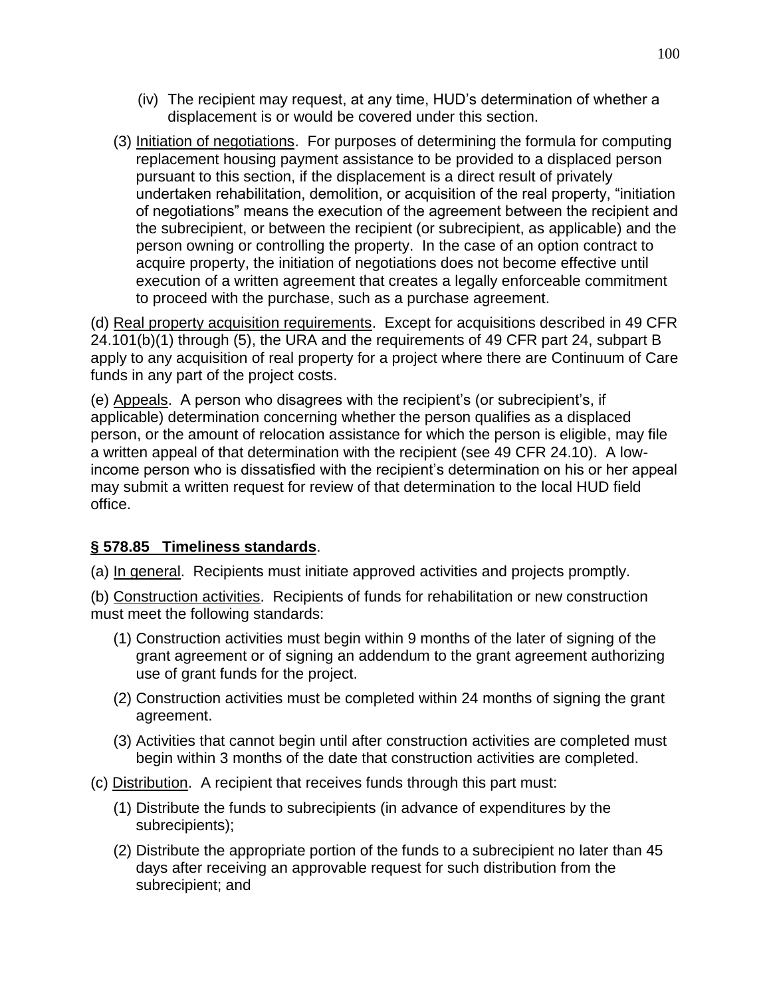- (iv) The recipient may request, at any time, HUD's determination of whether a displacement is or would be covered under this section.
- (3) Initiation of negotiations. For purposes of determining the formula for computing replacement housing payment assistance to be provided to a displaced person pursuant to this section, if the displacement is a direct result of privately undertaken rehabilitation, demolition, or acquisition of the real property, "initiation of negotiations‖ means the execution of the agreement between the recipient and the subrecipient, or between the recipient (or subrecipient, as applicable) and the person owning or controlling the property. In the case of an option contract to acquire property, the initiation of negotiations does not become effective until execution of a written agreement that creates a legally enforceable commitment to proceed with the purchase, such as a purchase agreement.

(d) Real property acquisition requirements. Except for acquisitions described in 49 CFR 24.101(b)(1) through (5), the URA and the requirements of 49 CFR part 24, subpart B apply to any acquisition of real property for a project where there are Continuum of Care funds in any part of the project costs.

(e) Appeals. A person who disagrees with the recipient's (or subrecipient's, if applicable) determination concerning whether the person qualifies as a displaced person, or the amount of relocation assistance for which the person is eligible, may file a written appeal of that determination with the recipient (see 49 CFR 24.10). A lowincome person who is dissatisfied with the recipient's determination on his or her appeal may submit a written request for review of that determination to the local HUD field office.

## **§ 578.85 Timeliness standards**.

(a) In general. Recipients must initiate approved activities and projects promptly.

(b) Construction activities. Recipients of funds for rehabilitation or new construction must meet the following standards:

- (1) Construction activities must begin within 9 months of the later of signing of the grant agreement or of signing an addendum to the grant agreement authorizing use of grant funds for the project.
- (2) Construction activities must be completed within 24 months of signing the grant agreement.
- (3) Activities that cannot begin until after construction activities are completed must begin within 3 months of the date that construction activities are completed.
- (c) Distribution. A recipient that receives funds through this part must:
	- (1) Distribute the funds to subrecipients (in advance of expenditures by the subrecipients);
	- (2) Distribute the appropriate portion of the funds to a subrecipient no later than 45 days after receiving an approvable request for such distribution from the subrecipient; and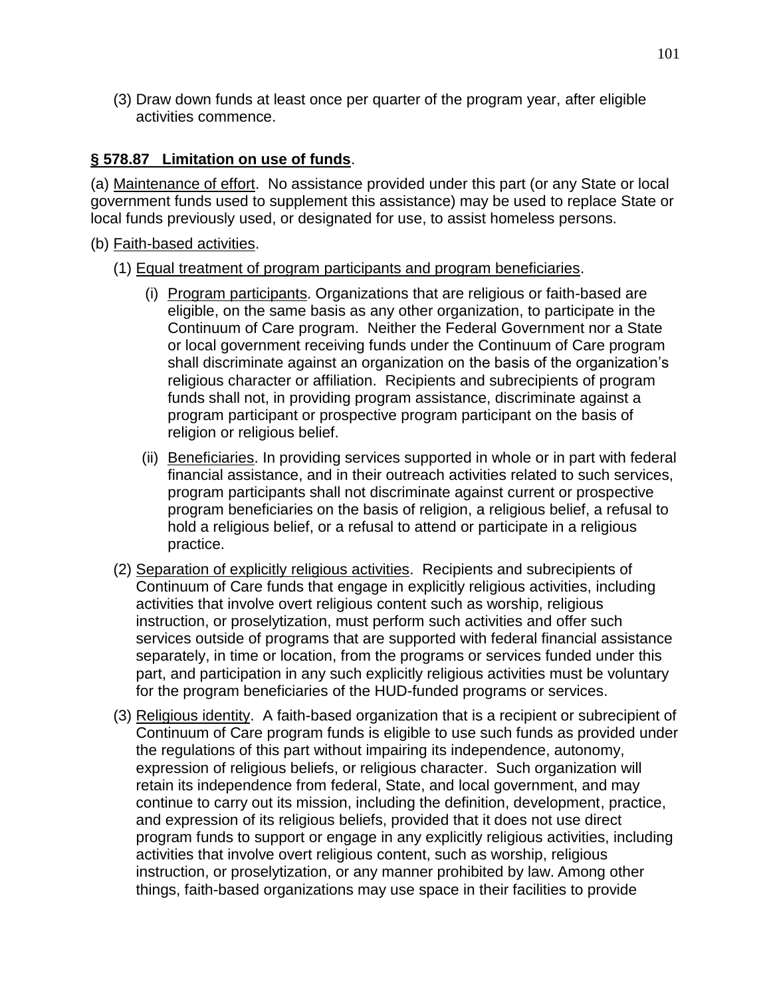(3) Draw down funds at least once per quarter of the program year, after eligible activities commence.

## **§ 578.87 Limitation on use of funds**.

(a) Maintenance of effort. No assistance provided under this part (or any State or local government funds used to supplement this assistance) may be used to replace State or local funds previously used, or designated for use, to assist homeless persons.

#### (b) Faith-based activities.

#### (1) Equal treatment of program participants and program beneficiaries.

- (i) Program participants. Organizations that are religious or faith-based are eligible, on the same basis as any other organization, to participate in the Continuum of Care program. Neither the Federal Government nor a State or local government receiving funds under the Continuum of Care program shall discriminate against an organization on the basis of the organization's religious character or affiliation. Recipients and subrecipients of program funds shall not, in providing program assistance, discriminate against a program participant or prospective program participant on the basis of religion or religious belief.
- (ii) Beneficiaries. In providing services supported in whole or in part with federal financial assistance, and in their outreach activities related to such services, program participants shall not discriminate against current or prospective program beneficiaries on the basis of religion, a religious belief, a refusal to hold a religious belief, or a refusal to attend or participate in a religious practice.
- (2) Separation of explicitly religious activities. Recipients and subrecipients of Continuum of Care funds that engage in explicitly religious activities, including activities that involve overt religious content such as worship, religious instruction, or proselytization, must perform such activities and offer such services outside of programs that are supported with federal financial assistance separately, in time or location, from the programs or services funded under this part, and participation in any such explicitly religious activities must be voluntary for the program beneficiaries of the HUD-funded programs or services.
- (3) Religious identity. A faith-based organization that is a recipient or subrecipient of Continuum of Care program funds is eligible to use such funds as provided under the regulations of this part without impairing its independence, autonomy, expression of religious beliefs, or religious character. Such organization will retain its independence from federal, State, and local government, and may continue to carry out its mission, including the definition, development, practice, and expression of its religious beliefs, provided that it does not use direct program funds to support or engage in any explicitly religious activities, including activities that involve overt religious content, such as worship, religious instruction, or proselytization, or any manner prohibited by law. Among other things, faith-based organizations may use space in their facilities to provide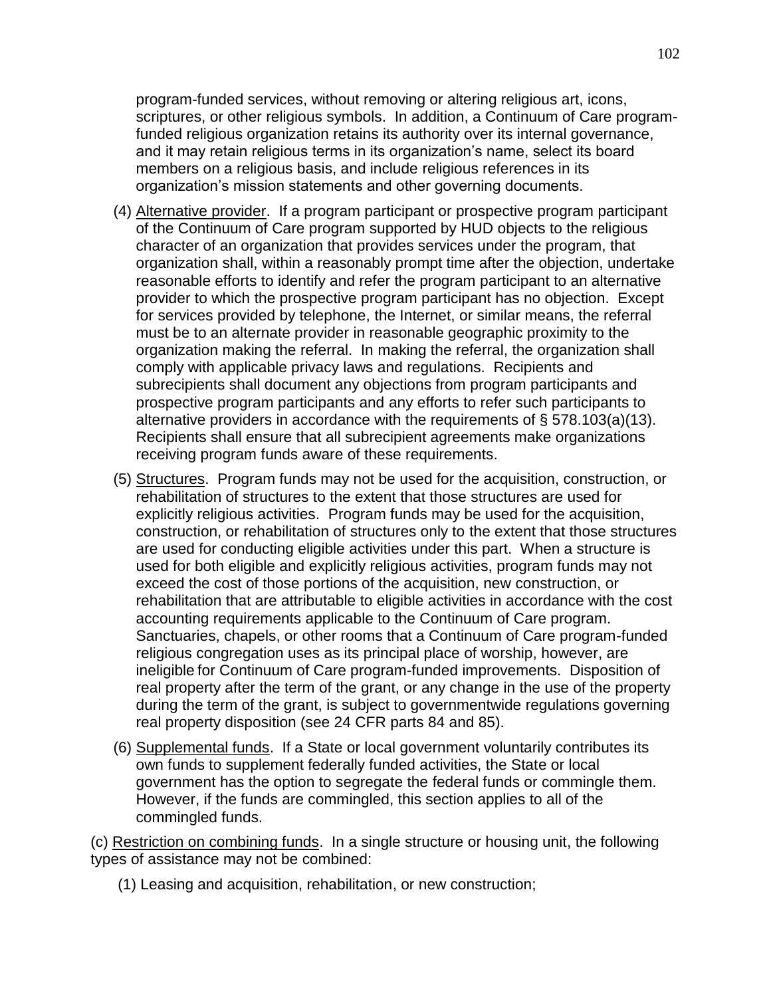program-funded services, without removing or altering religious art, icons, scriptures, or other religious symbols. In addition, a Continuum of Care programfunded religious organization retains its authority over its internal governance, and it may retain religious terms in its organization's name, select its board members on a religious basis, and include religious references in its organization's mission statements and other governing documents.

- (4) Alternative provider. If a program participant or prospective program participant of the Continuum of Care program supported by HUD objects to the religious character of an organization that provides services under the program, that organization shall, within a reasonably prompt time after the objection, undertake reasonable efforts to identify and refer the program participant to an alternative provider to which the prospective program participant has no objection. Except for services provided by telephone, the Internet, or similar means, the referral must be to an alternate provider in reasonable geographic proximity to the organization making the referral. In making the referral, the organization shall comply with applicable privacy laws and regulations. Recipients and subrecipients shall document any objections from program participants and prospective program participants and any efforts to refer such participants to alternative providers in accordance with the requirements of § 578.103(a)(13). Recipients shall ensure that all subrecipient agreements make organizations receiving program funds aware of these requirements.
- (5) Structures. Program funds may not be used for the acquisition, construction, or rehabilitation of structures to the extent that those structures are used for explicitly religious activities. Program funds may be used for the acquisition, construction, or rehabilitation of structures only to the extent that those structures are used for conducting eligible activities under this part. When a structure is used for both eligible and explicitly religious activities, program funds may not exceed the cost of those portions of the acquisition, new construction, or rehabilitation that are attributable to eligible activities in accordance with the cost accounting requirements applicable to the Continuum of Care program. Sanctuaries, chapels, or other rooms that a Continuum of Care program-funded religious congregation uses as its principal place of worship, however, are ineligible for Continuum of Care program-funded improvements. Disposition of real property after the term of the grant, or any change in the use of the property during the term of the grant, is subject to governmentwide regulations governing real property disposition (see 24 CFR parts 84 and 85).
- (6) Supplemental funds. If a State or local government voluntarily contributes its own funds to supplement federally funded activities, the State or local government has the option to segregate the federal funds or commingle them. However, if the funds are commingled, this section applies to all of the commingled funds.

(c) Restriction on combining funds. In a single structure or housing unit, the following types of assistance may not be combined:

(1) Leasing and acquisition, rehabilitation, or new construction;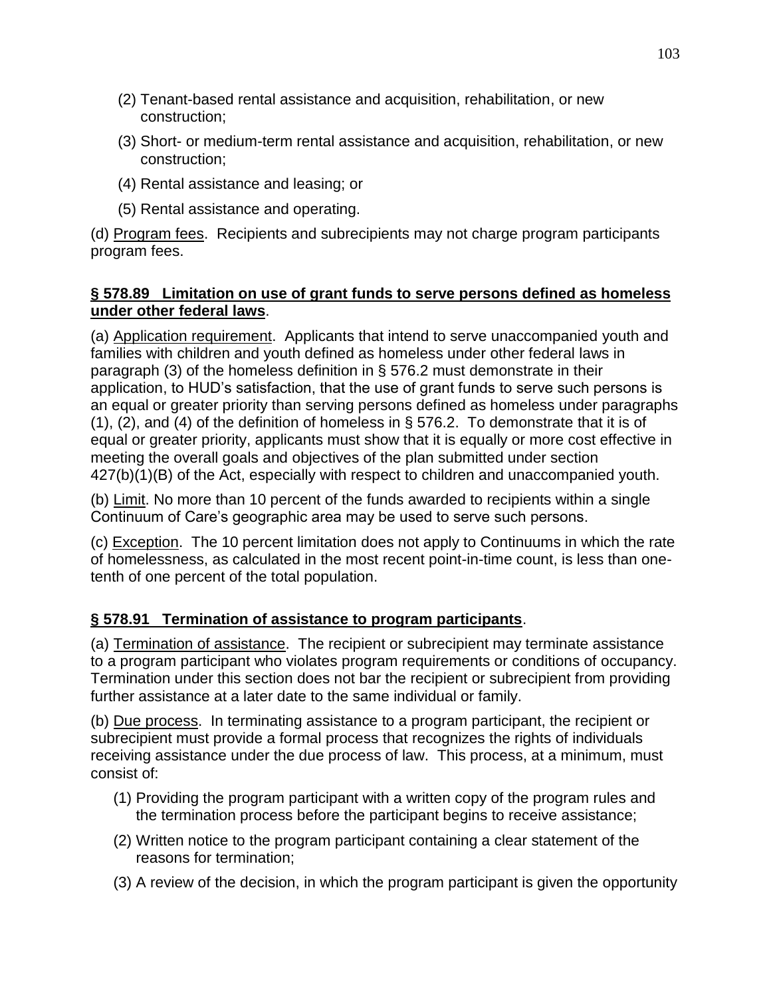- (2) Tenant-based rental assistance and acquisition, rehabilitation, or new construction;
- (3) Short- or medium-term rental assistance and acquisition, rehabilitation, or new construction;
- (4) Rental assistance and leasing; or
- (5) Rental assistance and operating.

(d) Program fees. Recipients and subrecipients may not charge program participants program fees.

#### **§ 578.89 Limitation on use of grant funds to serve persons defined as homeless under other federal laws**.

(a) Application requirement. Applicants that intend to serve unaccompanied youth and families with children and youth defined as homeless under other federal laws in paragraph (3) of the homeless definition in § 576.2 must demonstrate in their application, to HUD's satisfaction, that the use of grant funds to serve such persons is an equal or greater priority than serving persons defined as homeless under paragraphs (1), (2), and (4) of the definition of homeless in § 576.2. To demonstrate that it is of equal or greater priority, applicants must show that it is equally or more cost effective in meeting the overall goals and objectives of the plan submitted under section 427(b)(1)(B) of the Act, especially with respect to children and unaccompanied youth.

(b) Limit. No more than 10 percent of the funds awarded to recipients within a single Continuum of Care's geographic area may be used to serve such persons.

(c) Exception. The 10 percent limitation does not apply to Continuums in which the rate of homelessness, as calculated in the most recent point-in-time count, is less than onetenth of one percent of the total population.

### **§ 578.91 Termination of assistance to program participants**.

(a) Termination of assistance. The recipient or subrecipient may terminate assistance to a program participant who violates program requirements or conditions of occupancy. Termination under this section does not bar the recipient or subrecipient from providing further assistance at a later date to the same individual or family.

(b) Due process. In terminating assistance to a program participant, the recipient or subrecipient must provide a formal process that recognizes the rights of individuals receiving assistance under the due process of law. This process, at a minimum, must consist of:

- (1) Providing the program participant with a written copy of the program rules and the termination process before the participant begins to receive assistance;
- (2) Written notice to the program participant containing a clear statement of the reasons for termination;
- (3) A review of the decision, in which the program participant is given the opportunity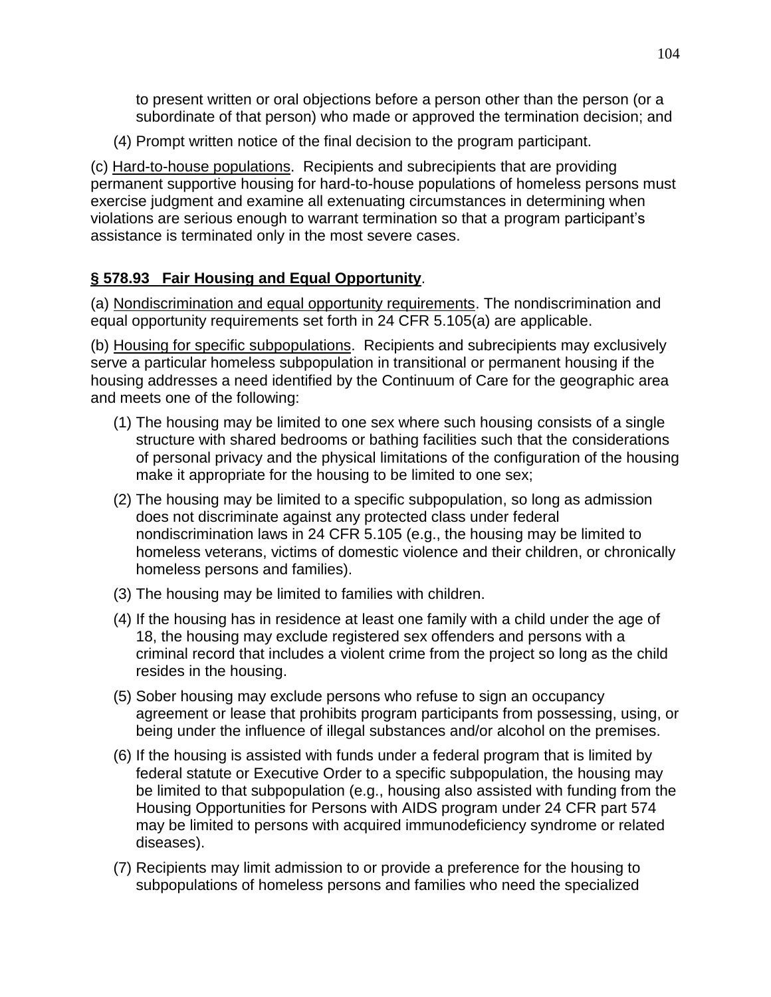to present written or oral objections before a person other than the person (or a subordinate of that person) who made or approved the termination decision; and

(4) Prompt written notice of the final decision to the program participant.

(c) Hard-to-house populations. Recipients and subrecipients that are providing permanent supportive housing for hard-to-house populations of homeless persons must exercise judgment and examine all extenuating circumstances in determining when violations are serious enough to warrant termination so that a program participant's assistance is terminated only in the most severe cases.

## **§ 578.93 Fair Housing and Equal Opportunity**.

(a) Nondiscrimination and equal opportunity requirements. The nondiscrimination and equal opportunity requirements set forth in 24 CFR 5.105(a) are applicable.

(b) Housing for specific subpopulations. Recipients and subrecipients may exclusively serve a particular homeless subpopulation in transitional or permanent housing if the housing addresses a need identified by the Continuum of Care for the geographic area and meets one of the following:

- (1) The housing may be limited to one sex where such housing consists of a single structure with shared bedrooms or bathing facilities such that the considerations of personal privacy and the physical limitations of the configuration of the housing make it appropriate for the housing to be limited to one sex;
- (2) The housing may be limited to a specific subpopulation, so long as admission does not discriminate against any protected class under federal nondiscrimination laws in 24 CFR 5.105 (e.g., the housing may be limited to homeless veterans, victims of domestic violence and their children, or chronically homeless persons and families).
- (3) The housing may be limited to families with children.
- (4) If the housing has in residence at least one family with a child under the age of 18, the housing may exclude registered sex offenders and persons with a criminal record that includes a violent crime from the project so long as the child resides in the housing.
- (5) Sober housing may exclude persons who refuse to sign an occupancy agreement or lease that prohibits program participants from possessing, using, or being under the influence of illegal substances and/or alcohol on the premises.
- (6) If the housing is assisted with funds under a federal program that is limited by federal statute or Executive Order to a specific subpopulation, the housing may be limited to that subpopulation (e.g., housing also assisted with funding from the Housing Opportunities for Persons with AIDS program under 24 CFR part 574 may be limited to persons with acquired immunodeficiency syndrome or related diseases).
- (7) Recipients may limit admission to or provide a preference for the housing to subpopulations of homeless persons and families who need the specialized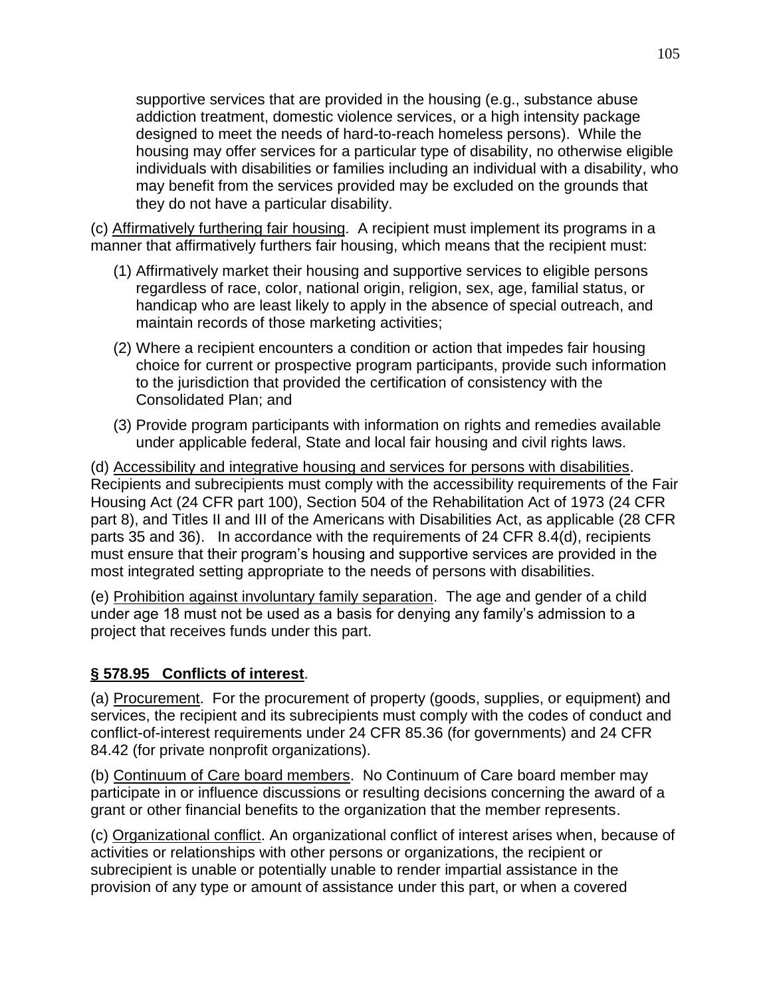supportive services that are provided in the housing (e.g., substance abuse addiction treatment, domestic violence services, or a high intensity package designed to meet the needs of hard-to-reach homeless persons). While the housing may offer services for a particular type of disability, no otherwise eligible individuals with disabilities or families including an individual with a disability, who may benefit from the services provided may be excluded on the grounds that they do not have a particular disability.

(c) Affirmatively furthering fair housing. A recipient must implement its programs in a manner that affirmatively furthers fair housing, which means that the recipient must:

- (1) Affirmatively market their housing and supportive services to eligible persons regardless of race, color, national origin, religion, sex, age, familial status, or handicap who are least likely to apply in the absence of special outreach, and maintain records of those marketing activities;
- (2) Where a recipient encounters a condition or action that impedes fair housing choice for current or prospective program participants, provide such information to the jurisdiction that provided the certification of consistency with the Consolidated Plan; and
- (3) Provide program participants with information on rights and remedies available under applicable federal, State and local fair housing and civil rights laws.

(d) Accessibility and integrative housing and services for persons with disabilities. Recipients and subrecipients must comply with the accessibility requirements of the Fair Housing Act (24 CFR part 100), Section 504 of the Rehabilitation Act of 1973 (24 CFR part 8), and Titles II and III of the Americans with Disabilities Act, as applicable (28 CFR parts 35 and 36). In accordance with the requirements of 24 CFR 8.4(d), recipients must ensure that their program's housing and supportive services are provided in the most integrated setting appropriate to the needs of persons with disabilities.

(e) Prohibition against involuntary family separation. The age and gender of a child under age 18 must not be used as a basis for denying any family's admission to a project that receives funds under this part.

### **§ 578.95 Conflicts of interest**.

(a) Procurement. For the procurement of property (goods, supplies, or equipment) and services, the recipient and its subrecipients must comply with the codes of conduct and conflict-of-interest requirements under 24 CFR 85.36 (for governments) and 24 CFR 84.42 (for private nonprofit organizations).

(b) Continuum of Care board members. No Continuum of Care board member may participate in or influence discussions or resulting decisions concerning the award of a grant or other financial benefits to the organization that the member represents.

(c) Organizational conflict. An organizational conflict of interest arises when, because of activities or relationships with other persons or organizations, the recipient or subrecipient is unable or potentially unable to render impartial assistance in the provision of any type or amount of assistance under this part, or when a covered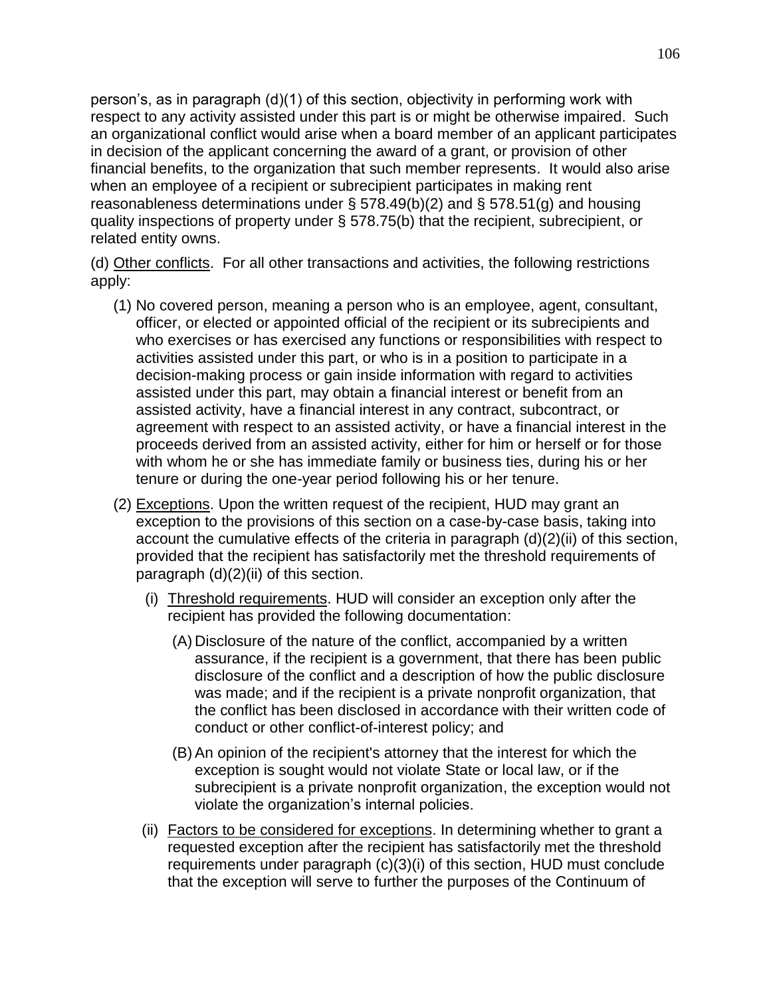person's, as in paragraph (d)(1) of this section, objectivity in performing work with respect to any activity assisted under this part is or might be otherwise impaired. Such an organizational conflict would arise when a board member of an applicant participates in decision of the applicant concerning the award of a grant, or provision of other financial benefits, to the organization that such member represents. It would also arise when an employee of a recipient or subrecipient participates in making rent reasonableness determinations under § 578.49(b)(2) and § 578.51(g) and housing quality inspections of property under § 578.75(b) that the recipient, subrecipient, or related entity owns.

(d) Other conflicts. For all other transactions and activities, the following restrictions apply:

- (1) No covered person, meaning a person who is an employee, agent, consultant, officer, or elected or appointed official of the recipient or its subrecipients and who exercises or has exercised any functions or responsibilities with respect to activities assisted under this part, or who is in a position to participate in a decision-making process or gain inside information with regard to activities assisted under this part, may obtain a financial interest or benefit from an assisted activity, have a financial interest in any contract, subcontract, or agreement with respect to an assisted activity, or have a financial interest in the proceeds derived from an assisted activity, either for him or herself or for those with whom he or she has immediate family or business ties, during his or her tenure or during the one-year period following his or her tenure.
- (2) Exceptions. Upon the written request of the recipient, HUD may grant an exception to the provisions of this section on a case-by-case basis, taking into account the cumulative effects of the criteria in paragraph (d)(2)(ii) of this section, provided that the recipient has satisfactorily met the threshold requirements of paragraph (d)(2)(ii) of this section.
	- (i) Threshold requirements. HUD will consider an exception only after the recipient has provided the following documentation:
		- (A) Disclosure of the nature of the conflict, accompanied by a written assurance, if the recipient is a government, that there has been public disclosure of the conflict and a description of how the public disclosure was made; and if the recipient is a private nonprofit organization, that the conflict has been disclosed in accordance with their written code of conduct or other conflict-of-interest policy; and
		- (B) An opinion of the recipient's attorney that the interest for which the exception is sought would not violate State or local law, or if the subrecipient is a private nonprofit organization, the exception would not violate the organization's internal policies.
	- (ii) Factors to be considered for exceptions. In determining whether to grant a requested exception after the recipient has satisfactorily met the threshold requirements under paragraph (c)(3)(i) of this section, HUD must conclude that the exception will serve to further the purposes of the Continuum of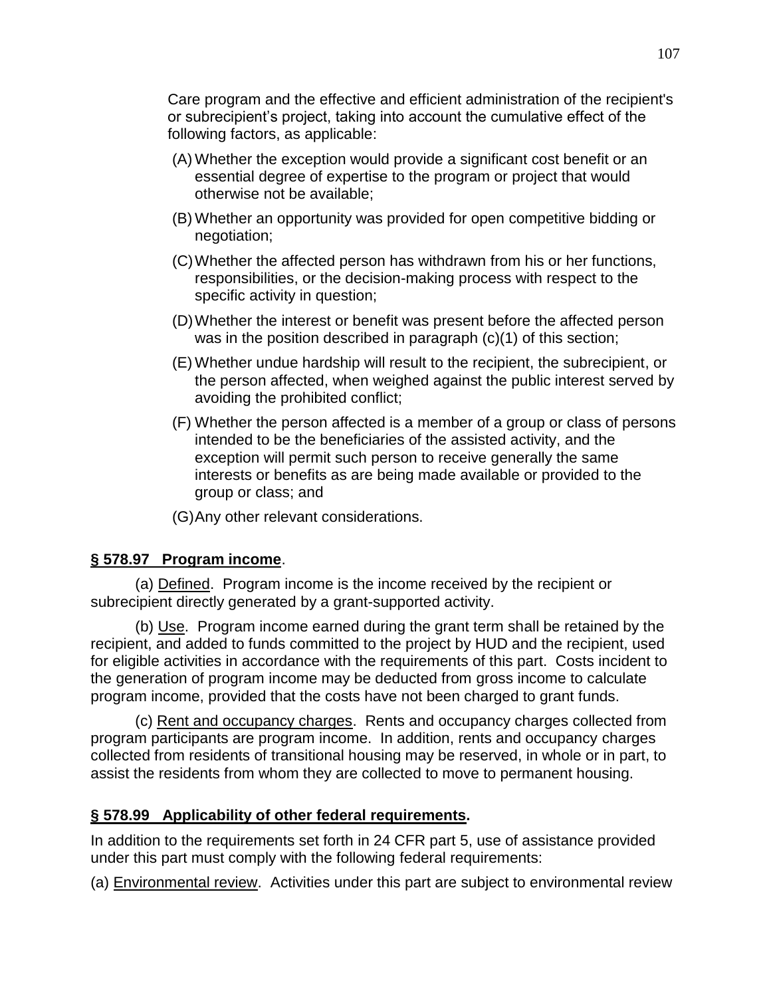Care program and the effective and efficient administration of the recipient's or subrecipient's project, taking into account the cumulative effect of the following factors, as applicable:

- (A) Whether the exception would provide a significant cost benefit or an essential degree of expertise to the program or project that would otherwise not be available;
- (B) Whether an opportunity was provided for open competitive bidding or negotiation;
- (C)Whether the affected person has withdrawn from his or her functions, responsibilities, or the decision-making process with respect to the specific activity in question;
- (D)Whether the interest or benefit was present before the affected person was in the position described in paragraph (c)(1) of this section;
- (E) Whether undue hardship will result to the recipient, the subrecipient, or the person affected, when weighed against the public interest served by avoiding the prohibited conflict;
- (F) Whether the person affected is a member of a group or class of persons intended to be the beneficiaries of the assisted activity, and the exception will permit such person to receive generally the same interests or benefits as are being made available or provided to the group or class; and
- (G)Any other relevant considerations.

### **§ 578.97 Program income**.

(a) Defined. Program income is the income received by the recipient or subrecipient directly generated by a grant-supported activity.

(b) Use. Program income earned during the grant term shall be retained by the recipient, and added to funds committed to the project by HUD and the recipient, used for eligible activities in accordance with the requirements of this part. Costs incident to the generation of program income may be deducted from gross income to calculate program income, provided that the costs have not been charged to grant funds.

(c) Rent and occupancy charges. Rents and occupancy charges collected from program participants are program income. In addition, rents and occupancy charges collected from residents of transitional housing may be reserved, in whole or in part, to assist the residents from whom they are collected to move to permanent housing.

### **§ 578.99 Applicability of other federal requirements.**

In addition to the requirements set forth in 24 CFR part 5, use of assistance provided under this part must comply with the following federal requirements:

(a) Environmental review. Activities under this part are subject to environmental review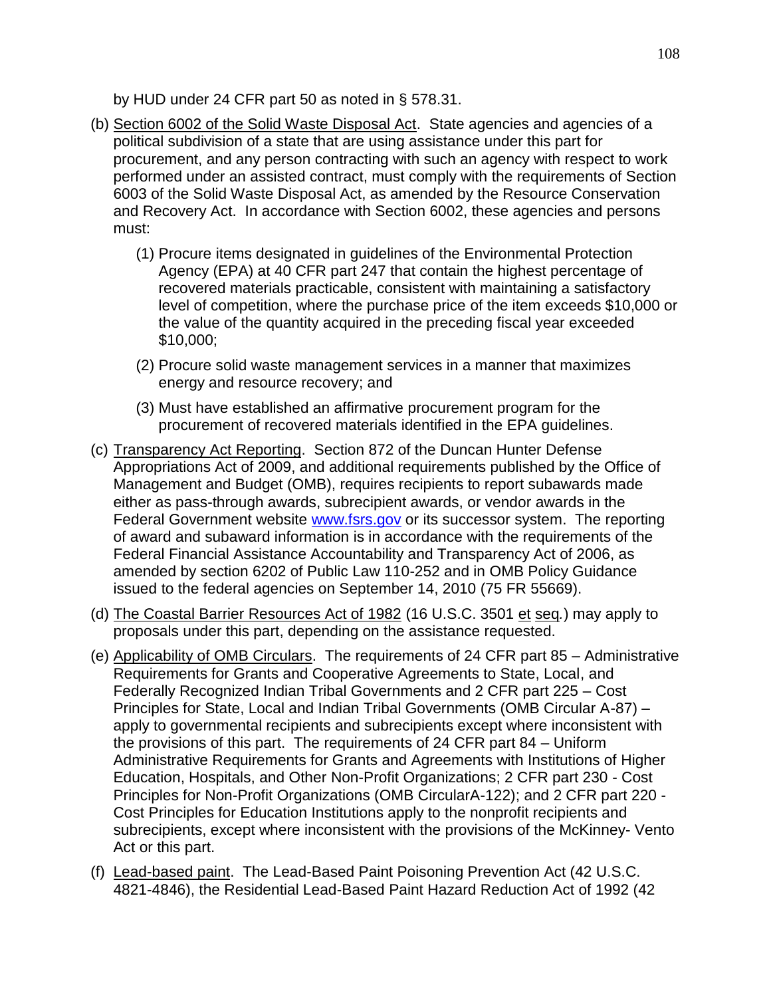by HUD under 24 CFR part 50 as noted in § 578.31.

- (b) Section 6002 of the Solid Waste Disposal Act. State agencies and agencies of a political subdivision of a state that are using assistance under this part for procurement, and any person contracting with such an agency with respect to work performed under an assisted contract, must comply with the requirements of Section 6003 of the Solid Waste Disposal Act, as amended by the Resource Conservation and Recovery Act. In accordance with Section 6002, these agencies and persons must:
	- (1) Procure items designated in guidelines of the Environmental Protection Agency (EPA) at 40 CFR part 247 that contain the highest percentage of recovered materials practicable, consistent with maintaining a satisfactory level of competition, where the purchase price of the item exceeds \$10,000 or the value of the quantity acquired in the preceding fiscal year exceeded \$10,000;
	- (2) Procure solid waste management services in a manner that maximizes energy and resource recovery; and
	- (3) Must have established an affirmative procurement program for the procurement of recovered materials identified in the EPA guidelines.
- (c) Transparency Act Reporting. Section 872 of the Duncan Hunter Defense Appropriations Act of 2009, and additional requirements published by the Office of Management and Budget (OMB), requires recipients to report subawards made either as pass-through awards, subrecipient awards, or vendor awards in the Federal Government website [www.fsrs.gov](http://www.fsrs.gov/) or its successor system. The reporting of award and subaward information is in accordance with the requirements of the Federal Financial Assistance Accountability and Transparency Act of 2006, as amended by section 6202 of Public Law 110-252 and in OMB Policy Guidance issued to the federal agencies on September 14, 2010 (75 FR 55669).
- (d) The Coastal Barrier Resources Act of 1982 (16 U.S.C. 3501 et seq*.*) may apply to proposals under this part, depending on the assistance requested.
- (e) Applicability of OMB Circulars. The requirements of 24 CFR part 85 Administrative Requirements for Grants and Cooperative Agreements to State, Local, and Federally Recognized Indian Tribal Governments and 2 CFR part 225 – Cost Principles for State, Local and Indian Tribal Governments (OMB Circular A-87) – apply to governmental recipients and subrecipients except where inconsistent with the provisions of this part. The requirements of 24 CFR part 84 – Uniform Administrative Requirements for Grants and Agreements with Institutions of Higher Education, Hospitals, and Other Non-Profit Organizations; 2 CFR part 230 - Cost Principles for Non-Profit Organizations (OMB CircularA-122); and 2 CFR part 220 - Cost Principles for Education Institutions apply to the nonprofit recipients and subrecipients, except where inconsistent with the provisions of the McKinney- Vento Act or this part.
- (f) Lead-based paint. The Lead-Based Paint Poisoning Prevention Act (42 U.S.C. 4821-4846), the Residential Lead-Based Paint Hazard Reduction Act of 1992 (42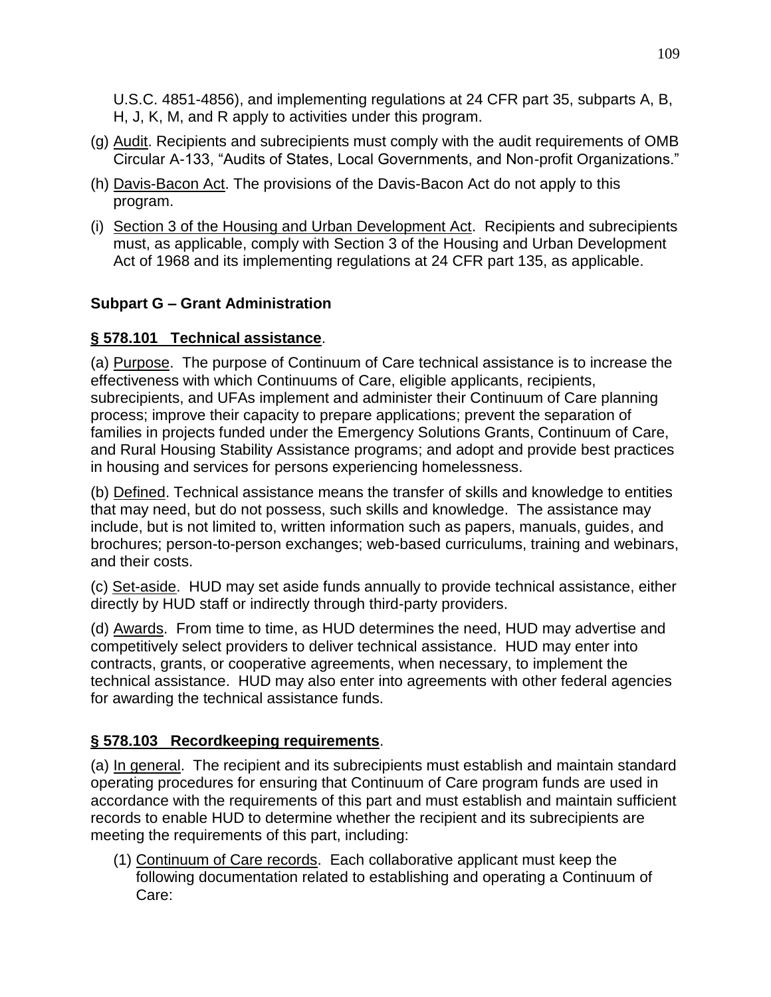U.S.C. 4851-4856), and implementing regulations at 24 CFR part 35, subparts A, B, H, J, K, M, and R apply to activities under this program.

- (g) Audit. Recipients and subrecipients must comply with the audit requirements of OMB Circular A-133, "Audits of States, Local Governments, and Non-profit Organizations."
- (h) Davis-Bacon Act. The provisions of the Davis-Bacon Act do not apply to this program.
- (i) Section 3 of the Housing and Urban Development Act. Recipients and subrecipients must, as applicable, comply with Section 3 of the Housing and Urban Development Act of 1968 and its implementing regulations at 24 CFR part 135, as applicable.

## **Subpart G – Grant Administration**

## **§ 578.101 Technical assistance**.

(a) Purpose. The purpose of Continuum of Care technical assistance is to increase the effectiveness with which Continuums of Care, eligible applicants, recipients, subrecipients, and UFAs implement and administer their Continuum of Care planning process; improve their capacity to prepare applications; prevent the separation of families in projects funded under the Emergency Solutions Grants, Continuum of Care, and Rural Housing Stability Assistance programs; and adopt and provide best practices in housing and services for persons experiencing homelessness.

(b) Defined. Technical assistance means the transfer of skills and knowledge to entities that may need, but do not possess, such skills and knowledge. The assistance may include, but is not limited to, written information such as papers, manuals, guides, and brochures; person-to-person exchanges; web-based curriculums, training and webinars, and their costs.

(c) Set-aside. HUD may set aside funds annually to provide technical assistance, either directly by HUD staff or indirectly through third-party providers.

(d) Awards. From time to time, as HUD determines the need, HUD may advertise and competitively select providers to deliver technical assistance. HUD may enter into contracts, grants, or cooperative agreements, when necessary, to implement the technical assistance. HUD may also enter into agreements with other federal agencies for awarding the technical assistance funds.

# **§ 578.103 Recordkeeping requirements**.

(a) In general. The recipient and its subrecipients must establish and maintain standard operating procedures for ensuring that Continuum of Care program funds are used in accordance with the requirements of this part and must establish and maintain sufficient records to enable HUD to determine whether the recipient and its subrecipients are meeting the requirements of this part, including:

(1) Continuum of Care records. Each collaborative applicant must keep the following documentation related to establishing and operating a Continuum of Care: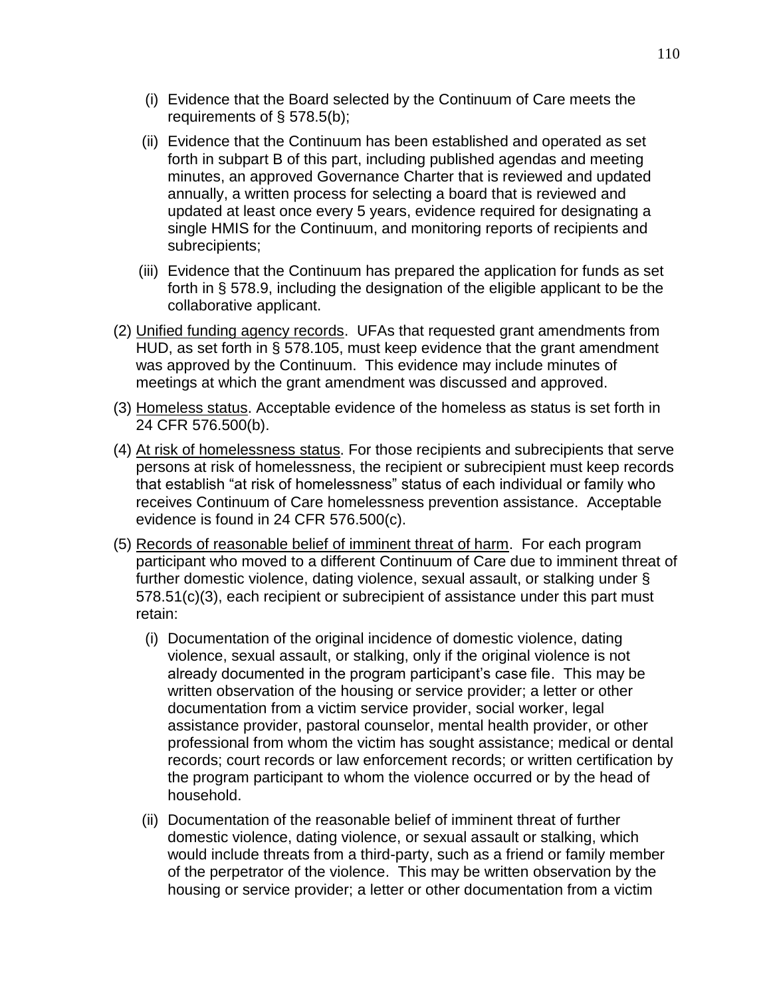- (i) Evidence that the Board selected by the Continuum of Care meets the requirements of § 578.5(b);
- (ii) Evidence that the Continuum has been established and operated as set forth in subpart B of this part, including published agendas and meeting minutes, an approved Governance Charter that is reviewed and updated annually, a written process for selecting a board that is reviewed and updated at least once every 5 years, evidence required for designating a single HMIS for the Continuum, and monitoring reports of recipients and subrecipients;
- (iii) Evidence that the Continuum has prepared the application for funds as set forth in § 578.9, including the designation of the eligible applicant to be the collaborative applicant.
- (2) Unified funding agency records. UFAs that requested grant amendments from HUD, as set forth in § 578.105, must keep evidence that the grant amendment was approved by the Continuum. This evidence may include minutes of meetings at which the grant amendment was discussed and approved.
- (3) Homeless status. Acceptable evidence of the homeless as status is set forth in 24 CFR 576.500(b).
- (4) At risk of homelessness status. For those recipients and subrecipients that serve persons at risk of homelessness, the recipient or subrecipient must keep records that establish "at risk of homelessness" status of each individual or family who receives Continuum of Care homelessness prevention assistance. Acceptable evidence is found in 24 CFR 576.500(c).
- (5) Records of reasonable belief of imminent threat of harm. For each program participant who moved to a different Continuum of Care due to imminent threat of further domestic violence, dating violence, sexual assault, or stalking under § 578.51(c)(3), each recipient or subrecipient of assistance under this part must retain:
	- (i) Documentation of the original incidence of domestic violence, dating violence, sexual assault, or stalking, only if the original violence is not already documented in the program participant's case file. This may be written observation of the housing or service provider; a letter or other documentation from a victim service provider, social worker, legal assistance provider, pastoral counselor, mental health provider, or other professional from whom the victim has sought assistance; medical or dental records; court records or law enforcement records; or written certification by the program participant to whom the violence occurred or by the head of household.
	- (ii) Documentation of the reasonable belief of imminent threat of further domestic violence, dating violence, or sexual assault or stalking, which would include threats from a third-party, such as a friend or family member of the perpetrator of the violence. This may be written observation by the housing or service provider; a letter or other documentation from a victim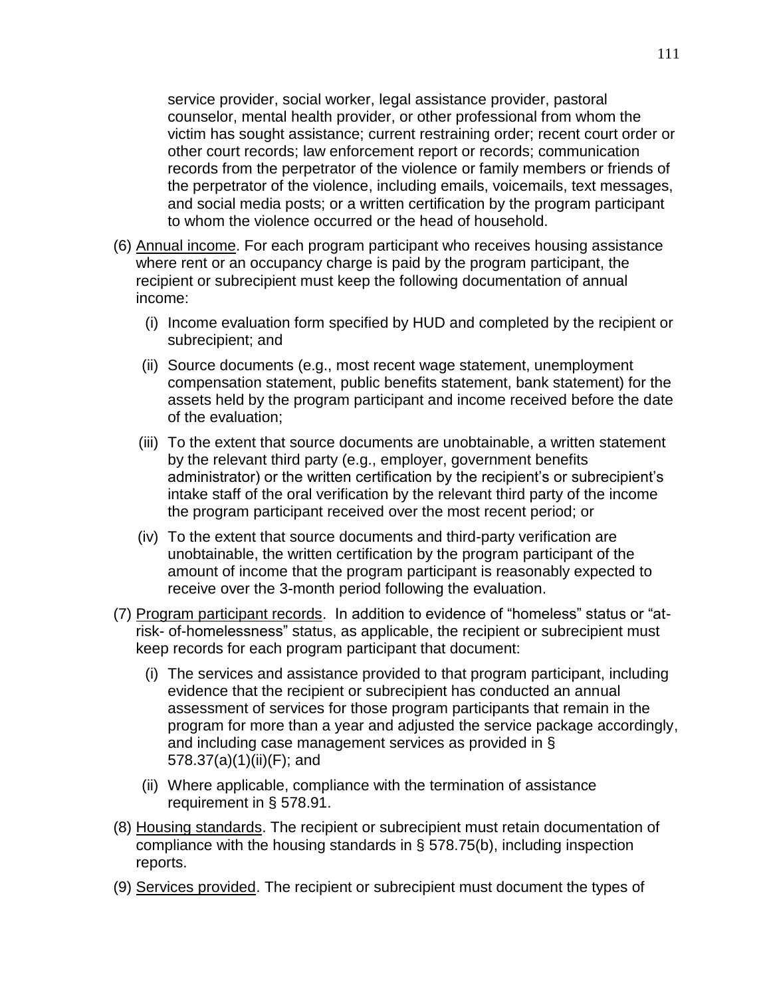service provider, social worker, legal assistance provider, pastoral counselor, mental health provider, or other professional from whom the victim has sought assistance; current restraining order; recent court order or other court records; law enforcement report or records; communication records from the perpetrator of the violence or family members or friends of the perpetrator of the violence, including emails, voicemails, text messages, and social media posts; or a written certification by the program participant to whom the violence occurred or the head of household.

- (6) Annual income. For each program participant who receives housing assistance where rent or an occupancy charge is paid by the program participant, the recipient or subrecipient must keep the following documentation of annual income:
	- (i) Income evaluation form specified by HUD and completed by the recipient or subrecipient; and
	- (ii) Source documents (e.g., most recent wage statement, unemployment compensation statement, public benefits statement, bank statement) for the assets held by the program participant and income received before the date of the evaluation;
	- (iii) To the extent that source documents are unobtainable, a written statement by the relevant third party (e.g., employer, government benefits administrator) or the written certification by the recipient's or subrecipient's intake staff of the oral verification by the relevant third party of the income the program participant received over the most recent period; or
	- (iv) To the extent that source documents and third-party verification are unobtainable, the written certification by the program participant of the amount of income that the program participant is reasonably expected to receive over the 3-month period following the evaluation.
- (7) Program participant records. In addition to evidence of "homeless" status or "atrisk- of-homelessness" status, as applicable, the recipient or subrecipient must keep records for each program participant that document:
	- (i) The services and assistance provided to that program participant, including evidence that the recipient or subrecipient has conducted an annual assessment of services for those program participants that remain in the program for more than a year and adjusted the service package accordingly, and including case management services as provided in § 578.37(a)(1)(ii)(F); and
	- (ii) Where applicable, compliance with the termination of assistance requirement in § 578.91.
- (8) Housing standards. The recipient or subrecipient must retain documentation of compliance with the housing standards in § 578.75(b), including inspection reports.
- (9) Services provided. The recipient or subrecipient must document the types of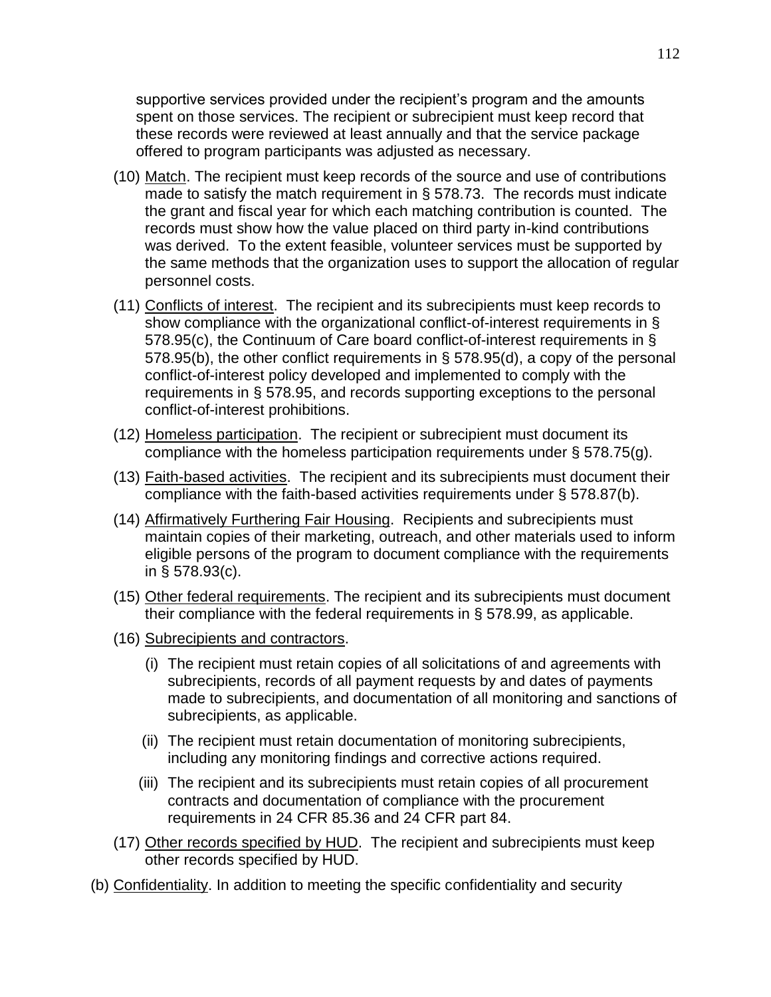supportive services provided under the recipient's program and the amounts spent on those services. The recipient or subrecipient must keep record that these records were reviewed at least annually and that the service package offered to program participants was adjusted as necessary.

- (10) Match. The recipient must keep records of the source and use of contributions made to satisfy the match requirement in § 578.73. The records must indicate the grant and fiscal year for which each matching contribution is counted. The records must show how the value placed on third party in-kind contributions was derived. To the extent feasible, volunteer services must be supported by the same methods that the organization uses to support the allocation of regular personnel costs.
- (11) Conflicts of interest.The recipient and its subrecipients must keep records to show compliance with the organizational conflict-of-interest requirements in § 578.95(c), the Continuum of Care board conflict-of-interest requirements in § 578.95(b), the other conflict requirements in § 578.95(d), a copy of the personal conflict-of-interest policy developed and implemented to comply with the requirements in § 578.95, and records supporting exceptions to the personal conflict-of-interest prohibitions.
- (12) Homeless participation. The recipient or subrecipient must document its compliance with the homeless participation requirements under § 578.75(g).
- (13) Faith-based activities. The recipient and its subrecipients must document their compliance with the faith-based activities requirements under § 578.87(b).
- (14) Affirmatively Furthering Fair Housing. Recipients and subrecipients must maintain copies of their marketing, outreach, and other materials used to inform eligible persons of the program to document compliance with the requirements in § 578.93(c).
- (15) Other federal requirements. The recipient and its subrecipients must document their compliance with the federal requirements in § 578.99, as applicable.
- (16) Subrecipients and contractors.
	- (i) The recipient must retain copies of all solicitations of and agreements with subrecipients, records of all payment requests by and dates of payments made to subrecipients, and documentation of all monitoring and sanctions of subrecipients, as applicable.
	- (ii) The recipient must retain documentation of monitoring subrecipients, including any monitoring findings and corrective actions required.
	- (iii) The recipient and its subrecipients must retain copies of all procurement contracts and documentation of compliance with the procurement requirements in 24 CFR 85.36 and 24 CFR part 84.
- (17) Other records specified by HUD. The recipient and subrecipients must keep other records specified by HUD.
- (b) Confidentiality. In addition to meeting the specific confidentiality and security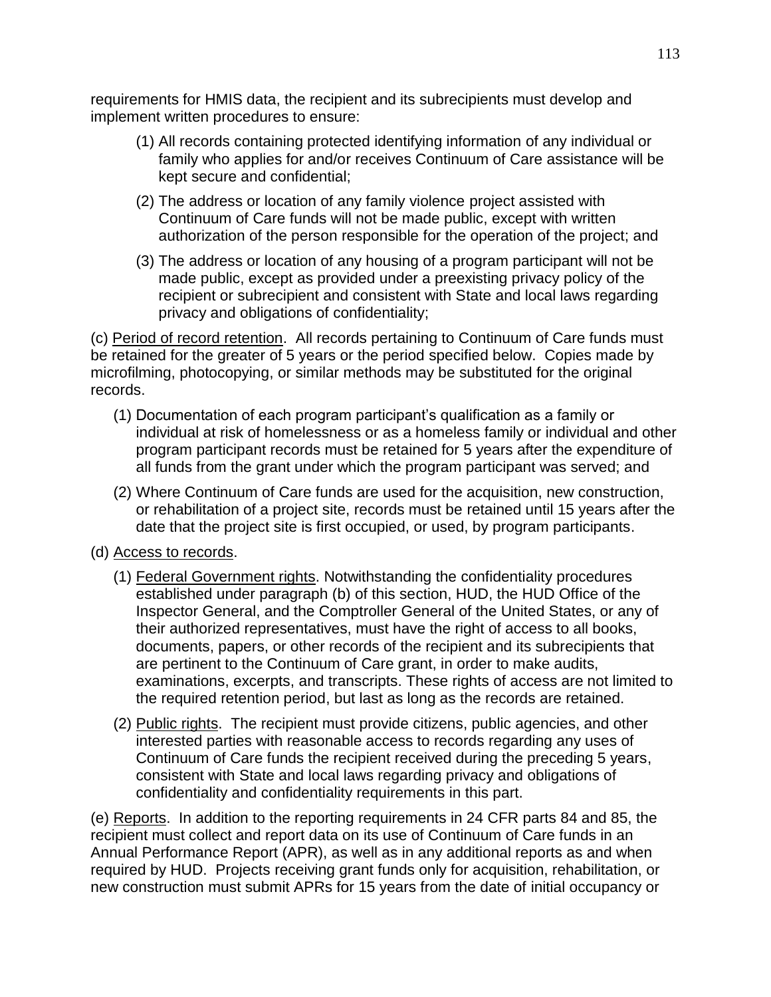requirements for HMIS data, the recipient and its subrecipients must develop and implement written procedures to ensure:

- (1) All records containing protected identifying information of any individual or family who applies for and/or receives Continuum of Care assistance will be kept secure and confidential;
- (2) The address or location of any family violence project assisted with Continuum of Care funds will not be made public, except with written authorization of the person responsible for the operation of the project; and
- (3) The address or location of any housing of a program participant will not be made public, except as provided under a preexisting privacy policy of the recipient or subrecipient and consistent with State and local laws regarding privacy and obligations of confidentiality;

(c) Period of record retention.All records pertaining to Continuum of Care funds must be retained for the greater of 5 years or the period specified below. Copies made by microfilming, photocopying, or similar methods may be substituted for the original records.

- (1) Documentation of each program participant's qualification as a family or individual at risk of homelessness or as a homeless family or individual and other program participant records must be retained for 5 years after the expenditure of all funds from the grant under which the program participant was served; and
- (2) Where Continuum of Care funds are used for the acquisition, new construction, or rehabilitation of a project site, records must be retained until 15 years after the date that the project site is first occupied, or used, by program participants.
- (d) Access to records.
	- (1) Federal Government rights. Notwithstanding the confidentiality procedures established under paragraph (b) of this section, HUD, the HUD Office of the Inspector General, and the Comptroller General of the United States, or any of their authorized representatives, must have the right of access to all books, documents, papers, or other records of the recipient and its subrecipients that are pertinent to the Continuum of Care grant, in order to make audits, examinations, excerpts, and transcripts. These rights of access are not limited to the required retention period, but last as long as the records are retained.
	- (2) Public rights. The recipient must provide citizens, public agencies, and other interested parties with reasonable access to records regarding any uses of Continuum of Care funds the recipient received during the preceding 5 years, consistent with State and local laws regarding privacy and obligations of confidentiality and confidentiality requirements in this part.

(e) Reports. In addition to the reporting requirements in 24 CFR parts 84 and 85, the recipient must collect and report data on its use of Continuum of Care funds in an Annual Performance Report (APR), as well as in any additional reports as and when required by HUD. Projects receiving grant funds only for acquisition, rehabilitation, or new construction must submit APRs for 15 years from the date of initial occupancy or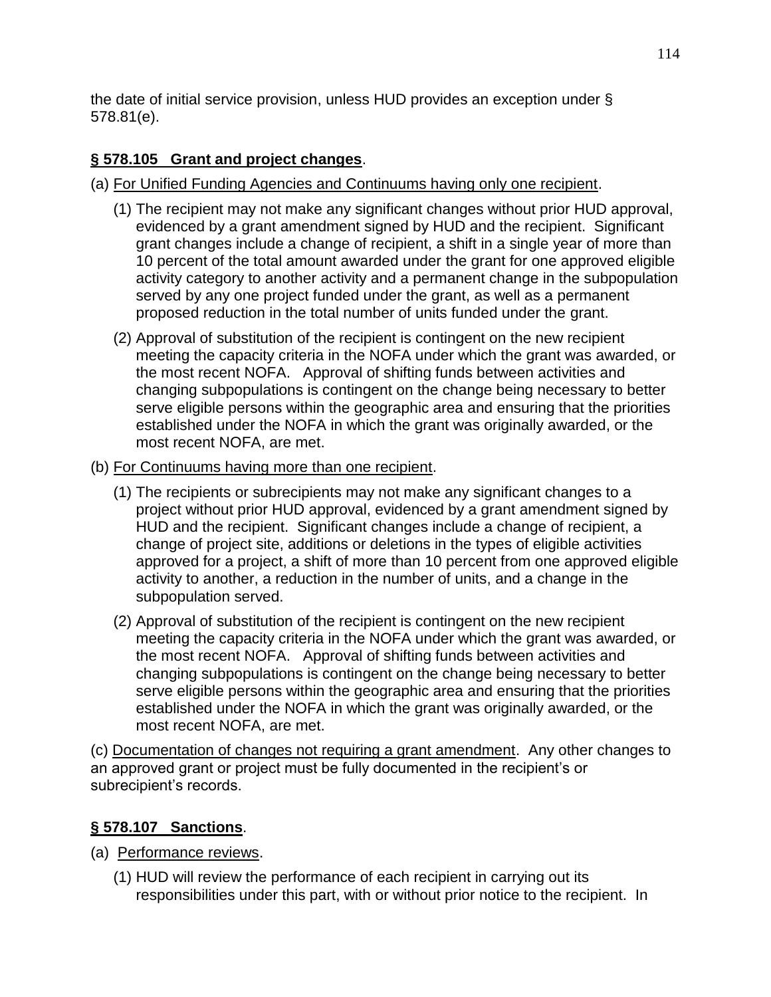the date of initial service provision, unless HUD provides an exception under § 578.81(e).

# **§ 578.105 Grant and project changes**.

(a) For Unified Funding Agencies and Continuums having only one recipient.

- (1) The recipient may not make any significant changes without prior HUD approval, evidenced by a grant amendment signed by HUD and the recipient. Significant grant changes include a change of recipient, a shift in a single year of more than 10 percent of the total amount awarded under the grant for one approved eligible activity category to another activity and a permanent change in the subpopulation served by any one project funded under the grant, as well as a permanent proposed reduction in the total number of units funded under the grant.
- (2) Approval of substitution of the recipient is contingent on the new recipient meeting the capacity criteria in the NOFA under which the grant was awarded, or the most recent NOFA. Approval of shifting funds between activities and changing subpopulations is contingent on the change being necessary to better serve eligible persons within the geographic area and ensuring that the priorities established under the NOFA in which the grant was originally awarded, or the most recent NOFA, are met.
- (b) For Continuums having more than one recipient.
	- (1) The recipients or subrecipients may not make any significant changes to a project without prior HUD approval, evidenced by a grant amendment signed by HUD and the recipient. Significant changes include a change of recipient, a change of project site, additions or deletions in the types of eligible activities approved for a project, a shift of more than 10 percent from one approved eligible activity to another, a reduction in the number of units, and a change in the subpopulation served.
	- (2) Approval of substitution of the recipient is contingent on the new recipient meeting the capacity criteria in the NOFA under which the grant was awarded, or the most recent NOFA. Approval of shifting funds between activities and changing subpopulations is contingent on the change being necessary to better serve eligible persons within the geographic area and ensuring that the priorities established under the NOFA in which the grant was originally awarded, or the most recent NOFA, are met.

(c) Documentation of changes not requiring a grant amendment. Any other changes to an approved grant or project must be fully documented in the recipient's or subrecipient's records.

# **§ 578.107 Sanctions**.

- (a) Performance reviews.
	- (1) HUD will review the performance of each recipient in carrying out its responsibilities under this part, with or without prior notice to the recipient. In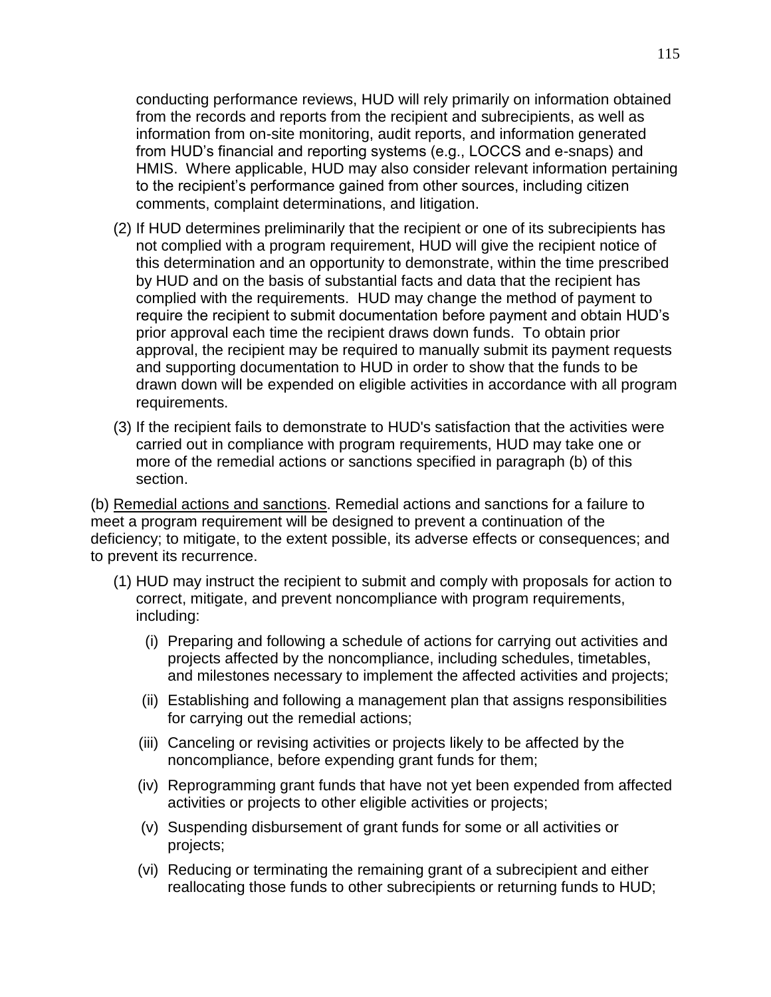conducting performance reviews, HUD will rely primarily on information obtained from the records and reports from the recipient and subrecipients, as well as information from on-site monitoring, audit reports, and information generated from HUD's financial and reporting systems (e.g., LOCCS and e-snaps) and HMIS. Where applicable, HUD may also consider relevant information pertaining to the recipient's performance gained from other sources, including citizen comments, complaint determinations, and litigation.

- (2) If HUD determines preliminarily that the recipient or one of its subrecipients has not complied with a program requirement, HUD will give the recipient notice of this determination and an opportunity to demonstrate, within the time prescribed by HUD and on the basis of substantial facts and data that the recipient has complied with the requirements. HUD may change the method of payment to require the recipient to submit documentation before payment and obtain HUD's prior approval each time the recipient draws down funds. To obtain prior approval, the recipient may be required to manually submit its payment requests and supporting documentation to HUD in order to show that the funds to be drawn down will be expended on eligible activities in accordance with all program requirements.
- (3) If the recipient fails to demonstrate to HUD's satisfaction that the activities were carried out in compliance with program requirements, HUD may take one or more of the remedial actions or sanctions specified in paragraph (b) of this section.

(b) Remedial actions and sanctions. Remedial actions and sanctions for a failure to meet a program requirement will be designed to prevent a continuation of the deficiency; to mitigate, to the extent possible, its adverse effects or consequences; and to prevent its recurrence.

- (1) HUD may instruct the recipient to submit and comply with proposals for action to correct, mitigate, and prevent noncompliance with program requirements, including:
	- (i) Preparing and following a schedule of actions for carrying out activities and projects affected by the noncompliance, including schedules, timetables, and milestones necessary to implement the affected activities and projects;
	- (ii) Establishing and following a management plan that assigns responsibilities for carrying out the remedial actions;
	- (iii) Canceling or revising activities or projects likely to be affected by the noncompliance, before expending grant funds for them;
	- (iv) Reprogramming grant funds that have not yet been expended from affected activities or projects to other eligible activities or projects;
	- (v) Suspending disbursement of grant funds for some or all activities or projects;
	- (vi) Reducing or terminating the remaining grant of a subrecipient and either reallocating those funds to other subrecipients or returning funds to HUD;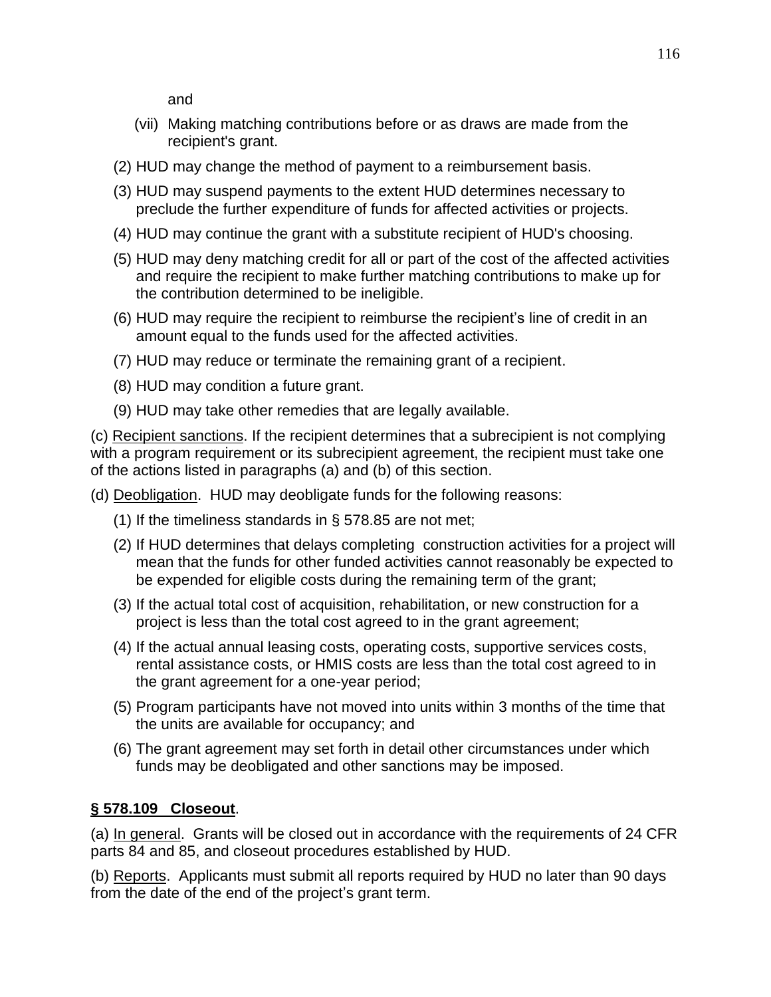and

- (vii) Making matching contributions before or as draws are made from the recipient's grant.
- (2) HUD may change the method of payment to a reimbursement basis.
- (3) HUD may suspend payments to the extent HUD determines necessary to preclude the further expenditure of funds for affected activities or projects.
- (4) HUD may continue the grant with a substitute recipient of HUD's choosing.
- (5) HUD may deny matching credit for all or part of the cost of the affected activities and require the recipient to make further matching contributions to make up for the contribution determined to be ineligible.
- (6) HUD may require the recipient to reimburse the recipient's line of credit in an amount equal to the funds used for the affected activities.
- (7) HUD may reduce or terminate the remaining grant of a recipient.
- (8) HUD may condition a future grant.
- (9) HUD may take other remedies that are legally available.

(c) Recipient sanctions. If the recipient determines that a subrecipient is not complying with a program requirement or its subrecipient agreement, the recipient must take one of the actions listed in paragraphs (a) and (b) of this section.

(d) Deobligation. HUD may deobligate funds for the following reasons:

- (1) If the timeliness standards in § 578.85 are not met;
- (2) If HUD determines that delays completing construction activities for a project will mean that the funds for other funded activities cannot reasonably be expected to be expended for eligible costs during the remaining term of the grant;
- (3) If the actual total cost of acquisition, rehabilitation, or new construction for a project is less than the total cost agreed to in the grant agreement;
- (4) If the actual annual leasing costs, operating costs, supportive services costs, rental assistance costs, or HMIS costs are less than the total cost agreed to in the grant agreement for a one-year period;
- (5) Program participants have not moved into units within 3 months of the time that the units are available for occupancy; and
- (6) The grant agreement may set forth in detail other circumstances under which funds may be deobligated and other sanctions may be imposed.

## **§ 578.109 Closeout**.

(a) In general. Grants will be closed out in accordance with the requirements of 24 CFR parts 84 and 85, and closeout procedures established by HUD.

(b) Reports. Applicants must submit all reports required by HUD no later than 90 days from the date of the end of the project's grant term.